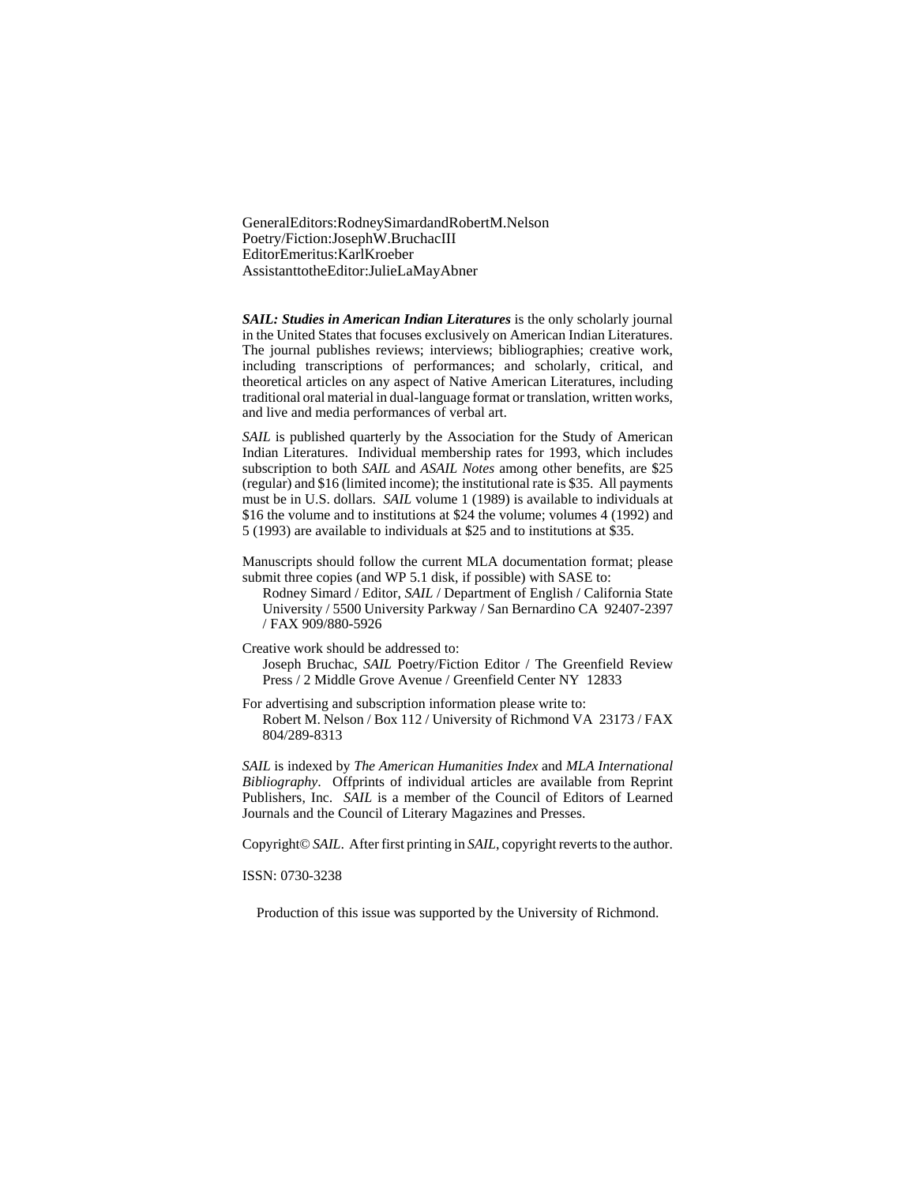General Editors: Rodney Simard and Robert M. Nelson Poetry/Fiction:JosephW.BruchacIII Editor Emeritus: Karl Kroeber Assistant to the Editor: Julie LaMay Abner

*SAIL: Studies in American Indian Literatures* is the only scholarly journal in the United States that focuses exclusively on American Indian Literatures. The journal publishes reviews; interviews; bibliographies; creative work, including transcriptions of performances; and scholarly, critical, and theoretical articles on any aspect of Native American Literatures, including traditional oral material in dual-language format or translation, written works, and live and media performances of verbal art.

*SAIL* is published quarterly by the Association for the Study of American Indian Literatures. Individual membership rates for 1993, which includes subscription to both *SAIL* and *ASAIL Notes* among other benefits, are \$25 (regular) and \$16 (limited income); the institutional rate is \$35. All payments must be in U.S. dollars. *SAIL* volume 1 (1989) is available to individuals at \$16 the volume and to institutions at \$24 the volume; volumes 4 (1992) and 5 (1993) are available to individuals at \$25 and to institutions at \$35.

Manuscripts should follow the current MLA documentation format; please submit three copies (and WP 5.1 disk, if possible) with SASE to:

Rodney Simard / Editor, *SAIL* / Department of English / California State University / 5500 University Parkway / San Bernardino CA 92407-2397 / FAX 909/880-5926

Creative work should be addressed to:

Joseph Bruchac, *SAIL* Poetry/Fiction Editor / The Greenfield Review Press / 2 Middle Grove Avenue / Greenfield Center NY 12833

For advertising and subscription information please write to: Robert M. Nelson / Box 112 / University of Richmond VA 23173 / FAX 804/289-8313

*SAIL* is indexed by *The American Humanities Index* and *MLA International Bibliography*. Offprints of individual articles are available from Reprint Publishers, Inc. *SAIL* is a member of the Council of Editors of Learned Journals and the Council of Literary Magazines and Presses.

Copyright© *SAIL*. After first printing in *SAIL*, copyright reverts to the author.

ISSN: 0730-3238

Production of this issue was supported by the University of Richmond.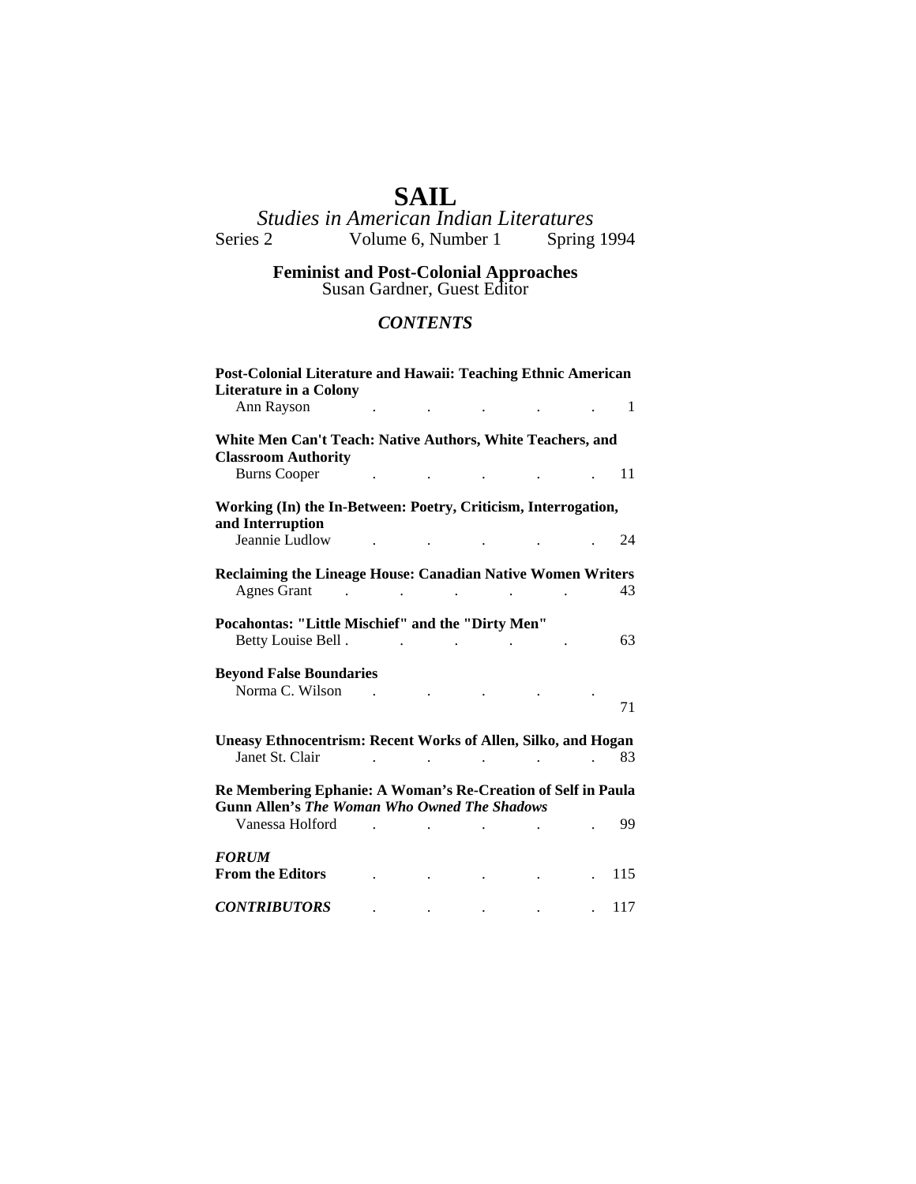# **SAIL**

*Studies in American Indian Literatures* Volume 6, Number 1

> **Feminist and Post-Colonial Approaches** Susan Gardner, Guest Editor

## *CONTENTS*

| <b>Post-Colonial Literature and Hawaii: Teaching Ethnic American</b><br><b>Literature in a Colony</b>               |  |  |     |
|---------------------------------------------------------------------------------------------------------------------|--|--|-----|
| Ann Rayson                                                                                                          |  |  | 1   |
| White Men Can't Teach: Native Authors, White Teachers, and<br><b>Classroom Authority</b>                            |  |  |     |
| <b>Burns Cooper</b>                                                                                                 |  |  | 11  |
| Working (In) the In-Between: Poetry, Criticism, Interrogation,<br>and Interruption                                  |  |  |     |
| Jeannie Ludlow                                                                                                      |  |  | 24  |
| <b>Reclaiming the Lineage House: Canadian Native Women Writers</b><br><b>Agnes Grant</b>                            |  |  | 43  |
| Pocahontas: "Little Mischief" and the "Dirty Men"<br>Betty Louise Bell.                                             |  |  | 63  |
| <b>Beyond False Boundaries</b><br>Norma C. Wilson                                                                   |  |  | 71  |
| <b>Uneasy Ethnocentrism: Recent Works of Allen, Silko, and Hogan</b><br>Janet St. Clair                             |  |  | 83  |
| Re Membering Ephanie: A Woman's Re-Creation of Self in Paula<br><b>Gunn Allen's The Woman Who Owned The Shadows</b> |  |  |     |
| Vanessa Holford                                                                                                     |  |  | 99  |
| <b>FORUM</b><br><b>From the Editors</b>                                                                             |  |  | 115 |
| <b>CONTRIBUTORS</b>                                                                                                 |  |  | 117 |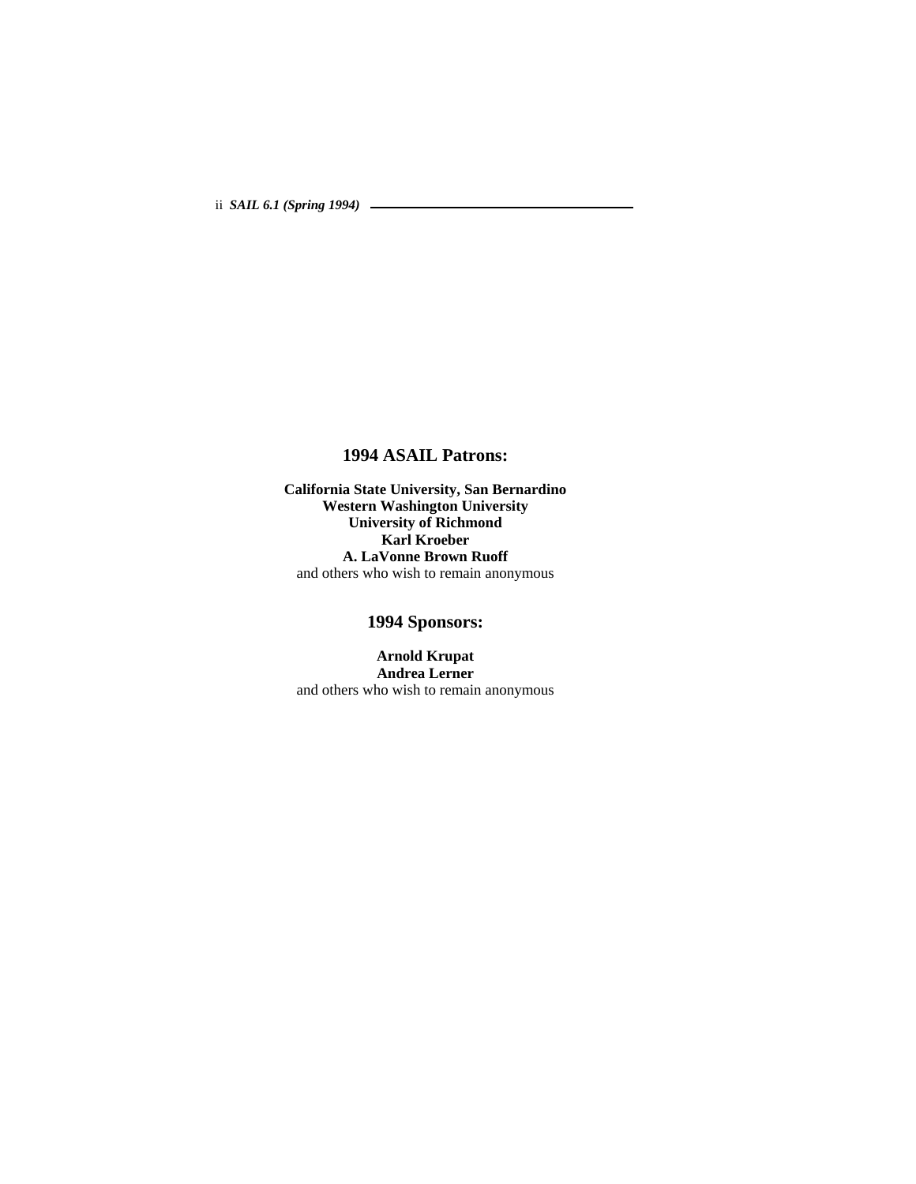## **1994 ASAIL Patrons:**

**California State University, San Bernardino Western Washington University University of Richmond Karl Kroeber A. LaVonne Brown Ruoff** and others who wish to remain anonymous

## **1994 Sponsors:**

**Arnold Krupat Andrea Lerner** and others who wish to remain anonymous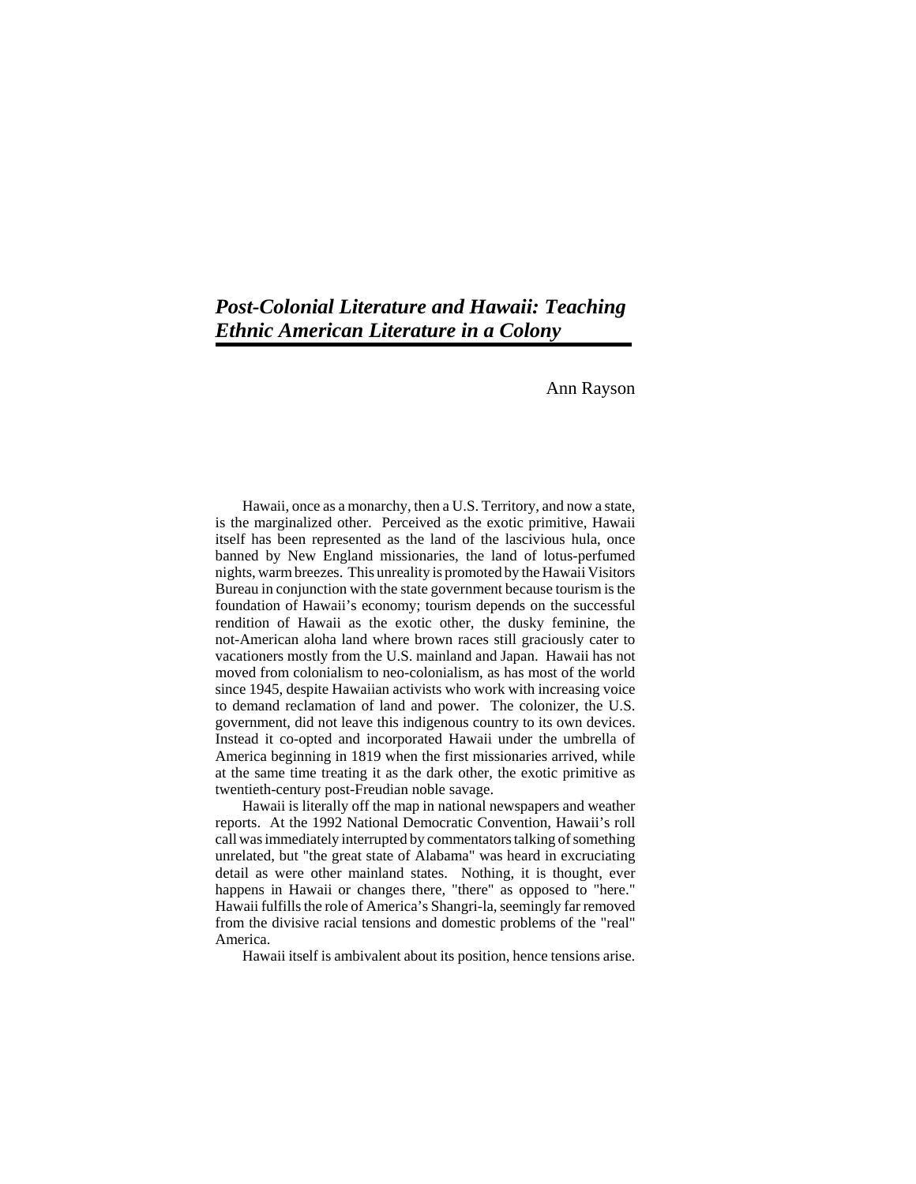## *Post-Colonial Literature and Hawaii: Teaching Ethnic American Literature in a Colony*

Ann Rayson

Hawaii, once as a monarchy, then a U.S. Territory, and now a state, is the marginalized other. Perceived as the exotic primitive, Hawaii itself has been represented as the land of the lascivious hula, once banned by New England missionaries, the land of lotus-perfumed nights, warm breezes. This unreality is promoted by the Hawaii Visitors Bureau in conjunction with the state government because tourism is the foundation of Hawaii's economy; tourism depends on the successful rendition of Hawaii as the exotic other, the dusky feminine, the not-American aloha land where brown races still graciously cater to vacationers mostly from the U.S. mainland and Japan. Hawaii has not moved from colonialism to neo-colonialism, as has most of the world since 1945, despite Hawaiian activists who work with increasing voice to demand reclamation of land and power. The colonizer, the U.S. government, did not leave this indigenous country to its own devices. Instead it co-opted and incorporated Hawaii under the umbrella of America beginning in 1819 when the first missionaries arrived, while at the same time treating it as the dark other, the exotic primitive as twentieth-century post-Freudian noble savage.

Hawaii is literally off the map in national newspapers and weather reports. At the 1992 National Democratic Convention, Hawaii's roll call was immediately interrupted by commentators talking of something unrelated, but "the great state of Alabama" was heard in excruciating detail as were other mainland states. Nothing, it is thought, ever happens in Hawaii or changes there, "there" as opposed to "here." Hawaii fulfills the role of America's Shangri-la, seemingly far removed from the divisive racial tensions and domestic problems of the "real" America.

Hawaii itself is ambivalent about its position, hence tensions arise.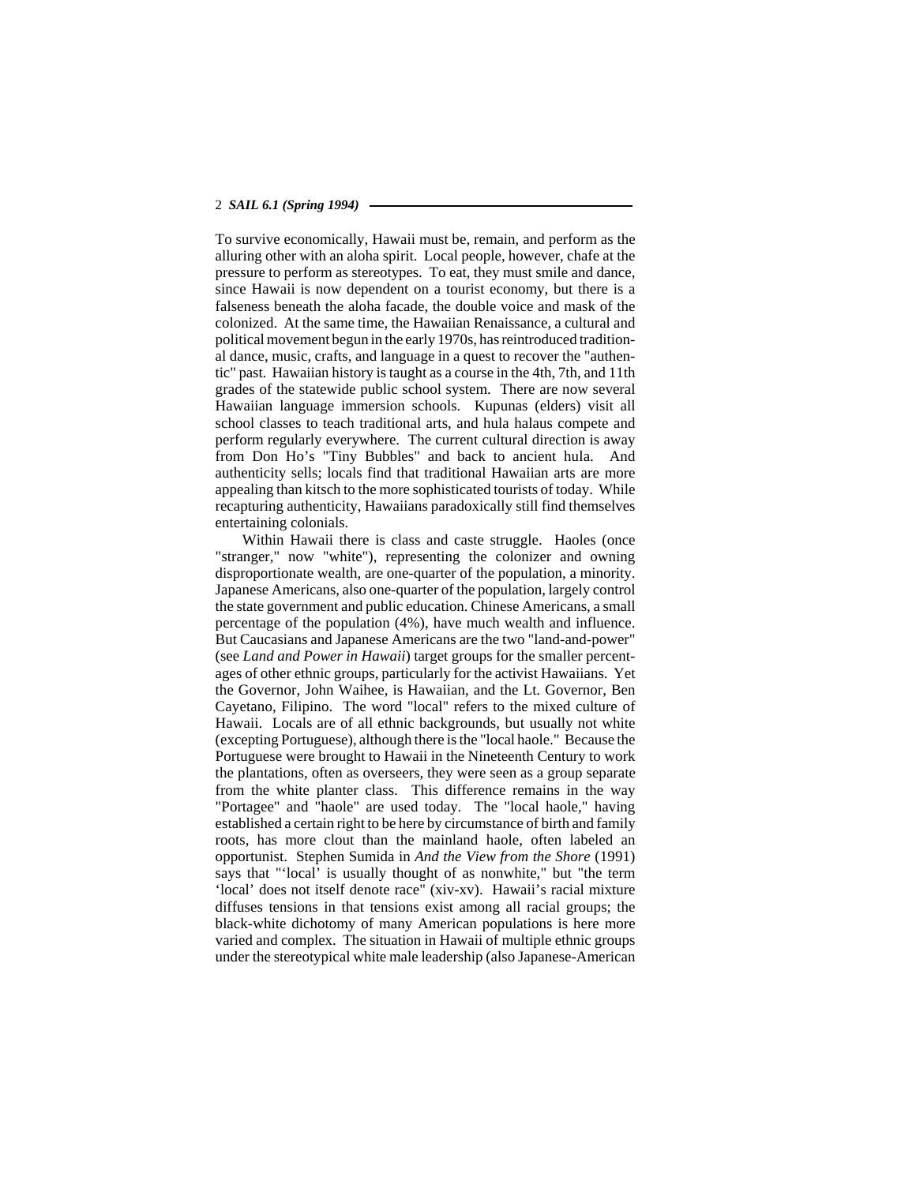To survive economically, Hawaii must be, remain, and perform as the alluring other with an aloha spirit. Local people, however, chafe at the pressure to perform as stereotypes. To eat, they must smile and dance, since Hawaii is now dependent on a tourist economy, but there is a falseness beneath the aloha facade, the double voice and mask of the colonized. At the same time, the Hawaiian Renaissance, a cultural and political movement begun in the early 1970s, has reintroduced traditional dance, music, crafts, and language in a quest to recover the "authentic" past. Hawaiian history is taught as a course in the 4th, 7th, and 11th grades of the statewide public school system. There are now several Hawaiian language immersion schools. Kupunas (elders) visit all school classes to teach traditional arts, and hula halaus compete and perform regularly everywhere. The current cultural direction is away from Don Ho's "Tiny Bubbles" and back to ancient hula. And authenticity sells; locals find that traditional Hawaiian arts are more appealing than kitsch to the more sophisticated tourists of today. While recapturing authenticity, Hawaiians paradoxically still find themselves entertaining colonials.

Within Hawaii there is class and caste struggle. Haoles (once "stranger," now "white"), representing the colonizer and owning disproportionate wealth, are one-quarter of the population, a minority. Japanese Americans, also one-quarter of the population, largely control the state government and public education. Chinese Americans, a small percentage of the population (4%), have much wealth and influence. But Caucasians and Japanese Americans are the two "land-and-power" (see *Land and Power in Hawaii*) target groups for the smaller percentages of other ethnic groups, particularly for the activist Hawaiians. Yet the Governor, John Waihee, is Hawaiian, and the Lt. Governor, Ben Cayetano, Filipino. The word "local" refers to the mixed culture of Hawaii. Locals are of all ethnic backgrounds, but usually not white (excepting Portuguese), although there is the "local haole." Because the Portuguese were brought to Hawaii in the Nineteenth Century to work the plantations, often as overseers, they were seen as a group separate from the white planter class. This difference remains in the way "Portagee" and "haole" are used today. The "local haole," having established a certain right to be here by circumstance of birth and family roots, has more clout than the mainland haole, often labeled an opportunist. Stephen Sumida in *And the View from the Shore* (1991) says that "'local' is usually thought of as nonwhite," but "the term 'local' does not itself denote race" (xiv-xv). Hawaii's racial mixture diffuses tensions in that tensions exist among all racial groups; the black-white dichotomy of many American populations is here more varied and complex. The situation in Hawaii of multiple ethnic groups under the stereotypical white male leadership (also Japanese-American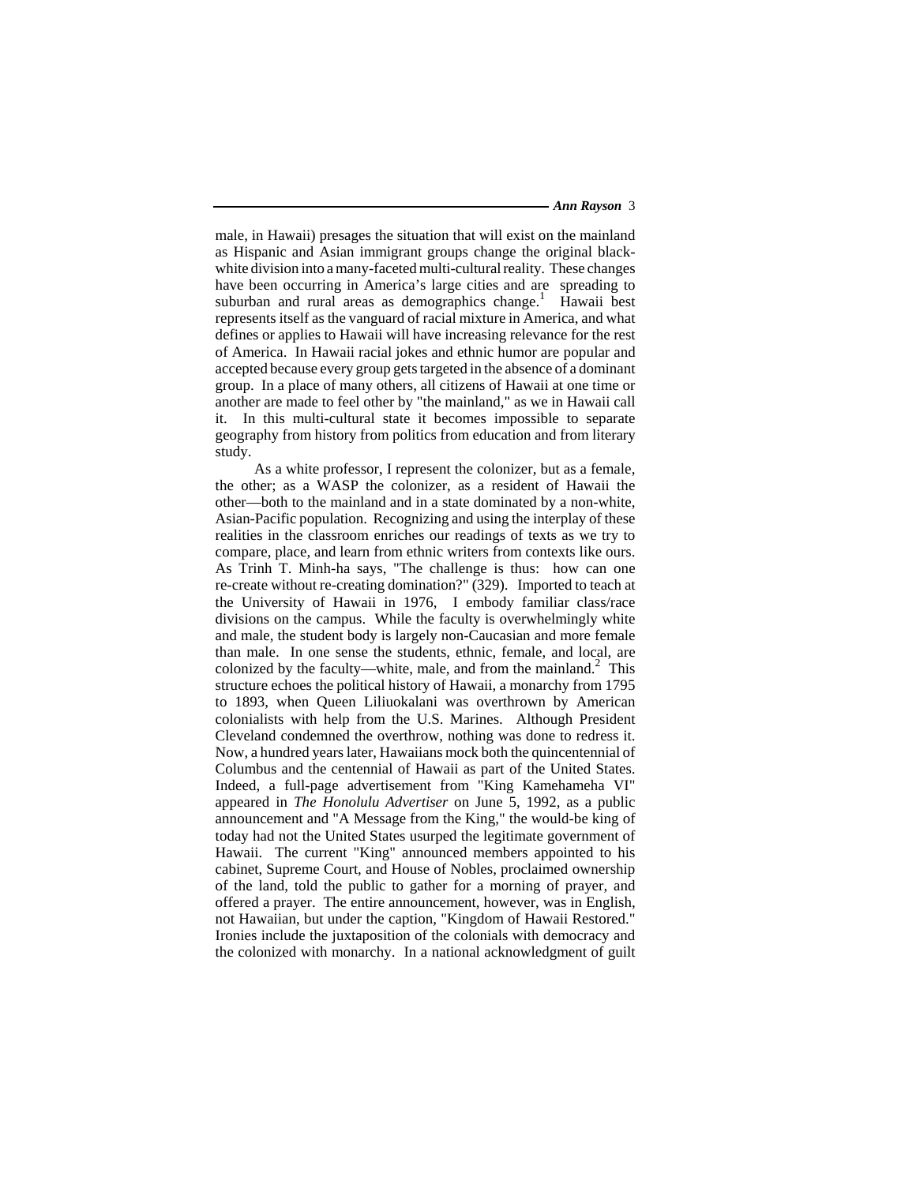male, in Hawaii) presages the situation that will exist on the mainland as Hispanic and Asian immigrant groups change the original blackwhite division into a many-faceted multi-cultural reality. These changes have been occurring in America's large cities and are spreading to suburban and rural areas as demographics change. $<sup>1</sup>$ </sup> Hawaii best represents itself as the vanguard of racial mixture in America, and what defines or applies to Hawaii will have increasing relevance for the rest of America. In Hawaii racial jokes and ethnic humor are popular and accepted because every group gets targeted in the absence of a dominant group. In a place of many others, all citizens of Hawaii at one time or another are made to feel other by "the mainland," as we in Hawaii call it. In this multi-cultural state it becomes impossible to separate geography from history from politics from education and from literary study.

 As a white professor, I represent the colonizer, but as a female, the other; as a WASP the colonizer, as a resident of Hawaii the other—both to the mainland and in a state dominated by a non-white, Asian-Pacific population. Recognizing and using the interplay of these realities in the classroom enriches our readings of texts as we try to compare, place, and learn from ethnic writers from contexts like ours. As Trinh T. Minh-ha says, "The challenge is thus: how can one re-create without re-creating domination?" (329). Imported to teach at the University of Hawaii in 1976, I embody familiar class/race divisions on the campus. While the faculty is overwhelmingly white and male, the student body is largely non-Caucasian and more female than male. In one sense the students, ethnic, female, and local, are colonized by the faculty—white, male, and from the mainland. $2$  This structure echoes the political history of Hawaii, a monarchy from 1795 to 1893, when Queen Liliuokalani was overthrown by American colonialists with help from the U.S. Marines. Although President Cleveland condemned the overthrow, nothing was done to redress it. Now, a hundred years later, Hawaiians mock both the quincentennial of Columbus and the centennial of Hawaii as part of the United States. Indeed, a full-page advertisement from "King Kamehameha VI" appeared in *The Honolulu Advertiser* on June 5, 1992, as a public announcement and "A Message from the King," the would-be king of today had not the United States usurped the legitimate government of Hawaii. The current "King" announced members appointed to his cabinet, Supreme Court, and House of Nobles, proclaimed ownership of the land, told the public to gather for a morning of prayer, and offered a prayer. The entire announcement, however, was in English, not Hawaiian, but under the caption, "Kingdom of Hawaii Restored." Ironies include the juxtaposition of the colonials with democracy and the colonized with monarchy. In a national acknowledgment of guilt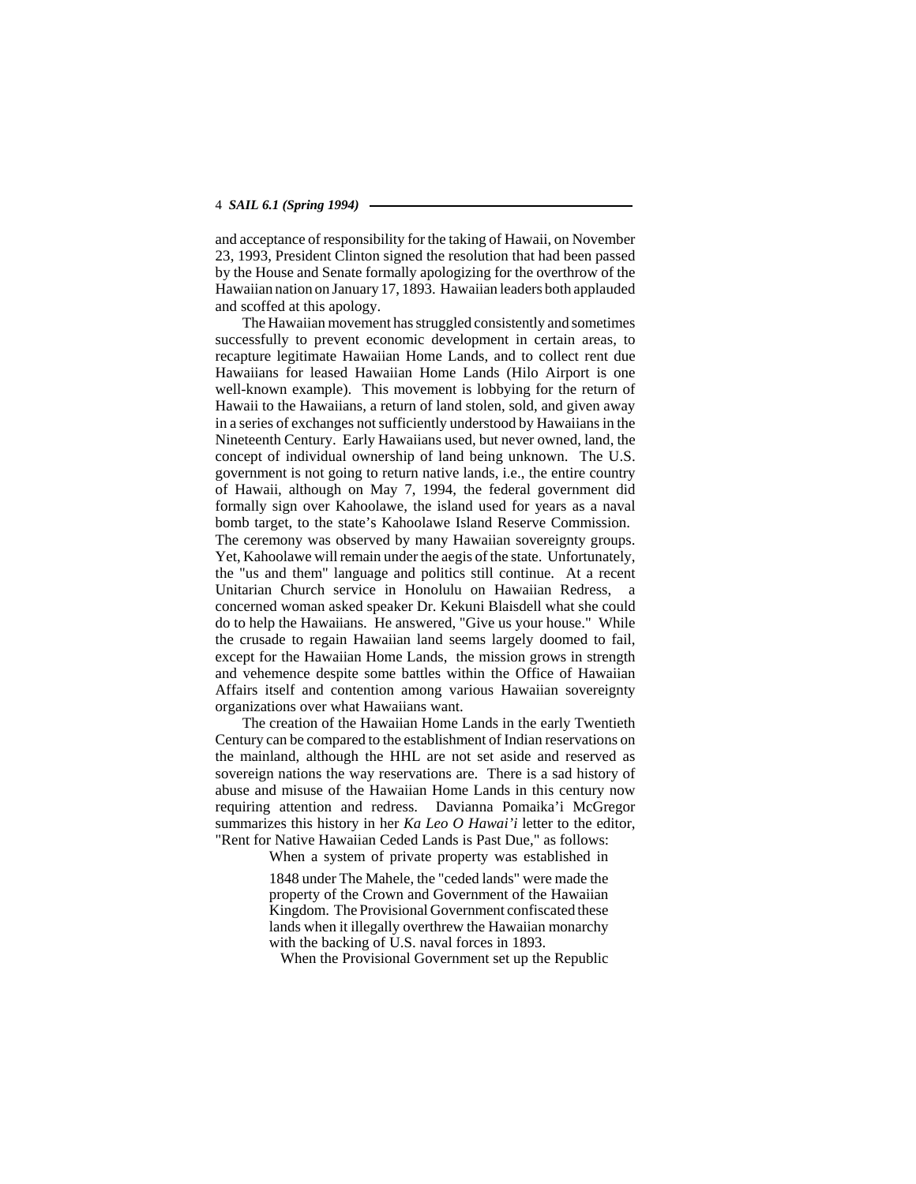and acceptance of responsibility for the taking of Hawaii, on November 23, 1993, President Clinton signed the resolution that had been passed by the House and Senate formally apologizing for the overthrow of the Hawaiian nation on January 17, 1893. Hawaiian leaders both applauded and scoffed at this apology.

The Hawaiian movement has struggled consistently and sometimes successfully to prevent economic development in certain areas, to recapture legitimate Hawaiian Home Lands, and to collect rent due Hawaiians for leased Hawaiian Home Lands (Hilo Airport is one well-known example). This movement is lobbying for the return of Hawaii to the Hawaiians, a return of land stolen, sold, and given away in a series of exchanges not sufficiently understood by Hawaiians in the Nineteenth Century. Early Hawaiians used, but never owned, land, the concept of individual ownership of land being unknown. The U.S. government is not going to return native lands, i.e., the entire country of Hawaii, although on May 7, 1994, the federal government did formally sign over Kahoolawe, the island used for years as a naval bomb target, to the state's Kahoolawe Island Reserve Commission. The ceremony was observed by many Hawaiian sovereignty groups. Yet, Kahoolawe will remain under the aegis of the state. Unfortunately, the "us and them" language and politics still continue. At a recent Unitarian Church service in Honolulu on Hawaiian Redress, concerned woman asked speaker Dr. Kekuni Blaisdell what she could do to help the Hawaiians. He answered, "Give us your house." While the crusade to regain Hawaiian land seems largely doomed to fail, except for the Hawaiian Home Lands, the mission grows in strength and vehemence despite some battles within the Office of Hawaiian Affairs itself and contention among various Hawaiian sovereignty organizations over what Hawaiians want.

The creation of the Hawaiian Home Lands in the early Twentieth Century can be compared to the establishment of Indian reservations on the mainland, although the HHL are not set aside and reserved as sovereign nations the way reservations are. There is a sad history of abuse and misuse of the Hawaiian Home Lands in this century now requiring attention and redress. Davianna Pomaika'i McGregor summarizes this history in her *Ka Leo O Hawai'i* letter to the editor, "Rent for Native Hawaiian Ceded Lands is Past Due," as follows:

When a system of private property was established in

1848 under The Mahele, the "ceded lands" were made the property of the Crown and Government of the Hawaiian Kingdom. The Provisional Government confiscated these lands when it illegally overthrew the Hawaiian monarchy with the backing of U.S. naval forces in 1893.

When the Provisional Government set up the Republic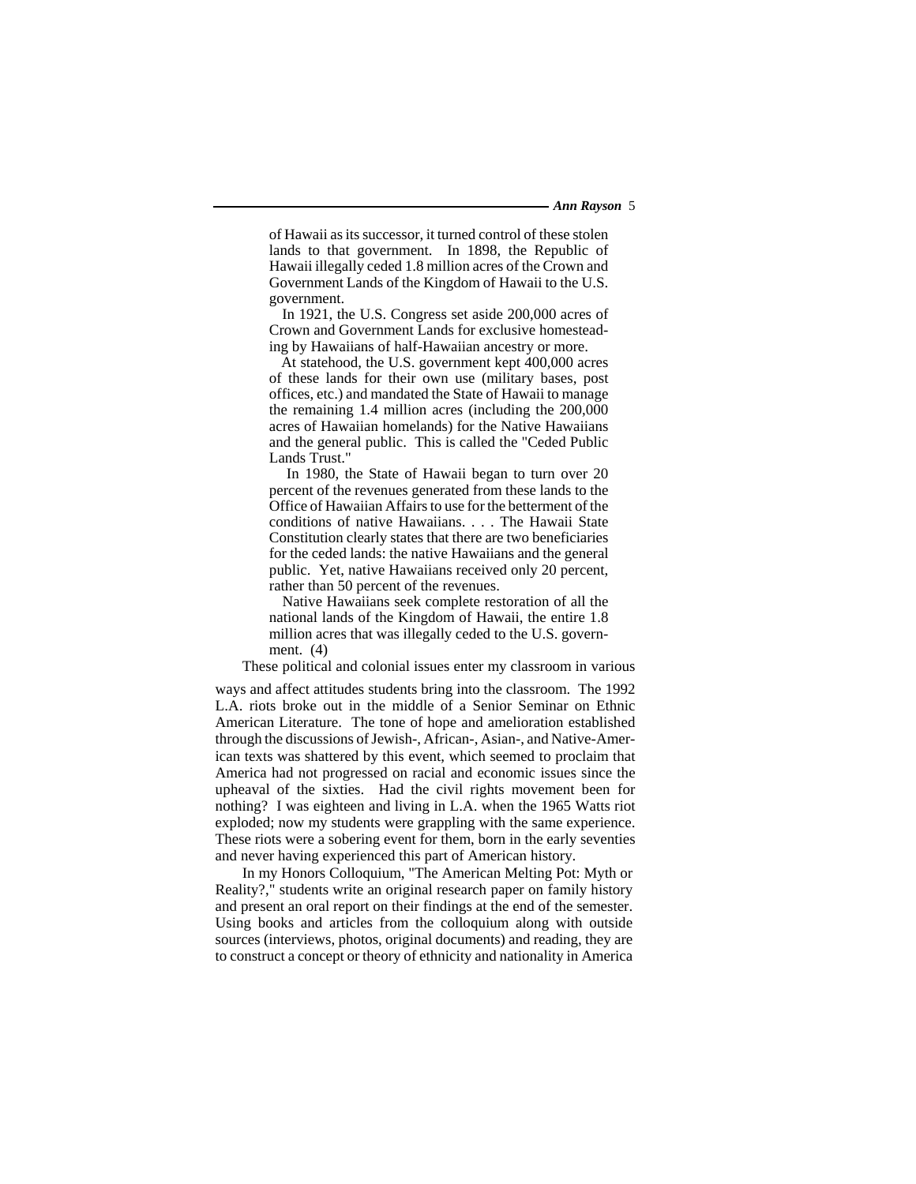of Hawaii as its successor, it turned control of these stolen lands to that government. In 1898, the Republic of Hawaii illegally ceded 1.8 million acres of the Crown and Government Lands of the Kingdom of Hawaii to the U.S. government.

 In 1921, the U.S. Congress set aside 200,000 acres of Crown and Government Lands for exclusive homesteading by Hawaiians of half-Hawaiian ancestry or more.

 At statehood, the U.S. government kept 400,000 acres of these lands for their own use (military bases, post offices, etc.) and mandated the State of Hawaii to manage the remaining 1.4 million acres (including the 200,000 acres of Hawaiian homelands) for the Native Hawaiians and the general public. This is called the "Ceded Public Lands Trust."

 In 1980, the State of Hawaii began to turn over 20 percent of the revenues generated from these lands to the Office of Hawaiian Affairs to use for the betterment of the conditions of native Hawaiians. . . . The Hawaii State Constitution clearly states that there are two beneficiaries for the ceded lands: the native Hawaiians and the general public. Yet, native Hawaiians received only 20 percent, rather than 50 percent of the revenues.

 Native Hawaiians seek complete restoration of all the national lands of the Kingdom of Hawaii, the entire 1.8 million acres that was illegally ceded to the U.S. government. (4)

These political and colonial issues enter my classroom in various

ways and affect attitudes students bring into the classroom. The 1992 L.A. riots broke out in the middle of a Senior Seminar on Ethnic American Literature. The tone of hope and amelioration established through the discussions of Jewish-, African-, Asian-, and Native-American texts was shattered by this event, which seemed to proclaim that America had not progressed on racial and economic issues since the upheaval of the sixties. Had the civil rights movement been for nothing? I was eighteen and living in L.A. when the 1965 Watts riot exploded; now my students were grappling with the same experience. These riots were a sobering event for them, born in the early seventies and never having experienced this part of American history.

In my Honors Colloquium, "The American Melting Pot: Myth or Reality?," students write an original research paper on family history and present an oral report on their findings at the end of the semester. Using books and articles from the colloquium along with outside sources (interviews, photos, original documents) and reading, they are to construct a concept or theory of ethnicity and nationality in America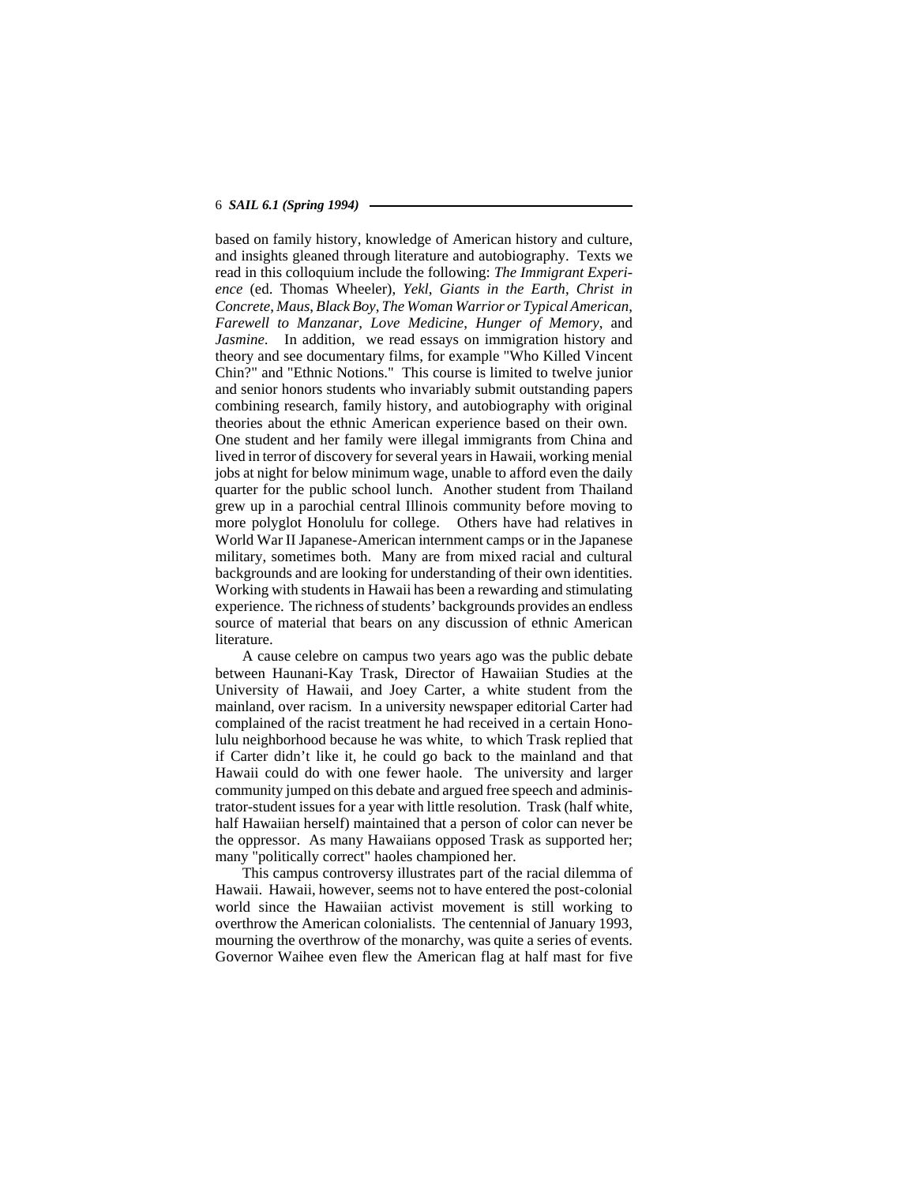based on family history, knowledge of American history and culture, and insights gleaned through literature and autobiography. Texts we read in this colloquium include the following: *The Immigrant Experience* (ed. Thomas Wheeler), *Yekl*, *Giants in the Earth*, *Christ in Concrete*, *Maus*, *Black Boy*, *The Woman Warrior or Typical American*, *Farewell to Manzanar*, *Love Medicine*, *Hunger of Memory*, and *Jasmine*. In addition, we read essays on immigration history and theory and see documentary films, for example "Who Killed Vincent Chin?" and "Ethnic Notions." This course is limited to twelve junior and senior honors students who invariably submit outstanding papers combining research, family history, and autobiography with original theories about the ethnic American experience based on their own. One student and her family were illegal immigrants from China and lived in terror of discovery for several years in Hawaii, working menial jobs at night for below minimum wage, unable to afford even the daily quarter for the public school lunch. Another student from Thailand grew up in a parochial central Illinois community before moving to more polyglot Honolulu for college. Others have had relatives in World War II Japanese-American internment camps or in the Japanese military, sometimes both. Many are from mixed racial and cultural backgrounds and are looking for understanding of their own identities. Working with students in Hawaii has been a rewarding and stimulating experience. The richness of students' backgrounds provides an endless source of material that bears on any discussion of ethnic American literature.

A cause celebre on campus two years ago was the public debate between Haunani-Kay Trask, Director of Hawaiian Studies at the University of Hawaii, and Joey Carter, a white student from the mainland, over racism. In a university newspaper editorial Carter had complained of the racist treatment he had received in a certain Honolulu neighborhood because he was white, to which Trask replied that if Carter didn't like it, he could go back to the mainland and that Hawaii could do with one fewer haole. The university and larger community jumped on this debate and argued free speech and administrator-student issues for a year with little resolution. Trask (half white, half Hawaiian herself) maintained that a person of color can never be the oppressor. As many Hawaiians opposed Trask as supported her; many "politically correct" haoles championed her.

This campus controversy illustrates part of the racial dilemma of Hawaii. Hawaii, however, seems not to have entered the post-colonial world since the Hawaiian activist movement is still working to overthrow the American colonialists. The centennial of January 1993, mourning the overthrow of the monarchy, was quite a series of events. Governor Waihee even flew the American flag at half mast for five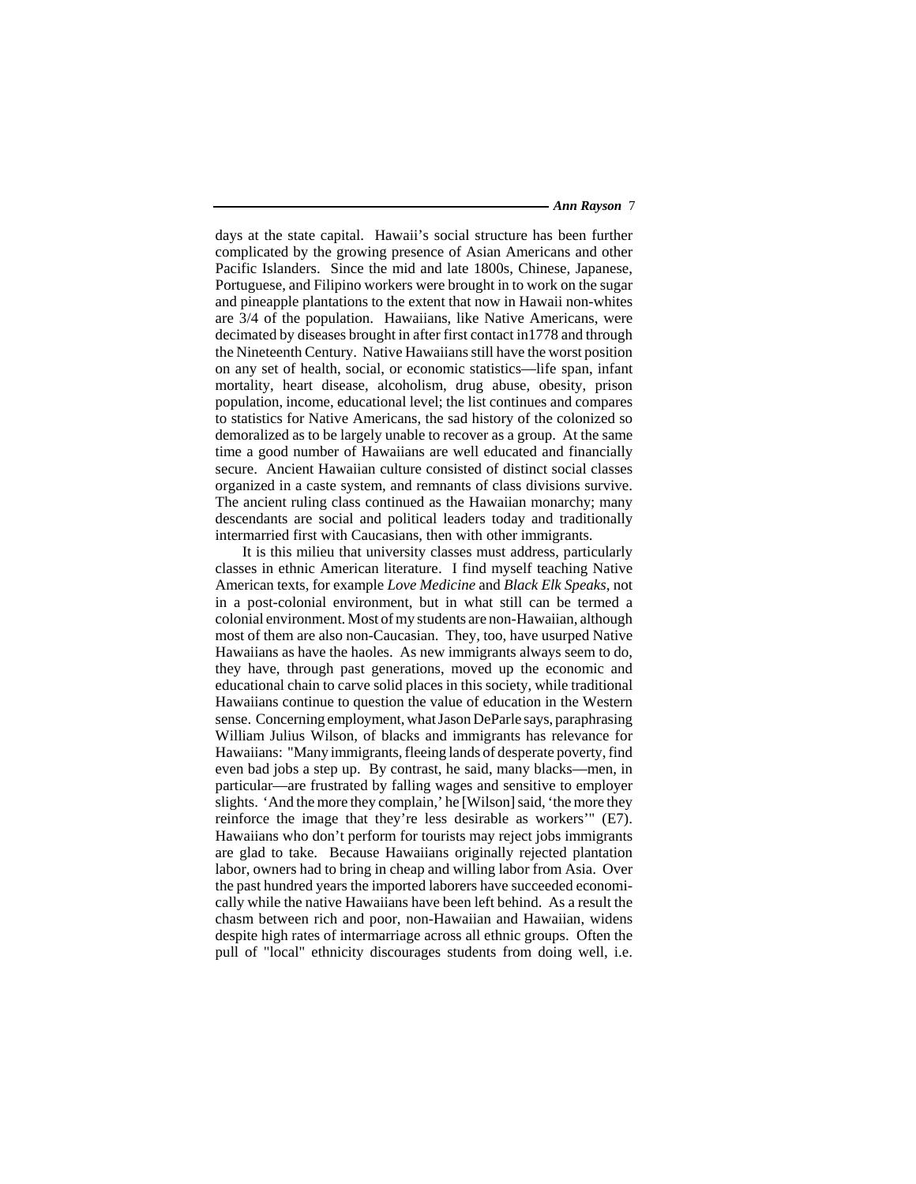days at the state capital. Hawaii's social structure has been further complicated by the growing presence of Asian Americans and other Pacific Islanders. Since the mid and late 1800s, Chinese, Japanese, Portuguese, and Filipino workers were brought in to work on the sugar and pineapple plantations to the extent that now in Hawaii non-whites are 3/4 of the population. Hawaiians, like Native Americans, were decimated by diseases brought in after first contact in1778 and through the Nineteenth Century. Native Hawaiians still have the worst position on any set of health, social, or economic statistics—life span, infant mortality, heart disease, alcoholism, drug abuse, obesity, prison population, income, educational level; the list continues and compares to statistics for Native Americans, the sad history of the colonized so demoralized as to be largely unable to recover as a group. At the same time a good number of Hawaiians are well educated and financially secure. Ancient Hawaiian culture consisted of distinct social classes organized in a caste system, and remnants of class divisions survive. The ancient ruling class continued as the Hawaiian monarchy; many descendants are social and political leaders today and traditionally intermarried first with Caucasians, then with other immigrants.

It is this milieu that university classes must address, particularly classes in ethnic American literature. I find myself teaching Native American texts, for example *Love Medicine* and *Black Elk Speaks*, not in a post-colonial environment, but in what still can be termed a colonial environment. Most of my students are non-Hawaiian, although most of them are also non-Caucasian. They, too, have usurped Native Hawaiians as have the haoles. As new immigrants always seem to do, they have, through past generations, moved up the economic and educational chain to carve solid places in this society, while traditional Hawaiians continue to question the value of education in the Western sense. Concerning employment, what Jason DeParle says, paraphrasing William Julius Wilson, of blacks and immigrants has relevance for Hawaiians: "Many immigrants, fleeing lands of desperate poverty, find even bad jobs a step up. By contrast, he said, many blacks—men, in particular—are frustrated by falling wages and sensitive to employer slights. 'And the more they complain,' he [Wilson] said, 'the more they reinforce the image that they're less desirable as workers'" (E7). Hawaiians who don't perform for tourists may reject jobs immigrants are glad to take. Because Hawaiians originally rejected plantation labor, owners had to bring in cheap and willing labor from Asia. Over the past hundred years the imported laborers have succeeded economically while the native Hawaiians have been left behind. As a result the chasm between rich and poor, non-Hawaiian and Hawaiian, widens despite high rates of intermarriage across all ethnic groups. Often the pull of "local" ethnicity discourages students from doing well, i.e.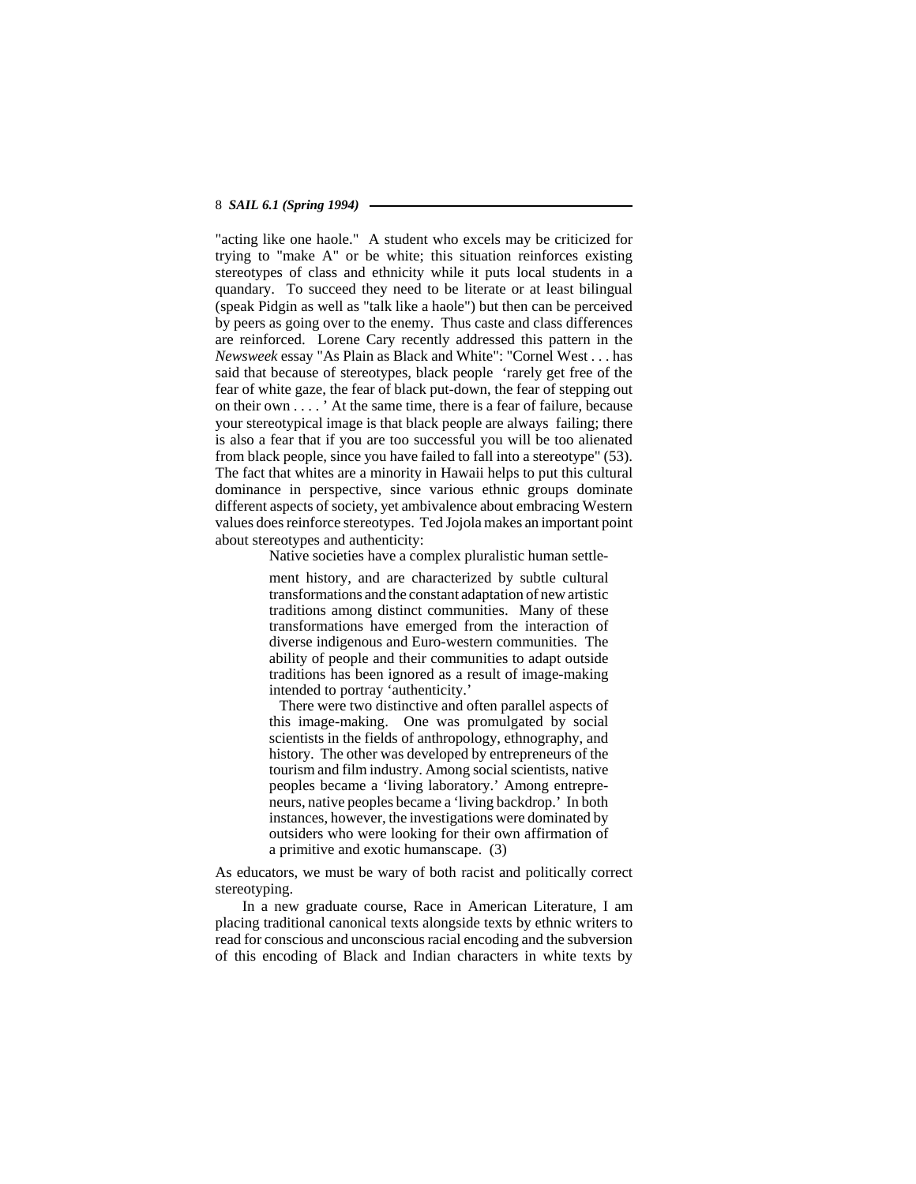"acting like one haole." A student who excels may be criticized for trying to "make A" or be white; this situation reinforces existing stereotypes of class and ethnicity while it puts local students in a quandary. To succeed they need to be literate or at least bilingual (speak Pidgin as well as "talk like a haole") but then can be perceived by peers as going over to the enemy. Thus caste and class differences are reinforced. Lorene Cary recently addressed this pattern in the *Newsweek* essay "As Plain as Black and White": "Cornel West . . . has said that because of stereotypes, black people 'rarely get free of the fear of white gaze, the fear of black put-down, the fear of stepping out on their own . . . . ' At the same time, there is a fear of failure, because your stereotypical image is that black people are always failing; there is also a fear that if you are too successful you will be too alienated from black people, since you have failed to fall into a stereotype" (53). The fact that whites are a minority in Hawaii helps to put this cultural dominance in perspective, since various ethnic groups dominate different aspects of society, yet ambivalence about embracing Western values does reinforce stereotypes. Ted Jojola makes an important point about stereotypes and authenticity:

Native societies have a complex pluralistic human settle-

ment history, and are characterized by subtle cultural transformations and the constant adaptation of new artistic traditions among distinct communities. Many of these transformations have emerged from the interaction of diverse indigenous and Euro-western communities. The ability of people and their communities to adapt outside traditions has been ignored as a result of image-making intended to portray 'authenticity.'

 There were two distinctive and often parallel aspects of this image-making. One was promulgated by social scientists in the fields of anthropology, ethnography, and history. The other was developed by entrepreneurs of the tourism and film industry. Among social scientists, native peoples became a 'living laboratory.' Among entrepreneurs, native peoples became a 'living backdrop.' In both instances, however, the investigations were dominated by outsiders who were looking for their own affirmation of a primitive and exotic humanscape. (3)

As educators, we must be wary of both racist and politically correct stereotyping.

In a new graduate course, Race in American Literature, I am placing traditional canonical texts alongside texts by ethnic writers to read for conscious and unconscious racial encoding and the subversion of this encoding of Black and Indian characters in white texts by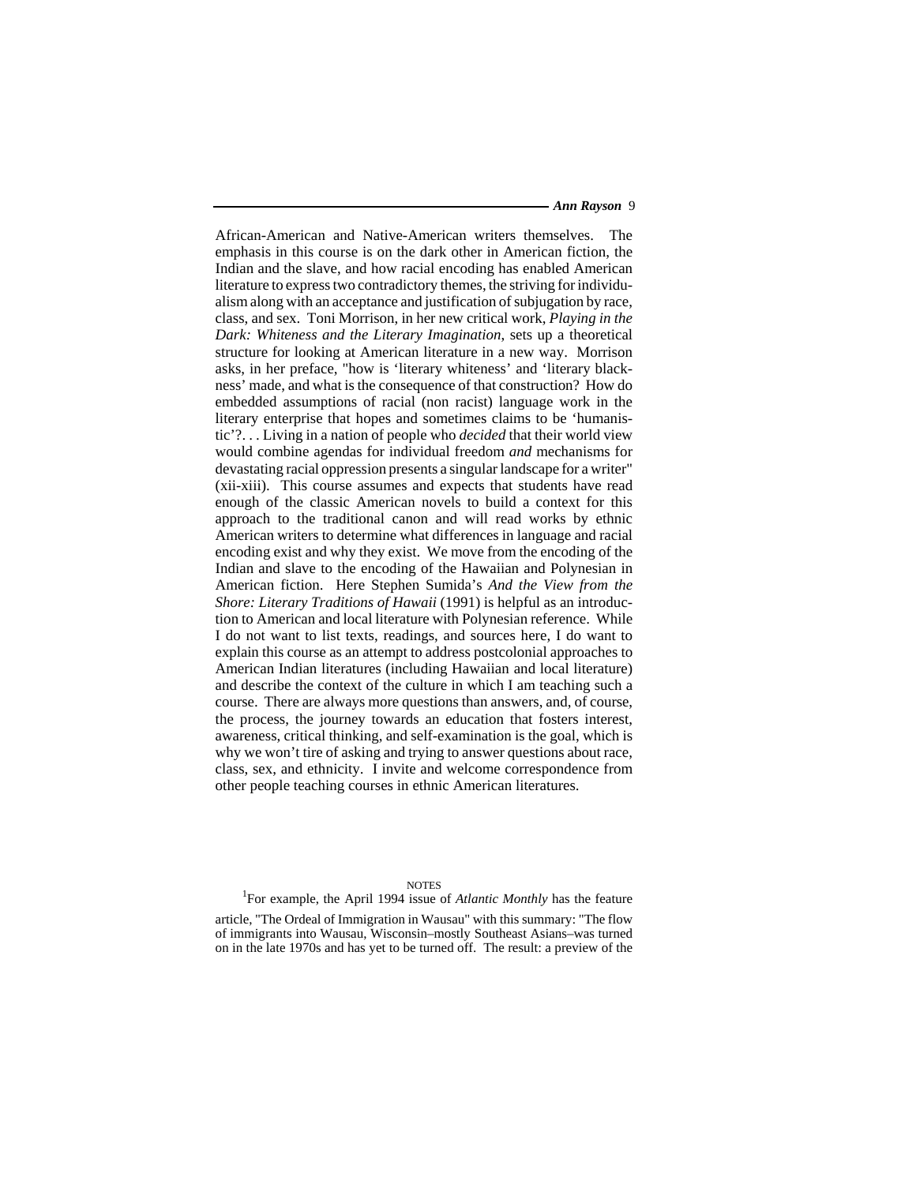African-American and Native-American writers themselves. The emphasis in this course is on the dark other in American fiction, the Indian and the slave, and how racial encoding has enabled American literature to express two contradictory themes, the striving for individualism along with an acceptance and justification of subjugation by race, class, and sex. Toni Morrison, in her new critical work, *Playing in the Dark: Whiteness and the Literary Imagination*, sets up a theoretical structure for looking at American literature in a new way. Morrison asks, in her preface, "how is 'literary whiteness' and 'literary blackness' made, and what is the consequence of that construction? How do embedded assumptions of racial (non racist) language work in the literary enterprise that hopes and sometimes claims to be 'humanistic'?. . . Living in a nation of people who *decided* that their world view would combine agendas for individual freedom *and* mechanisms for devastating racial oppression presents a singular landscape for a writer" (xii-xiii). This course assumes and expects that students have read enough of the classic American novels to build a context for this approach to the traditional canon and will read works by ethnic American writers to determine what differences in language and racial encoding exist and why they exist. We move from the encoding of the Indian and slave to the encoding of the Hawaiian and Polynesian in American fiction. Here Stephen Sumida's *And the View from the Shore: Literary Traditions of Hawaii* (1991) is helpful as an introduction to American and local literature with Polynesian reference. While I do not want to list texts, readings, and sources here, I do want to explain this course as an attempt to address postcolonial approaches to American Indian literatures (including Hawaiian and local literature) and describe the context of the culture in which I am teaching such a course. There are always more questions than answers, and, of course, the process, the journey towards an education that fosters interest, awareness, critical thinking, and self-examination is the goal, which is why we won't tire of asking and trying to answer questions about race, class, sex, and ethnicity. I invite and welcome correspondence from other people teaching courses in ethnic American literatures.

NOTES<br><sup>1</sup> For example, the April 1994 issue of *Atlantic Monthly* has the feature

article, "The Ordeal of Immigration in Wausau" with this summary: "The flow of immigrants into Wausau, Wisconsin–mostly Southeast Asians–was turned on in the late 1970s and has yet to be turned off. The result: a preview of the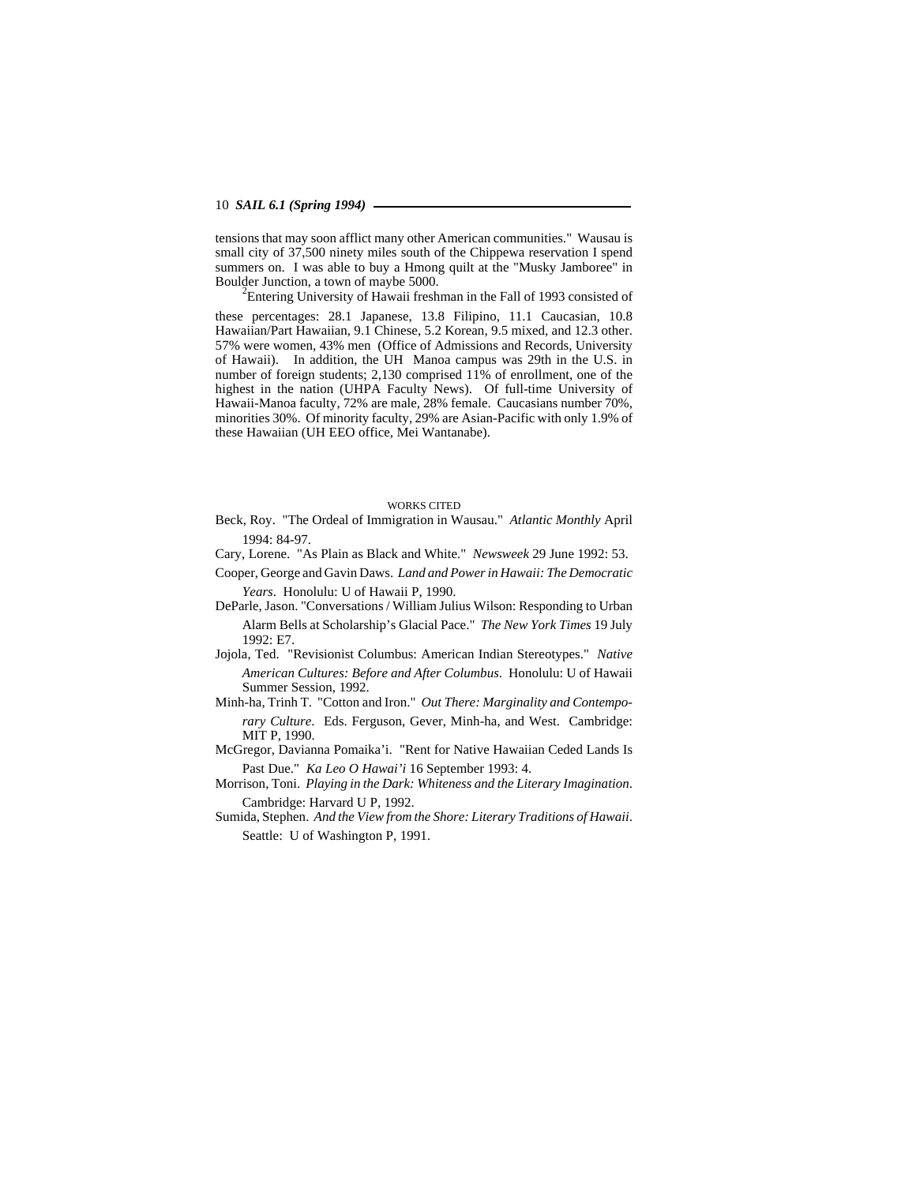tensions that may soon afflict many other American communities." Wausau is small city of 37,500 ninety miles south of the Chippewa reservation I spend summers on. I was able to buy a Hmong quilt at the "Musky Jamboree" in Boulder Junction, a town of maybe 5000. <sup>2</sup>

<sup>2</sup> Entering University of Hawaii freshman in the Fall of 1993 consisted of

these percentages: 28.1 Japanese, 13.8 Filipino, 11.1 Caucasian, 10.8 Hawaiian/Part Hawaiian, 9.1 Chinese, 5.2 Korean, 9.5 mixed, and 12.3 other. 57% were women, 43% men (Office of Admissions and Records, University of Hawaii). In addition, the UH Manoa campus was 29th in the U.S. in number of foreign students; 2,130 comprised 11% of enrollment, one of the highest in the nation (UHPA Faculty News). Of full-time University of Hawaii-Manoa faculty, 72% are male, 28% female. Caucasians number 70%, minorities 30%. Of minority faculty, 29% are Asian-Pacific with only 1.9% of these Hawaiian (UH EEO office, Mei Wantanabe).

#### WORKS CITED

- Beck, Roy. "The Ordeal of Immigration in Wausau." *Atlantic Monthly* April 1994: 84-97.
- Cary, Lorene. "As Plain as Black and White." *Newsweek* 29 June 1992: 53.
- Cooper, George and Gavin Daws. *Land and Power in Hawaii: The Democratic Years*. Honolulu: U of Hawaii P, 1990.
- DeParle, Jason. "Conversations / William Julius Wilson: Responding to Urban Alarm Bells at Scholarship's Glacial Pace." *The New York Times* 19 July 1992: E7.
- Jojola, Ted. "Revisionist Columbus: American Indian Stereotypes." *Native American Cultures: Before and After Columbus*. Honolulu: U of Hawaii Summer Session, 1992.
- Minh-ha, Trinh T. "Cotton and Iron." *Out There: Marginality and Contemporary Culture*. Eds. Ferguson, Gever, Minh-ha, and West. Cambridge: MIT P, 1990.
- McGregor, Davianna Pomaika'i. "Rent for Native Hawaiian Ceded Lands Is Past Due." *Ka Leo O Hawai'i* 16 September 1993: 4.
- Morrison, Toni. *Playing in the Dark: Whiteness and the Literary Imagination*. Cambridge: Harvard U P, 1992.
- Sumida, Stephen. *And the View from the Shore: Literary Traditions of Hawaii*. Seattle: U of Washington P, 1991.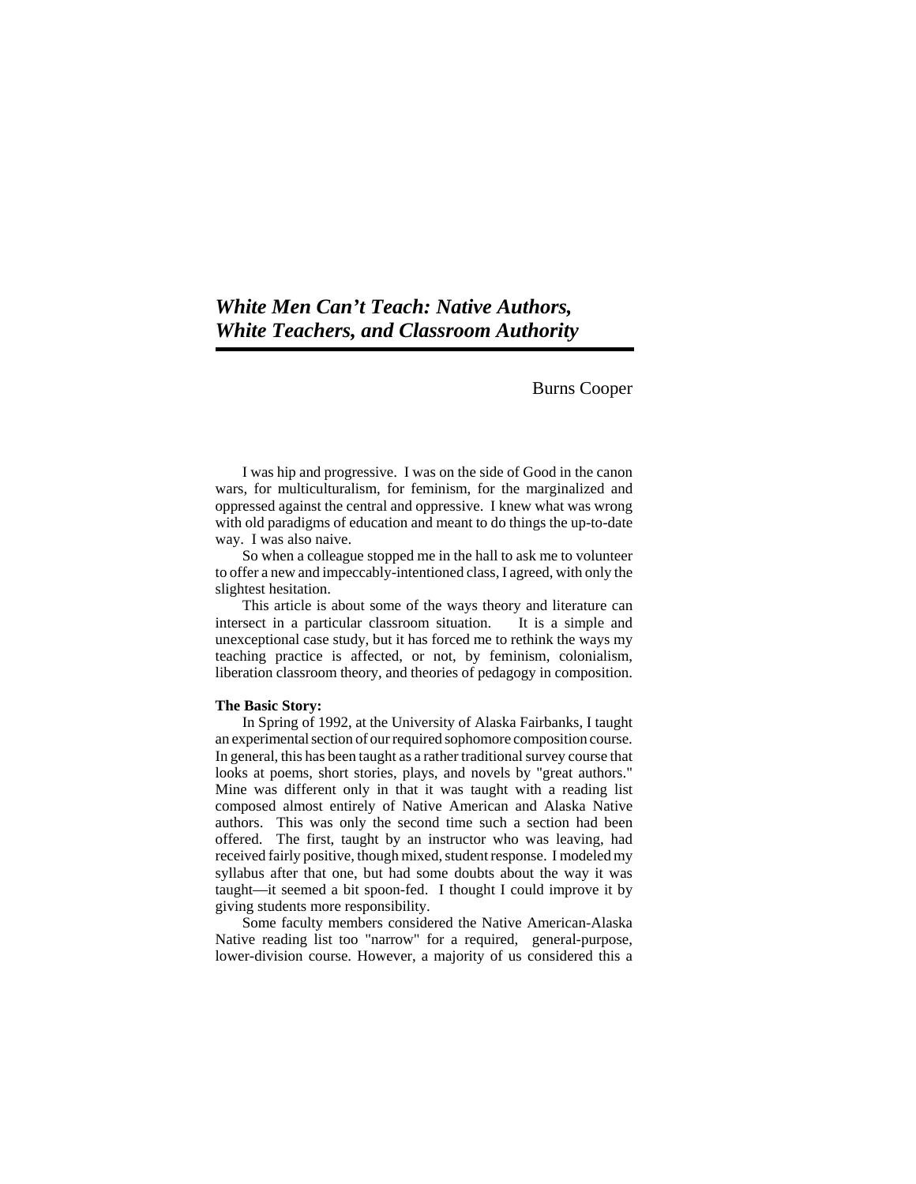## *White Men Can't Teach: Native Authors, White Teachers, and Classroom Authority*

### Burns Cooper

I was hip and progressive. I was on the side of Good in the canon wars, for multiculturalism, for feminism, for the marginalized and oppressed against the central and oppressive. I knew what was wrong with old paradigms of education and meant to do things the up-to-date way. I was also naive.

So when a colleague stopped me in the hall to ask me to volunteer to offer a new and impeccably-intentioned class, I agreed, with only the slightest hesitation.

This article is about some of the ways theory and literature can intersect in a particular classroom situation. It is a simple and unexceptional case study, but it has forced me to rethink the ways my teaching practice is affected, or not, by feminism, colonialism, liberation classroom theory, and theories of pedagogy in composition.

#### **The Basic Story:**

In Spring of 1992, at the University of Alaska Fairbanks, I taught an experimental section of our required sophomore composition course. In general, this has been taught as a rather traditional survey course that looks at poems, short stories, plays, and novels by "great authors." Mine was different only in that it was taught with a reading list composed almost entirely of Native American and Alaska Native authors. This was only the second time such a section had been offered. The first, taught by an instructor who was leaving, had received fairly positive, though mixed, student response. I modeled my syllabus after that one, but had some doubts about the way it was taught—it seemed a bit spoon-fed. I thought I could improve it by giving students more responsibility.

Some faculty members considered the Native American-Alaska Native reading list too "narrow" for a required, general-purpose, lower-division course. However, a majority of us considered this a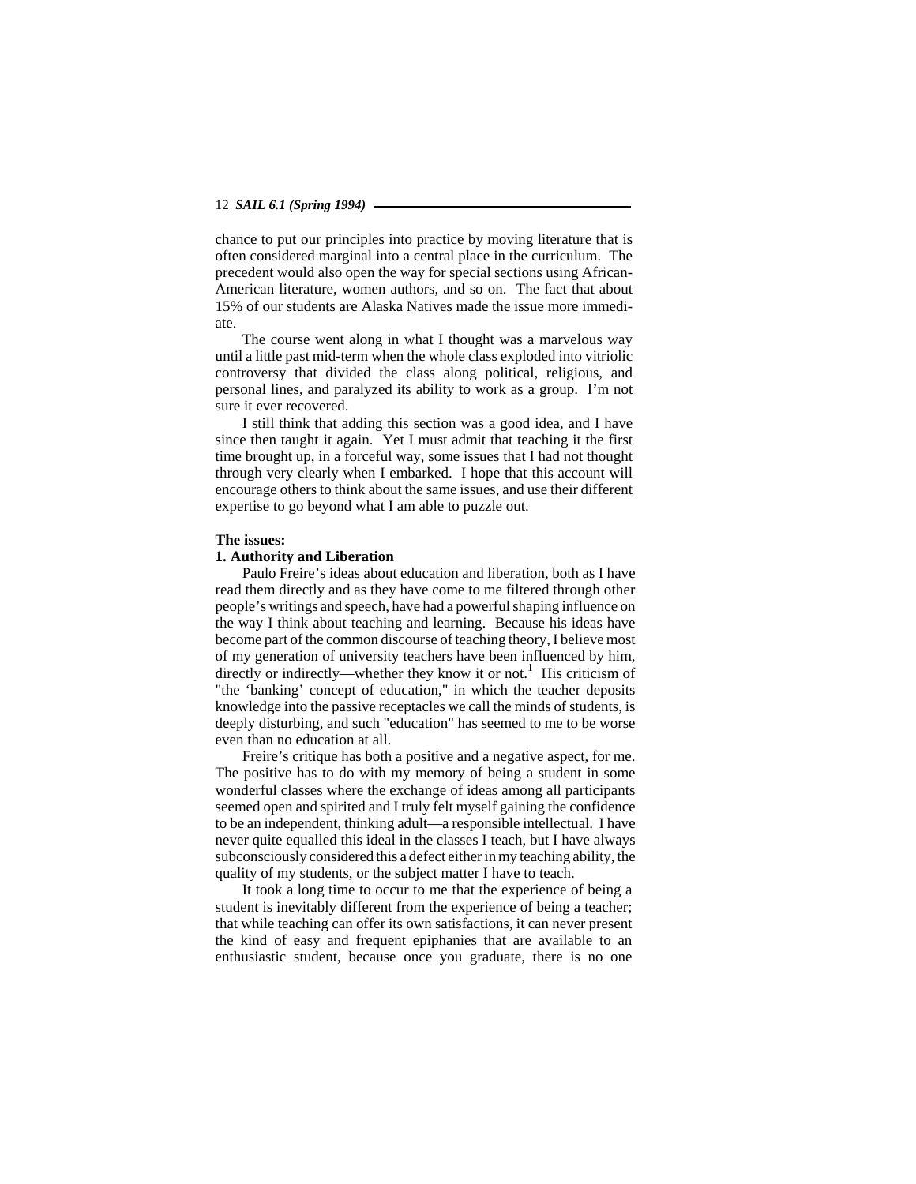chance to put our principles into practice by moving literature that is often considered marginal into a central place in the curriculum. The precedent would also open the way for special sections using African-American literature, women authors, and so on. The fact that about 15% of our students are Alaska Natives made the issue more immediate.

The course went along in what I thought was a marvelous way until a little past mid-term when the whole class exploded into vitriolic controversy that divided the class along political, religious, and personal lines, and paralyzed its ability to work as a group. I'm not sure it ever recovered.

I still think that adding this section was a good idea, and I have since then taught it again. Yet I must admit that teaching it the first time brought up, in a forceful way, some issues that I had not thought through very clearly when I embarked. I hope that this account will encourage others to think about the same issues, and use their different expertise to go beyond what I am able to puzzle out.

#### **The issues:**

#### **1. Authority and Liberation**

Paulo Freire's ideas about education and liberation, both as I have read them directly and as they have come to me filtered through other people's writings and speech, have had a powerful shaping influence on the way I think about teaching and learning. Because his ideas have become part of the common discourse of teaching theory, I believe most of my generation of university teachers have been influenced by him, directly or indirectly—whether they know it or not.<sup>1</sup> His criticism of "the 'banking' concept of education," in which the teacher deposits knowledge into the passive receptacles we call the minds of students, is deeply disturbing, and such "education" has seemed to me to be worse even than no education at all.

Freire's critique has both a positive and a negative aspect, for me. The positive has to do with my memory of being a student in some wonderful classes where the exchange of ideas among all participants seemed open and spirited and I truly felt myself gaining the confidence to be an independent, thinking adult—a responsible intellectual. I have never quite equalled this ideal in the classes I teach, but I have always subconsciously considered this a defect either in my teaching ability, the quality of my students, or the subject matter I have to teach.

It took a long time to occur to me that the experience of being a student is inevitably different from the experience of being a teacher; that while teaching can offer its own satisfactions, it can never present the kind of easy and frequent epiphanies that are available to an enthusiastic student, because once you graduate, there is no one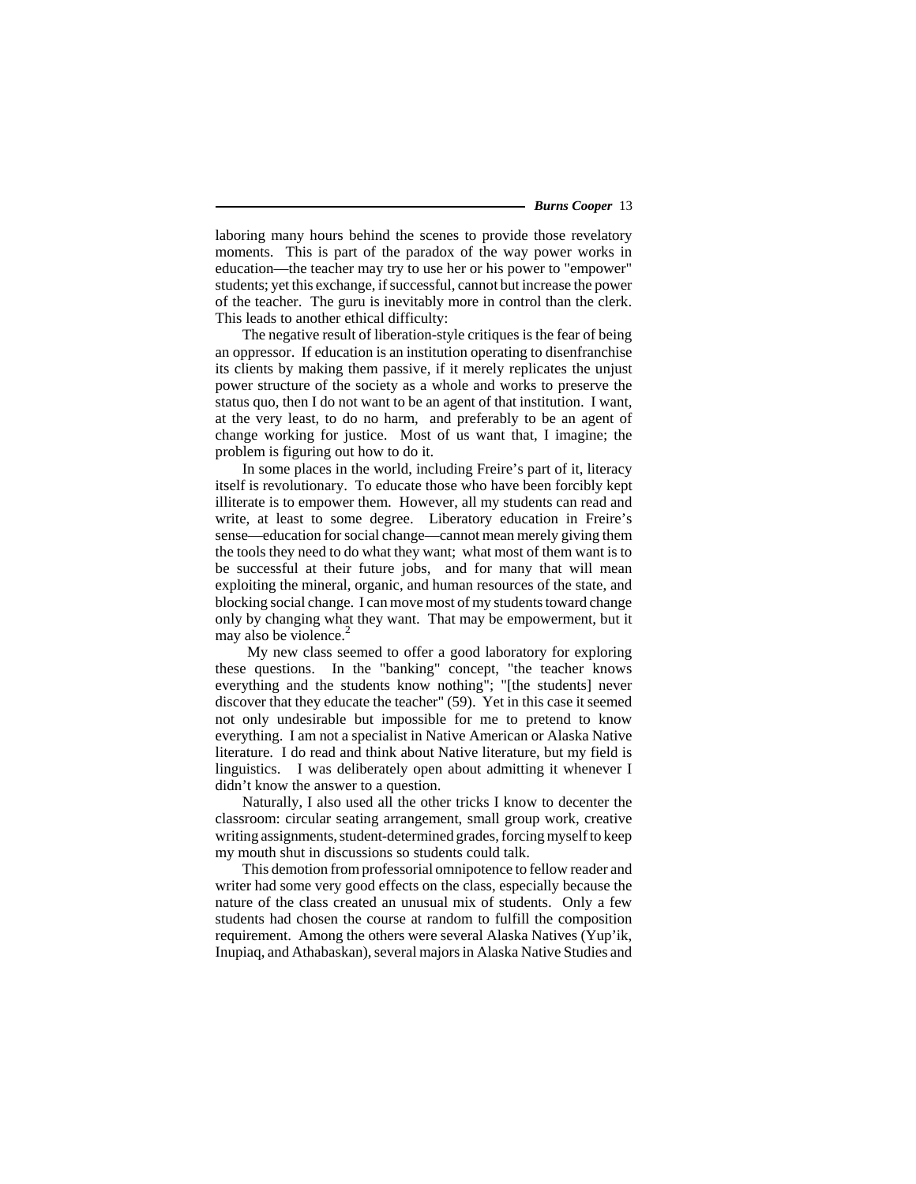laboring many hours behind the scenes to provide those revelatory moments. This is part of the paradox of the way power works in education—the teacher may try to use her or his power to "empower" students; yet this exchange, if successful, cannot but increase the power of the teacher. The guru is inevitably more in control than the clerk. This leads to another ethical difficulty:

The negative result of liberation-style critiques is the fear of being an oppressor. If education is an institution operating to disenfranchise its clients by making them passive, if it merely replicates the unjust power structure of the society as a whole and works to preserve the status quo, then I do not want to be an agent of that institution. I want, at the very least, to do no harm, and preferably to be an agent of change working for justice. Most of us want that, I imagine; the problem is figuring out how to do it.

In some places in the world, including Freire's part of it, literacy itself is revolutionary. To educate those who have been forcibly kept illiterate is to empower them. However, all my students can read and write, at least to some degree. Liberatory education in Freire's sense—education for social change—cannot mean merely giving them the tools they need to do what they want; what most of them want is to be successful at their future jobs, and for many that will mean exploiting the mineral, organic, and human resources of the state, and blocking social change. I can move most of my students toward change only by changing what they want. That may be empowerment, but it may also be violence. $<sup>2</sup>$ </sup>

 My new class seemed to offer a good laboratory for exploring these questions. In the "banking" concept, "the teacher knows everything and the students know nothing"; "[the students] never discover that they educate the teacher" (59). Yet in this case it seemed not only undesirable but impossible for me to pretend to know everything. I am not a specialist in Native American or Alaska Native literature. I do read and think about Native literature, but my field is linguistics. I was deliberately open about admitting it whenever I didn't know the answer to a question.

Naturally, I also used all the other tricks I know to decenter the classroom: circular seating arrangement, small group work, creative writing assignments, student-determined grades, forcing myself to keep my mouth shut in discussions so students could talk.

This demotion from professorial omnipotence to fellow reader and writer had some very good effects on the class, especially because the nature of the class created an unusual mix of students. Only a few students had chosen the course at random to fulfill the composition requirement. Among the others were several Alaska Natives (Yup'ik, Inupiaq, and Athabaskan), several majors in Alaska Native Studies and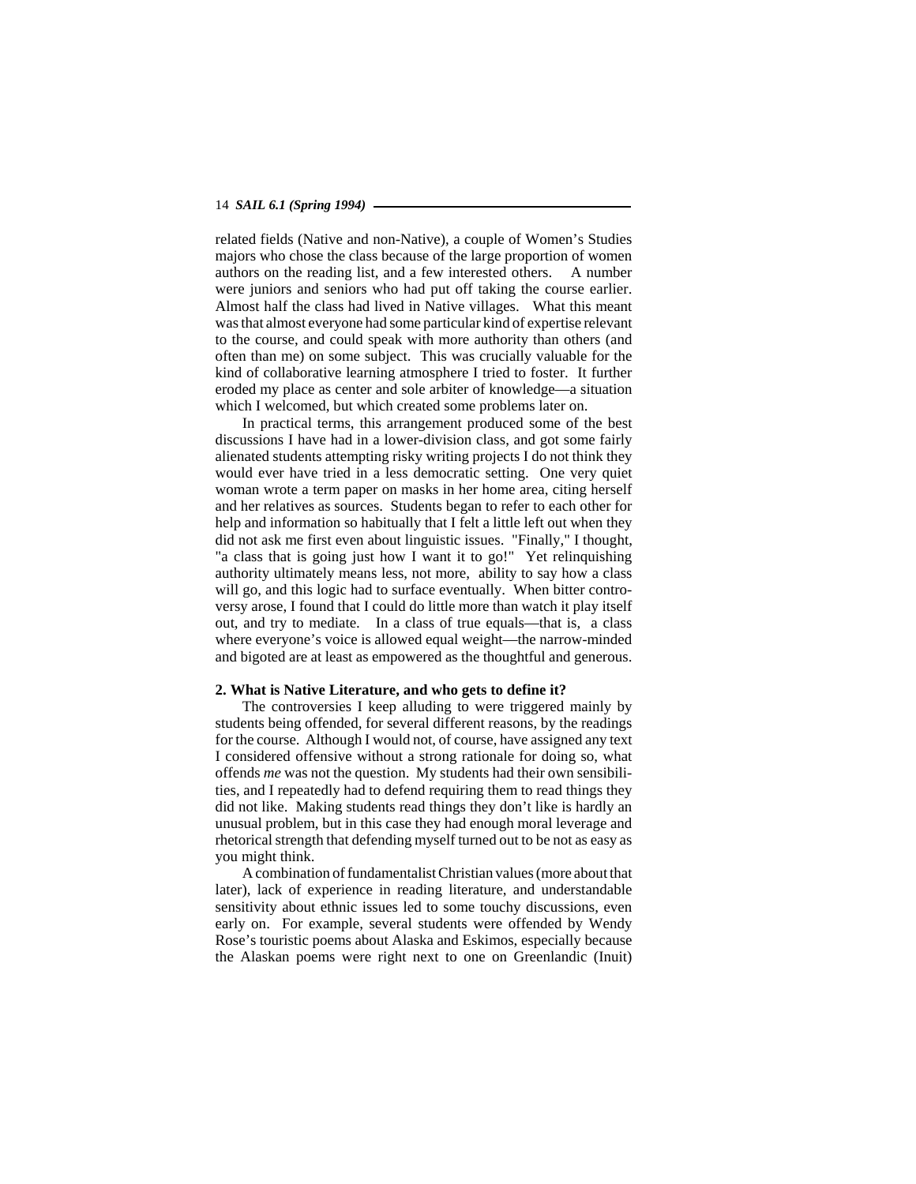related fields (Native and non-Native), a couple of Women's Studies majors who chose the class because of the large proportion of women authors on the reading list, and a few interested others. A number were juniors and seniors who had put off taking the course earlier. Almost half the class had lived in Native villages. What this meant was that almost everyone had some particular kind of expertise relevant to the course, and could speak with more authority than others (and often than me) on some subject. This was crucially valuable for the kind of collaborative learning atmosphere I tried to foster. It further eroded my place as center and sole arbiter of knowledge—a situation which I welcomed, but which created some problems later on.

In practical terms, this arrangement produced some of the best discussions I have had in a lower-division class, and got some fairly alienated students attempting risky writing projects I do not think they would ever have tried in a less democratic setting. One very quiet woman wrote a term paper on masks in her home area, citing herself and her relatives as sources. Students began to refer to each other for help and information so habitually that I felt a little left out when they did not ask me first even about linguistic issues. "Finally," I thought, "a class that is going just how I want it to go!" Yet relinquishing authority ultimately means less, not more, ability to say how a class will go, and this logic had to surface eventually. When bitter controversy arose, I found that I could do little more than watch it play itself out, and try to mediate. In a class of true equals—that is, a class where everyone's voice is allowed equal weight—the narrow-minded and bigoted are at least as empowered as the thoughtful and generous.

#### **2. What is Native Literature, and who gets to define it?**

The controversies I keep alluding to were triggered mainly by students being offended, for several different reasons, by the readings for the course. Although I would not, of course, have assigned any text I considered offensive without a strong rationale for doing so, what offends *me* was not the question. My students had their own sensibilities, and I repeatedly had to defend requiring them to read things they did not like. Making students read things they don't like is hardly an unusual problem, but in this case they had enough moral leverage and rhetorical strength that defending myself turned out to be not as easy as you might think.

A combination of fundamentalist Christian values (more about that later), lack of experience in reading literature, and understandable sensitivity about ethnic issues led to some touchy discussions, even early on. For example, several students were offended by Wendy Rose's touristic poems about Alaska and Eskimos, especially because the Alaskan poems were right next to one on Greenlandic (Inuit)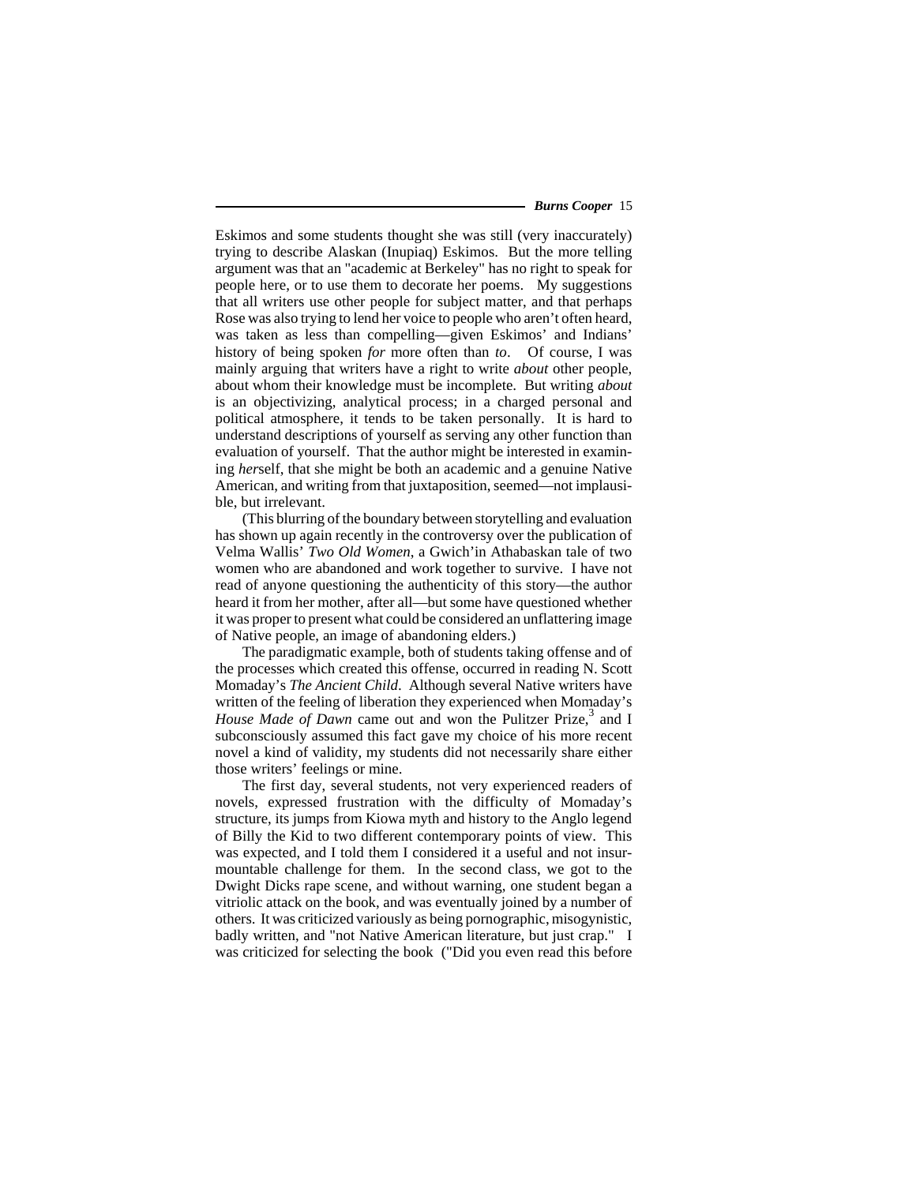Eskimos and some students thought she was still (very inaccurately) trying to describe Alaskan (Inupiaq) Eskimos. But the more telling argument was that an "academic at Berkeley" has no right to speak for people here, or to use them to decorate her poems. My suggestions that all writers use other people for subject matter, and that perhaps Rose was also trying to lend her voice to people who aren't often heard, was taken as less than compelling—given Eskimos' and Indians' history of being spoken *for* more often than *to*. Of course, I was mainly arguing that writers have a right to write *about* other people, about whom their knowledge must be incomplete. But writing *about* is an objectivizing, analytical process; in a charged personal and political atmosphere, it tends to be taken personally. It is hard to understand descriptions of yourself as serving any other function than evaluation of yourself. That the author might be interested in examining *her*self, that she might be both an academic and a genuine Native American, and writing from that juxtaposition, seemed—not implausible, but irrelevant.

(This blurring of the boundary between storytelling and evaluation has shown up again recently in the controversy over the publication of Velma Wallis' *Two Old Women*, a Gwich'in Athabaskan tale of two women who are abandoned and work together to survive. I have not read of anyone questioning the authenticity of this story—the author heard it from her mother, after all—but some have questioned whether it was proper to present what could be considered an unflattering image of Native people, an image of abandoning elders.)

The paradigmatic example, both of students taking offense and of the processes which created this offense, occurred in reading N. Scott Momaday's *The Ancient Child*. Although several Native writers have written of the feeling of liberation they experienced when Momaday's House Made of Dawn came out and won the Pulitzer Prize,<sup>3</sup> and I subconsciously assumed this fact gave my choice of his more recent novel a kind of validity, my students did not necessarily share either those writers' feelings or mine.

The first day, several students, not very experienced readers of novels, expressed frustration with the difficulty of Momaday's structure, its jumps from Kiowa myth and history to the Anglo legend of Billy the Kid to two different contemporary points of view. This was expected, and I told them I considered it a useful and not insurmountable challenge for them. In the second class, we got to the Dwight Dicks rape scene, and without warning, one student began a vitriolic attack on the book, and was eventually joined by a number of others. It was criticized variously as being pornographic, misogynistic, badly written, and "not Native American literature, but just crap." I was criticized for selecting the book ("Did you even read this before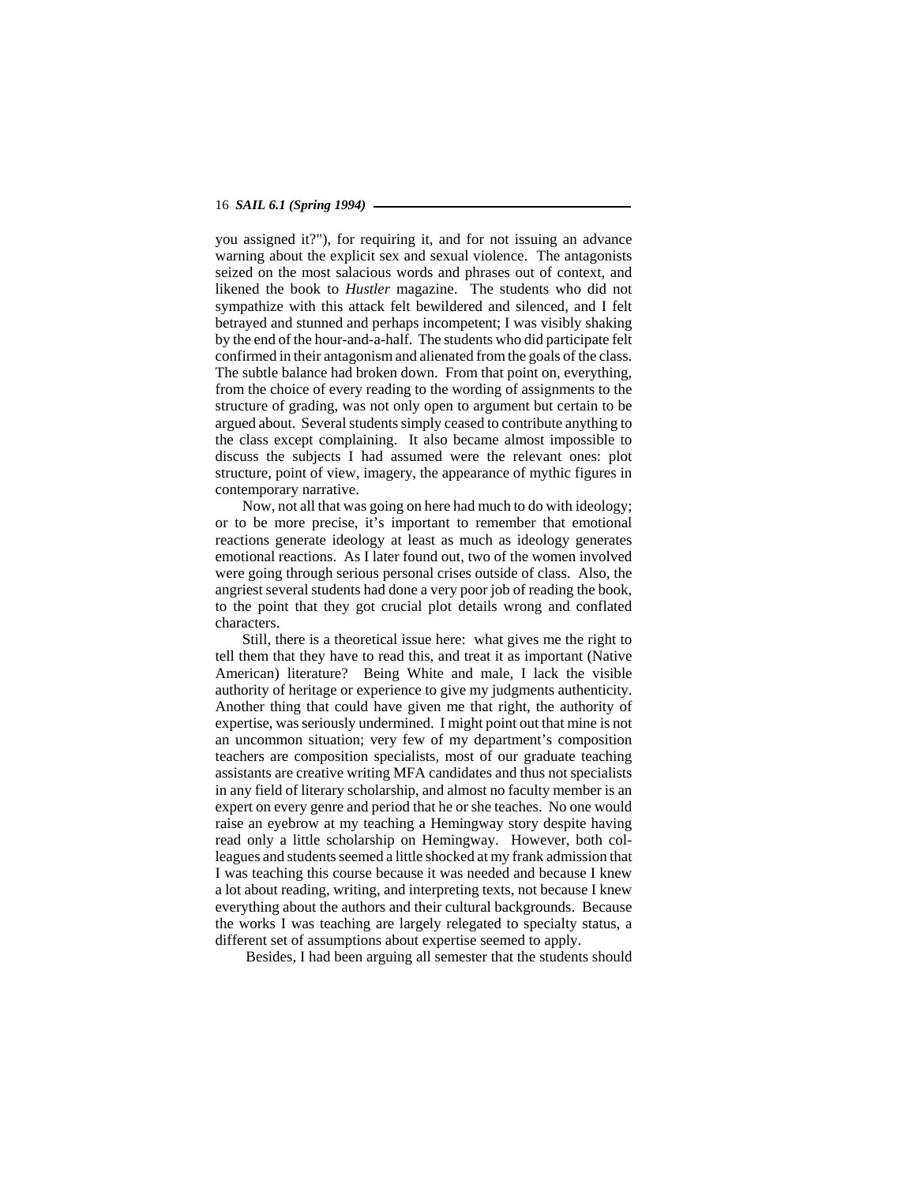you assigned it?"), for requiring it, and for not issuing an advance warning about the explicit sex and sexual violence. The antagonists seized on the most salacious words and phrases out of context, and likened the book to *Hustler* magazine. The students who did not sympathize with this attack felt bewildered and silenced, and I felt betrayed and stunned and perhaps incompetent; I was visibly shaking by the end of the hour-and-a-half. The students who did participate felt confirmed in their antagonism and alienated from the goals of the class. The subtle balance had broken down. From that point on, everything, from the choice of every reading to the wording of assignments to the structure of grading, was not only open to argument but certain to be argued about. Several students simply ceased to contribute anything to the class except complaining. It also became almost impossible to discuss the subjects I had assumed were the relevant ones: plot structure, point of view, imagery, the appearance of mythic figures in contemporary narrative.

Now, not all that was going on here had much to do with ideology; or to be more precise, it's important to remember that emotional reactions generate ideology at least as much as ideology generates emotional reactions. As I later found out, two of the women involved were going through serious personal crises outside of class. Also, the angriest several students had done a very poor job of reading the book, to the point that they got crucial plot details wrong and conflated characters.

Still, there is a theoretical issue here: what gives me the right to tell them that they have to read this, and treat it as important (Native American) literature? Being White and male, I lack the visible authority of heritage or experience to give my judgments authenticity. Another thing that could have given me that right, the authority of expertise, was seriously undermined. I might point out that mine is not an uncommon situation; very few of my department's composition teachers are composition specialists, most of our graduate teaching assistants are creative writing MFA candidates and thus not specialists in any field of literary scholarship, and almost no faculty member is an expert on every genre and period that he or she teaches. No one would raise an eyebrow at my teaching a Hemingway story despite having read only a little scholarship on Hemingway. However, both colleagues and students seemed a little shocked at my frank admission that I was teaching this course because it was needed and because I knew a lot about reading, writing, and interpreting texts, not because I knew everything about the authors and their cultural backgrounds. Because the works I was teaching are largely relegated to specialty status, a different set of assumptions about expertise seemed to apply.

Besides, I had been arguing all semester that the students should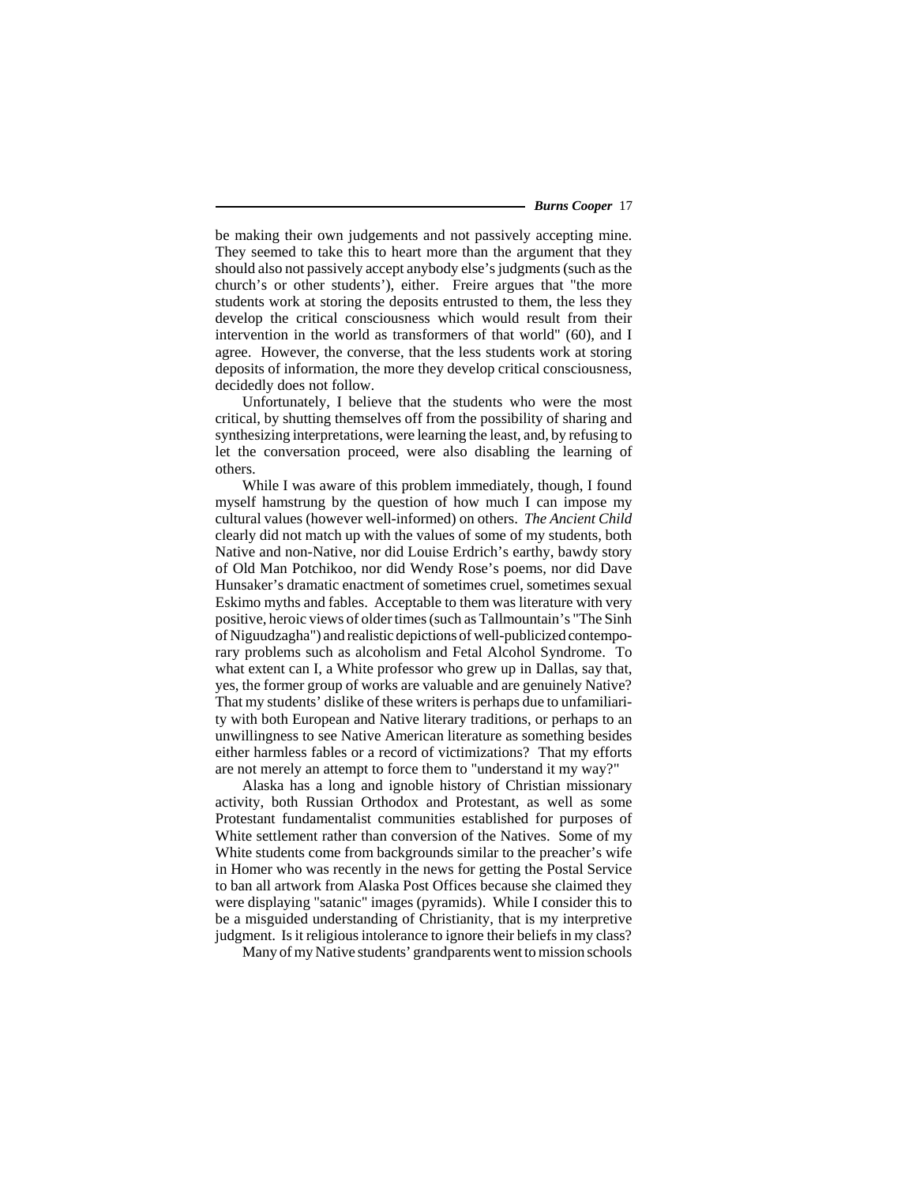be making their own judgements and not passively accepting mine. They seemed to take this to heart more than the argument that they should also not passively accept anybody else's judgments (such as the church's or other students'), either. Freire argues that "the more students work at storing the deposits entrusted to them, the less they develop the critical consciousness which would result from their intervention in the world as transformers of that world" (60), and I agree. However, the converse, that the less students work at storing deposits of information, the more they develop critical consciousness, decidedly does not follow.

Unfortunately, I believe that the students who were the most critical, by shutting themselves off from the possibility of sharing and synthesizing interpretations, were learning the least, and, by refusing to let the conversation proceed, were also disabling the learning of others.

While I was aware of this problem immediately, though, I found myself hamstrung by the question of how much I can impose my cultural values (however well-informed) on others. *The Ancient Child* clearly did not match up with the values of some of my students, both Native and non-Native, nor did Louise Erdrich's earthy, bawdy story of Old Man Potchikoo, nor did Wendy Rose's poems, nor did Dave Hunsaker's dramatic enactment of sometimes cruel, sometimes sexual Eskimo myths and fables. Acceptable to them was literature with very positive, heroic views of older times (such as Tallmountain's "The Sinh of Niguudzagha") and realistic depictions of well-publicized contemporary problems such as alcoholism and Fetal Alcohol Syndrome. To what extent can I, a White professor who grew up in Dallas, say that, yes, the former group of works are valuable and are genuinely Native? That my students' dislike of these writers is perhaps due to unfamiliarity with both European and Native literary traditions, or perhaps to an unwillingness to see Native American literature as something besides either harmless fables or a record of victimizations? That my efforts are not merely an attempt to force them to "understand it my way?"

Alaska has a long and ignoble history of Christian missionary activity, both Russian Orthodox and Protestant, as well as some Protestant fundamentalist communities established for purposes of White settlement rather than conversion of the Natives. Some of my White students come from backgrounds similar to the preacher's wife in Homer who was recently in the news for getting the Postal Service to ban all artwork from Alaska Post Offices because she claimed they were displaying "satanic" images (pyramids). While I consider this to be a misguided understanding of Christianity, that is my interpretive judgment. Is it religious intolerance to ignore their beliefs in my class?

Many of my Native students' grandparents went to mission schools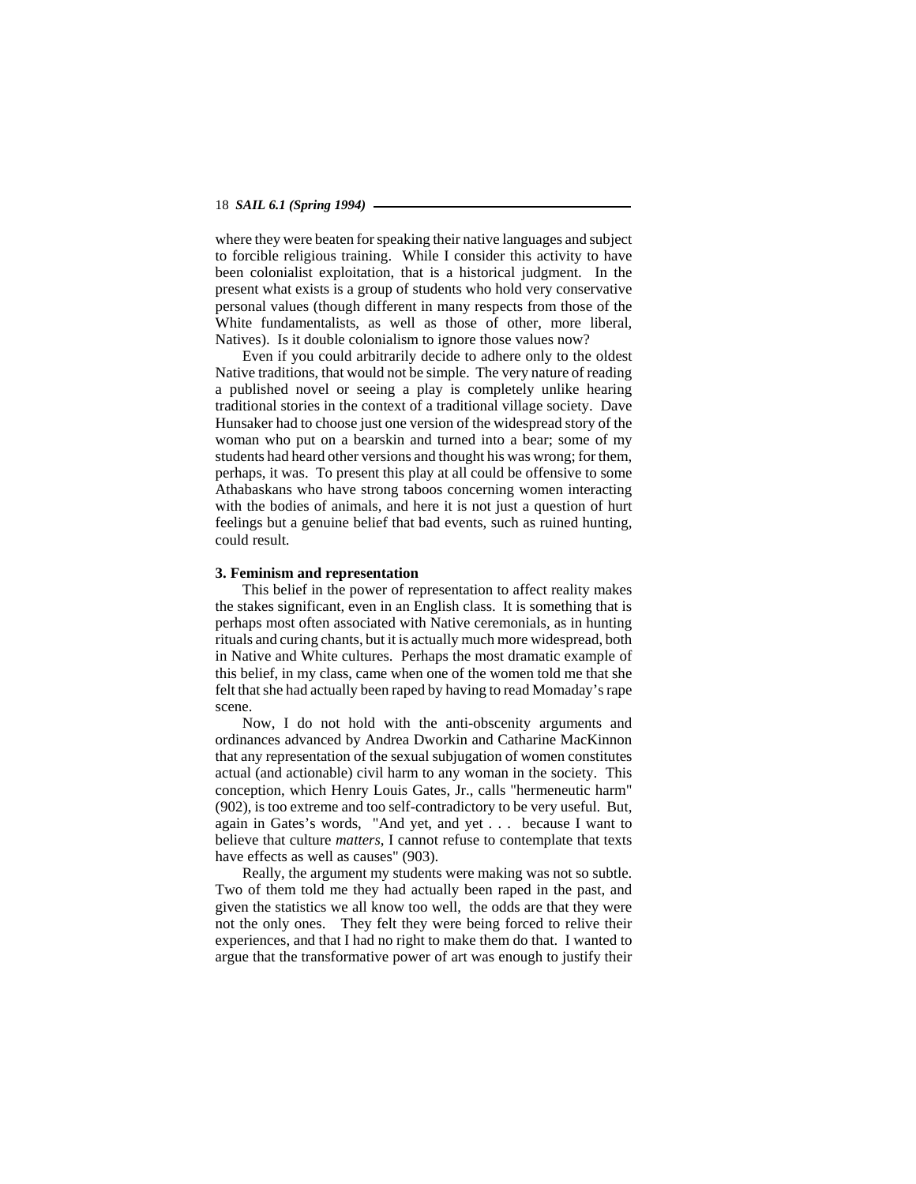where they were beaten for speaking their native languages and subject to forcible religious training. While I consider this activity to have been colonialist exploitation, that is a historical judgment. In the present what exists is a group of students who hold very conservative personal values (though different in many respects from those of the White fundamentalists, as well as those of other, more liberal, Natives). Is it double colonialism to ignore those values now?

Even if you could arbitrarily decide to adhere only to the oldest Native traditions, that would not be simple. The very nature of reading a published novel or seeing a play is completely unlike hearing traditional stories in the context of a traditional village society. Dave Hunsaker had to choose just one version of the widespread story of the woman who put on a bearskin and turned into a bear; some of my students had heard other versions and thought his was wrong; for them, perhaps, it was. To present this play at all could be offensive to some Athabaskans who have strong taboos concerning women interacting with the bodies of animals, and here it is not just a question of hurt feelings but a genuine belief that bad events, such as ruined hunting, could result.

#### **3. Feminism and representation**

This belief in the power of representation to affect reality makes the stakes significant, even in an English class. It is something that is perhaps most often associated with Native ceremonials, as in hunting rituals and curing chants, but it is actually much more widespread, both in Native and White cultures. Perhaps the most dramatic example of this belief, in my class, came when one of the women told me that she felt that she had actually been raped by having to read Momaday's rape scene.

Now, I do not hold with the anti-obscenity arguments and ordinances advanced by Andrea Dworkin and Catharine MacKinnon that any representation of the sexual subjugation of women constitutes actual (and actionable) civil harm to any woman in the society. This conception, which Henry Louis Gates, Jr., calls "hermeneutic harm" (902), is too extreme and too self-contradictory to be very useful. But, again in Gates's words, "And yet, and yet . . . because I want to believe that culture *matters*, I cannot refuse to contemplate that texts have effects as well as causes" (903).

Really, the argument my students were making was not so subtle. Two of them told me they had actually been raped in the past, and given the statistics we all know too well, the odds are that they were not the only ones. They felt they were being forced to relive their experiences, and that I had no right to make them do that. I wanted to argue that the transformative power of art was enough to justify their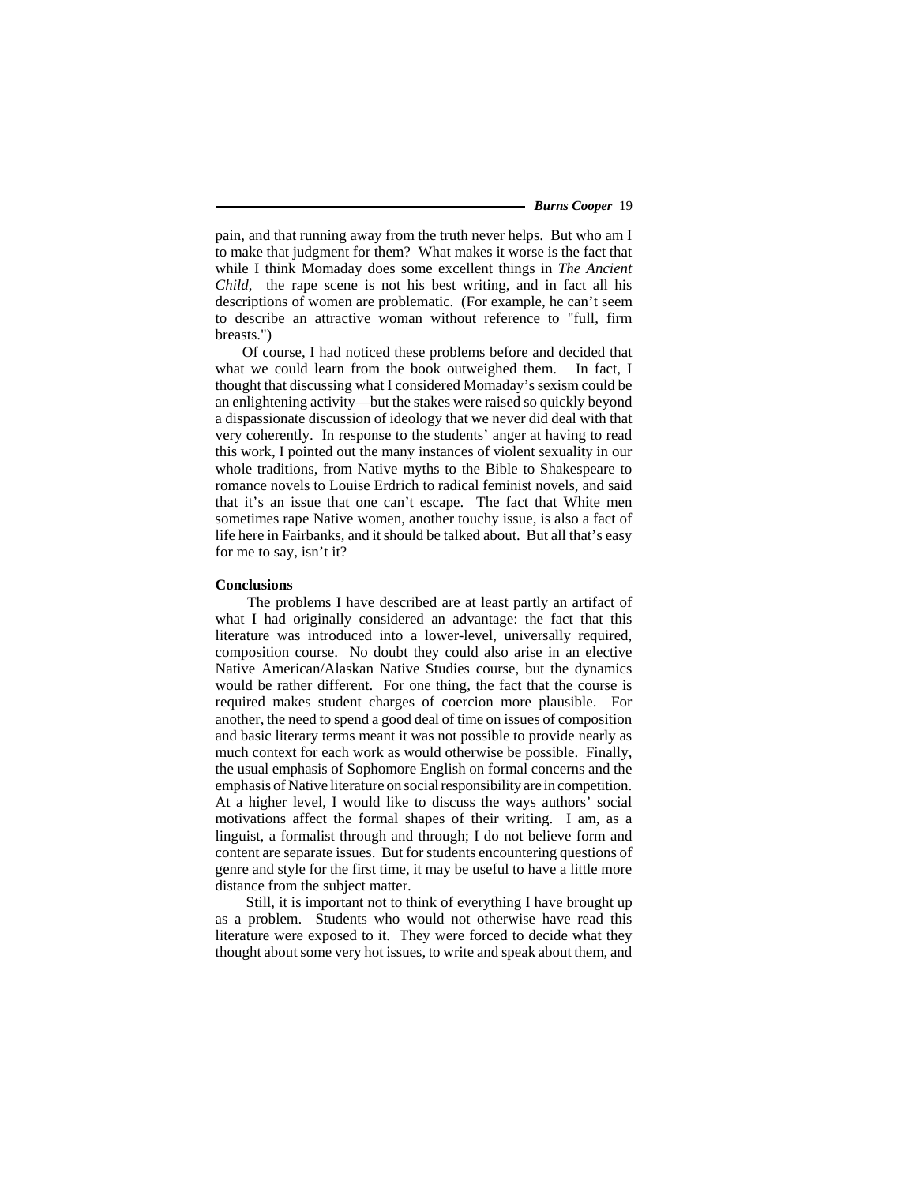pain, and that running away from the truth never helps. But who am I to make that judgment for them? What makes it worse is the fact that while I think Momaday does some excellent things in *The Ancient Child*, the rape scene is not his best writing, and in fact all his descriptions of women are problematic. (For example, he can't seem to describe an attractive woman without reference to "full, firm breasts.")

Of course, I had noticed these problems before and decided that what we could learn from the book outweighed them. In fact, I thought that discussing what I considered Momaday's sexism could be an enlightening activity—but the stakes were raised so quickly beyond a dispassionate discussion of ideology that we never did deal with that very coherently. In response to the students' anger at having to read this work, I pointed out the many instances of violent sexuality in our whole traditions, from Native myths to the Bible to Shakespeare to romance novels to Louise Erdrich to radical feminist novels, and said that it's an issue that one can't escape. The fact that White men sometimes rape Native women, another touchy issue, is also a fact of life here in Fairbanks, and it should be talked about. But all that's easy for me to say, isn't it?

#### **Conclusions**

 The problems I have described are at least partly an artifact of what I had originally considered an advantage: the fact that this literature was introduced into a lower-level, universally required, composition course. No doubt they could also arise in an elective Native American/Alaskan Native Studies course, but the dynamics would be rather different. For one thing, the fact that the course is required makes student charges of coercion more plausible. For another, the need to spend a good deal of time on issues of composition and basic literary terms meant it was not possible to provide nearly as much context for each work as would otherwise be possible. Finally, the usual emphasis of Sophomore English on formal concerns and the emphasis of Native literature on social responsibility are in competition. At a higher level, I would like to discuss the ways authors' social motivations affect the formal shapes of their writing. I am, as a linguist, a formalist through and through; I do not believe form and content are separate issues. But for students encountering questions of genre and style for the first time, it may be useful to have a little more distance from the subject matter.

 Still, it is important not to think of everything I have brought up as a problem. Students who would not otherwise have read this literature were exposed to it. They were forced to decide what they thought about some very hot issues, to write and speak about them, and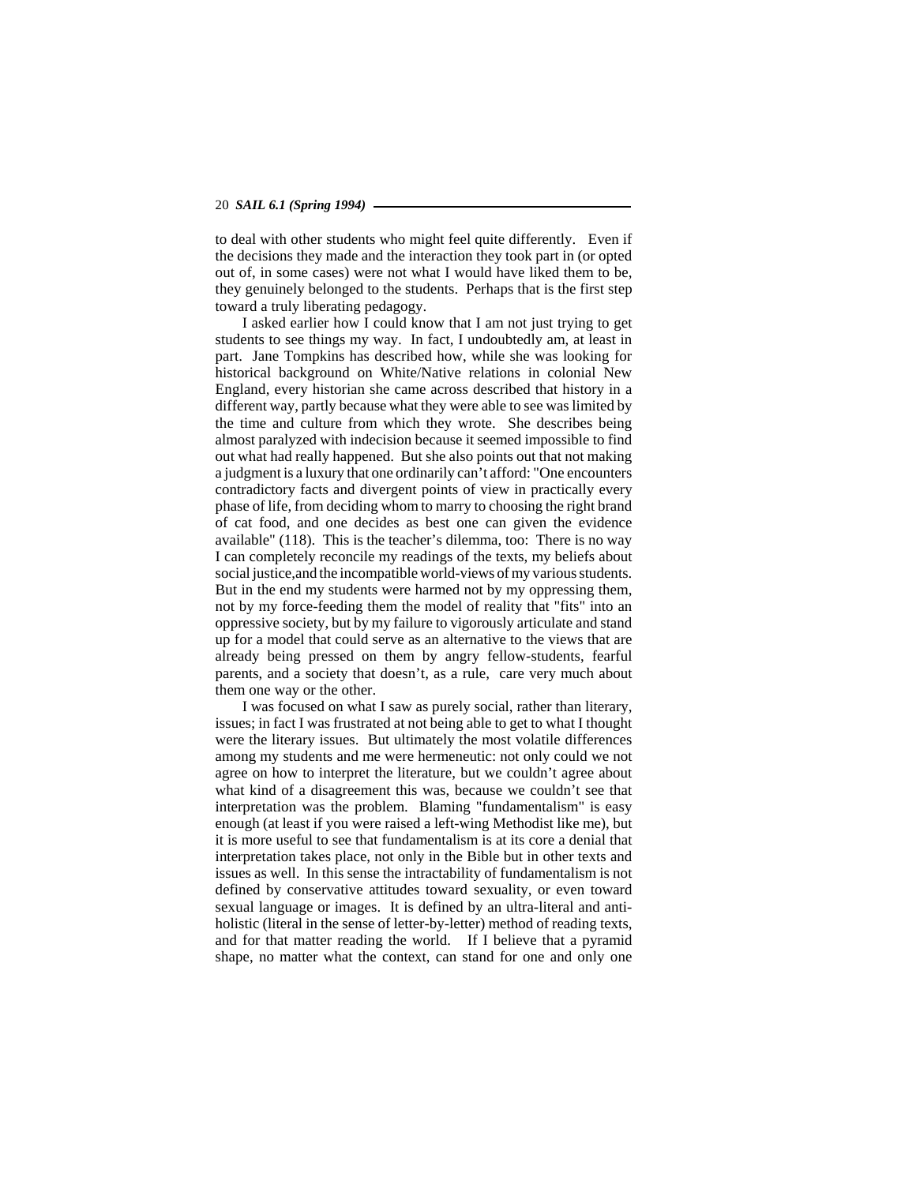to deal with other students who might feel quite differently. Even if the decisions they made and the interaction they took part in (or opted out of, in some cases) were not what I would have liked them to be, they genuinely belonged to the students. Perhaps that is the first step toward a truly liberating pedagogy.

I asked earlier how I could know that I am not just trying to get students to see things my way. In fact, I undoubtedly am, at least in part. Jane Tompkins has described how, while she was looking for historical background on White/Native relations in colonial New England, every historian she came across described that history in a different way, partly because what they were able to see was limited by the time and culture from which they wrote. She describes being almost paralyzed with indecision because it seemed impossible to find out what had really happened. But she also points out that not making a judgment is a luxury that one ordinarily can't afford: "One encounters contradictory facts and divergent points of view in practically every phase of life, from deciding whom to marry to choosing the right brand of cat food, and one decides as best one can given the evidence available" (118). This is the teacher's dilemma, too: There is no way I can completely reconcile my readings of the texts, my beliefs about social justice,and the incompatible world-views of my various students. But in the end my students were harmed not by my oppressing them, not by my force-feeding them the model of reality that "fits" into an oppressive society, but by my failure to vigorously articulate and stand up for a model that could serve as an alternative to the views that are already being pressed on them by angry fellow-students, fearful parents, and a society that doesn't, as a rule, care very much about them one way or the other.

I was focused on what I saw as purely social, rather than literary, issues; in fact I was frustrated at not being able to get to what I thought were the literary issues. But ultimately the most volatile differences among my students and me were hermeneutic: not only could we not agree on how to interpret the literature, but we couldn't agree about what kind of a disagreement this was, because we couldn't see that interpretation was the problem. Blaming "fundamentalism" is easy enough (at least if you were raised a left-wing Methodist like me), but it is more useful to see that fundamentalism is at its core a denial that interpretation takes place, not only in the Bible but in other texts and issues as well. In this sense the intractability of fundamentalism is not defined by conservative attitudes toward sexuality, or even toward sexual language or images. It is defined by an ultra-literal and antiholistic (literal in the sense of letter-by-letter) method of reading texts, and for that matter reading the world. If I believe that a pyramid shape, no matter what the context, can stand for one and only one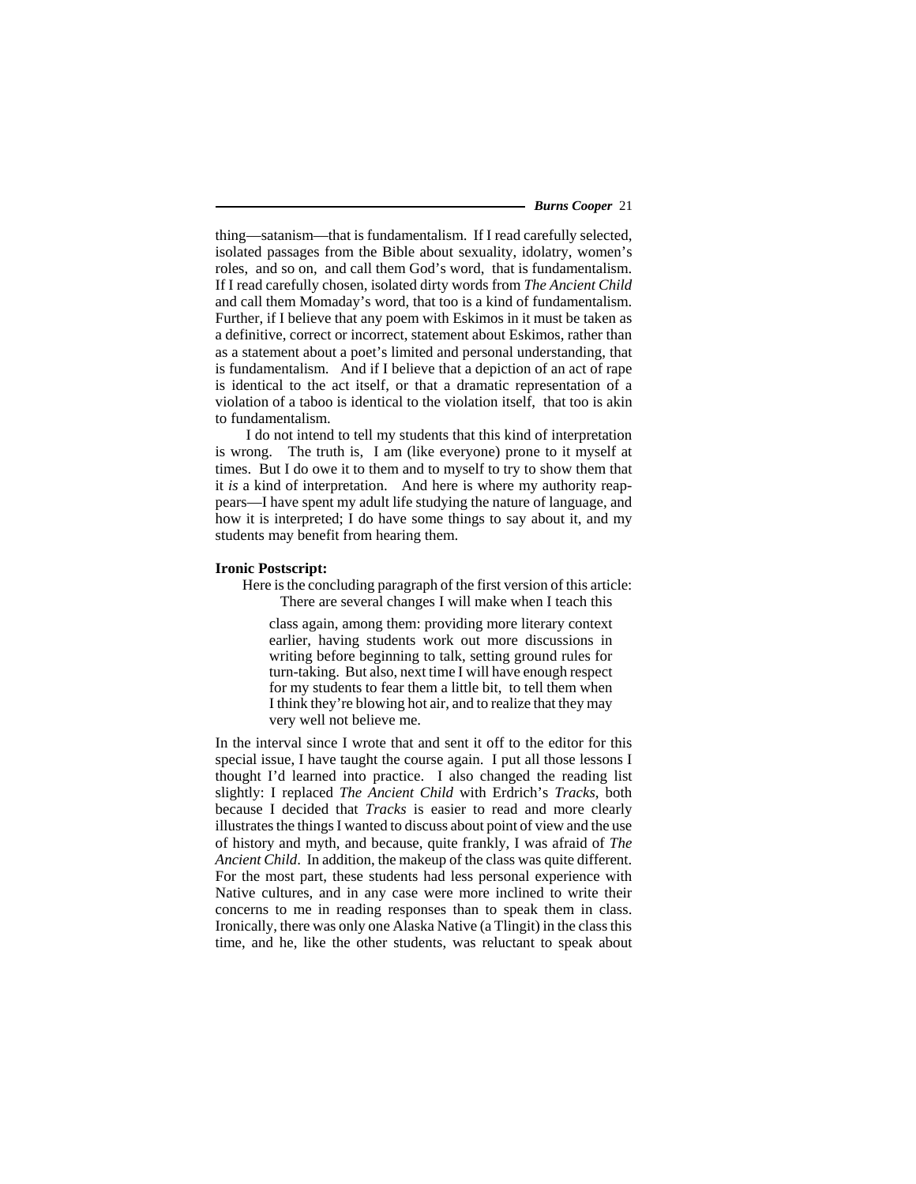thing—satanism—that is fundamentalism. If I read carefully selected, isolated passages from the Bible about sexuality, idolatry, women's roles, and so on, and call them God's word, that is fundamentalism. If I read carefully chosen, isolated dirty words from *The Ancient Child* and call them Momaday's word, that too is a kind of fundamentalism. Further, if I believe that any poem with Eskimos in it must be taken as a definitive, correct or incorrect, statement about Eskimos, rather than as a statement about a poet's limited and personal understanding, that is fundamentalism. And if I believe that a depiction of an act of rape is identical to the act itself, or that a dramatic representation of a violation of a taboo is identical to the violation itself, that too is akin to fundamentalism.

 I do not intend to tell my students that this kind of interpretation is wrong. The truth is, I am (like everyone) prone to it myself at times. But I do owe it to them and to myself to try to show them that it *is* a kind of interpretation. And here is where my authority reappears—I have spent my adult life studying the nature of language, and how it is interpreted; I do have some things to say about it, and my students may benefit from hearing them.

### **Ironic Postscript:**

Here is the concluding paragraph of the first version of this article:

There are several changes I will make when I teach this

class again, among them: providing more literary context earlier, having students work out more discussions in writing before beginning to talk, setting ground rules for turn-taking. But also, next time I will have enough respect for my students to fear them a little bit, to tell them when I think they're blowing hot air, and to realize that they may very well not believe me.

In the interval since I wrote that and sent it off to the editor for this special issue, I have taught the course again. I put all those lessons I thought I'd learned into practice. I also changed the reading list slightly: I replaced *The Ancient Child* with Erdrich's *Tracks*, both because I decided that *Tracks* is easier to read and more clearly illustrates the things I wanted to discuss about point of view and the use of history and myth, and because, quite frankly, I was afraid of *The Ancient Child*. In addition, the makeup of the class was quite different. For the most part, these students had less personal experience with Native cultures, and in any case were more inclined to write their concerns to me in reading responses than to speak them in class. Ironically, there was only one Alaska Native (a Tlingit) in the class this time, and he, like the other students, was reluctant to speak about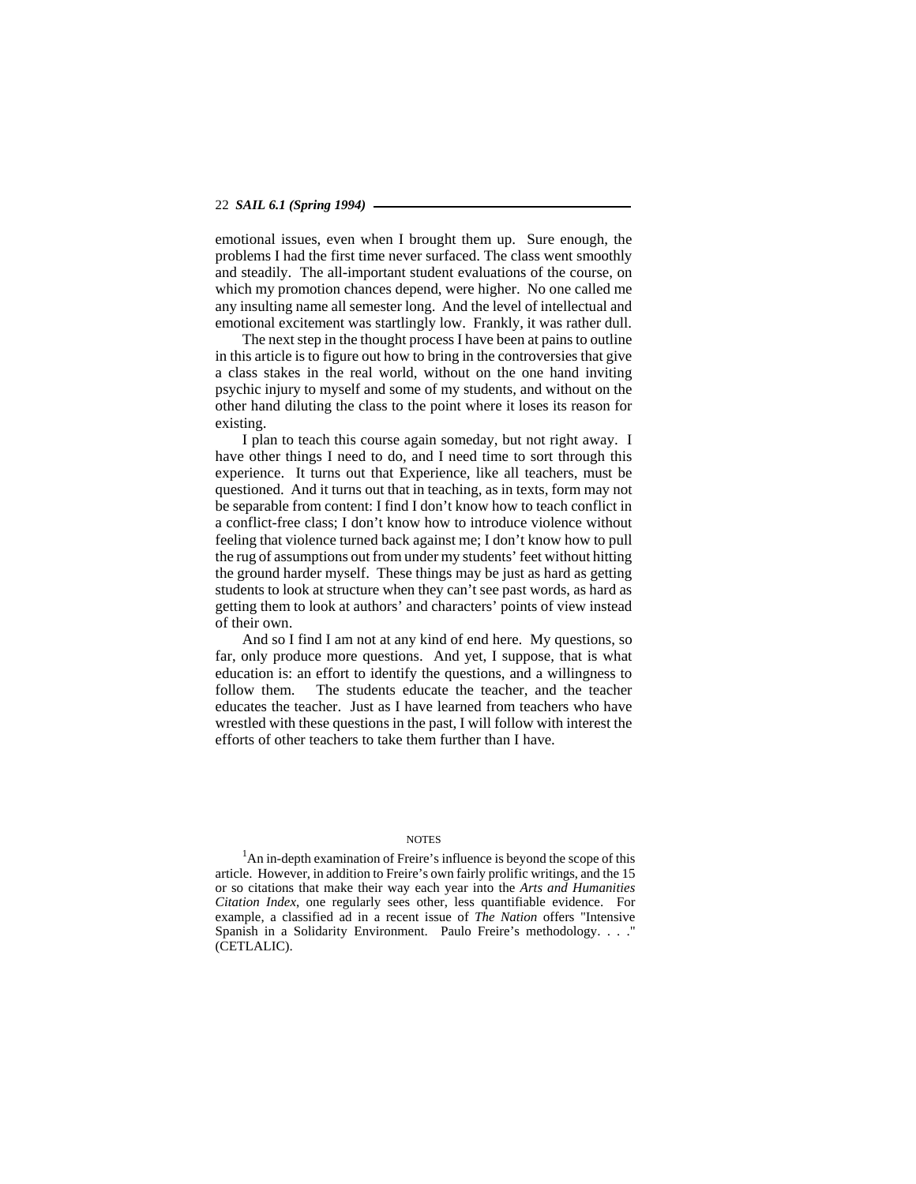emotional issues, even when I brought them up. Sure enough, the problems I had the first time never surfaced. The class went smoothly and steadily. The all-important student evaluations of the course, on which my promotion chances depend, were higher. No one called me any insulting name all semester long. And the level of intellectual and emotional excitement was startlingly low. Frankly, it was rather dull.

The next step in the thought process I have been at pains to outline in this article is to figure out how to bring in the controversies that give a class stakes in the real world, without on the one hand inviting psychic injury to myself and some of my students, and without on the other hand diluting the class to the point where it loses its reason for existing.

I plan to teach this course again someday, but not right away. I have other things I need to do, and I need time to sort through this experience. It turns out that Experience, like all teachers, must be questioned. And it turns out that in teaching, as in texts, form may not be separable from content: I find I don't know how to teach conflict in a conflict-free class; I don't know how to introduce violence without feeling that violence turned back against me; I don't know how to pull the rug of assumptions out from under my students' feet without hitting the ground harder myself. These things may be just as hard as getting students to look at structure when they can't see past words, as hard as getting them to look at authors' and characters' points of view instead of their own.

And so I find I am not at any kind of end here. My questions, so far, only produce more questions. And yet, I suppose, that is what education is: an effort to identify the questions, and a willingness to follow them. The students educate the teacher, and the teacher educates the teacher. Just as I have learned from teachers who have wrestled with these questions in the past, I will follow with interest the efforts of other teachers to take them further than I have.

#### **NOTES**

 $<sup>1</sup>$ An in-depth examination of Freire's influence is beyond the scope of this</sup> article. However, in addition to Freire's own fairly prolific writings, and the 15 or so citations that make their way each year into the *Arts and Humanities Citation Index*, one regularly sees other, less quantifiable evidence. For example, a classified ad in a recent issue of *The Nation* offers "Intensive Spanish in a Solidarity Environment. Paulo Freire's methodology. . . ." (CETLALIC).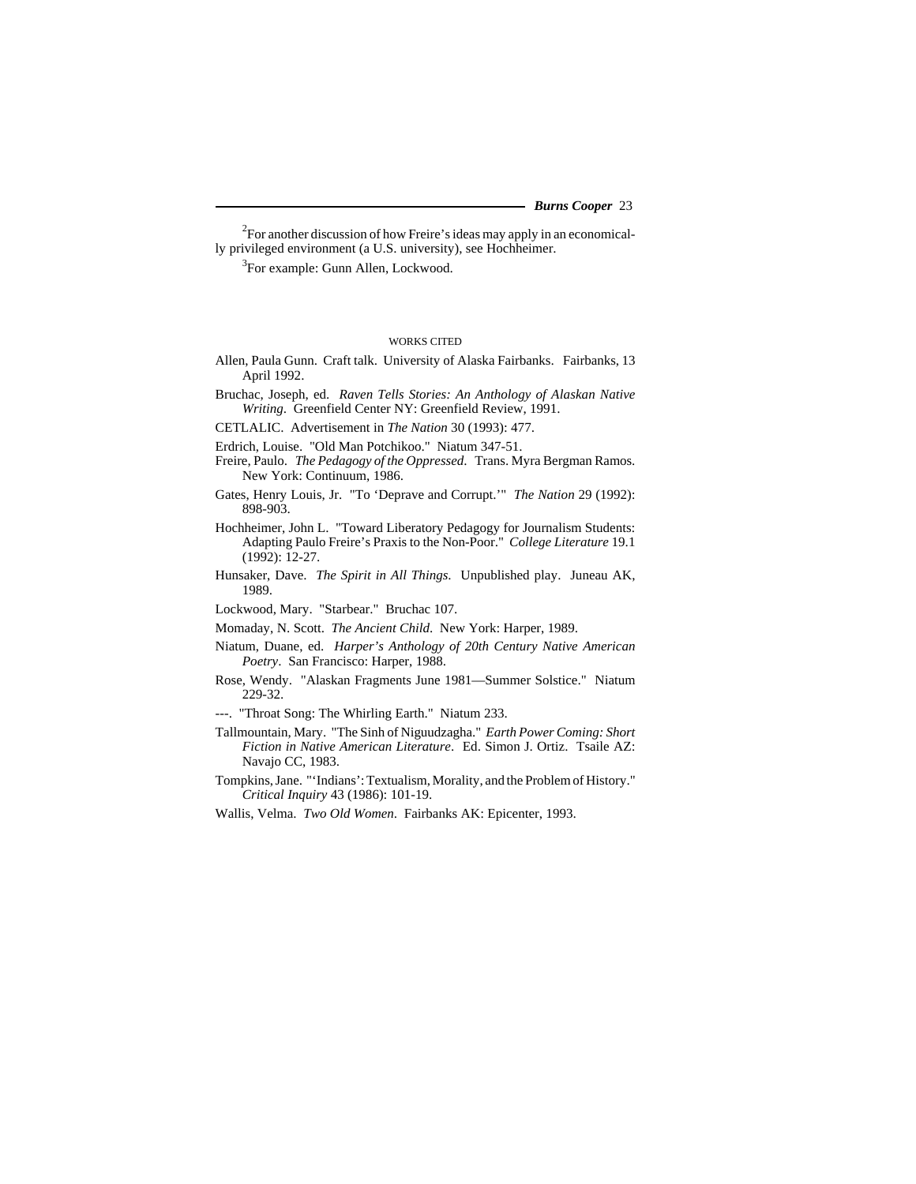$2$ For another discussion of how Freire's ideas may apply in an economically privileged environment (a U.S. university), see Hochheimer.

<sup>3</sup>For example: Gunn Allen, Lockwood.

#### WORKS CITED

Allen, Paula Gunn. Craft talk. University of Alaska Fairbanks. Fairbanks, 13 April 1992.

Bruchac, Joseph, ed. *Raven Tells Stories: An Anthology of Alaskan Native Writing*. Greenfield Center NY: Greenfield Review, 1991.

CETLALIC. Advertisement in *The Nation* 30 (1993): 477.

- Erdrich, Louise. "Old Man Potchikoo." Niatum 347-51.
- Freire, Paulo. *The Pedagogy of the Oppressed*. Trans. Myra Bergman Ramos. New York: Continuum, 1986.
- Gates, Henry Louis, Jr. "To 'Deprave and Corrupt.'" *The Nation* 29 (1992): 898-903.
- Hochheimer, John L. "Toward Liberatory Pedagogy for Journalism Students: Adapting Paulo Freire's Praxis to the Non-Poor." *College Literature* 19.1 (1992): 12-27.
- Hunsaker, Dave. *The Spirit in All Things*. Unpublished play. Juneau AK, 1989.
- Lockwood, Mary. "Starbear." Bruchac 107.
- Momaday, N. Scott. *The Ancient Child*. New York: Harper, 1989.
- Niatum, Duane, ed. *Harper's Anthology of 20th Century Native American Poetry*. San Francisco: Harper, 1988.
- Rose, Wendy. "Alaskan Fragments June 1981—Summer Solstice." Niatum 229-32.
- ---. "Throat Song: The Whirling Earth." Niatum 233.
- Tallmountain, Mary. "The Sinh of Niguudzagha." *Earth Power Coming: Short Fiction in Native American Literature*. Ed. Simon J. Ortiz. Tsaile AZ: Navajo CC, 1983.
- Tompkins, Jane. "'Indians': Textualism, Morality, and the Problem of History." *Critical Inquiry* 43 (1986): 101-19.
- Wallis, Velma. *Two Old Women*. Fairbanks AK: Epicenter, 1993.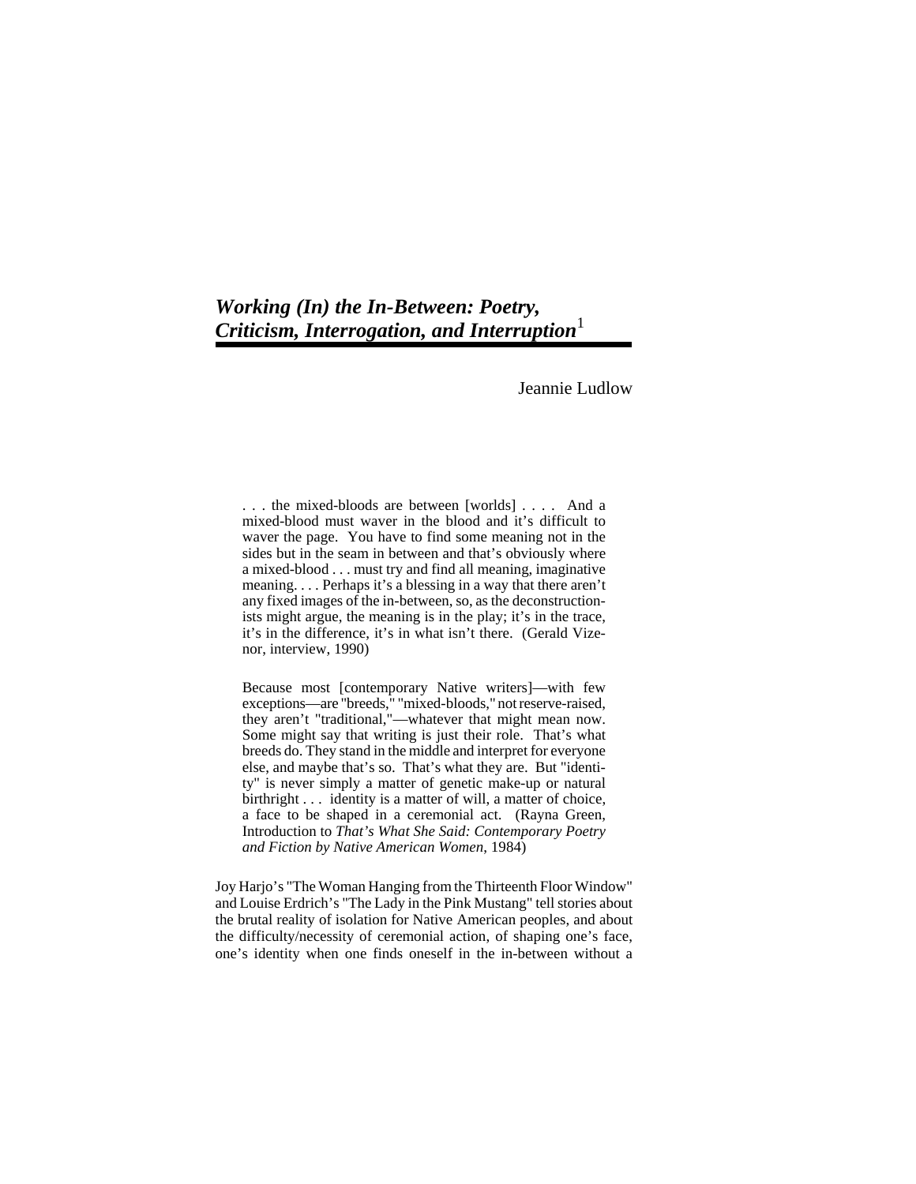## *Working (In) the In-Between: Poetry, Criticism, Interrogation, and Interruption*<sup>1</sup>

Jeannie Ludlow

. . . the mixed-bloods are between [worlds] . . . . And a mixed-blood must waver in the blood and it's difficult to waver the page. You have to find some meaning not in the sides but in the seam in between and that's obviously where a mixed-blood . . . must try and find all meaning, imaginative meaning. . . . Perhaps it's a blessing in a way that there aren't any fixed images of the in-between, so, as the deconstructionists might argue, the meaning is in the play; it's in the trace, it's in the difference, it's in what isn't there. (Gerald Vizenor, interview, 1990)

Because most [contemporary Native writers]—with few exceptions—are "breeds," "mixed-bloods," not reserve-raised, they aren't "traditional,"—whatever that might mean now. Some might say that writing is just their role. That's what breeds do. They stand in the middle and interpret for everyone else, and maybe that's so. That's what they are. But "identity" is never simply a matter of genetic make-up or natural birthright . . . identity is a matter of will, a matter of choice, a face to be shaped in a ceremonial act. (Rayna Green, Introduction to *That's What She Said: Contemporary Poetry and Fiction by Native American Women*, 1984)

Joy Harjo's "The Woman Hanging from the Thirteenth Floor Window" and Louise Erdrich's "The Lady in the Pink Mustang" tell stories about the brutal reality of isolation for Native American peoples, and about the difficulty/necessity of ceremonial action, of shaping one's face, one's identity when one finds oneself in the in-between without a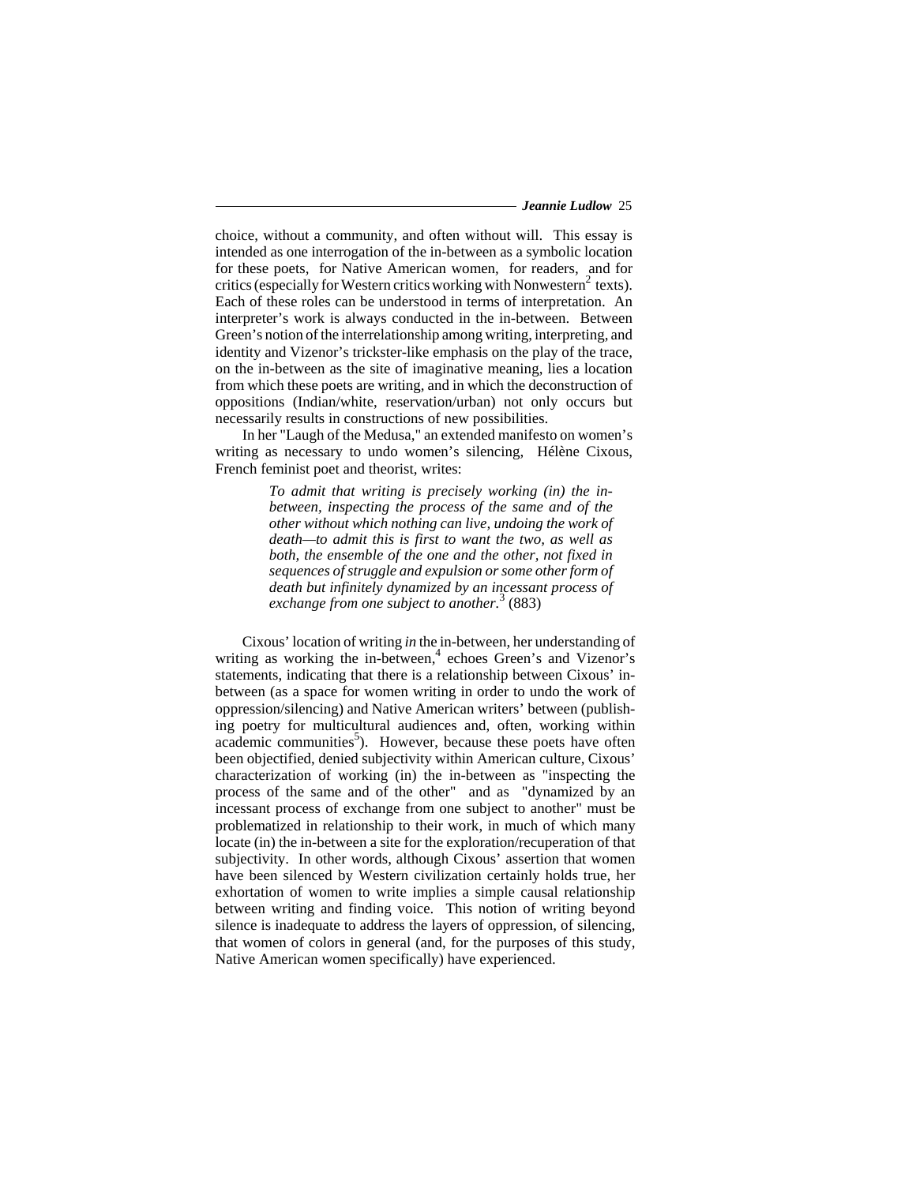choice, without a community, and often without will. This essay is intended as one interrogation of the in-between as a symbolic location for these poets, for Native American women, for readers, and for critics (especially for Western critics working with Nonwestern<sup>2</sup> texts). Each of these roles can be understood in terms of interpretation. An interpreter's work is always conducted in the in-between. Between Green's notion of the interrelationship among writing, interpreting, and identity and Vizenor's trickster-like emphasis on the play of the trace, on the in-between as the site of imaginative meaning, lies a location from which these poets are writing, and in which the deconstruction of oppositions (Indian/white, reservation/urban) not only occurs but necessarily results in constructions of new possibilities.

In her "Laugh of the Medusa," an extended manifesto on women's writing as necessary to undo women's silencing, Hélène Cixous, French feminist poet and theorist, writes:

> *To admit that writing is precisely working (in) the inbetween, inspecting the process of the same and of the other without which nothing can live, undoing the work of death—to admit this is first to want the two, as well as both, the ensemble of the one and the other, not fixed in sequences of struggle and expulsion or some other form of death but infinitely dynamized by an incessant process of exchange from one subject to another.*<sup>3</sup> (883)

Cixous' location of writing *in* the in-between, her understanding of writing as working the in-between,<sup>4</sup> echoes Green's and Vizenor's statements, indicating that there is a relationship between Cixous' inbetween (as a space for women writing in order to undo the work of oppression/silencing) and Native American writers' between (publishing poetry for multicultural audiences and, often, working within academic communities<sup>5</sup>). However, because these poets have often been objectified, denied subjectivity within American culture, Cixous' characterization of working (in) the in-between as "inspecting the process of the same and of the other" and as "dynamized by an incessant process of exchange from one subject to another" must be problematized in relationship to their work, in much of which many locate (in) the in-between a site for the exploration/recuperation of that subjectivity. In other words, although Cixous' assertion that women have been silenced by Western civilization certainly holds true, her exhortation of women to write implies a simple causal relationship between writing and finding voice. This notion of writing beyond silence is inadequate to address the layers of oppression, of silencing, that women of colors in general (and, for the purposes of this study, Native American women specifically) have experienced.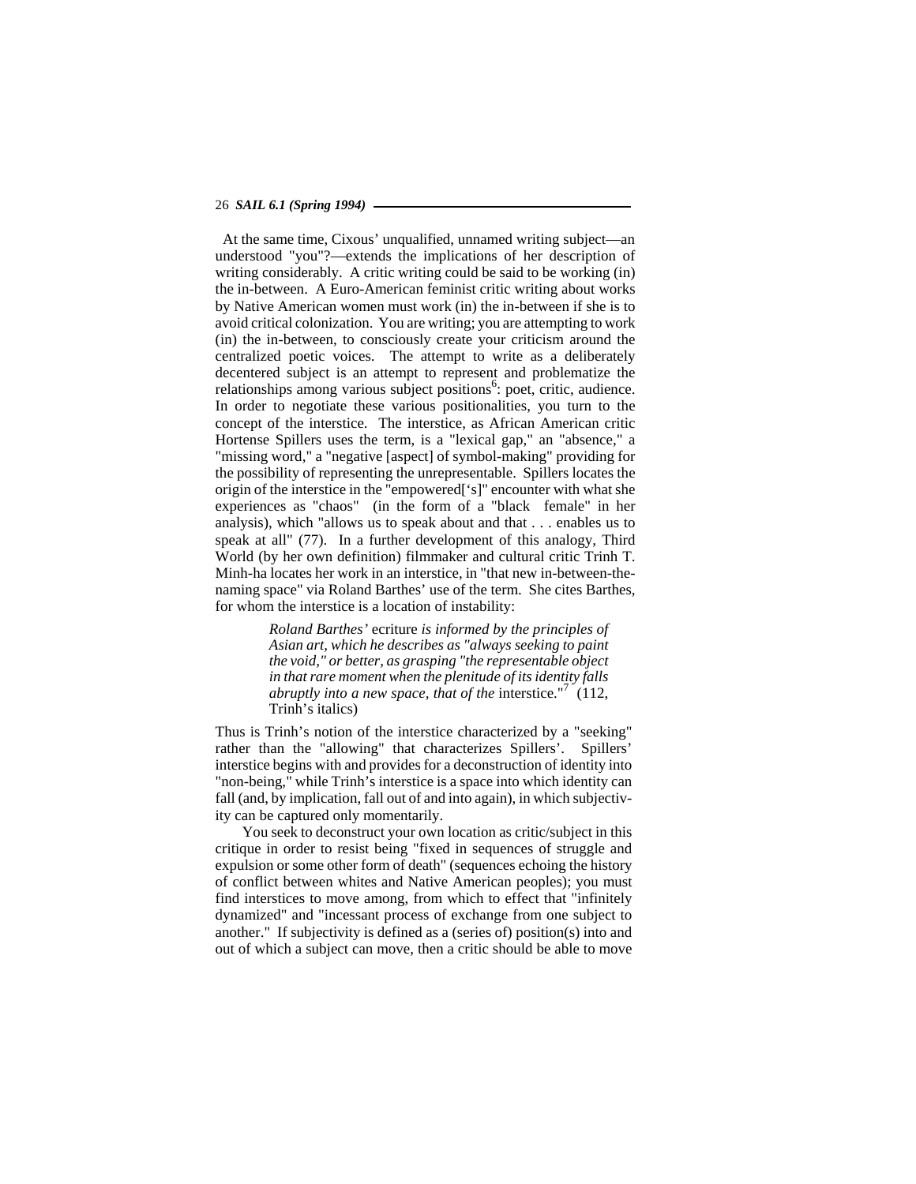At the same time, Cixous' unqualified, unnamed writing subject—an understood "you"?—extends the implications of her description of writing considerably. A critic writing could be said to be working (in) the in-between. A Euro-American feminist critic writing about works by Native American women must work (in) the in-between if she is to avoid critical colonization. You are writing; you are attempting to work (in) the in-between, to consciously create your criticism around the centralized poetic voices. The attempt to write as a deliberately decentered subject is an attempt to represent and problematize the relationships among various subject positions<sup>6</sup>: poet, critic, audience. In order to negotiate these various positionalities, you turn to the concept of the interstice. The interstice, as African American critic Hortense Spillers uses the term, is a "lexical gap," an "absence," a "missing word," a "negative [aspect] of symbol-making" providing for the possibility of representing the unrepresentable. Spillers locates the origin of the interstice in the "empowered['s]" encounter with what she experiences as "chaos" (in the form of a "black female" in her analysis), which "allows us to speak about and that . . . enables us to speak at all" (77). In a further development of this analogy, Third World (by her own definition) filmmaker and cultural critic Trinh T. Minh-ha locates her work in an interstice, in "that new in-between-thenaming space" via Roland Barthes' use of the term. She cites Barthes, for whom the interstice is a location of instability:

> *Roland Barthes'* ecriture *is informed by the principles of Asian art, which he describes as "always seeking to paint the void," or better, as grasping "the representable object in that rare moment when the plenitude of its identity falls abruptly into a new space, that of the* interstice."7 (112, Trinh's italics)

Thus is Trinh's notion of the interstice characterized by a "seeking" rather than the "allowing" that characterizes Spillers'. Spillers' interstice begins with and provides for a deconstruction of identity into "non-being," while Trinh's interstice is a space into which identity can fall (and, by implication, fall out of and into again), in which subjectivity can be captured only momentarily.

You seek to deconstruct your own location as critic/subject in this critique in order to resist being "fixed in sequences of struggle and expulsion or some other form of death" (sequences echoing the history of conflict between whites and Native American peoples); you must find interstices to move among, from which to effect that "infinitely dynamized" and "incessant process of exchange from one subject to another." If subjectivity is defined as a (series of) position(s) into and out of which a subject can move, then a critic should be able to move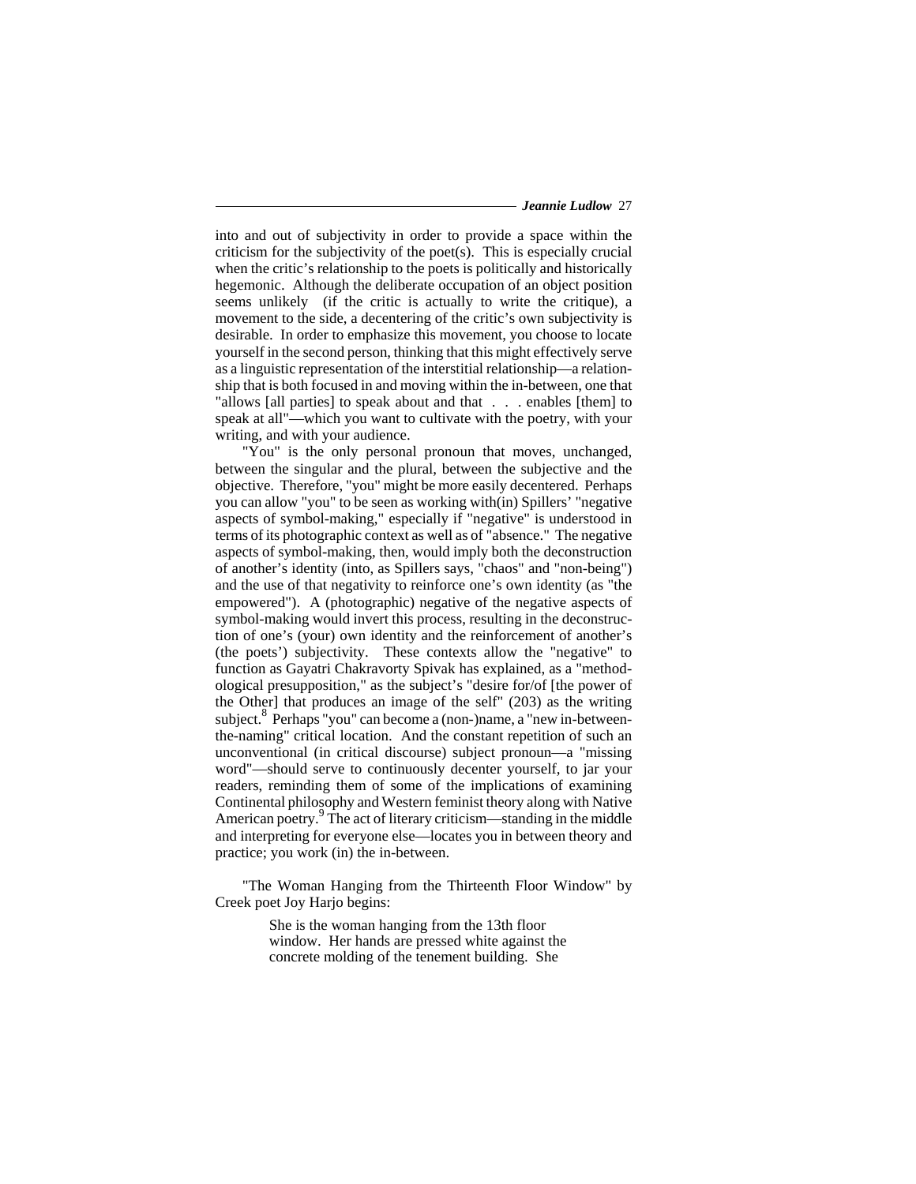into and out of subjectivity in order to provide a space within the criticism for the subjectivity of the poet(s). This is especially crucial when the critic's relationship to the poets is politically and historically hegemonic. Although the deliberate occupation of an object position seems unlikely (if the critic is actually to write the critique), a movement to the side, a decentering of the critic's own subjectivity is desirable. In order to emphasize this movement, you choose to locate yourself in the second person, thinking that this might effectively serve as a linguistic representation of the interstitial relationship—a relationship that is both focused in and moving within the in-between, one that "allows [all parties] to speak about and that . . . enables [them] to speak at all"—which you want to cultivate with the poetry, with your writing, and with your audience.

"You" is the only personal pronoun that moves, unchanged, between the singular and the plural, between the subjective and the objective. Therefore, "you" might be more easily decentered. Perhaps you can allow "you" to be seen as working with(in) Spillers' "negative aspects of symbol-making," especially if "negative" is understood in terms of its photographic context as well as of "absence." The negative aspects of symbol-making, then, would imply both the deconstruction of another's identity (into, as Spillers says, "chaos" and "non-being") and the use of that negativity to reinforce one's own identity (as "the empowered"). A (photographic) negative of the negative aspects of symbol-making would invert this process, resulting in the deconstruction of one's (your) own identity and the reinforcement of another's (the poets') subjectivity. These contexts allow the "negative" to function as Gayatri Chakravorty Spivak has explained, as a "methodological presupposition," as the subject's "desire for/of [the power of the Other] that produces an image of the self" (203) as the writing subject.<sup>8</sup> Perhaps "you" can become a (non-)name, a "new in-betweenthe-naming" critical location. And the constant repetition of such an unconventional (in critical discourse) subject pronoun—a "missing word"—should serve to continuously decenter yourself, to jar your readers, reminding them of some of the implications of examining Continental philosophy and Western feminist theory along with Native American poetry.<sup>9</sup> The act of literary criticism—standing in the middle and interpreting for everyone else—locates you in between theory and practice; you work (in) the in-between.

"The Woman Hanging from the Thirteenth Floor Window" by Creek poet Joy Harjo begins:

> She is the woman hanging from the 13th floor window. Her hands are pressed white against the concrete molding of the tenement building. She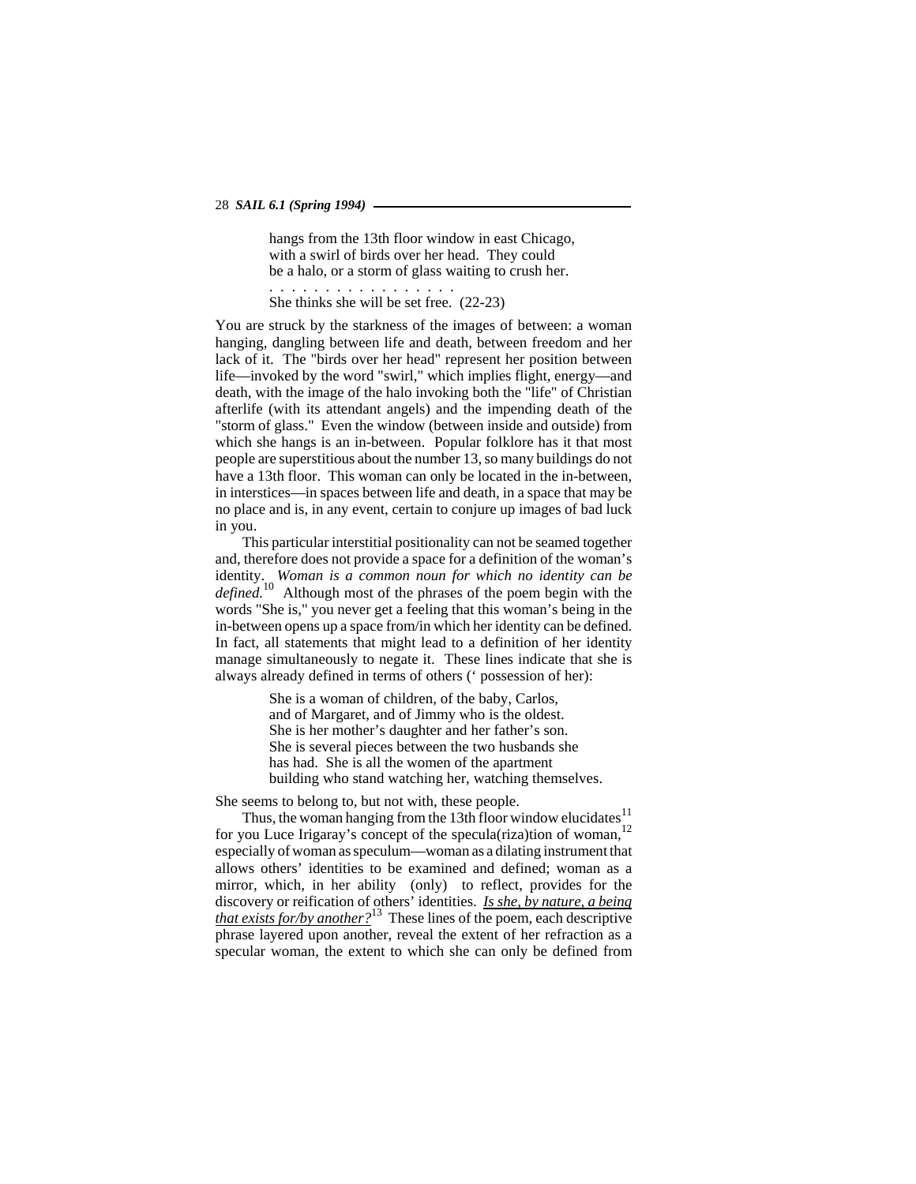hangs from the 13th floor window in east Chicago, with a swirl of birds over her head. They could be a halo, or a storm of glass waiting to crush her. . . . . . . . . . . . . . . . . .

She thinks she will be set free. (22-23)

You are struck by the starkness of the images of between: a woman hanging, dangling between life and death, between freedom and her lack of it. The "birds over her head" represent her position between life—invoked by the word "swirl," which implies flight, energy—and death, with the image of the halo invoking both the "life" of Christian afterlife (with its attendant angels) and the impending death of the "storm of glass." Even the window (between inside and outside) from which she hangs is an in-between. Popular folklore has it that most people are superstitious about the number 13, so many buildings do not have a 13th floor. This woman can only be located in the in-between, in interstices—in spaces between life and death, in a space that may be no place and is, in any event, certain to conjure up images of bad luck in you.

This particular interstitial positionality can not be seamed together and, therefore does not provide a space for a definition of the woman's identity. *Woman is a common noun for which no identity can be defined.*10 Although most of the phrases of the poem begin with the words "She is," you never get a feeling that this woman's being in the in-between opens up a space from/in which her identity can be defined. In fact, all statements that might lead to a definition of her identity manage simultaneously to negate it. These lines indicate that she is always already defined in terms of others (' possession of her):

> She is a woman of children, of the baby, Carlos, and of Margaret, and of Jimmy who is the oldest. She is her mother's daughter and her father's son. She is several pieces between the two husbands she has had. She is all the women of the apartment building who stand watching her, watching themselves.

She seems to belong to, but not with, these people.

Thus, the woman hanging from the 13th floor window elucidates $11$ for you Luce Irigaray's concept of the specula (riza)tion of woman,  $12$ especially of woman as speculum—woman as a dilating instrument that allows others' identities to be examined and defined; woman as a mirror, which, in her ability (only) to reflect, provides for the discovery or reification of others' identities. *Is she, by nature, a being that exists for/by another?*<sup>13</sup> These lines of the poem, each descriptive phrase layered upon another, reveal the extent of her refraction as a specular woman, the extent to which she can only be defined from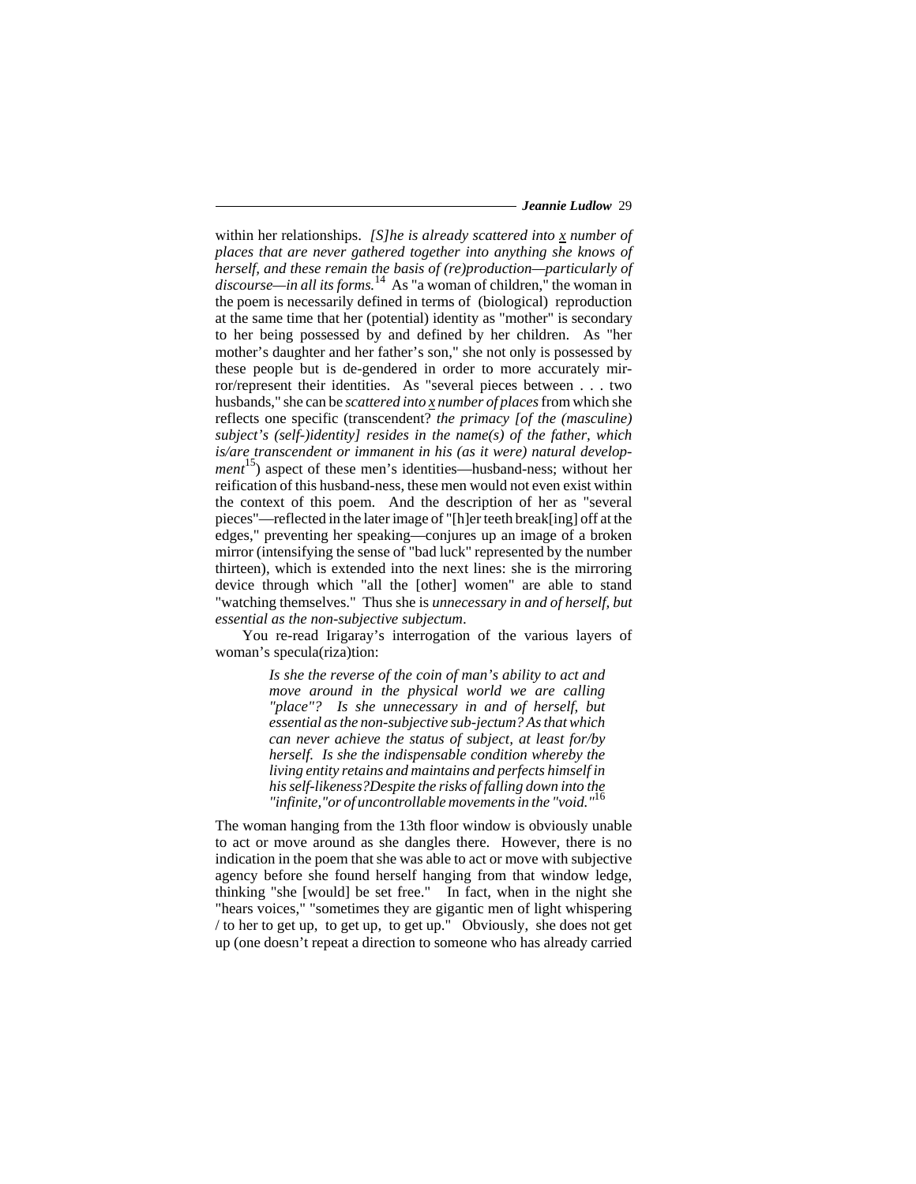within her relationships. *[S]he is already scattered into x number of places that are never gathered together into anything she knows of herself, and these remain the basis of (re)production—particularly of discourse—in all its forms.*14 As "a woman of children," the woman in the poem is necessarily defined in terms of (biological) reproduction at the same time that her (potential) identity as "mother" is secondary to her being possessed by and defined by her children. As "her mother's daughter and her father's son," she not only is possessed by these people but is de-gendered in order to more accurately mirror/represent their identities. As "several pieces between . . . two husbands," she can be *scattered into x number of places* from which she reflects one specific (transcendent? *the primacy [of the (masculine) subject's (self-)identity] resides in the name(s) of the father, which is/are transcendent or immanent in his (as it were) natural development*<sup>15</sup>) aspect of these men's identities—husband-ness; without her reification of this husband-ness, these men would not even exist within the context of this poem. And the description of her as "several pieces"—reflected in the later image of "[h]er teeth break[ing] off at the edges," preventing her speaking—conjures up an image of a broken mirror (intensifying the sense of "bad luck" represented by the number thirteen), which is extended into the next lines: she is the mirroring device through which "all the [other] women" are able to stand "watching themselves." Thus she is *unnecessary in and of herself, but essential as the non-subjective subjectum*.

You re-read Irigaray's interrogation of the various layers of woman's specula(riza)tion:

> *Is she the reverse of the coin of man's ability to act and move around in the physical world we are calling "place"? Is she unnecessary in and of herself, but essential as the non-subjective sub-jectum? As that which can never achieve the status of subject, at least for/by herself. Is she the indispensable condition whereby the living entity retains and maintains and perfects himself in his self-likeness?Despite the risks of falling down into the "infinite,"or of uncontrollable movements in the "void."*<sup>16</sup>

The woman hanging from the 13th floor window is obviously unable to act or move around as she dangles there. However, there is no indication in the poem that she was able to act or move with subjective agency before she found herself hanging from that window ledge, thinking "she [would] be set free." In fact, when in the night she "hears voices," "sometimes they are gigantic men of light whispering / to her to get up, to get up, to get up." Obviously, she does not get up (one doesn't repeat a direction to someone who has already carried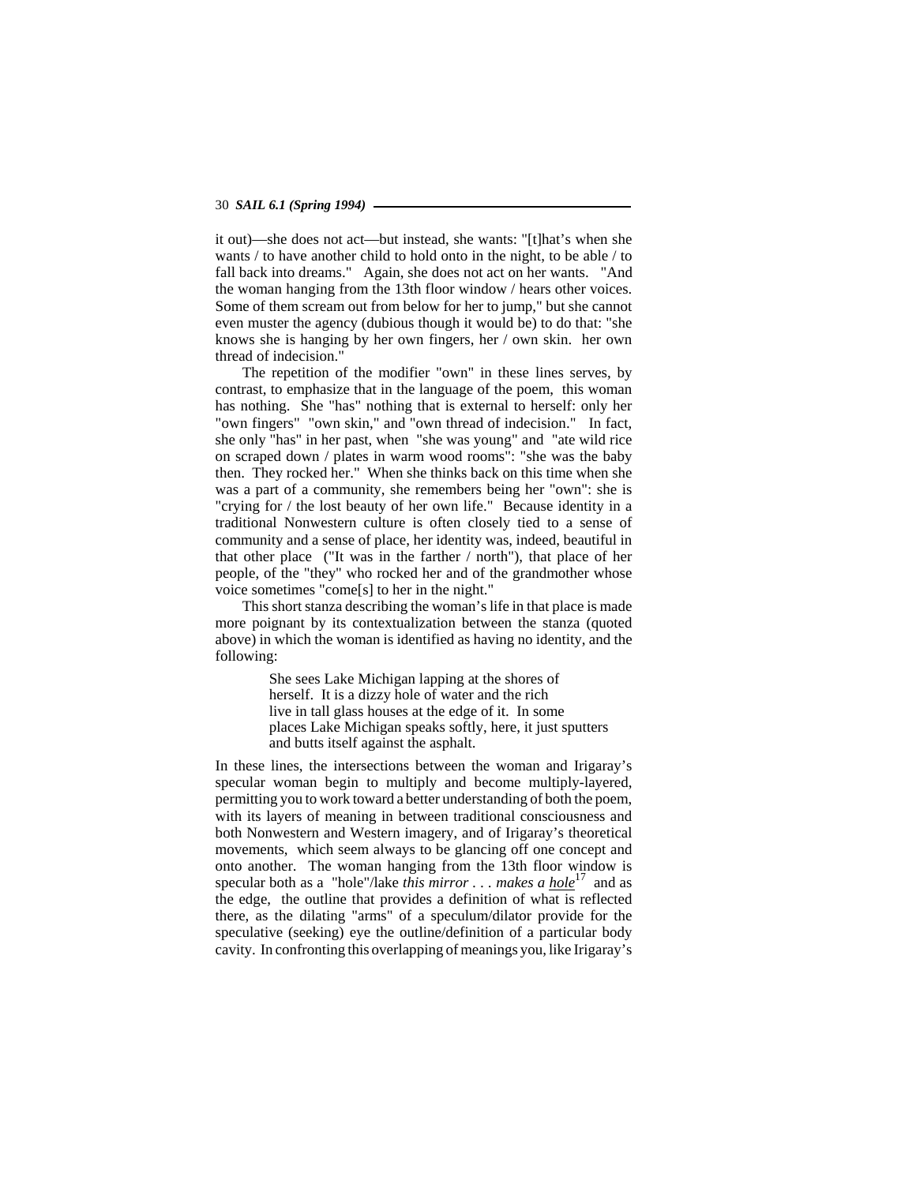it out)—she does not act—but instead, she wants: "[t]hat's when she wants / to have another child to hold onto in the night, to be able / to fall back into dreams." Again, she does not act on her wants. "And the woman hanging from the 13th floor window / hears other voices. Some of them scream out from below for her to jump," but she cannot even muster the agency (dubious though it would be) to do that: "she knows she is hanging by her own fingers, her / own skin. her own thread of indecision."

The repetition of the modifier "own" in these lines serves, by contrast, to emphasize that in the language of the poem, this woman has nothing. She "has" nothing that is external to herself: only her "own fingers" "own skin," and "own thread of indecision." In fact, she only "has" in her past, when "she was young" and "ate wild rice on scraped down / plates in warm wood rooms": "she was the baby then. They rocked her." When she thinks back on this time when she was a part of a community, she remembers being her "own": she is "crying for / the lost beauty of her own life." Because identity in a traditional Nonwestern culture is often closely tied to a sense of community and a sense of place, her identity was, indeed, beautiful in that other place ("It was in the farther / north"), that place of her people, of the "they" who rocked her and of the grandmother whose voice sometimes "come[s] to her in the night."

This short stanza describing the woman's life in that place is made more poignant by its contextualization between the stanza (quoted above) in which the woman is identified as having no identity, and the following:

> She sees Lake Michigan lapping at the shores of herself. It is a dizzy hole of water and the rich live in tall glass houses at the edge of it. In some places Lake Michigan speaks softly, here, it just sputters and butts itself against the asphalt.

In these lines, the intersections between the woman and Irigaray's specular woman begin to multiply and become multiply-layered, permitting you to work toward a better understanding of both the poem, with its layers of meaning in between traditional consciousness and both Nonwestern and Western imagery, and of Irigaray's theoretical movements, which seem always to be glancing off one concept and onto another. The woman hanging from the 13th floor window is specular both as a "hole"/lake *this mirror . . . makes a hole*17 and as the edge, the outline that provides a definition of what is reflected there, as the dilating "arms" of a speculum/dilator provide for the speculative (seeking) eye the outline/definition of a particular body cavity. In confronting this overlapping of meanings you, like Irigaray's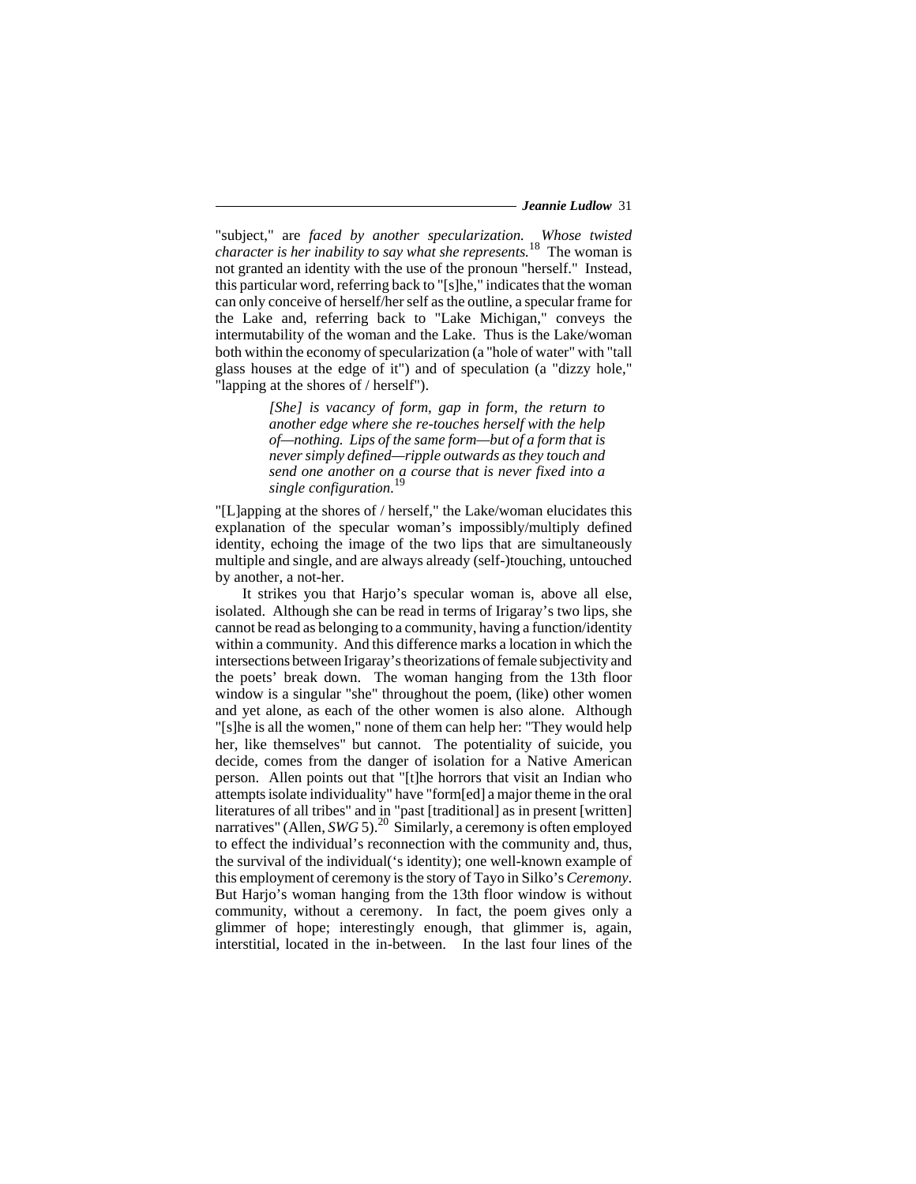"subject," are *faced by another specularization. Whose twisted character is her inability to say what she represents.*18 The woman is not granted an identity with the use of the pronoun "herself." Instead, this particular word, referring back to "[s]he," indicates that the woman can only conceive of herself/her self as the outline, a specular frame for the Lake and, referring back to "Lake Michigan," conveys the intermutability of the woman and the Lake. Thus is the Lake/woman both within the economy of specularization (a "hole of water" with "tall glass houses at the edge of it") and of speculation (a "dizzy hole," "lapping at the shores of / herself").

> *[She] is vacancy of form, gap in form, the return to another edge where she re-touches herself with the help of—nothing. Lips of the same form—but of a form that is never simply defined—ripple outwards as they touch and send one another on a course that is never fixed into a single configuration.*<sup>19</sup>

"[L]apping at the shores of / herself," the Lake/woman elucidates this explanation of the specular woman's impossibly/multiply defined identity, echoing the image of the two lips that are simultaneously multiple and single, and are always already (self-)touching, untouched by another, a not-her.

It strikes you that Harjo's specular woman is, above all else, isolated. Although she can be read in terms of Irigaray's two lips, she cannot be read as belonging to a community, having a function/identity within a community. And this difference marks a location in which the intersections between Irigaray's theorizations of female subjectivity and the poets' break down. The woman hanging from the 13th floor window is a singular "she" throughout the poem, (like) other women and yet alone, as each of the other women is also alone. Although "[s]he is all the women," none of them can help her: "They would help her, like themselves" but cannot. The potentiality of suicide, you decide, comes from the danger of isolation for a Native American person. Allen points out that "[t]he horrors that visit an Indian who attempts isolate individuality" have "form[ed] a major theme in the oral literatures of all tribes" and in "past [traditional] as in present [written] narratives" (Allen, *SWG* 5).<sup>20</sup> Similarly, a ceremony is often employed to effect the individual's reconnection with the community and, thus, the survival of the individual('s identity); one well-known example of this employment of ceremony is the story of Tayo in Silko's *Ceremony*. But Harjo's woman hanging from the 13th floor window is without community, without a ceremony. In fact, the poem gives only a glimmer of hope; interestingly enough, that glimmer is, again, interstitial, located in the in-between. In the last four lines of the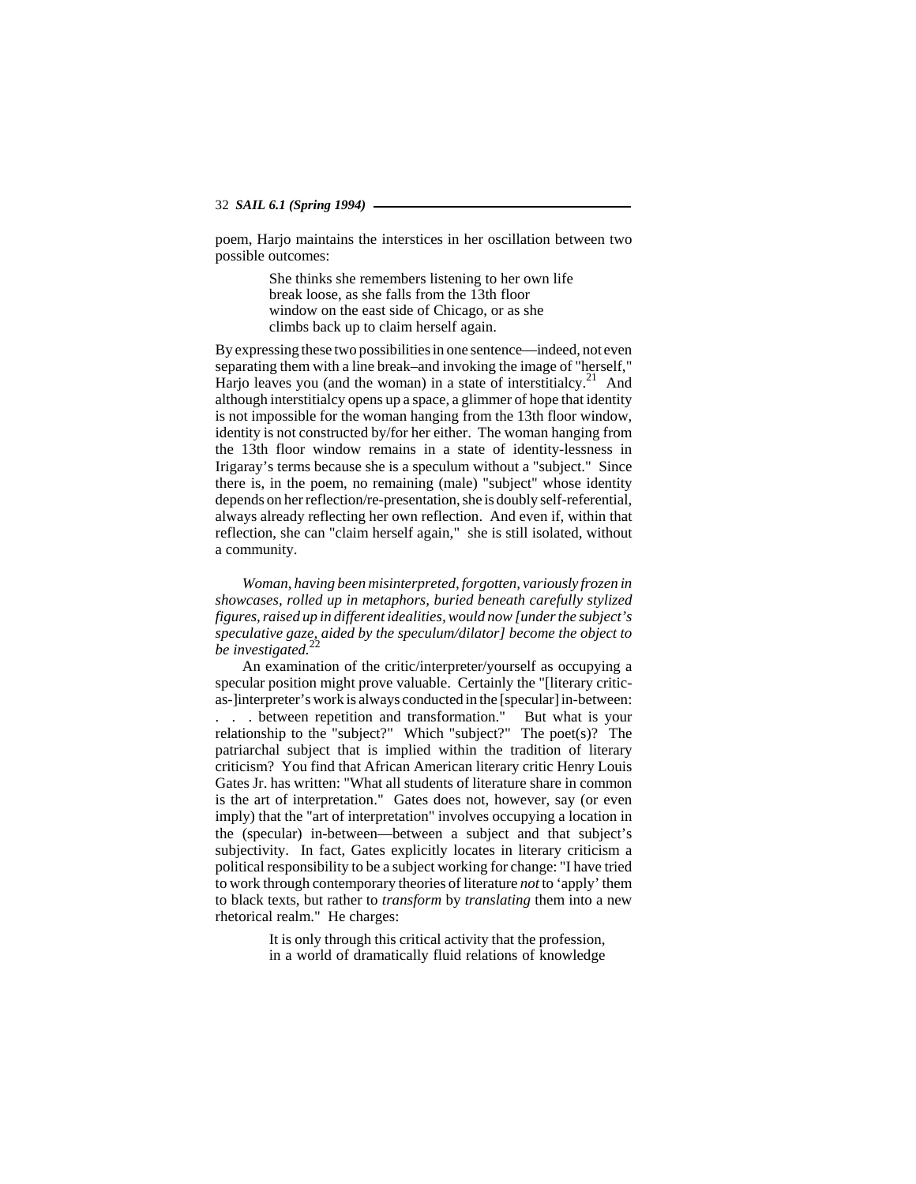poem, Harjo maintains the interstices in her oscillation between two possible outcomes:

> She thinks she remembers listening to her own life break loose, as she falls from the 13th floor window on the east side of Chicago, or as she climbs back up to claim herself again.

By expressing these two possibilities in one sentence—indeed, not even separating them with a line break–and invoking the image of "herself," Harjo leaves you (and the woman) in a state of interstitialcy.<sup>21</sup> And although interstitialcy opens up a space, a glimmer of hope that identity is not impossible for the woman hanging from the 13th floor window, identity is not constructed by/for her either. The woman hanging from the 13th floor window remains in a state of identity-lessness in Irigaray's terms because she is a speculum without a "subject." Since there is, in the poem, no remaining (male) "subject" whose identity depends on her reflection/re-presentation, she is doubly self-referential, always already reflecting her own reflection. And even if, within that reflection, she can "claim herself again," she is still isolated, without a community.

*Woman, having been misinterpreted, forgotten, variously frozen in showcases, rolled up in metaphors, buried beneath carefully stylized figures, raised up in different idealities, would now [under the subject's speculative gaze, aided by the speculum/dilator] become the object to be investigated.*<sup>22</sup>

An examination of the critic/interpreter/yourself as occupying a specular position might prove valuable. Certainly the "[literary criticas-]interpreter's work is always conducted in the [specular] in-between: . . . between repetition and transformation." But what is your relationship to the "subject?" Which "subject?" The poet(s)? The patriarchal subject that is implied within the tradition of literary criticism? You find that African American literary critic Henry Louis Gates Jr. has written: "What all students of literature share in common is the art of interpretation." Gates does not, however, say (or even imply) that the "art of interpretation" involves occupying a location in the (specular) in-between—between a subject and that subject's subjectivity. In fact, Gates explicitly locates in literary criticism a political responsibility to be a subject working for change: "I have tried to work through contemporary theories of literature *not* to 'apply' them to black texts, but rather to *transform* by *translating* them into a new rhetorical realm." He charges:

> It is only through this critical activity that the profession, in a world of dramatically fluid relations of knowledge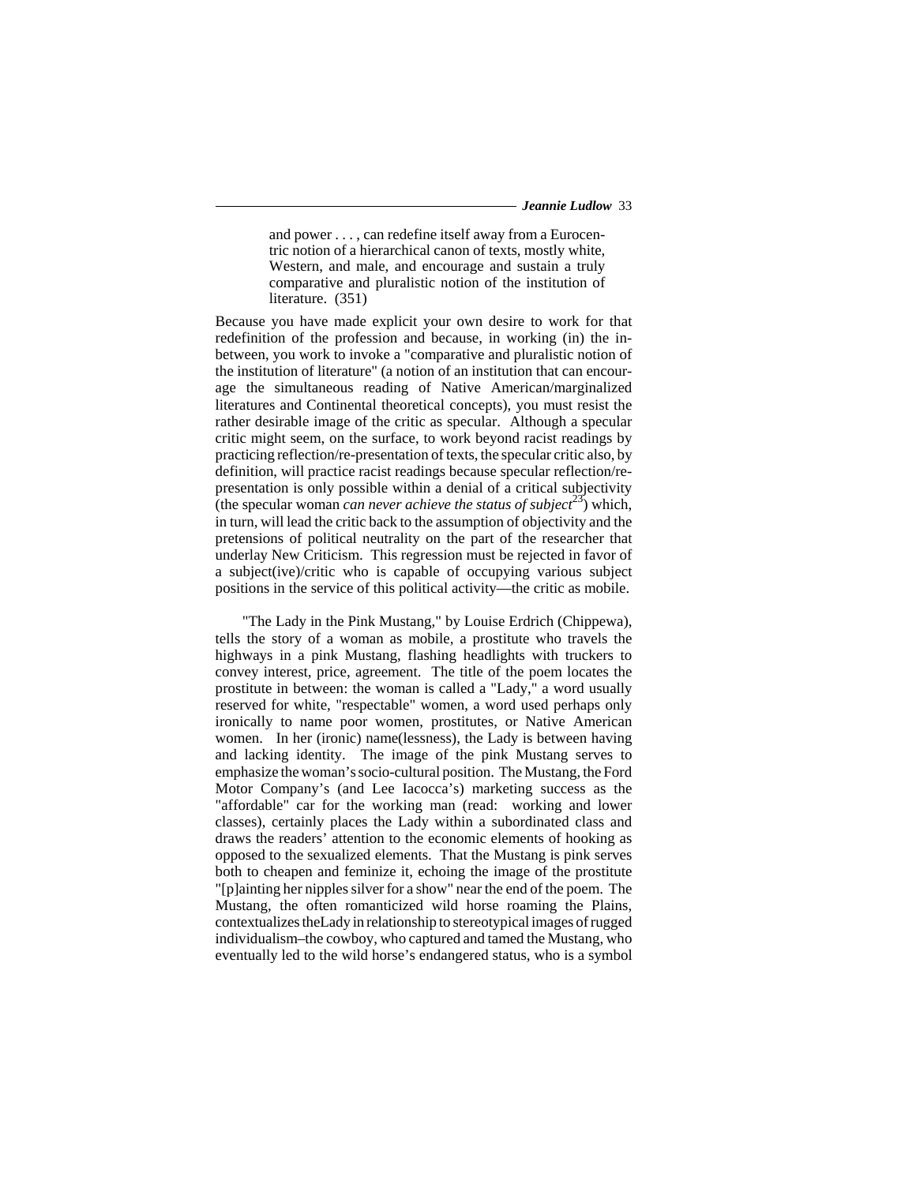and power . . . , can redefine itself away from a Eurocentric notion of a hierarchical canon of texts, mostly white, Western, and male, and encourage and sustain a truly comparative and pluralistic notion of the institution of literature. (351)

Because you have made explicit your own desire to work for that redefinition of the profession and because, in working (in) the inbetween, you work to invoke a "comparative and pluralistic notion of the institution of literature" (a notion of an institution that can encourage the simultaneous reading of Native American/marginalized literatures and Continental theoretical concepts), you must resist the rather desirable image of the critic as specular. Although a specular critic might seem, on the surface, to work beyond racist readings by practicing reflection/re-presentation of texts, the specular critic also, by definition, will practice racist readings because specular reflection/representation is only possible within a denial of a critical subjectivity (the specular woman *can never achieve the status of subject*<sup>23</sup>) which, in turn, will lead the critic back to the assumption of objectivity and the pretensions of political neutrality on the part of the researcher that underlay New Criticism. This regression must be rejected in favor of a subject(ive)/critic who is capable of occupying various subject positions in the service of this political activity—the critic as mobile.

"The Lady in the Pink Mustang," by Louise Erdrich (Chippewa), tells the story of a woman as mobile, a prostitute who travels the highways in a pink Mustang, flashing headlights with truckers to convey interest, price, agreement. The title of the poem locates the prostitute in between: the woman is called a "Lady," a word usually reserved for white, "respectable" women, a word used perhaps only ironically to name poor women, prostitutes, or Native American women. In her (ironic) name(lessness), the Lady is between having and lacking identity. The image of the pink Mustang serves to emphasize the woman's socio-cultural position. The Mustang, the Ford Motor Company's (and Lee Iacocca's) marketing success as the "affordable" car for the working man (read: working and lower classes), certainly places the Lady within a subordinated class and draws the readers' attention to the economic elements of hooking as opposed to the sexualized elements. That the Mustang is pink serves both to cheapen and feminize it, echoing the image of the prostitute "[p]ainting her nipples silver for a show" near the end of the poem. The Mustang, the often romanticized wild horse roaming the Plains, contextualizes theLady in relationship to stereotypical images of rugged individualism–the cowboy, who captured and tamed the Mustang, who eventually led to the wild horse's endangered status, who is a symbol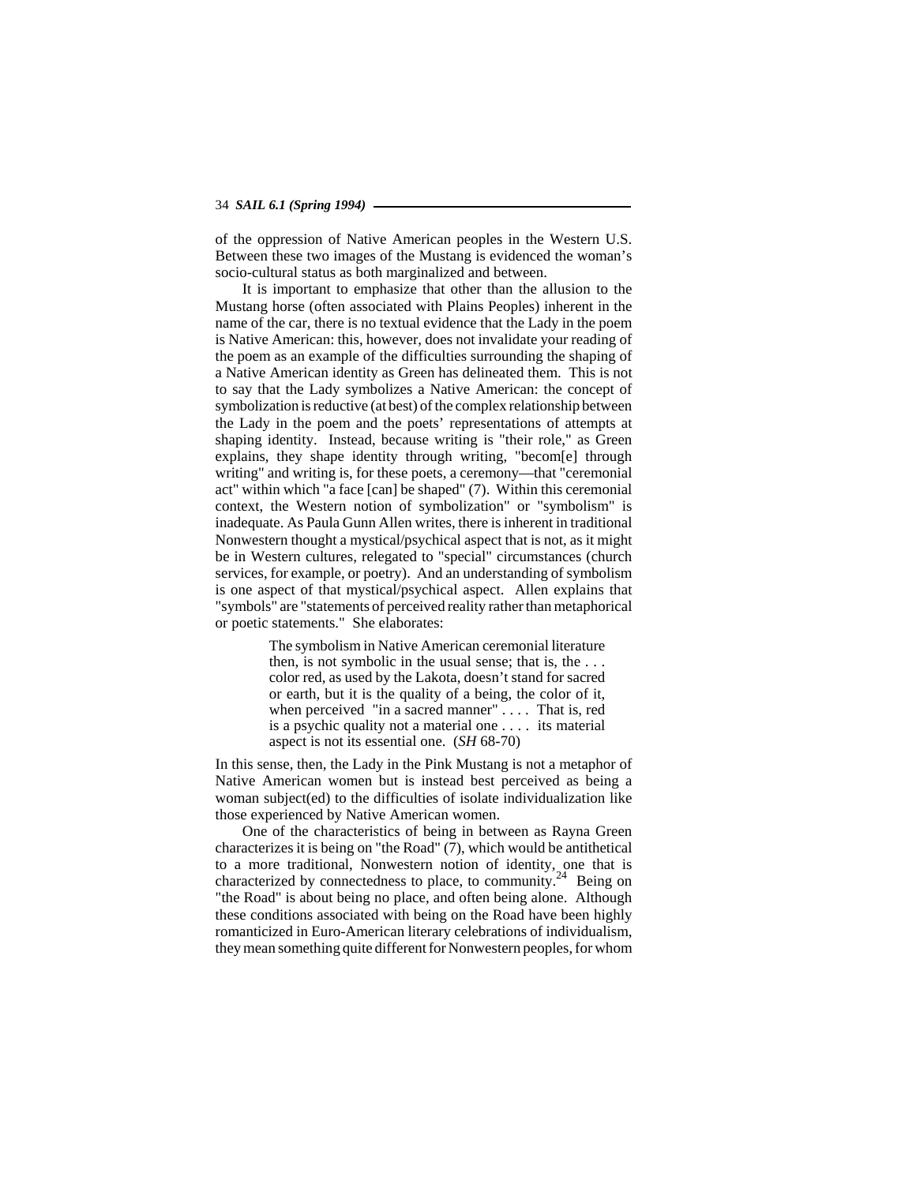of the oppression of Native American peoples in the Western U.S. Between these two images of the Mustang is evidenced the woman's socio-cultural status as both marginalized and between.

It is important to emphasize that other than the allusion to the Mustang horse (often associated with Plains Peoples) inherent in the name of the car, there is no textual evidence that the Lady in the poem is Native American: this, however, does not invalidate your reading of the poem as an example of the difficulties surrounding the shaping of a Native American identity as Green has delineated them. This is not to say that the Lady symbolizes a Native American: the concept of symbolization is reductive (at best) of the complex relationship between the Lady in the poem and the poets' representations of attempts at shaping identity. Instead, because writing is "their role," as Green explains, they shape identity through writing, "becom[e] through writing" and writing is, for these poets, a ceremony—that "ceremonial act" within which "a face [can] be shaped" (7). Within this ceremonial context, the Western notion of symbolization" or "symbolism" is inadequate. As Paula Gunn Allen writes, there is inherent in traditional Nonwestern thought a mystical/psychical aspect that is not, as it might be in Western cultures, relegated to "special" circumstances (church services, for example, or poetry). And an understanding of symbolism is one aspect of that mystical/psychical aspect. Allen explains that "symbols" are "statements of perceived reality rather than metaphorical or poetic statements." She elaborates:

> The symbolism in Native American ceremonial literature then, is not symbolic in the usual sense; that is, the . . . color red, as used by the Lakota, doesn't stand for sacred or earth, but it is the quality of a being, the color of it, when perceived "in a sacred manner" . . . . That is, red is a psychic quality not a material one . . . . its material aspect is not its essential one. (*SH* 68-70)

In this sense, then, the Lady in the Pink Mustang is not a metaphor of Native American women but is instead best perceived as being a woman subject(ed) to the difficulties of isolate individualization like those experienced by Native American women.

One of the characteristics of being in between as Rayna Green characterizes it is being on "the Road"  $(7)$ , which would be antithetical to a more traditional, Nonwestern notion of identity, one that is characterized by connectedness to place, to community.24 Being on "the Road" is about being no place, and often being alone. Although these conditions associated with being on the Road have been highly romanticized in Euro-American literary celebrations of individualism, they mean something quite different for Nonwestern peoples, for whom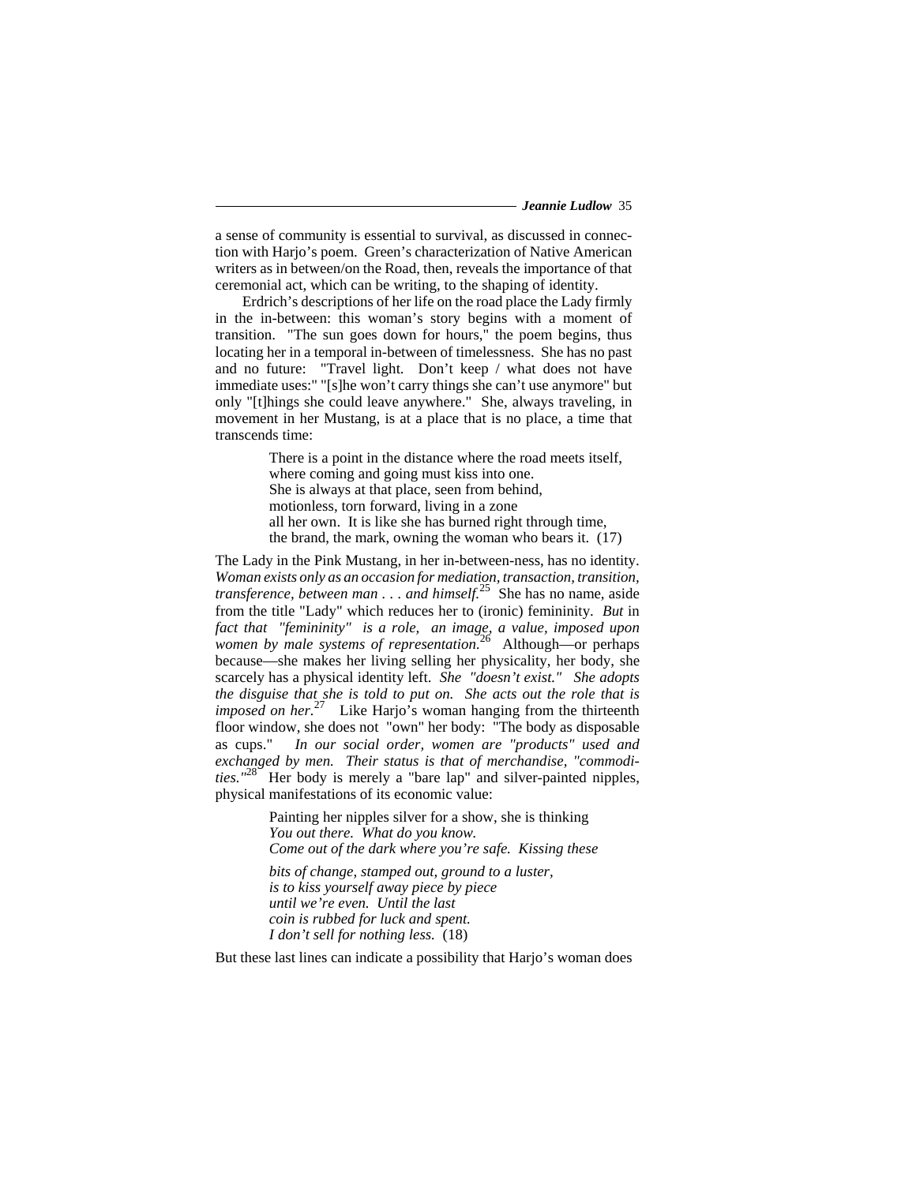a sense of community is essential to survival, as discussed in connection with Harjo's poem. Green's characterization of Native American writers as in between/on the Road, then, reveals the importance of that ceremonial act, which can be writing, to the shaping of identity.

Erdrich's descriptions of her life on the road place the Lady firmly in the in-between: this woman's story begins with a moment of transition. "The sun goes down for hours," the poem begins, thus locating her in a temporal in-between of timelessness. She has no past and no future: "Travel light. Don't keep / what does not have immediate uses:" "[s]he won't carry things she can't use anymore" but only "[t]hings she could leave anywhere." She, always traveling, in movement in her Mustang, is at a place that is no place, a time that transcends time:

> There is a point in the distance where the road meets itself, where coming and going must kiss into one. She is always at that place, seen from behind, motionless, torn forward, living in a zone all her own. It is like she has burned right through time, the brand, the mark, owning the woman who bears it. (17)

The Lady in the Pink Mustang, in her in-between-ness, has no identity. *Woman exists only as an occasion for mediation, transaction, transition, transference, between man . . . and himself.*25 She has no name, aside from the title "Lady" which reduces her to (ironic) femininity. *But* in *fact that "femininity" is a role, an image, a value, imposed upon women by male systems of representation.*26 Although—or perhaps because—she makes her living selling her physicality, her body, she scarcely has a physical identity left. *She "doesn't exist." She adopts the disguise that she is told to put on. She acts out the role that is imposed on her.*27 Like Harjo's woman hanging from the thirteenth floor window, she does not "own" her body: "The body as disposable as cups." *In our social order, women are "products" used and exchanged by men. Their status is that of merchandise, "commodities.*"<sup>28</sup> Her body is merely a "bare lap" and silver-painted nipples, physical manifestations of its economic value:

> Painting her nipples silver for a show, she is thinking *You out there. What do you know. Come out of the dark where you're safe. Kissing these bits of change, stamped out, ground to a luster, is to kiss yourself away piece by piece until we're even. Until the last coin is rubbed for luck and spent. I don't sell for nothing less.* (18)

But these last lines can indicate a possibility that Harjo's woman does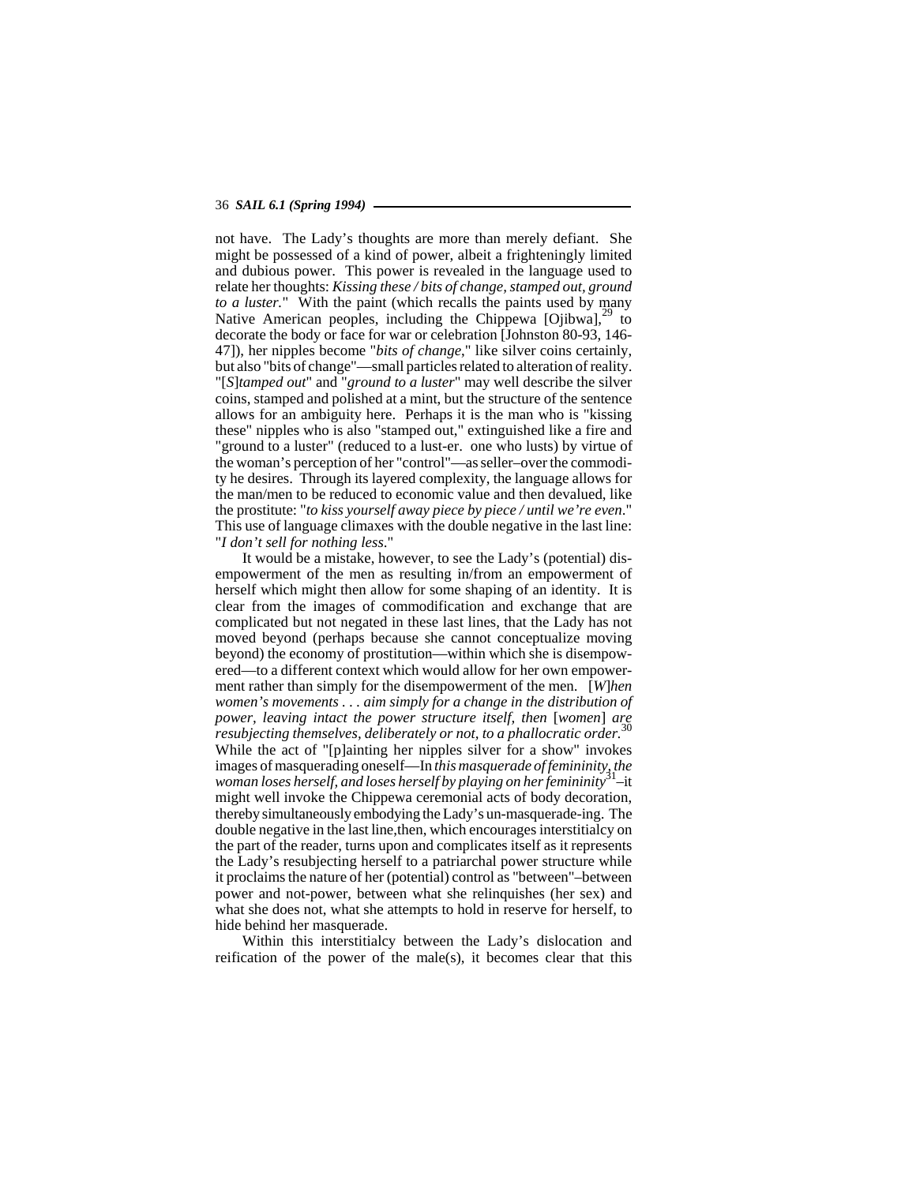not have. The Lady's thoughts are more than merely defiant. She might be possessed of a kind of power, albeit a frighteningly limited and dubious power. This power is revealed in the language used to relate her thoughts: *Kissing these / bits of change, stamped out, ground to a luster.*" With the paint (which recalls the paints used by many Native American peoples, including the Chippewa  $[Ojibwal, <sup>29</sup>]$  to decorate the body or face for war or celebration [Johnston 80-93, 146- 47]), her nipples become "*bits of change*," like silver coins certainly, but also "bits of change"—small particles related to alteration of reality. "[*S*]*tamped out*" and "*ground to a luster*" may well describe the silver coins, stamped and polished at a mint, but the structure of the sentence allows for an ambiguity here. Perhaps it is the man who is "kissing these" nipples who is also "stamped out," extinguished like a fire and "ground to a luster" (reduced to a lust-er. one who lusts) by virtue of the woman's perception of her "control"—as seller–over the commodity he desires. Through its layered complexity, the language allows for the man/men to be reduced to economic value and then devalued, like the prostitute: "*to kiss yourself away piece by piece / until we're even*." This use of language climaxes with the double negative in the last line: "*I don't sell for nothing less*."

It would be a mistake, however, to see the Lady's (potential) disempowerment of the men as resulting in/from an empowerment of herself which might then allow for some shaping of an identity. It is clear from the images of commodification and exchange that are complicated but not negated in these last lines, that the Lady has not moved beyond (perhaps because she cannot conceptualize moving beyond) the economy of prostitution—within which she is disempowered—to a different context which would allow for her own empowerment rather than simply for the disempowerment of the men. [*W*]*hen women's movements . . . aim simply for a change in the distribution of power, leaving intact the power structure itself, then* [*women*] *are resubjecting themselves, deliberately or not, to a phallocratic order.*<sup>30</sup> While the act of "[p]ainting her nipples silver for a show" invokes images of masquerading oneself—In *this masquerade of femininity, the woman loses herself, and loses herself by playing on her femininity*31–it might well invoke the Chippewa ceremonial acts of body decoration, thereby simultaneously embodying the Lady's un-masquerade-ing. The double negative in the last line,then, which encourages interstitialcy on the part of the reader, turns upon and complicates itself as it represents the Lady's resubjecting herself to a patriarchal power structure while it proclaims the nature of her (potential) control as "between"–between power and not-power, between what she relinquishes (her sex) and what she does not, what she attempts to hold in reserve for herself, to hide behind her masquerade.

Within this interstitialcy between the Lady's dislocation and reification of the power of the male(s), it becomes clear that this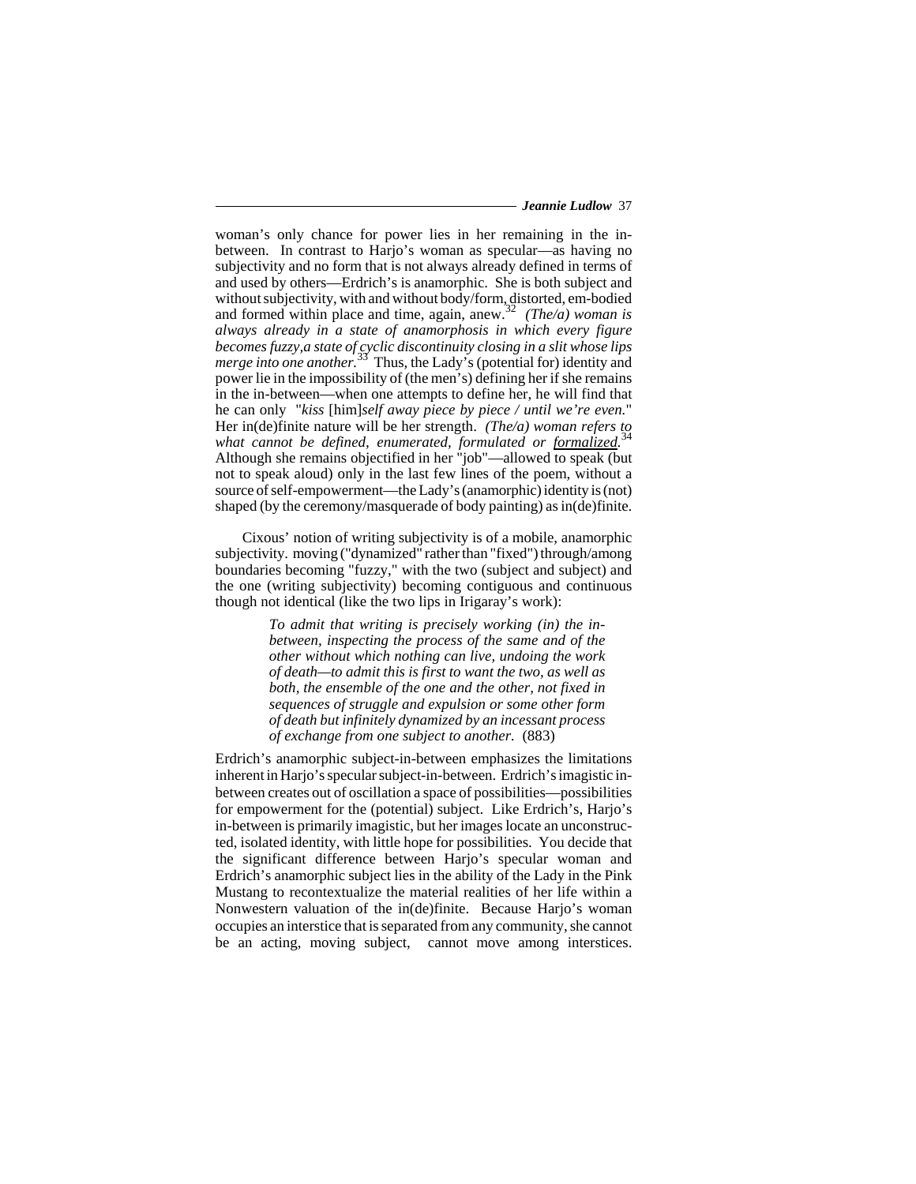woman's only chance for power lies in her remaining in the inbetween. In contrast to Harjo's woman as specular—as having no subjectivity and no form that is not always already defined in terms of and used by others—Erdrich's is anamorphic. She is both subject and without subjectivity, with and without body/form, distorted, em-bodied and formed within place and time, again, anew.<sup>32</sup> *(The/a) woman is always already in a state of anamorphosis in which every figure becomes fuzzy,a state of cyclic discontinuity closing in a slit whose lips merge into one another.*<sup>33</sup> Thus, the Lady's (potential for) identity and power lie in the impossibility of (the men's) defining her if she remains in the in-between—when one attempts to define her, he will find that he can only "*kiss* [him]*self away piece by piece / until we're even.*" Her in(de)finite nature will be her strength. *(The/a) woman refers to* what cannot be defined, enumerated, formulated or <u>formalized.</u><sup>34</sup> Although she remains objectified in her "job"—allowed to speak (but not to speak aloud) only in the last few lines of the poem, without a source of self-empowerment—the Lady's (anamorphic) identity is (not) shaped (by the ceremony/masquerade of body painting) as in(de)finite.

Cixous' notion of writing subjectivity is of a mobile, anamorphic subjectivity. moving ("dynamized" rather than "fixed") through/among boundaries becoming "fuzzy," with the two (subject and subject) and the one (writing subjectivity) becoming contiguous and continuous though not identical (like the two lips in Irigaray's work):

> *To admit that writing is precisely working (in) the inbetween, inspecting the process of the same and of the other without which nothing can live, undoing the work of death—to admit this is first to want the two, as well as both, the ensemble of the one and the other, not fixed in sequences of struggle and expulsion or some other form of death but infinitely dynamized by an incessant process of exchange from one subject to another.* (883)

Erdrich's anamorphic subject-in-between emphasizes the limitations inherent in Harjo's specular subject-in-between. Erdrich's imagistic inbetween creates out of oscillation a space of possibilities—possibilities for empowerment for the (potential) subject. Like Erdrich's, Harjo's in-between is primarily imagistic, but her images locate an unconstructed, isolated identity, with little hope for possibilities. You decide that the significant difference between Harjo's specular woman and Erdrich's anamorphic subject lies in the ability of the Lady in the Pink Mustang to recontextualize the material realities of her life within a Nonwestern valuation of the in(de)finite. Because Harjo's woman occupies an interstice that is separated from any community, she cannot be an acting, moving subject, cannot move among interstices.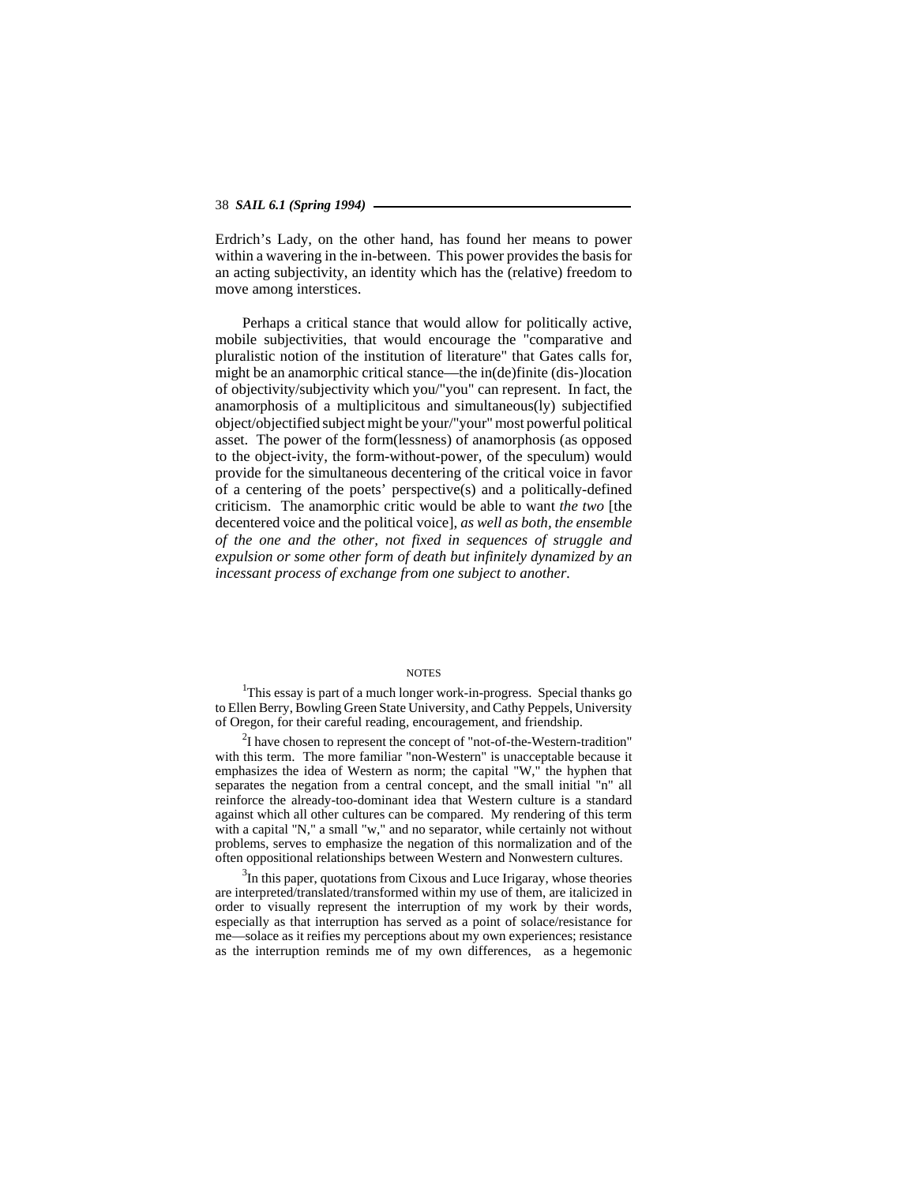Erdrich's Lady, on the other hand, has found her means to power within a wavering in the in-between. This power provides the basis for an acting subjectivity, an identity which has the (relative) freedom to move among interstices.

Perhaps a critical stance that would allow for politically active, mobile subjectivities, that would encourage the "comparative and pluralistic notion of the institution of literature" that Gates calls for, might be an anamorphic critical stance—the in(de)finite (dis-)location of objectivity/subjectivity which you/"you" can represent. In fact, the anamorphosis of a multiplicitous and simultaneous(ly) subjectified object/objectified subject might be your/"your" most powerful political asset. The power of the form(lessness) of anamorphosis (as opposed to the object-ivity, the form-without-power, of the speculum) would provide for the simultaneous decentering of the critical voice in favor of a centering of the poets' perspective(s) and a politically-defined criticism. The anamorphic critic would be able to want *the two* [the decentered voice and the political voice], *as well as both, the ensemble of the one and the other, not fixed in sequences of struggle and expulsion or some other form of death but infinitely dynamized by an incessant process of exchange from one subject to another.*

#### **NOTES**

<sup>1</sup>This essay is part of a much longer work-in-progress. Special thanks go to Ellen Berry, Bowling Green State University, and Cathy Peppels, University of Oregon, for their careful reading, encouragement, and friendship.

 $2$ I have chosen to represent the concept of "not-of-the-Western-tradition" with this term. The more familiar "non-Western" is unacceptable because it emphasizes the idea of Western as norm; the capital "W," the hyphen that separates the negation from a central concept, and the small initial "n" all reinforce the already-too-dominant idea that Western culture is a standard against which all other cultures can be compared. My rendering of this term with a capital "N," a small "w," and no separator, while certainly not without problems, serves to emphasize the negation of this normalization and of the often oppositional relationships between Western and Nonwestern cultures.

 $3$ In this paper, quotations from Cixous and Luce Irigaray, whose theories are interpreted/translated/transformed within my use of them, are italicized in order to visually represent the interruption of my work by their words, especially as that interruption has served as a point of solace/resistance for me—solace as it reifies my perceptions about my own experiences; resistance as the interruption reminds me of my own differences, as a hegemonic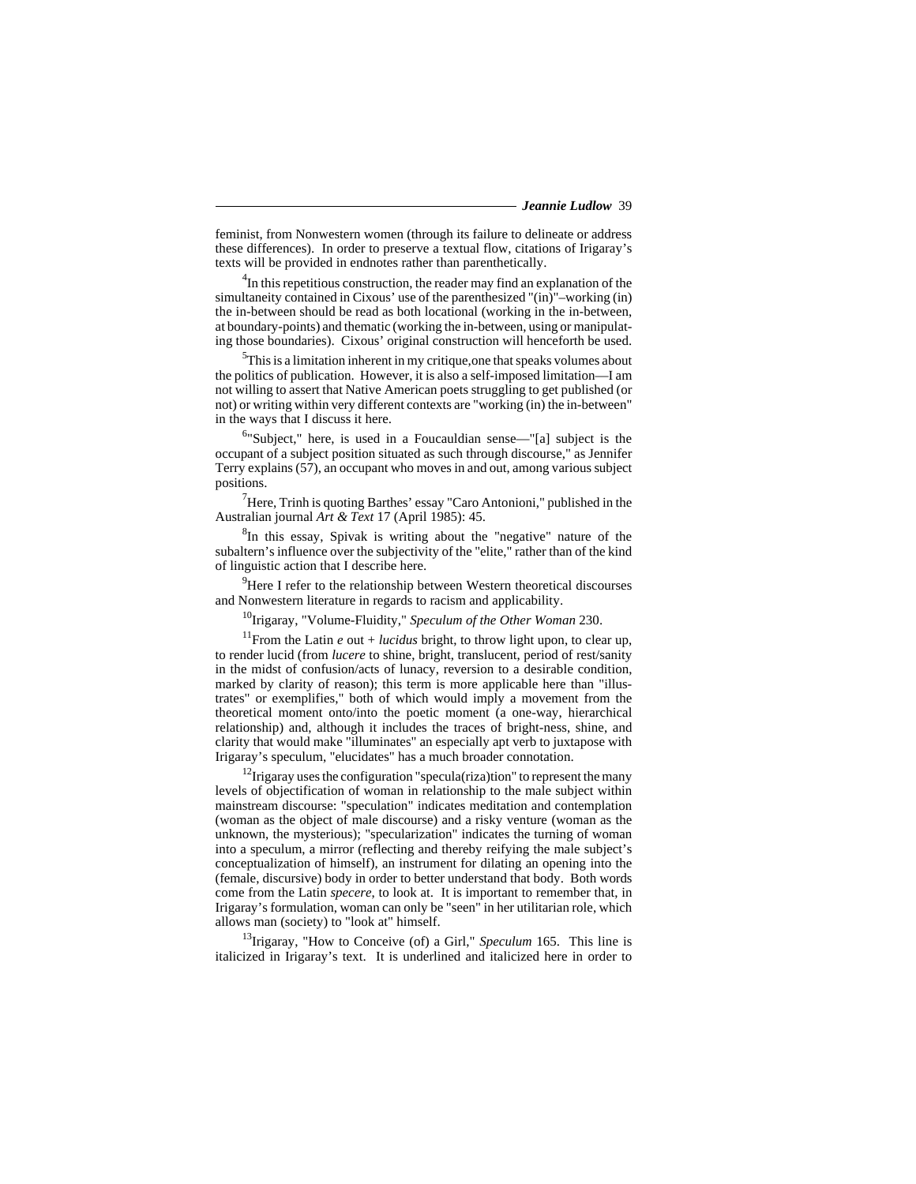feminist, from Nonwestern women (through its failure to delineate or address these differences). In order to preserve a textual flow, citations of Irigaray's texts will be provided in endnotes rather than parenthetically.

 ${}^{4}$ In this repetitious construction, the reader may find an explanation of the simultaneity contained in Cixous' use of the parenthesized "(in)"–working (in) the in-between should be read as both locational (working in the in-between, at boundary-points) and thematic (working the in-between, using or manipulating those boundaries). Cixous' original construction will henceforth be used.

 $5$ This is a limitation inherent in my critique, one that speaks volumes about the politics of publication. However, it is also a self-imposed limitation—I am not willing to assert that Native American poets struggling to get published (or not) or writing within very different contexts are "working (in) the in-between" in the ways that I discuss it here.

 $6$ "Subject," here, is used in a Foucauldian sense—"[a] subject is the occupant of a subject position situated as such through discourse," as Jennifer Terry explains (57), an occupant who moves in and out, among various subject positions.

<sup>7</sup>Here, Trinh is quoting Barthes' essay "Caro Antonioni," published in the Australian journal *Art & Text* 17 (April 1985): 45.

 ${}^{8}$ In this essay, Spivak is writing about the "negative" nature of the subaltern's influence over the subjectivity of the "elite," rather than of the kind of linguistic action that I describe here.

<sup>9</sup>Here I refer to the relationship between Western theoretical discourses and Nonwestern literature in regards to racism and applicability.

<sup>10</sup>Irigaray, "Volume-Fluidity," Speculum of the Other Woman 230.

<sup>11</sup> From the Latin  $e$  out + *lucidus* bright, to throw light upon, to clear up, to render lucid (from *lucere* to shine, bright, translucent, period of rest/sanity in the midst of confusion/acts of lunacy, reversion to a desirable condition, marked by clarity of reason); this term is more applicable here than "illustrates" or exemplifies," both of which would imply a movement from the theoretical moment onto/into the poetic moment (a one-way, hierarchical relationship) and, although it includes the traces of bright-ness, shine, and clarity that would make "illuminates" an especially apt verb to juxtapose with Irigaray's speculum, "elucidates" has a much broader connotation.

 $12$ Irigaray uses the configuration "specula(riza)tion" to represent the many levels of objectification of woman in relationship to the male subject within mainstream discourse: "speculation" indicates meditation and contemplation (woman as the object of male discourse) and a risky venture (woman as the unknown, the mysterious); "specularization" indicates the turning of woman into a speculum, a mirror (reflecting and thereby reifying the male subject's conceptualization of himself), an instrument for dilating an opening into the (female, discursive) body in order to better understand that body. Both words come from the Latin *specere*, to look at. It is important to remember that, in Irigaray's formulation, woman can only be "seen" in her utilitarian role, which allows man (society) to "look at" himself.

<sup>13</sup>Irigaray, "How to Conceive (of) a Girl," *Speculum* 165. This line is italicized in Irigaray's text. It is underlined and italicized here in order to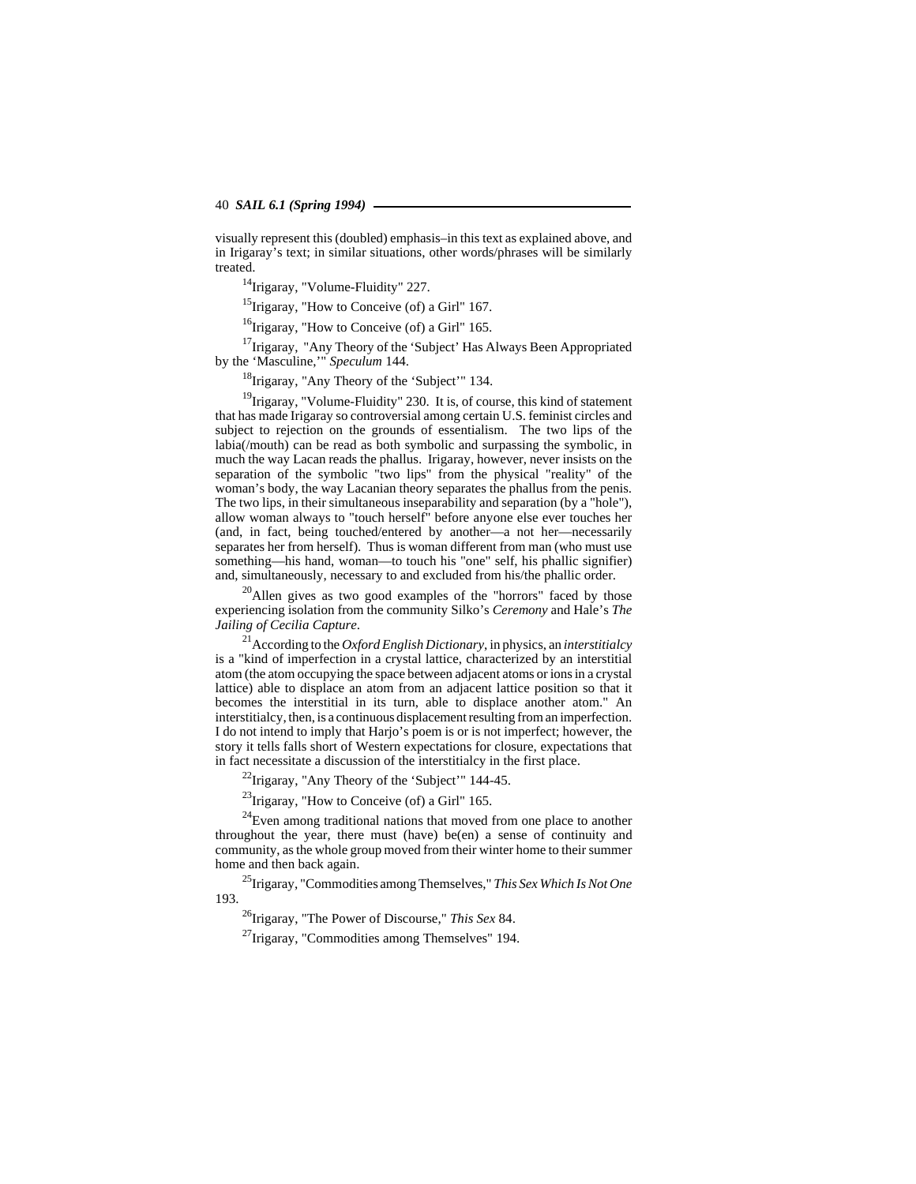visually represent this (doubled) emphasis–in this text as explained above, and in Irigaray's text; in similar situations, other words/phrases will be similarly treated.

<sup>14</sup>Irigaray, "Volume-Fluidity" 227.

 $15$ Irigaray, "How to Conceive (of) a Girl" 167.

<sup>16</sup>Irigaray, "How to Conceive (of) a Girl" 165.

<sup>17</sup>Irigaray, "Any Theory of the 'Subject' Has Always Been Appropriated by the 'Masculine,'" *Speculum* 144.

<sup>18</sup>Irigaray, "Any Theory of the 'Subject'" 134.

 $19$ Irigaray, "Volume-Fluidity" 230. It is, of course, this kind of statement that has made Irigaray so controversial among certain U.S. feminist circles and subject to rejection on the grounds of essentialism. The two lips of the labia(/mouth) can be read as both symbolic and surpassing the symbolic, in much the way Lacan reads the phallus. Irigaray, however, never insists on the separation of the symbolic "two lips" from the physical "reality" of the woman's body, the way Lacanian theory separates the phallus from the penis. The two lips, in their simultaneous inseparability and separation (by a "hole"), allow woman always to "touch herself" before anyone else ever touches her (and, in fact, being touched/entered by another—a not her—necessarily separates her from herself). Thus is woman different from man (who must use something—his hand, woman—to touch his "one" self, his phallic signifier) and, simultaneously, necessary to and excluded from his/the phallic order.

<sup>20</sup>Allen gives as two good examples of the "horrors" faced by those experiencing isolation from the community Silko's *Ceremony* and Hale's *The Jailing of Cecilia Capture*.

21According to the *Oxford English Dictionary*, in physics, an *interstitialcy* is a "kind of imperfection in a crystal lattice, characterized by an interstitial atom (the atom occupying the space between adjacent atoms or ions in a crystal lattice) able to displace an atom from an adjacent lattice position so that it becomes the interstitial in its turn, able to displace another atom." An interstitialcy, then, is a continuous displacement resulting from an imperfection. I do not intend to imply that Harjo's poem is or is not imperfect; however, the story it tells falls short of Western expectations for closure, expectations that in fact necessitate a discussion of the interstitialcy in the first place.

 $^{22}$ Irigaray, "Any Theory of the 'Subject'" 144-45.

 $^{23}$ Irigaray, "How to Conceive (of) a Girl" 165.

 $24$ Even among traditional nations that moved from one place to another throughout the year, there must (have) be(en) a sense of continuity and community, as the whole group moved from their winter home to their summer home and then back again.

25Irigaray, "Commodities among Themselves," *This Sex Which Is Not One* 193.

<sup>26</sup>Irigaray, "The Power of Discourse," *This Sex* 84.

 $^{27}$ Irigaray, "Commodities among Themselves" 194.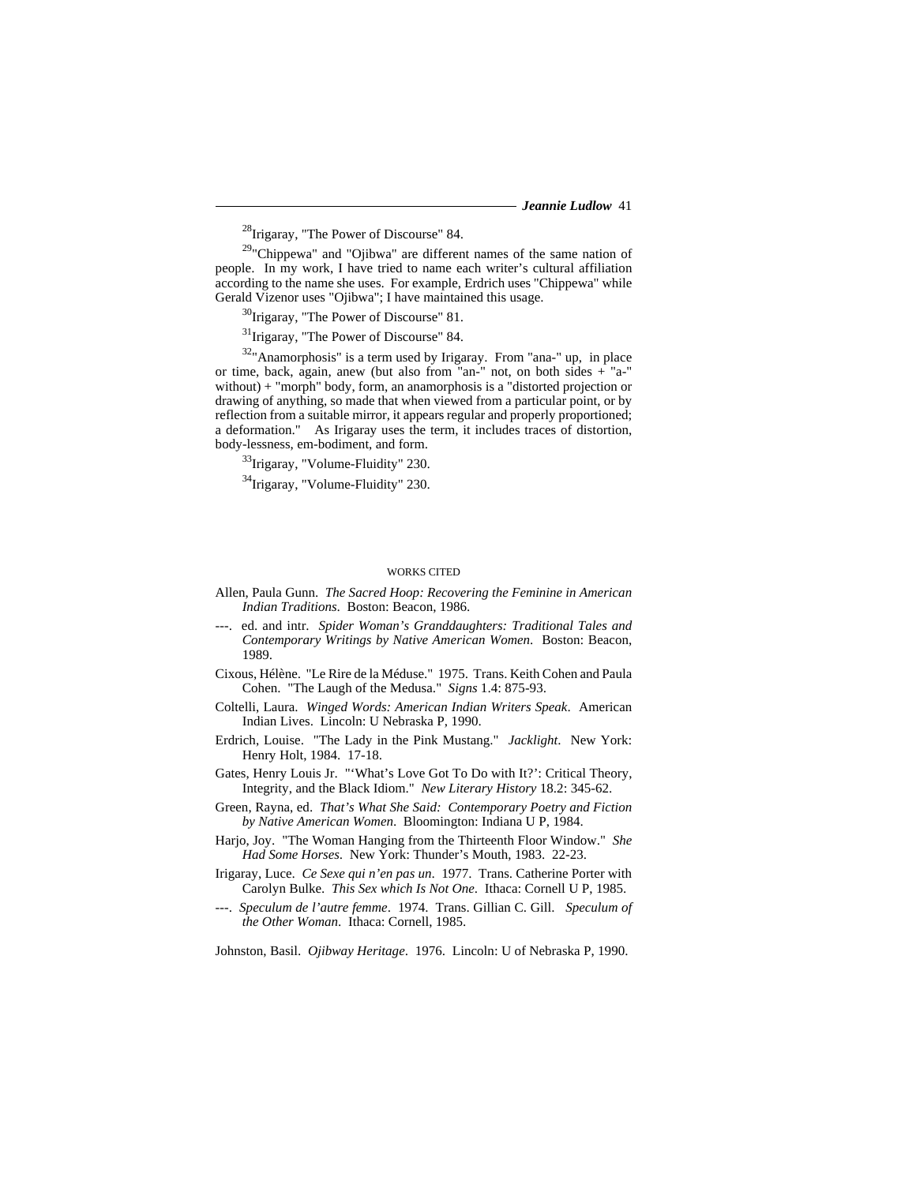<sup>28</sup>Irigaray, "The Power of Discourse" 84.

29"Chippewa" and "Ojibwa" are different names of the same nation of people. In my work, I have tried to name each writer's cultural affiliation according to the name she uses. For example, Erdrich uses "Chippewa" while Gerald Vizenor uses "Ojibwa"; I have maintained this usage.

 $^{30}$ Irigaray, "The Power of Discourse" 81.

<sup>31</sup>Irigaray, "The Power of Discourse" 84.

 $32<sup>n</sup>$ Anamorphosis" is a term used by Irigaray. From "ana-" up, in place or time, back, again, anew (but also from "an-" not, on both sides  $+$  "a-" without) + "morph" body, form, an anamorphosis is a "distorted projection or drawing of anything, so made that when viewed from a particular point, or by reflection from a suitable mirror, it appears regular and properly proportioned; a deformation." As Irigaray uses the term, it includes traces of distortion, body-lessness, em-bodiment, and form.

33Irigaray, "Volume-Fluidity" 230.

<sup>34</sup>Irigaray, "Volume-Fluidity" 230.

#### WORKS CITED

- Allen, Paula Gunn. *The Sacred Hoop: Recovering the Feminine in American Indian Traditions*. Boston: Beacon, 1986.
- ---. ed. and intr. *Spider Woman's Granddaughters: Traditional Tales and Contemporary Writings by Native American Women*. Boston: Beacon, 1989.
- Cixous, Hélène. "Le Rire de la Méduse." 1975. Trans. Keith Cohen and Paula Cohen. "The Laugh of the Medusa." *Signs* 1.4: 875-93.
- Coltelli, Laura. *Winged Words: American Indian Writers Speak*. American Indian Lives. Lincoln: U Nebraska P, 1990.
- Erdrich, Louise. "The Lady in the Pink Mustang." *Jacklight*. New York: Henry Holt, 1984. 17-18.
- Gates, Henry Louis Jr. "'What's Love Got To Do with It?': Critical Theory, Integrity, and the Black Idiom." *New Literary History* 18.2: 345-62.
- Green, Rayna, ed. *That's What She Said: Contemporary Poetry and Fiction by Native American Women*. Bloomington: Indiana U P, 1984.
- Harjo, Joy. "The Woman Hanging from the Thirteenth Floor Window." *She Had Some Horses*. New York: Thunder's Mouth, 1983. 22-23.
- Irigaray, Luce. *Ce Sexe qui n'en pas un*. 1977. Trans. Catherine Porter with Carolyn Bulke. *This Sex which Is Not One*. Ithaca: Cornell U P, 1985.
- ---. *Speculum de l'autre femme*. 1974. Trans. Gillian C. Gill. *Speculum of the Other Woman*. Ithaca: Cornell, 1985.

Johnston, Basil. *Ojibway Heritage*. 1976. Lincoln: U of Nebraska P, 1990.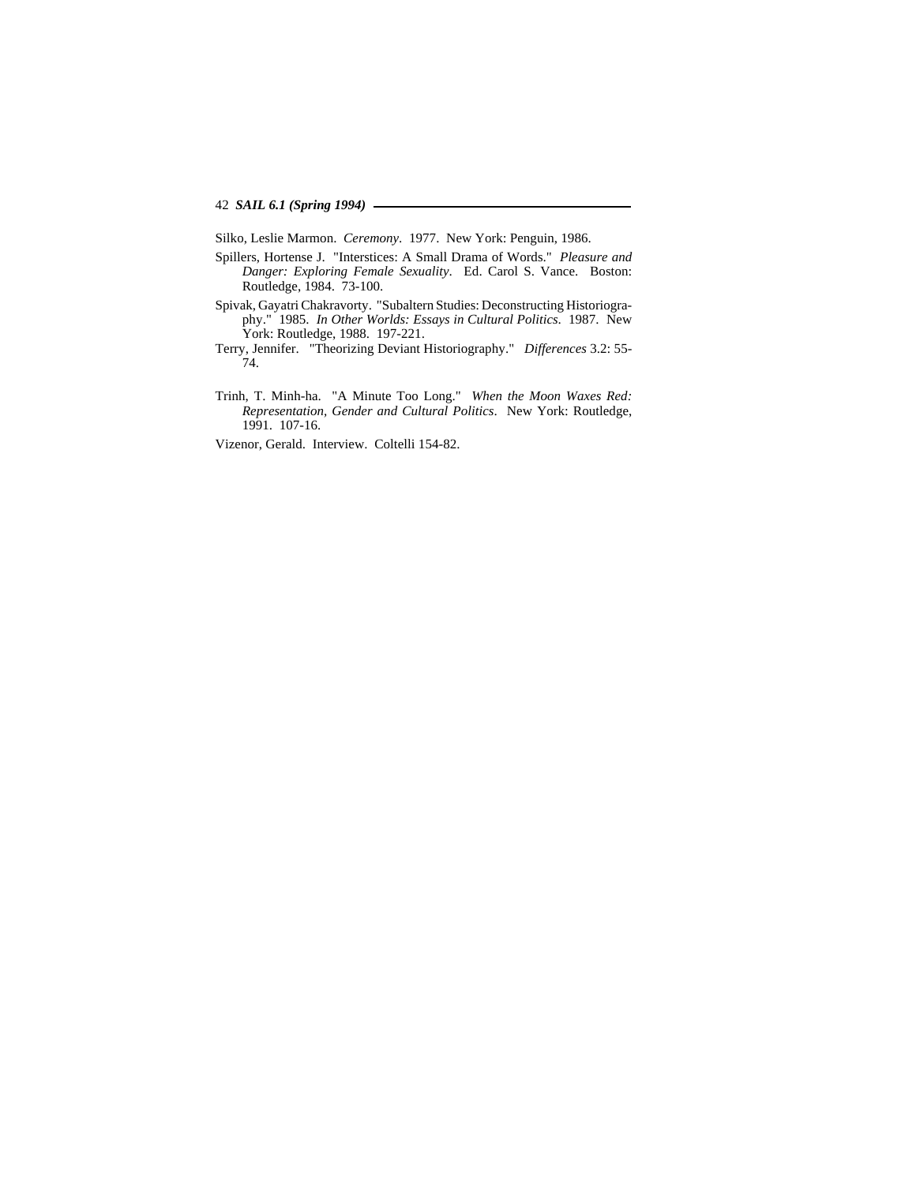Silko, Leslie Marmon. *Ceremony*. 1977. New York: Penguin, 1986.

- Spillers, Hortense J. "Interstices: A Small Drama of Words." *Pleasure and Danger: Exploring Female Sexuality*. Ed. Carol S. Vance. Boston: Routledge, 1984. 73-100.
- Spivak, Gayatri Chakravorty. "Subaltern Studies: Deconstructing Historiography." 1985. *In Other Worlds: Essays in Cultural Politics*. 1987. New York: Routledge, 1988. 197-221.
- Terry, Jennifer. "Theorizing Deviant Historiography." *Differences* 3.2: 55- 74.
- Trinh, T. Minh-ha. "A Minute Too Long." *When the Moon Waxes Red: Representation, Gender and Cultural Politics*. New York: Routledge, 1991. 107-16.

Vizenor, Gerald. Interview. Coltelli 154-82.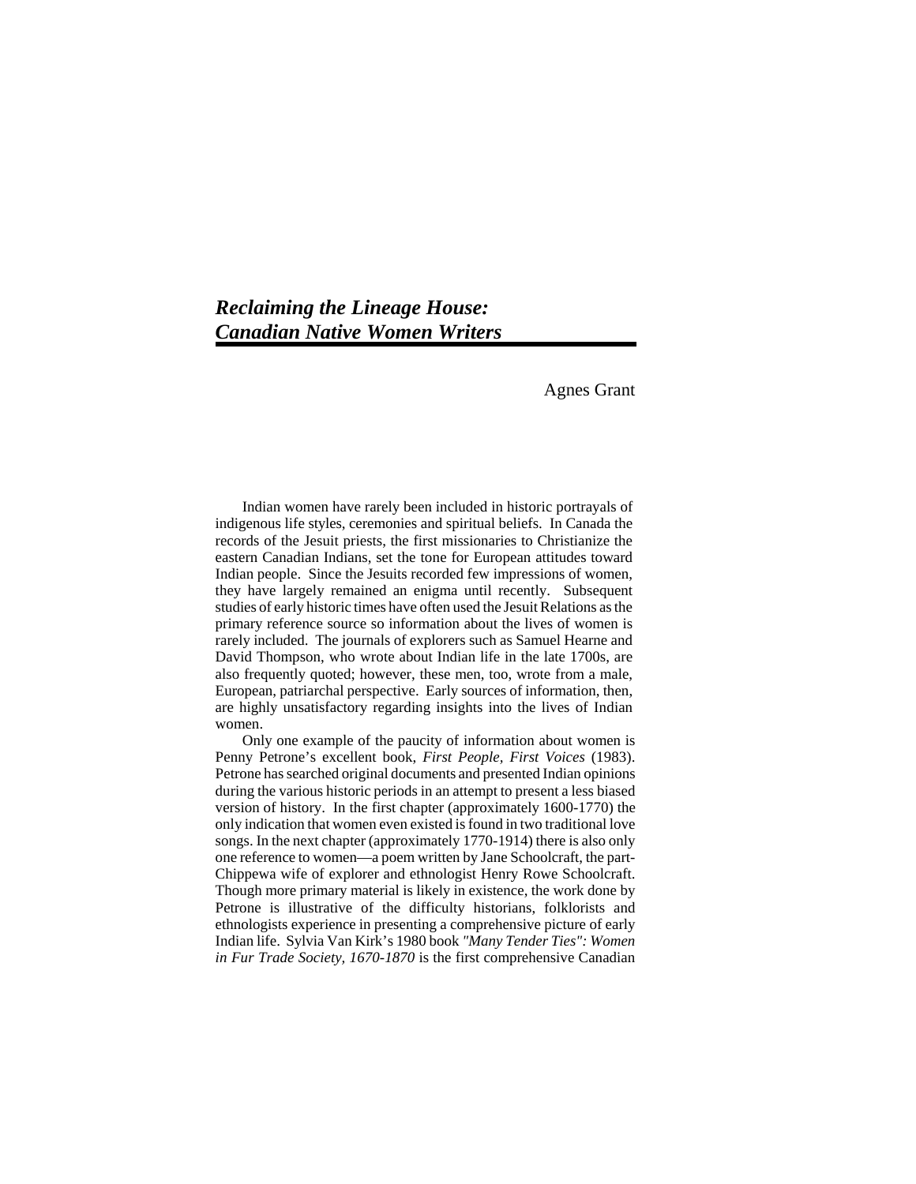# *Reclaiming the Lineage House: Canadian Native Women Writers*

# Agnes Grant

Indian women have rarely been included in historic portrayals of indigenous life styles, ceremonies and spiritual beliefs. In Canada the records of the Jesuit priests, the first missionaries to Christianize the eastern Canadian Indians, set the tone for European attitudes toward Indian people. Since the Jesuits recorded few impressions of women, they have largely remained an enigma until recently. Subsequent studies of early historic times have often used the Jesuit Relations as the primary reference source so information about the lives of women is rarely included. The journals of explorers such as Samuel Hearne and David Thompson, who wrote about Indian life in the late 1700s, are also frequently quoted; however, these men, too, wrote from a male, European, patriarchal perspective. Early sources of information, then, are highly unsatisfactory regarding insights into the lives of Indian women.

Only one example of the paucity of information about women is Penny Petrone's excellent book, *First People, First Voices* (1983). Petrone has searched original documents and presented Indian opinions during the various historic periods in an attempt to present a less biased version of history. In the first chapter (approximately 1600-1770) the only indication that women even existed is found in two traditional love songs. In the next chapter (approximately 1770-1914) there is also only one reference to women—a poem written by Jane Schoolcraft, the part-Chippewa wife of explorer and ethnologist Henry Rowe Schoolcraft. Though more primary material is likely in existence, the work done by Petrone is illustrative of the difficulty historians, folklorists and ethnologists experience in presenting a comprehensive picture of early Indian life. Sylvia Van Kirk's 1980 book *"Many Tender Ties": Women in Fur Trade Society, 1670-1870* is the first comprehensive Canadian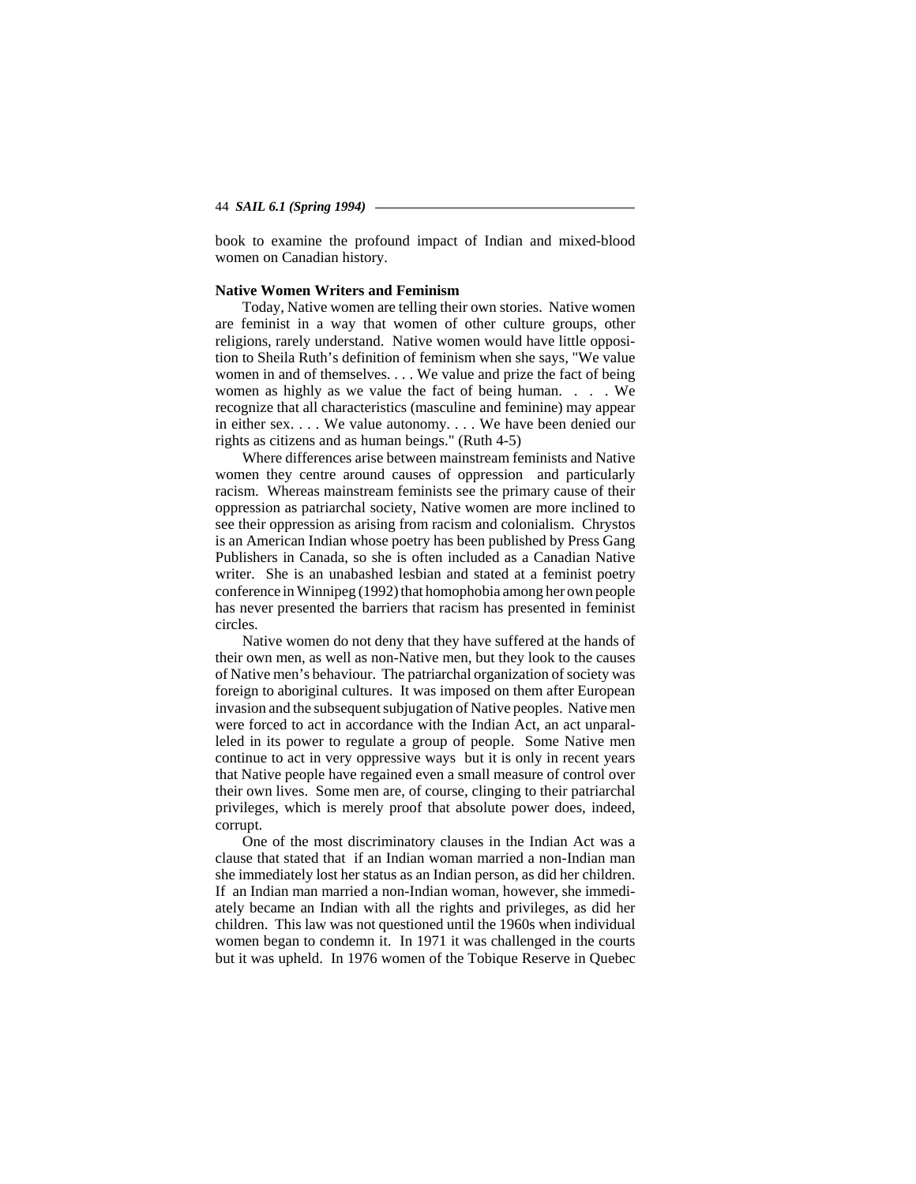book to examine the profound impact of Indian and mixed-blood women on Canadian history.

#### **Native Women Writers and Feminism**

Today, Native women are telling their own stories. Native women are feminist in a way that women of other culture groups, other religions, rarely understand. Native women would have little opposition to Sheila Ruth's definition of feminism when she says, "We value women in and of themselves. . . . We value and prize the fact of being women as highly as we value the fact of being human. . . . We recognize that all characteristics (masculine and feminine) may appear in either sex. . . . We value autonomy. . . . We have been denied our rights as citizens and as human beings." (Ruth 4-5)

Where differences arise between mainstream feminists and Native women they centre around causes of oppression and particularly racism. Whereas mainstream feminists see the primary cause of their oppression as patriarchal society, Native women are more inclined to see their oppression as arising from racism and colonialism. Chrystos is an American Indian whose poetry has been published by Press Gang Publishers in Canada, so she is often included as a Canadian Native writer. She is an unabashed lesbian and stated at a feminist poetry conference in Winnipeg (1992) that homophobia among her own people has never presented the barriers that racism has presented in feminist circles.

Native women do not deny that they have suffered at the hands of their own men, as well as non-Native men, but they look to the causes of Native men's behaviour. The patriarchal organization of society was foreign to aboriginal cultures. It was imposed on them after European invasion and the subsequent subjugation of Native peoples. Native men were forced to act in accordance with the Indian Act, an act unparalleled in its power to regulate a group of people. Some Native men continue to act in very oppressive ways but it is only in recent years that Native people have regained even a small measure of control over their own lives. Some men are, of course, clinging to their patriarchal privileges, which is merely proof that absolute power does, indeed, corrupt.

One of the most discriminatory clauses in the Indian Act was a clause that stated that if an Indian woman married a non-Indian man she immediately lost her status as an Indian person, as did her children. If an Indian man married a non-Indian woman, however, she immediately became an Indian with all the rights and privileges, as did her children. This law was not questioned until the 1960s when individual women began to condemn it. In 1971 it was challenged in the courts but it was upheld. In 1976 women of the Tobique Reserve in Quebec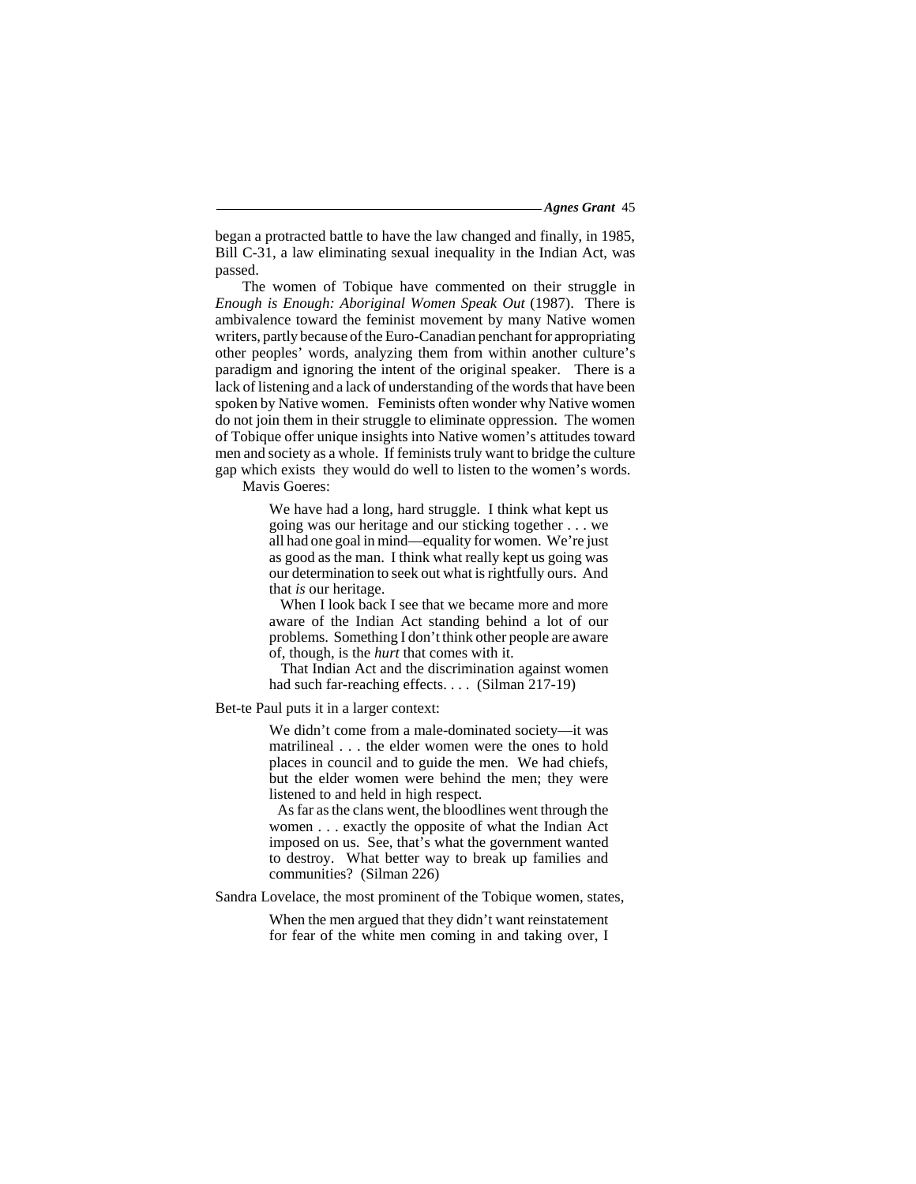began a protracted battle to have the law changed and finally, in 1985, Bill C-31, a law eliminating sexual inequality in the Indian Act, was passed.

The women of Tobique have commented on their struggle in *Enough is Enough: Aboriginal Women Speak Out* (1987). There is ambivalence toward the feminist movement by many Native women writers, partly because of the Euro-Canadian penchant for appropriating other peoples' words, analyzing them from within another culture's paradigm and ignoring the intent of the original speaker. There is a lack of listening and a lack of understanding of the words that have been spoken by Native women. Feminists often wonder why Native women do not join them in their struggle to eliminate oppression. The women of Tobique offer unique insights into Native women's attitudes toward men and society as a whole. If feminists truly want to bridge the culture gap which exists they would do well to listen to the women's words.

Mavis Goeres:

We have had a long, hard struggle. I think what kept us going was our heritage and our sticking together . . . we all had one goal in mind—equality for women. We're just as good as the man. I think what really kept us going was our determination to seek out what is rightfully ours. And that *is* our heritage.

 When I look back I see that we became more and more aware of the Indian Act standing behind a lot of our problems. Something I don't think other people are aware of, though, is the *hurt* that comes with it.

 That Indian Act and the discrimination against women had such far-reaching effects. . . . (Silman 217-19)

Bet-te Paul puts it in a larger context:

We didn't come from a male-dominated society—it was matrilineal . . . the elder women were the ones to hold places in council and to guide the men. We had chiefs, but the elder women were behind the men; they were listened to and held in high respect.

 As far as the clans went, the bloodlines went through the women . . . exactly the opposite of what the Indian Act imposed on us. See, that's what the government wanted to destroy. What better way to break up families and communities? (Silman 226)

Sandra Lovelace, the most prominent of the Tobique women, states,

When the men argued that they didn't want reinstatement for fear of the white men coming in and taking over, I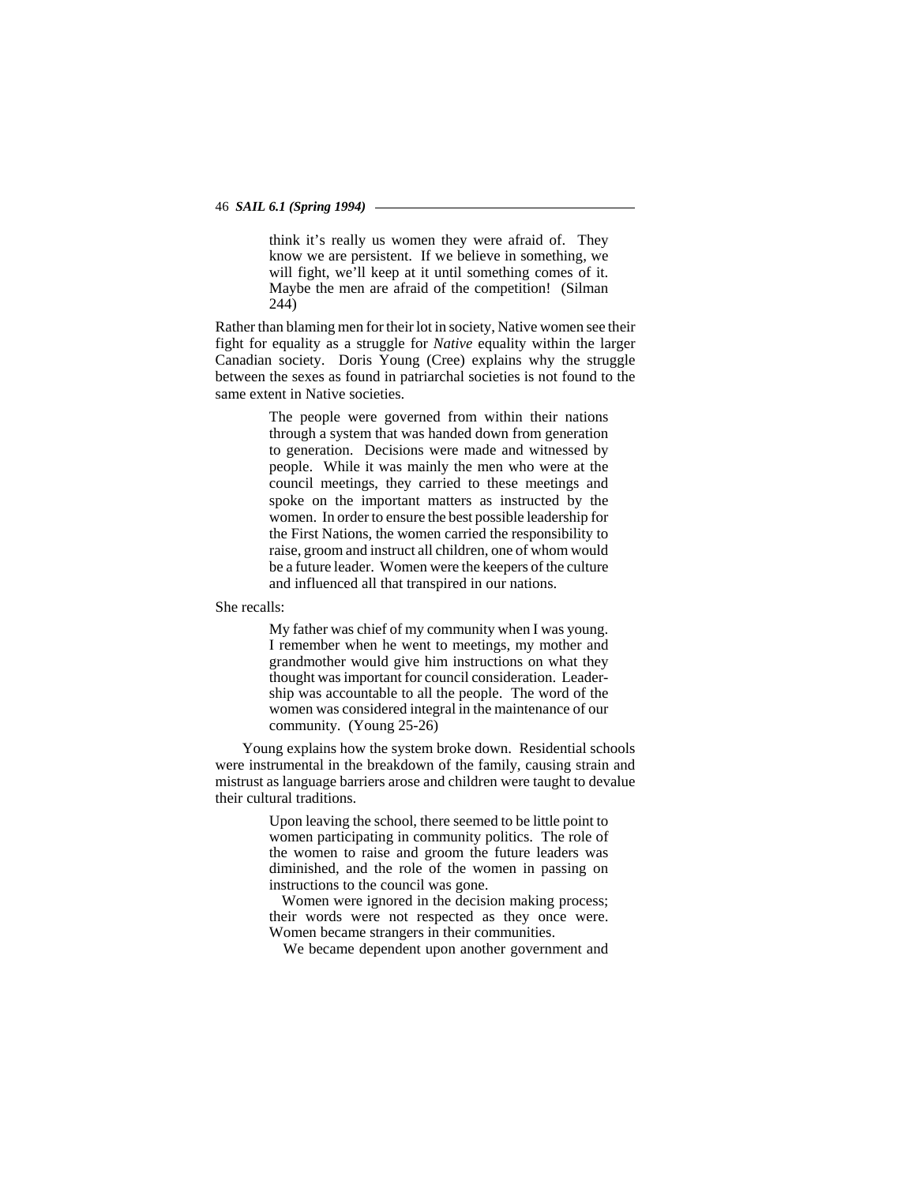think it's really us women they were afraid of. They know we are persistent. If we believe in something, we will fight, we'll keep at it until something comes of it. Maybe the men are afraid of the competition! (Silman 244)

Rather than blaming men for their lot in society, Native women see their fight for equality as a struggle for *Native* equality within the larger Canadian society. Doris Young (Cree) explains why the struggle between the sexes as found in patriarchal societies is not found to the same extent in Native societies.

> The people were governed from within their nations through a system that was handed down from generation to generation. Decisions were made and witnessed by people. While it was mainly the men who were at the council meetings, they carried to these meetings and spoke on the important matters as instructed by the women. In order to ensure the best possible leadership for the First Nations, the women carried the responsibility to raise, groom and instruct all children, one of whom would be a future leader. Women were the keepers of the culture and influenced all that transpired in our nations.

She recalls:

My father was chief of my community when I was young. I remember when he went to meetings, my mother and grandmother would give him instructions on what they thought was important for council consideration. Leadership was accountable to all the people. The word of the women was considered integral in the maintenance of our community. (Young 25-26)

Young explains how the system broke down. Residential schools were instrumental in the breakdown of the family, causing strain and mistrust as language barriers arose and children were taught to devalue their cultural traditions.

> Upon leaving the school, there seemed to be little point to women participating in community politics. The role of the women to raise and groom the future leaders was diminished, and the role of the women in passing on instructions to the council was gone.

> Women were ignored in the decision making process; their words were not respected as they once were. Women became strangers in their communities.

We became dependent upon another government and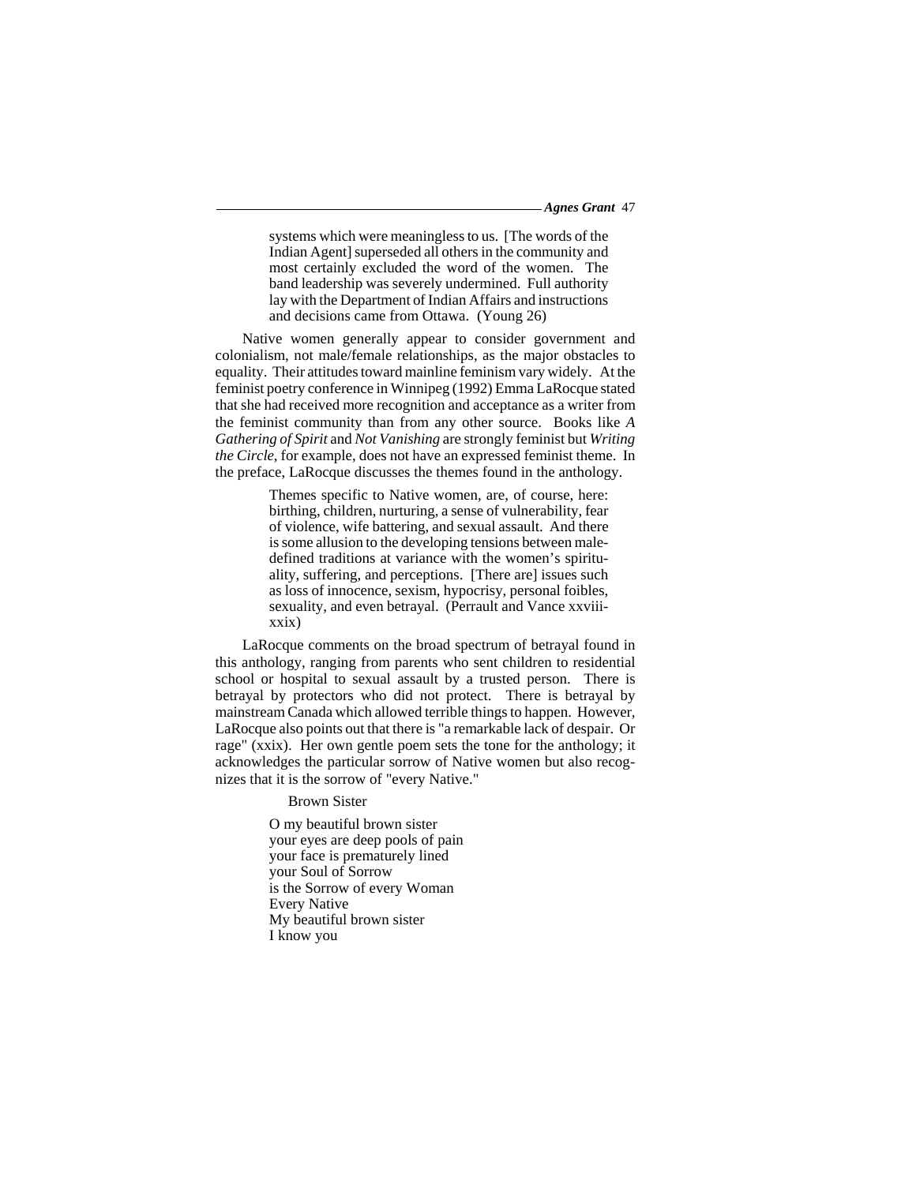#### *Agnes Grant* 47

systems which were meaningless to us. [The words of the Indian Agent] superseded all others in the community and most certainly excluded the word of the women. The band leadership was severely undermined. Full authority lay with the Department of Indian Affairs and instructions and decisions came from Ottawa. (Young 26)

Native women generally appear to consider government and colonialism, not male/female relationships, as the major obstacles to equality. Their attitudes toward mainline feminism vary widely. At the feminist poetry conference in Winnipeg (1992) Emma LaRocque stated that she had received more recognition and acceptance as a writer from the feminist community than from any other source. Books like *A Gathering of Spirit* and *Not Vanishing* are strongly feminist but *Writing the Circle*, for example, does not have an expressed feminist theme. In the preface, LaRocque discusses the themes found in the anthology.

> Themes specific to Native women, are, of course, here: birthing, children, nurturing, a sense of vulnerability, fear of violence, wife battering, and sexual assault. And there is some allusion to the developing tensions between maledefined traditions at variance with the women's spirituality, suffering, and perceptions. [There are] issues such as loss of innocence, sexism, hypocrisy, personal foibles, sexuality, and even betrayal. (Perrault and Vance xxviiixxix)

LaRocque comments on the broad spectrum of betrayal found in this anthology, ranging from parents who sent children to residential school or hospital to sexual assault by a trusted person. There is betrayal by protectors who did not protect. There is betrayal by mainstream Canada which allowed terrible things to happen. However, LaRocque also points out that there is "a remarkable lack of despair. Or rage" (xxix). Her own gentle poem sets the tone for the anthology; it acknowledges the particular sorrow of Native women but also recognizes that it is the sorrow of "every Native."

Brown Sister

O my beautiful brown sister your eyes are deep pools of pain your face is prematurely lined your Soul of Sorrow is the Sorrow of every Woman Every Native My beautiful brown sister I know you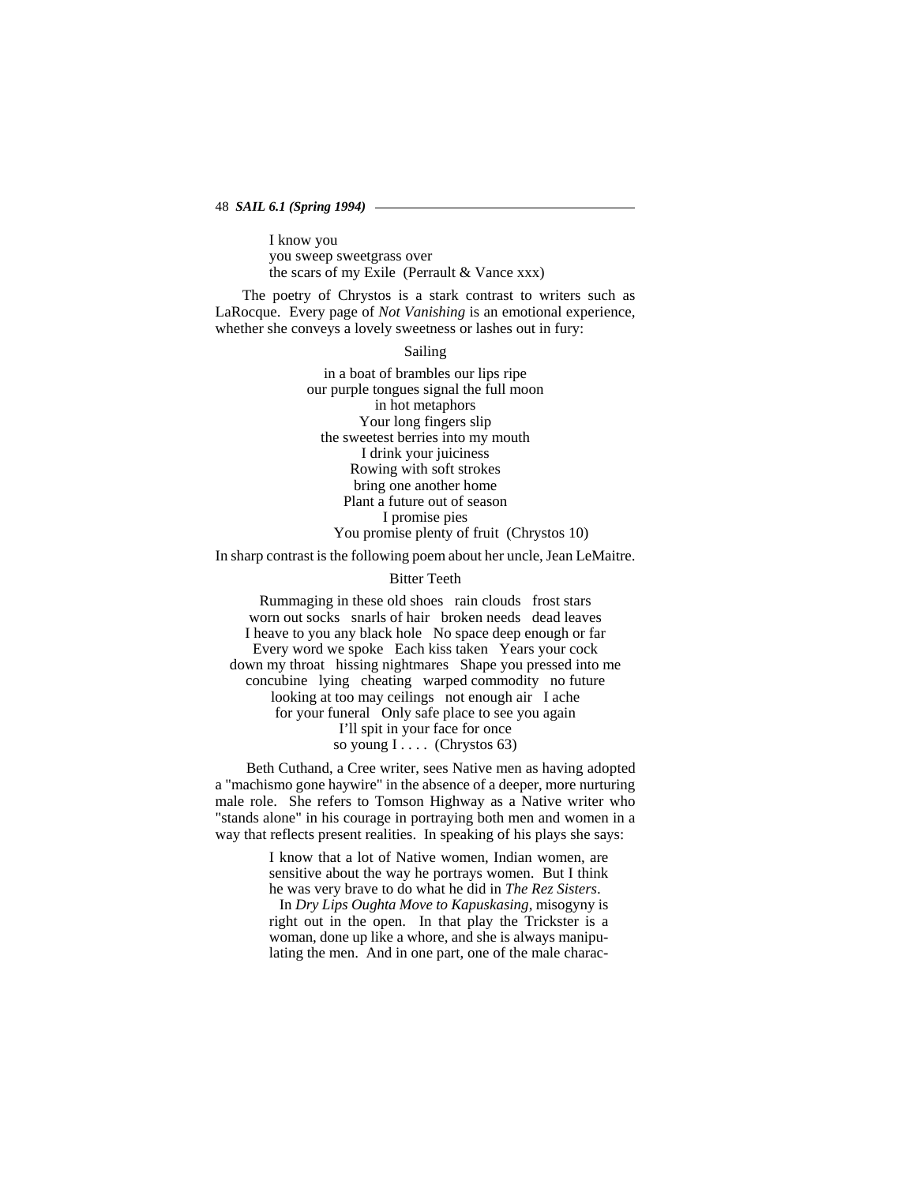I know you you sweep sweetgrass over the scars of my Exile (Perrault & Vance xxx)

The poetry of Chrystos is a stark contrast to writers such as LaRocque. Every page of *Not Vanishing* is an emotional experience, whether she conveys a lovely sweetness or lashes out in fury:

#### Sailing

in a boat of brambles our lips ripe our purple tongues signal the full moon in hot metaphors Your long fingers slip the sweetest berries into my mouth I drink your juiciness Rowing with soft strokes bring one another home Plant a future out of season I promise pies You promise plenty of fruit (Chrystos 10)

In sharp contrast is the following poem about her uncle, Jean LeMaitre.

#### Bitter Teeth

Rummaging in these old shoes rain clouds frost stars worn out socks snarls of hair broken needs dead leaves I heave to you any black hole No space deep enough or far Every word we spoke Each kiss taken Years your cock down my throat hissing nightmares Shape you pressed into me concubine lying cheating warped commodity no future looking at too may ceilings not enough air I ache for your funeral Only safe place to see you again I'll spit in your face for once so young I . . . . (Chrystos 63)

 Beth Cuthand, a Cree writer, sees Native men as having adopted a "machismo gone haywire" in the absence of a deeper, more nurturing male role. She refers to Tomson Highway as a Native writer who "stands alone" in his courage in portraying both men and women in a way that reflects present realities. In speaking of his plays she says:

> I know that a lot of Native women, Indian women, are sensitive about the way he portrays women. But I think he was very brave to do what he did in *The Rez Sisters*.

> In *Dry Lips Oughta Move to Kapuskasing*, misogyny is right out in the open. In that play the Trickster is a woman, done up like a whore, and she is always manipulating the men. And in one part, one of the male charac-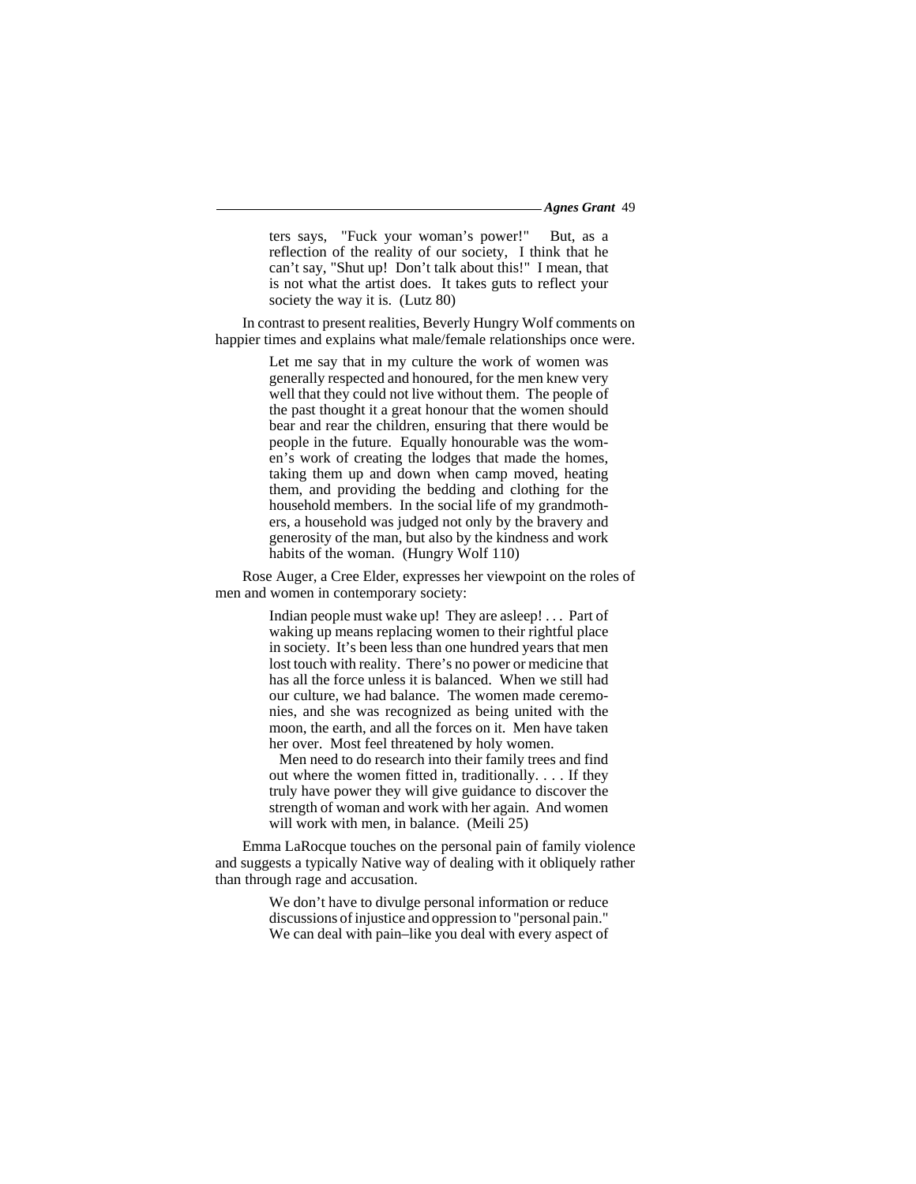*Agnes Grant* 49

ters says, "Fuck your woman's power!" But, as a reflection of the reality of our society, I think that he can't say, "Shut up! Don't talk about this!" I mean, that is not what the artist does. It takes guts to reflect your society the way it is. (Lutz 80)

In contrast to present realities, Beverly Hungry Wolf comments on happier times and explains what male/female relationships once were.

> Let me say that in my culture the work of women was generally respected and honoured, for the men knew very well that they could not live without them. The people of the past thought it a great honour that the women should bear and rear the children, ensuring that there would be people in the future. Equally honourable was the women's work of creating the lodges that made the homes, taking them up and down when camp moved, heating them, and providing the bedding and clothing for the household members. In the social life of my grandmothers, a household was judged not only by the bravery and generosity of the man, but also by the kindness and work habits of the woman. (Hungry Wolf 110)

Rose Auger, a Cree Elder, expresses her viewpoint on the roles of men and women in contemporary society:

> Indian people must wake up! They are asleep! . . . Part of waking up means replacing women to their rightful place in society. It's been less than one hundred years that men lost touch with reality. There's no power or medicine that has all the force unless it is balanced. When we still had our culture, we had balance. The women made ceremonies, and she was recognized as being united with the moon, the earth, and all the forces on it. Men have taken her over. Most feel threatened by holy women.

> Men need to do research into their family trees and find out where the women fitted in, traditionally. . . . If they truly have power they will give guidance to discover the strength of woman and work with her again. And women will work with men, in balance. (Meili 25)

Emma LaRocque touches on the personal pain of family violence and suggests a typically Native way of dealing with it obliquely rather than through rage and accusation.

> We don't have to divulge personal information or reduce discussions of injustice and oppression to "personal pain." We can deal with pain–like you deal with every aspect of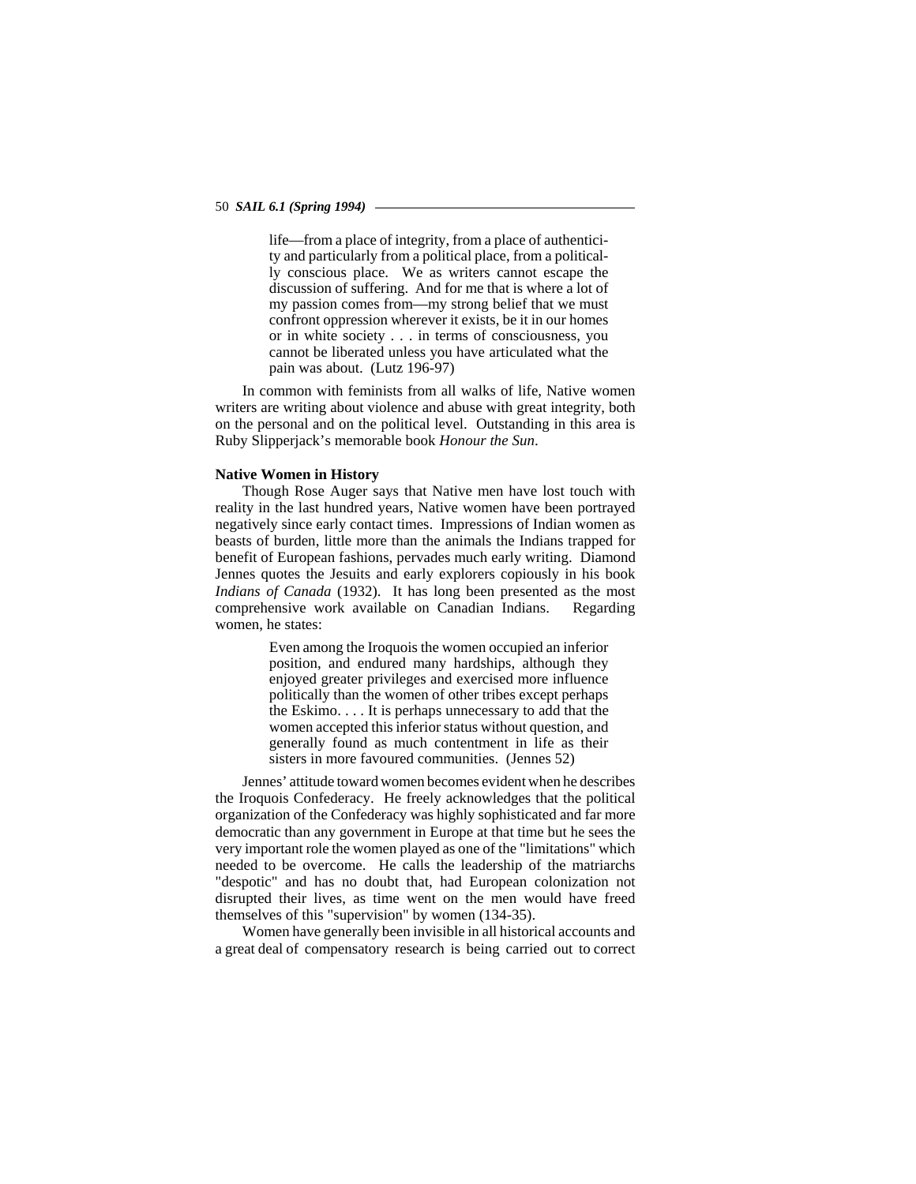life—from a place of integrity, from a place of authenticity and particularly from a political place, from a politically conscious place. We as writers cannot escape the discussion of suffering. And for me that is where a lot of my passion comes from—my strong belief that we must confront oppression wherever it exists, be it in our homes or in white society . . . in terms of consciousness, you cannot be liberated unless you have articulated what the pain was about. (Lutz 196-97)

In common with feminists from all walks of life, Native women writers are writing about violence and abuse with great integrity, both on the personal and on the political level. Outstanding in this area is Ruby Slipperjack's memorable book *Honour the Sun*.

#### **Native Women in History**

Though Rose Auger says that Native men have lost touch with reality in the last hundred years, Native women have been portrayed negatively since early contact times. Impressions of Indian women as beasts of burden, little more than the animals the Indians trapped for benefit of European fashions, pervades much early writing. Diamond Jennes quotes the Jesuits and early explorers copiously in his book *Indians of Canada* (1932). It has long been presented as the most comprehensive work available on Canadian Indians. Regarding women, he states:

> Even among the Iroquois the women occupied an inferior position, and endured many hardships, although they enjoyed greater privileges and exercised more influence politically than the women of other tribes except perhaps the Eskimo. . . . It is perhaps unnecessary to add that the women accepted this inferior status without question, and generally found as much contentment in life as their sisters in more favoured communities. (Jennes 52)

Jennes' attitude toward women becomes evident when he describes the Iroquois Confederacy. He freely acknowledges that the political organization of the Confederacy was highly sophisticated and far more democratic than any government in Europe at that time but he sees the very important role the women played as one of the "limitations" which needed to be overcome. He calls the leadership of the matriarchs "despotic" and has no doubt that, had European colonization not disrupted their lives, as time went on the men would have freed themselves of this "supervision" by women (134-35).

Women have generally been invisible in all historical accounts and a great deal of compensatory research is being carried out to correct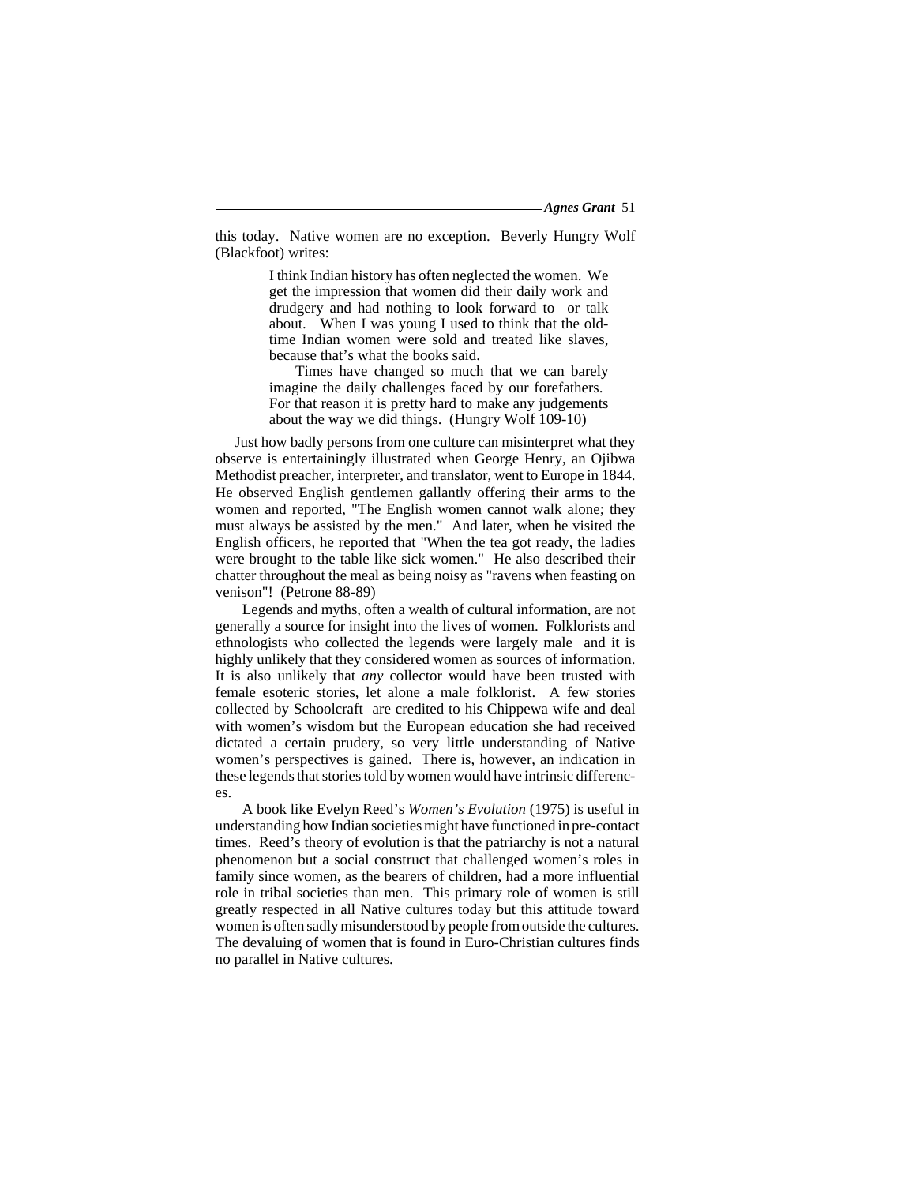this today. Native women are no exception. Beverly Hungry Wolf (Blackfoot) writes:

> I think Indian history has often neglected the women. We get the impression that women did their daily work and drudgery and had nothing to look forward to or talk about. When I was young I used to think that the oldtime Indian women were sold and treated like slaves, because that's what the books said.

> Times have changed so much that we can barely imagine the daily challenges faced by our forefathers. For that reason it is pretty hard to make any judgements about the way we did things. (Hungry Wolf 109-10)

 Just how badly persons from one culture can misinterpret what they observe is entertainingly illustrated when George Henry, an Ojibwa Methodist preacher, interpreter, and translator, went to Europe in 1844. He observed English gentlemen gallantly offering their arms to the women and reported, "The English women cannot walk alone; they must always be assisted by the men." And later, when he visited the English officers, he reported that "When the tea got ready, the ladies were brought to the table like sick women." He also described their chatter throughout the meal as being noisy as "ravens when feasting on venison"! (Petrone 88-89)

Legends and myths, often a wealth of cultural information, are not generally a source for insight into the lives of women. Folklorists and ethnologists who collected the legends were largely male and it is highly unlikely that they considered women as sources of information. It is also unlikely that *any* collector would have been trusted with female esoteric stories, let alone a male folklorist. A few stories collected by Schoolcraft are credited to his Chippewa wife and deal with women's wisdom but the European education she had received dictated a certain prudery, so very little understanding of Native women's perspectives is gained. There is, however, an indication in these legends that stories told by women would have intrinsic differences.

A book like Evelyn Reed's *Women's Evolution* (1975) is useful in understanding how Indian societies might have functioned in pre-contact times. Reed's theory of evolution is that the patriarchy is not a natural phenomenon but a social construct that challenged women's roles in family since women, as the bearers of children, had a more influential role in tribal societies than men. This primary role of women is still greatly respected in all Native cultures today but this attitude toward women is often sadly misunderstood by people from outside the cultures. The devaluing of women that is found in Euro-Christian cultures finds no parallel in Native cultures.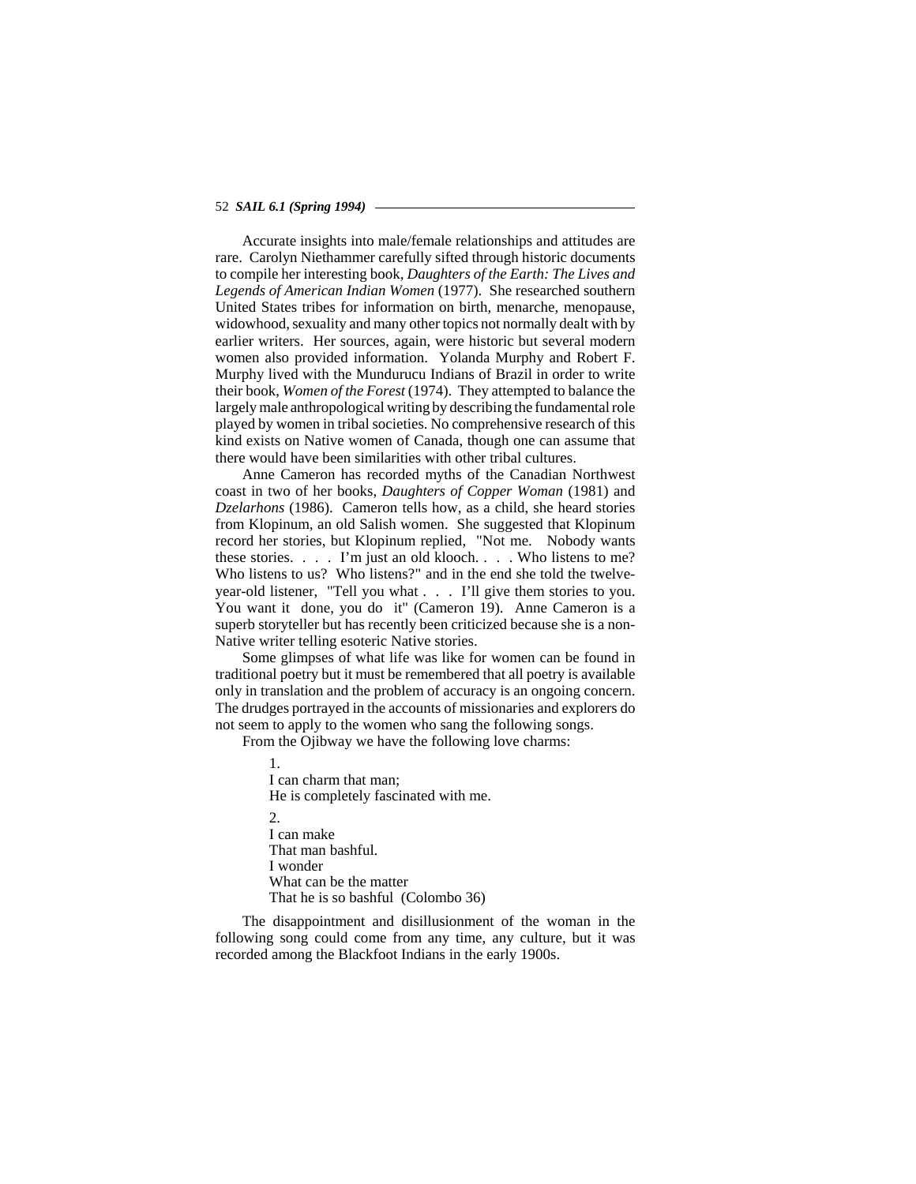Accurate insights into male/female relationships and attitudes are rare. Carolyn Niethammer carefully sifted through historic documents to compile her interesting book, *Daughters of the Earth: The Lives and Legends of American Indian Women* (1977). She researched southern United States tribes for information on birth, menarche, menopause, widowhood, sexuality and many other topics not normally dealt with by earlier writers. Her sources, again, were historic but several modern women also provided information. Yolanda Murphy and Robert F. Murphy lived with the Mundurucu Indians of Brazil in order to write their book, *Women of the Forest* (1974). They attempted to balance the largely male anthropological writing by describing the fundamental role played by women in tribal societies. No comprehensive research of this kind exists on Native women of Canada, though one can assume that there would have been similarities with other tribal cultures.

Anne Cameron has recorded myths of the Canadian Northwest coast in two of her books, *Daughters of Copper Woman* (1981) and *Dzelarhons* (1986). Cameron tells how, as a child, she heard stories from Klopinum, an old Salish women. She suggested that Klopinum record her stories, but Klopinum replied, "Not me. Nobody wants these stories. . . . I'm just an old klooch. . . . Who listens to me? Who listens to us? Who listens?" and in the end she told the twelveyear-old listener, "Tell you what . . . I'll give them stories to you. You want it done, you do it" (Cameron 19). Anne Cameron is a superb storyteller but has recently been criticized because she is a non-Native writer telling esoteric Native stories.

Some glimpses of what life was like for women can be found in traditional poetry but it must be remembered that all poetry is available only in translation and the problem of accuracy is an ongoing concern. The drudges portrayed in the accounts of missionaries and explorers do not seem to apply to the women who sang the following songs.

From the Ojibway we have the following love charms:

1. I can charm that man; He is completely fascinated with me. 2. I can make That man bashful. I wonder What can be the matter That he is so bashful (Colombo 36)

The disappointment and disillusionment of the woman in the following song could come from any time, any culture, but it was recorded among the Blackfoot Indians in the early 1900s.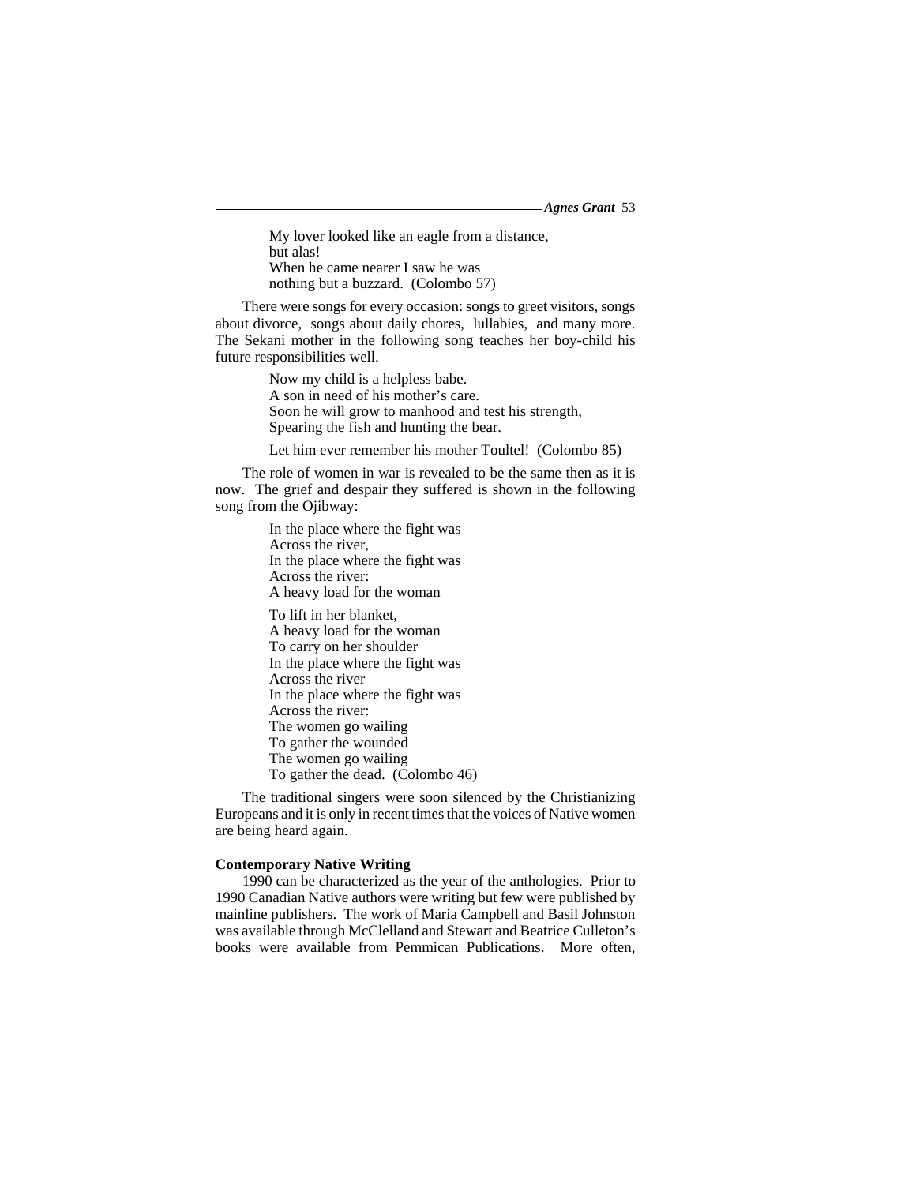My lover looked like an eagle from a distance, but alas! When he came nearer I saw he was nothing but a buzzard. (Colombo 57)

There were songs for every occasion: songs to greet visitors, songs about divorce, songs about daily chores, lullabies, and many more. The Sekani mother in the following song teaches her boy-child his future responsibilities well.

> Now my child is a helpless babe. A son in need of his mother's care. Soon he will grow to manhood and test his strength, Spearing the fish and hunting the bear.

Let him ever remember his mother Toultel! (Colombo 85)

The role of women in war is revealed to be the same then as it is now. The grief and despair they suffered is shown in the following song from the Ojibway:

> In the place where the fight was Across the river, In the place where the fight was Across the river: A heavy load for the woman

To lift in her blanket, A heavy load for the woman To carry on her shoulder In the place where the fight was Across the river In the place where the fight was Across the river: The women go wailing To gather the wounded The women go wailing To gather the dead. (Colombo 46)

The traditional singers were soon silenced by the Christianizing Europeans and it is only in recent times that the voices of Native women are being heard again.

#### **Contemporary Native Writing**

1990 can be characterized as the year of the anthologies. Prior to 1990 Canadian Native authors were writing but few were published by mainline publishers. The work of Maria Campbell and Basil Johnston was available through McClelland and Stewart and Beatrice Culleton's books were available from Pemmican Publications. More often,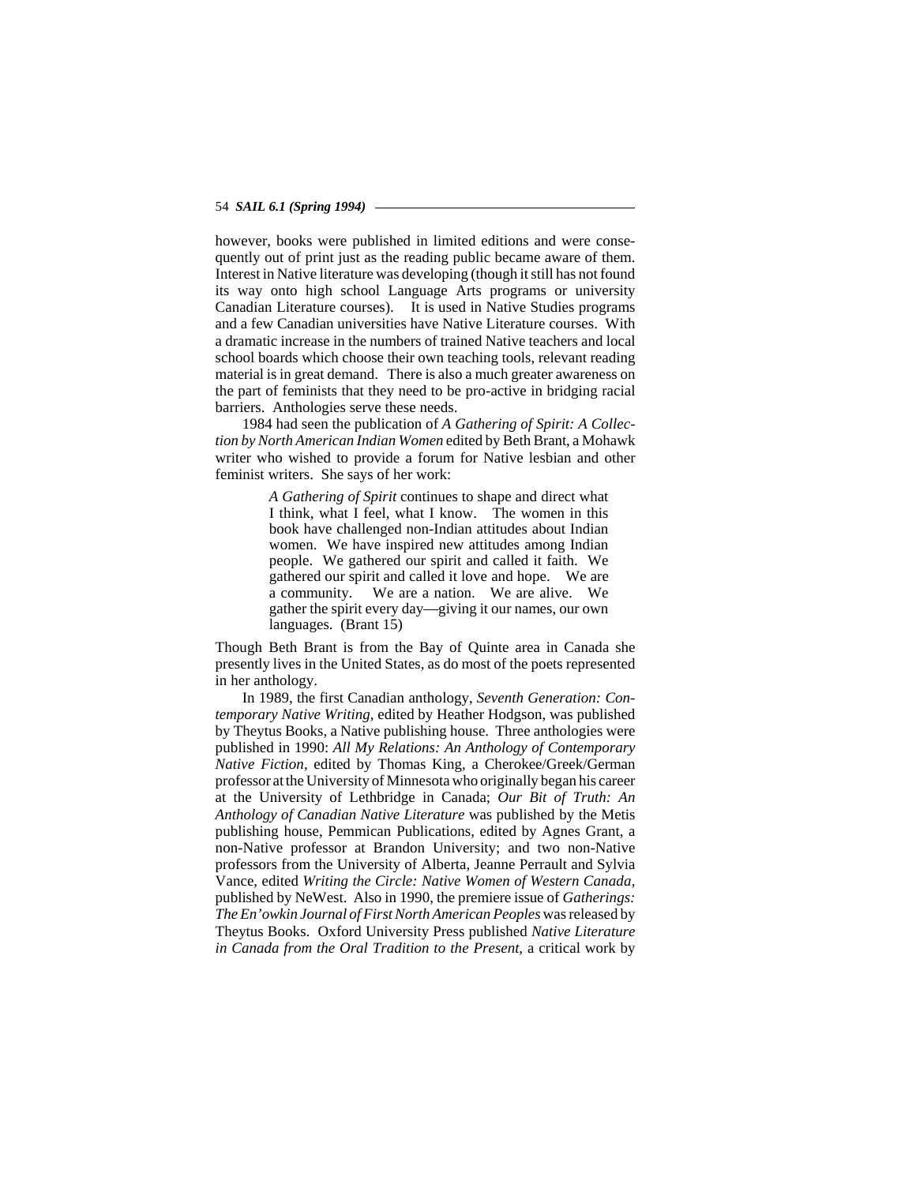however, books were published in limited editions and were consequently out of print just as the reading public became aware of them. Interest in Native literature was developing (though it still has not found its way onto high school Language Arts programs or university Canadian Literature courses). It is used in Native Studies programs and a few Canadian universities have Native Literature courses. With a dramatic increase in the numbers of trained Native teachers and local school boards which choose their own teaching tools, relevant reading material is in great demand. There is also a much greater awareness on the part of feminists that they need to be pro-active in bridging racial barriers. Anthologies serve these needs.

1984 had seen the publication of *A Gathering of Spirit: A Collection by North American Indian Women* edited by Beth Brant, a Mohawk writer who wished to provide a forum for Native lesbian and other feminist writers. She says of her work:

> *A Gathering of Spirit* continues to shape and direct what I think, what I feel, what I know. The women in this book have challenged non-Indian attitudes about Indian women. We have inspired new attitudes among Indian people. We gathered our spirit and called it faith. We gathered our spirit and called it love and hope. We are a community. We are a nation. We are alive. We gather the spirit every day—giving it our names, our own languages. (Brant 15)

Though Beth Brant is from the Bay of Quinte area in Canada she presently lives in the United States, as do most of the poets represented in her anthology.

In 1989, the first Canadian anthology, *Seventh Generation: Contemporary Native Writing*, edited by Heather Hodgson, was published by Theytus Books, a Native publishing house. Three anthologies were published in 1990: *All My Relations: An Anthology of Contemporary Native Fiction*, edited by Thomas King, a Cherokee/Greek/German professor at the University of Minnesota who originally began his career at the University of Lethbridge in Canada; *Our Bit of Truth: An Anthology of Canadian Native Literature* was published by the Metis publishing house, Pemmican Publications, edited by Agnes Grant, a non-Native professor at Brandon University; and two non-Native professors from the University of Alberta, Jeanne Perrault and Sylvia Vance, edited *Writing the Circle: Native Women of Western Canada*, published by NeWest. Also in 1990, the premiere issue of *Gatherings: The En'owkin Journal of First North American Peoples* was released by Theytus Books. Oxford University Press published *Native Literature in Canada from the Oral Tradition to the Present*, a critical work by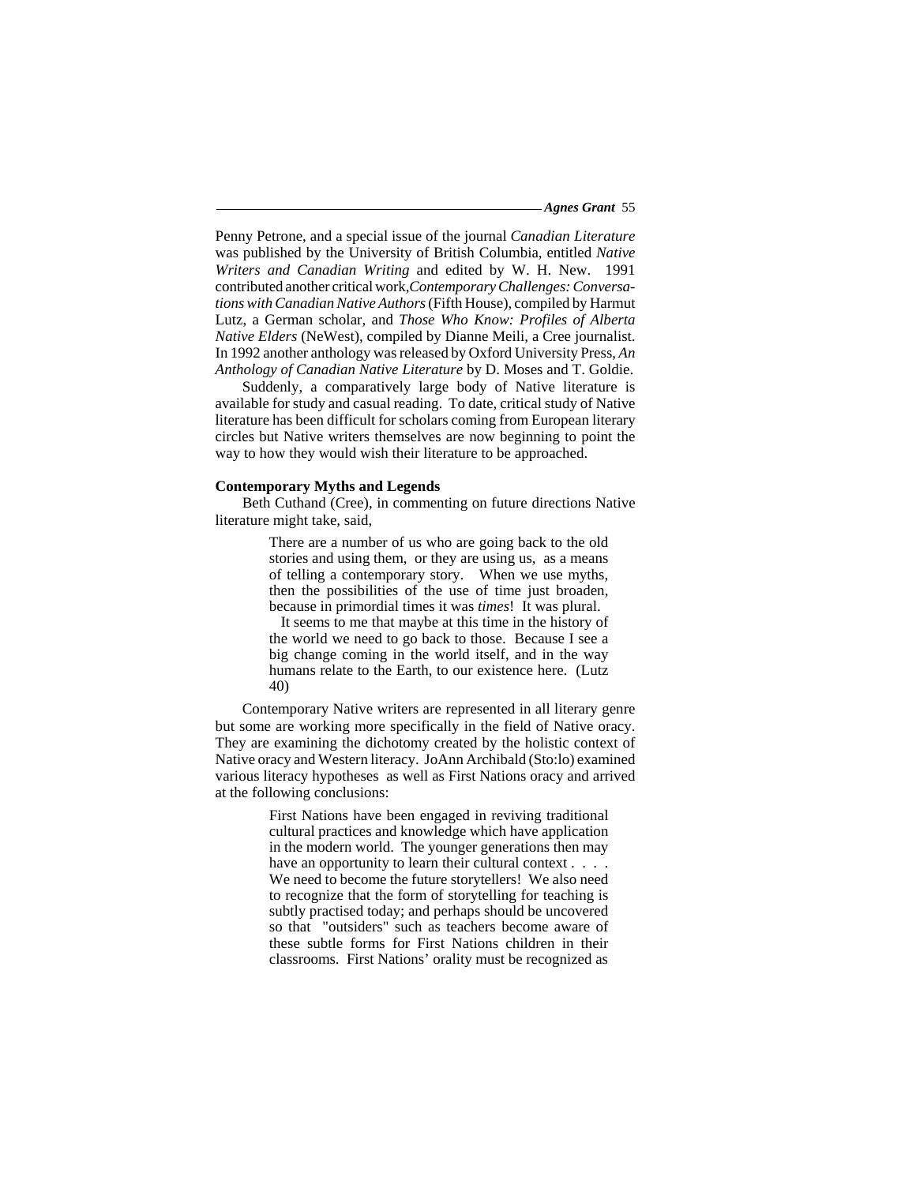Penny Petrone, and a special issue of the journal *Canadian Literature* was published by the University of British Columbia, entitled *Native Writers and Canadian Writing* and edited by W. H. New. 1991 contributed another critical work,*Contemporary Challenges: Conversations with Canadian Native Authors* (Fifth House), compiled by Harmut Lutz, a German scholar, and *Those Who Know: Profiles of Alberta Native Elders* (NeWest), compiled by Dianne Meili, a Cree journalist. In 1992 another anthology was released by Oxford University Press, *An Anthology of Canadian Native Literature* by D. Moses and T. Goldie.

Suddenly, a comparatively large body of Native literature is available for study and casual reading. To date, critical study of Native literature has been difficult for scholars coming from European literary circles but Native writers themselves are now beginning to point the way to how they would wish their literature to be approached.

### **Contemporary Myths and Legends**

Beth Cuthand (Cree), in commenting on future directions Native literature might take, said,

> There are a number of us who are going back to the old stories and using them, or they are using us, as a means of telling a contemporary story. When we use myths, then the possibilities of the use of time just broaden, because in primordial times it was *times*! It was plural.

> It seems to me that maybe at this time in the history of the world we need to go back to those. Because I see a big change coming in the world itself, and in the way humans relate to the Earth, to our existence here. (Lutz 40)

Contemporary Native writers are represented in all literary genre but some are working more specifically in the field of Native oracy. They are examining the dichotomy created by the holistic context of Native oracy and Western literacy. JoAnn Archibald (Sto:lo) examined various literacy hypotheses as well as First Nations oracy and arrived at the following conclusions:

> First Nations have been engaged in reviving traditional cultural practices and knowledge which have application in the modern world. The younger generations then may have an opportunity to learn their cultural context . . . . We need to become the future storytellers! We also need to recognize that the form of storytelling for teaching is subtly practised today; and perhaps should be uncovered so that "outsiders" such as teachers become aware of these subtle forms for First Nations children in their classrooms. First Nations' orality must be recognized as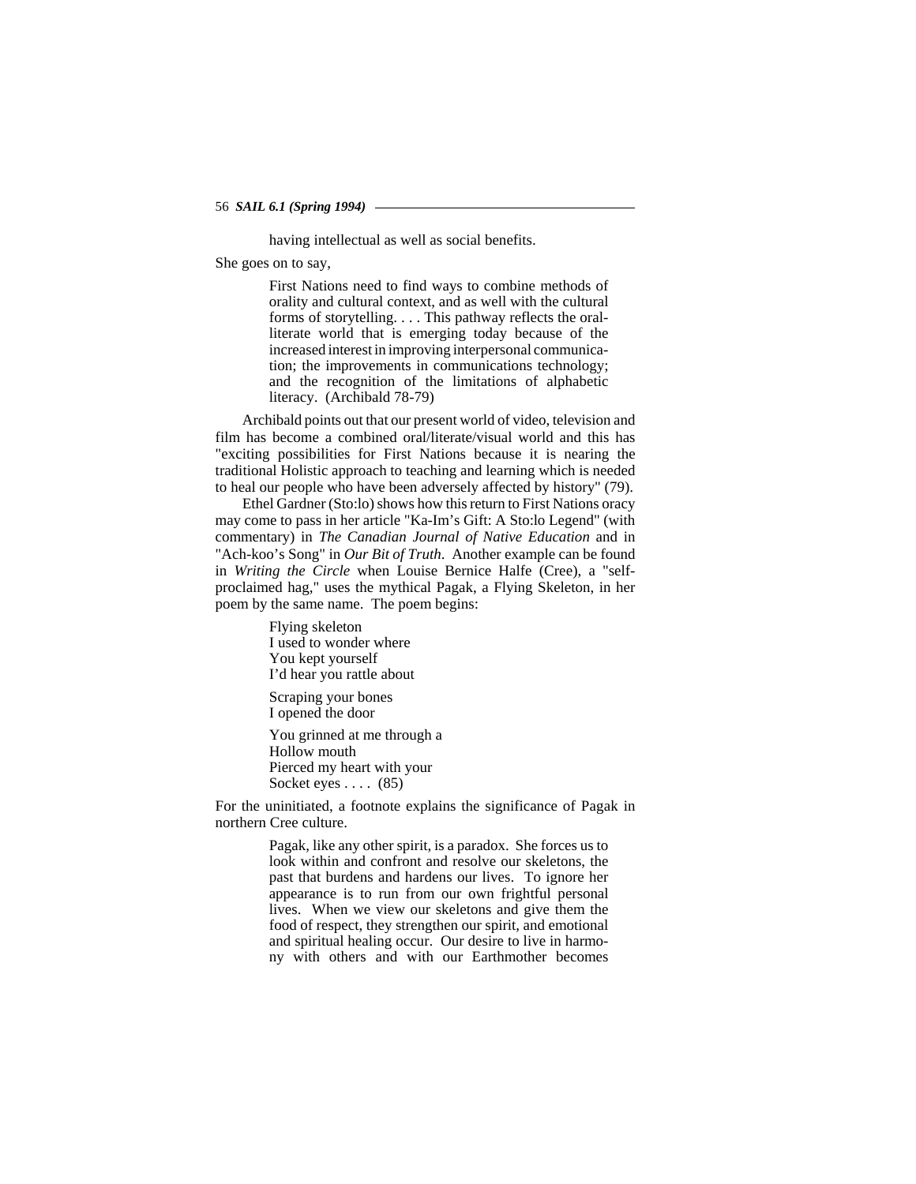having intellectual as well as social benefits.

She goes on to say,

First Nations need to find ways to combine methods of orality and cultural context, and as well with the cultural forms of storytelling. . . . This pathway reflects the oralliterate world that is emerging today because of the increased interest in improving interpersonal communication; the improvements in communications technology; and the recognition of the limitations of alphabetic literacy. (Archibald 78-79)

Archibald points out that our present world of video, television and film has become a combined oral/literate/visual world and this has "exciting possibilities for First Nations because it is nearing the traditional Holistic approach to teaching and learning which is needed to heal our people who have been adversely affected by history" (79).

Ethel Gardner (Sto:lo) shows how this return to First Nations oracy may come to pass in her article "Ka-Im's Gift: A Sto:lo Legend" (with commentary) in *The Canadian Journal of Native Education* and in "Ach-koo's Song" in *Our Bit of Truth*. Another example can be found in *Writing the Circle* when Louise Bernice Halfe (Cree), a "selfproclaimed hag," uses the mythical Pagak, a Flying Skeleton, in her poem by the same name. The poem begins:

> Flying skeleton I used to wonder where You kept yourself I'd hear you rattle about

Scraping your bones I opened the door

You grinned at me through a Hollow mouth Pierced my heart with your Socket eyes  $\ldots$  (85)

For the uninitiated, a footnote explains the significance of Pagak in northern Cree culture.

> Pagak, like any other spirit, is a paradox. She forces us to look within and confront and resolve our skeletons, the past that burdens and hardens our lives. To ignore her appearance is to run from our own frightful personal lives. When we view our skeletons and give them the food of respect, they strengthen our spirit, and emotional and spiritual healing occur. Our desire to live in harmony with others and with our Earthmother becomes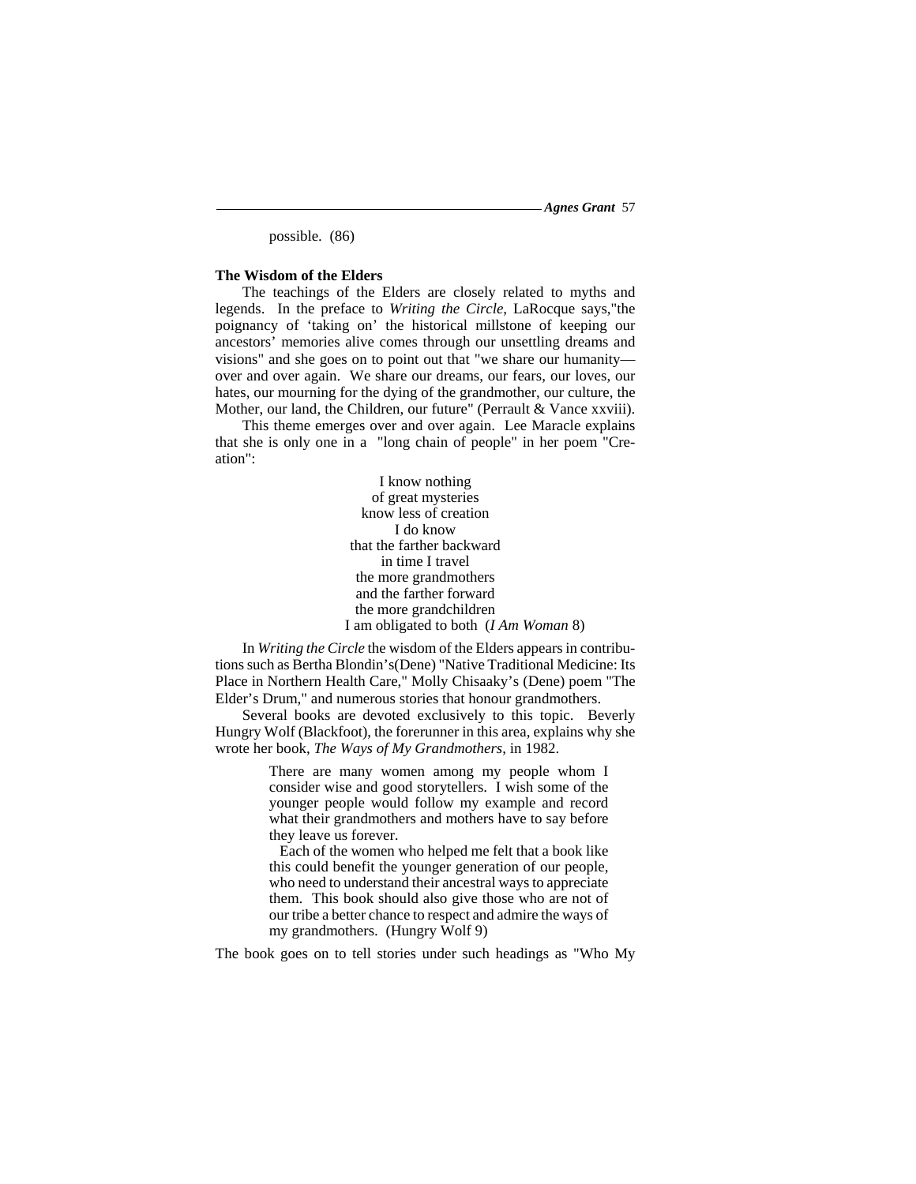possible. (86)

### **The Wisdom of the Elders**

The teachings of the Elders are closely related to myths and legends. In the preface to *Writing the Circle*, LaRocque says,"the poignancy of 'taking on' the historical millstone of keeping our ancestors' memories alive comes through our unsettling dreams and visions" and she goes on to point out that "we share our humanity over and over again. We share our dreams, our fears, our loves, our hates, our mourning for the dying of the grandmother, our culture, the Mother, our land, the Children, our future" (Perrault & Vance xxviii).

This theme emerges over and over again. Lee Maracle explains that she is only one in a "long chain of people" in her poem "Creation":

> I know nothing of great mysteries know less of creation I do know that the farther backward in time I travel the more grandmothers and the farther forward the more grandchildren I am obligated to both (*I Am Woman* 8)

In *Writing the Circle* the wisdom of the Elders appears in contributions such as Bertha Blondin's(Dene) "Native Traditional Medicine: Its Place in Northern Health Care," Molly Chisaaky's (Dene) poem "The Elder's Drum," and numerous stories that honour grandmothers.

Several books are devoted exclusively to this topic. Beverly Hungry Wolf (Blackfoot), the forerunner in this area, explains why she wrote her book, *The Ways of My Grandmothers*, in 1982.

> There are many women among my people whom I consider wise and good storytellers. I wish some of the younger people would follow my example and record what their grandmothers and mothers have to say before they leave us forever.

> Each of the women who helped me felt that a book like this could benefit the younger generation of our people, who need to understand their ancestral ways to appreciate them. This book should also give those who are not of our tribe a better chance to respect and admire the ways of my grandmothers. (Hungry Wolf 9)

The book goes on to tell stories under such headings as "Who My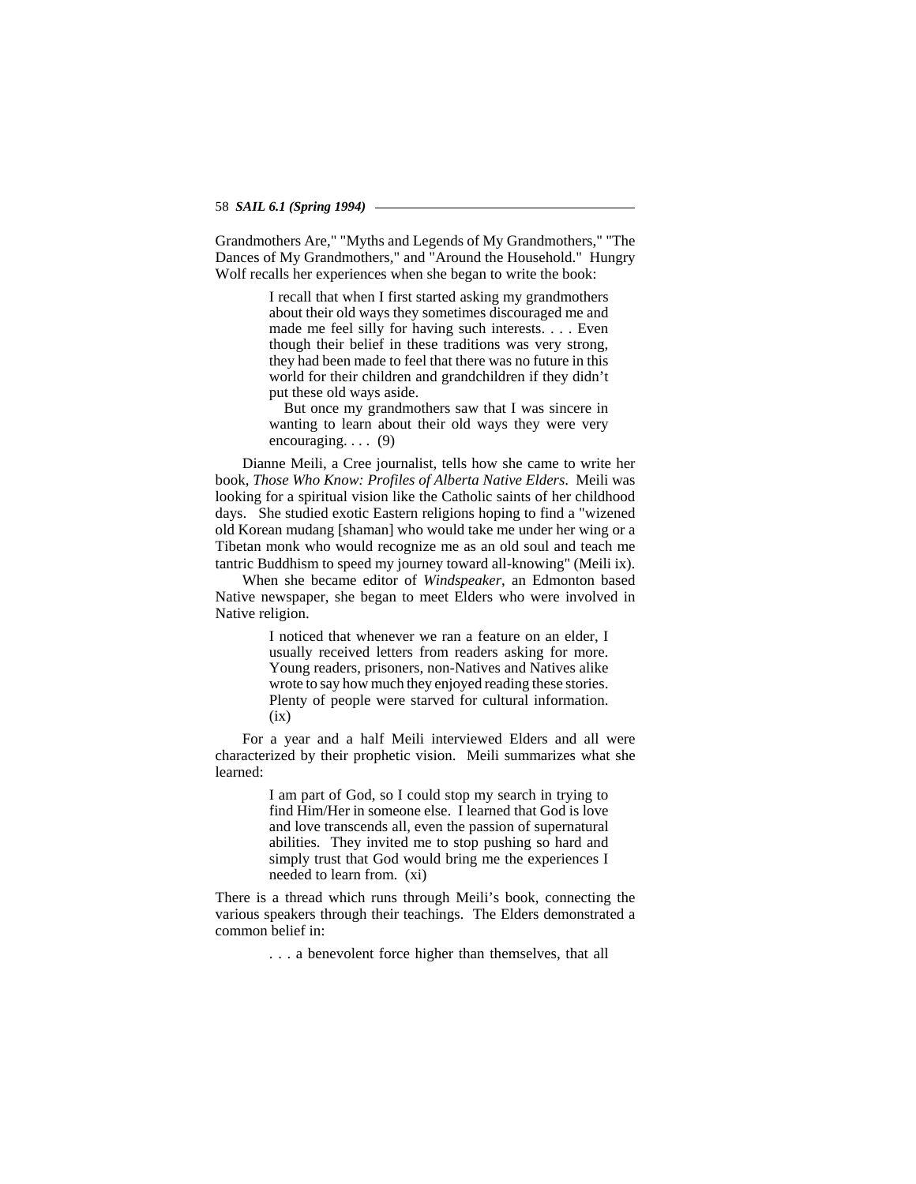Grandmothers Are," "Myths and Legends of My Grandmothers," "The Dances of My Grandmothers," and "Around the Household." Hungry Wolf recalls her experiences when she began to write the book:

> I recall that when I first started asking my grandmothers about their old ways they sometimes discouraged me and made me feel silly for having such interests. . . . Even though their belief in these traditions was very strong, they had been made to feel that there was no future in this world for their children and grandchildren if they didn't put these old ways aside.

> But once my grandmothers saw that I was sincere in wanting to learn about their old ways they were very encouraging. . . . (9)

Dianne Meili, a Cree journalist, tells how she came to write her book, *Those Who Know: Profiles of Alberta Native Elders*. Meili was looking for a spiritual vision like the Catholic saints of her childhood days. She studied exotic Eastern religions hoping to find a "wizened old Korean mudang [shaman] who would take me under her wing or a Tibetan monk who would recognize me as an old soul and teach me tantric Buddhism to speed my journey toward all-knowing" (Meili ix).

When she became editor of *Windspeaker*, an Edmonton based Native newspaper, she began to meet Elders who were involved in Native religion.

> I noticed that whenever we ran a feature on an elder, I usually received letters from readers asking for more. Young readers, prisoners, non-Natives and Natives alike wrote to say how much they enjoyed reading these stories. Plenty of people were starved for cultural information.  $(ix)$

For a year and a half Meili interviewed Elders and all were characterized by their prophetic vision. Meili summarizes what she learned:

> I am part of God, so I could stop my search in trying to find Him/Her in someone else. I learned that God is love and love transcends all, even the passion of supernatural abilities. They invited me to stop pushing so hard and simply trust that God would bring me the experiences I needed to learn from. (xi)

There is a thread which runs through Meili's book, connecting the various speakers through their teachings. The Elders demonstrated a common belief in:

. . . a benevolent force higher than themselves, that all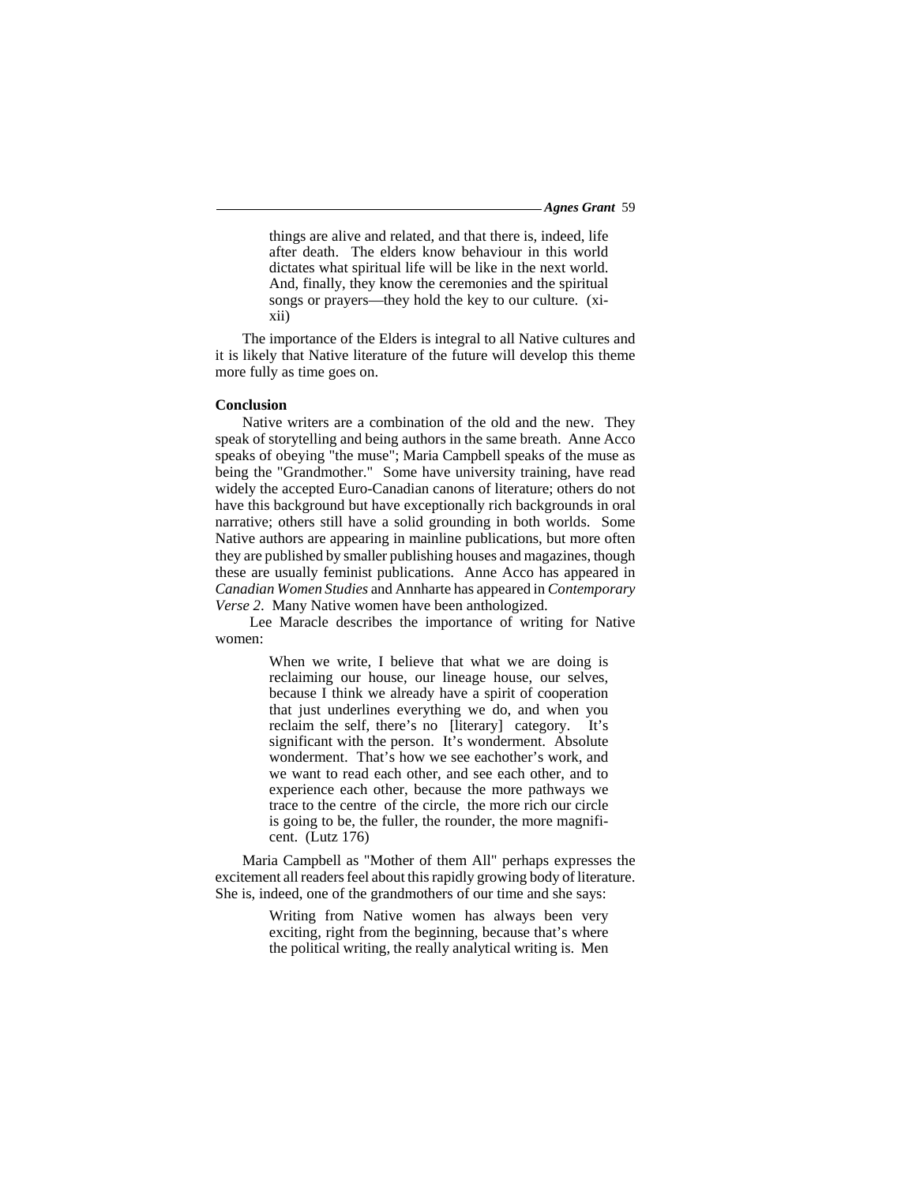things are alive and related, and that there is, indeed, life after death. The elders know behaviour in this world dictates what spiritual life will be like in the next world. And, finally, they know the ceremonies and the spiritual songs or prayers—they hold the key to our culture. (xixii)

The importance of the Elders is integral to all Native cultures and it is likely that Native literature of the future will develop this theme more fully as time goes on.

## **Conclusion**

Native writers are a combination of the old and the new. They speak of storytelling and being authors in the same breath. Anne Acco speaks of obeying "the muse"; Maria Campbell speaks of the muse as being the "Grandmother." Some have university training, have read widely the accepted Euro-Canadian canons of literature; others do not have this background but have exceptionally rich backgrounds in oral narrative; others still have a solid grounding in both worlds. Some Native authors are appearing in mainline publications, but more often they are published by smaller publishing houses and magazines, though these are usually feminist publications. Anne Acco has appeared in *Canadian Women Studies* and Annharte has appeared in *Contemporary Verse 2*. Many Native women have been anthologized.

 Lee Maracle describes the importance of writing for Native women:

> When we write, I believe that what we are doing is reclaiming our house, our lineage house, our selves, because I think we already have a spirit of cooperation that just underlines everything we do, and when you reclaim the self, there's no [literary] category. It's significant with the person. It's wonderment. Absolute wonderment. That's how we see eachother's work, and we want to read each other, and see each other, and to experience each other, because the more pathways we trace to the centre of the circle, the more rich our circle is going to be, the fuller, the rounder, the more magnificent. (Lutz 176)

Maria Campbell as "Mother of them All" perhaps expresses the excitement all readers feel about this rapidly growing body of literature. She is, indeed, one of the grandmothers of our time and she says:

> Writing from Native women has always been very exciting, right from the beginning, because that's where the political writing, the really analytical writing is. Men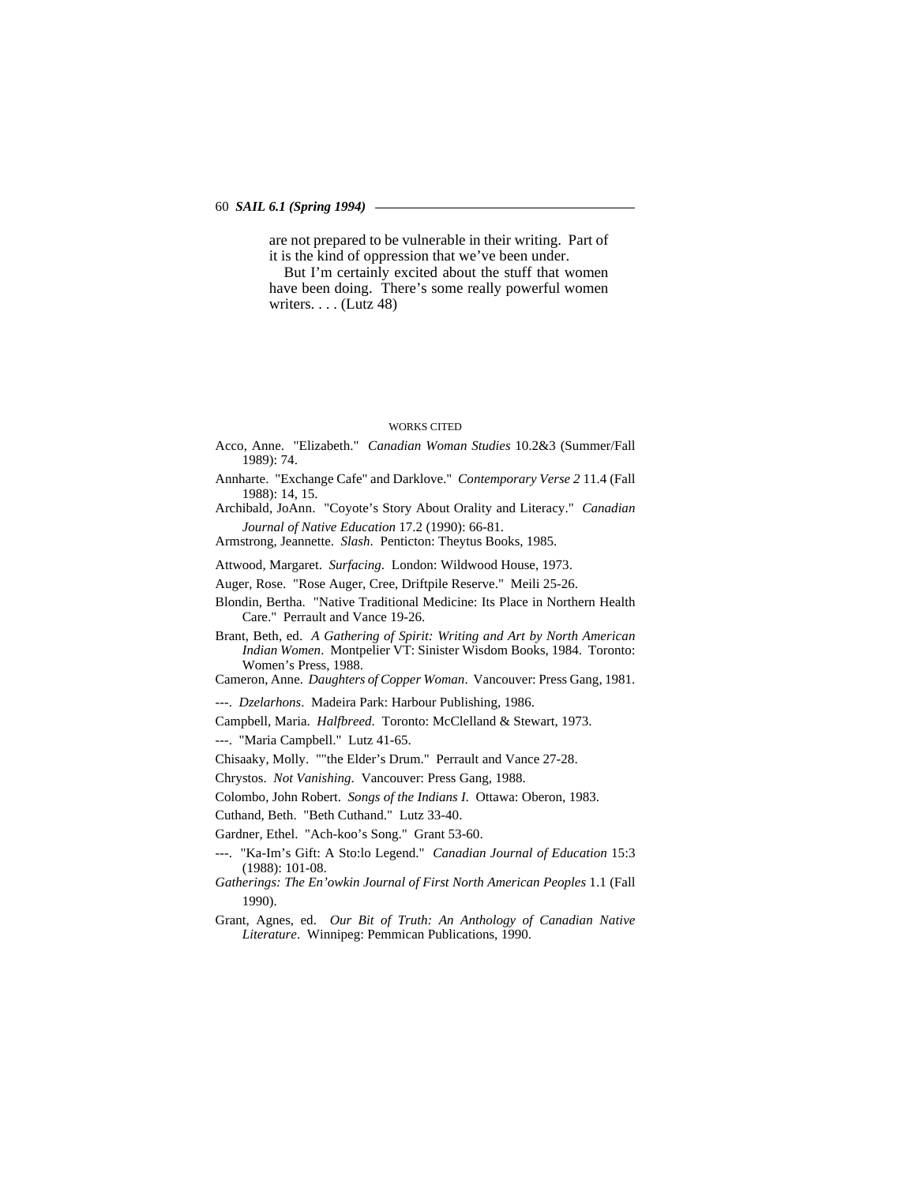are not prepared to be vulnerable in their writing. Part of it is the kind of oppression that we've been under.

 But I'm certainly excited about the stuff that women have been doing. There's some really powerful women writers.  $\ldots$  (Lutz 48)

#### WORKS CITED

- Acco, Anne. "Elizabeth." *Canadian Woman Studies* 10.2&3 (Summer/Fall 1989): 74.
- Annharte. "Exchange Cafe" and Darklove." *Contemporary Verse 2* 11.4 (Fall 1988): 14, 15.
- Archibald, JoAnn. "Coyote's Story About Orality and Literacy." *Canadian Journal of Native Education* 17.2 (1990): 66-81.
- Armstrong, Jeannette. *Slash*. Penticton: Theytus Books, 1985.
- Attwood, Margaret. *Surfacing*. London: Wildwood House, 1973.
- Auger, Rose. "Rose Auger, Cree, Driftpile Reserve." Meili 25-26.

Blondin, Bertha. "Native Traditional Medicine: Its Place in Northern Health Care." Perrault and Vance 19-26.

Brant, Beth, ed. *A Gathering of Spirit: Writing and Art by North American Indian Women*. Montpelier VT: Sinister Wisdom Books, 1984. Toronto: Women's Press, 1988.

- Cameron, Anne. *Daughters of Copper Woman*. Vancouver: Press Gang, 1981.
- ---. *Dzelarhons*. Madeira Park: Harbour Publishing, 1986.
- Campbell, Maria. *Halfbreed*. Toronto: McClelland & Stewart, 1973.
- ---. "Maria Campbell." Lutz 41-65.
- Chisaaky, Molly. ""the Elder's Drum." Perrault and Vance 27-28.
- Chrystos. *Not Vanishing*. Vancouver: Press Gang, 1988.
- Colombo, John Robert. *Songs of the Indians I*. Ottawa: Oberon, 1983.
- Cuthand, Beth. "Beth Cuthand." Lutz 33-40.
- Gardner, Ethel. "Ach-koo's Song." Grant 53-60.
- ---. "Ka-Im's Gift: A Sto:lo Legend." *Canadian Journal of Education* 15:3 (1988): 101-08.
- *Gatherings: The En'owkin Journal of First North American Peoples* 1.1 (Fall 1990).
- Grant, Agnes, ed. *Our Bit of Truth: An Anthology of Canadian Native Literature*. Winnipeg: Pemmican Publications, 1990.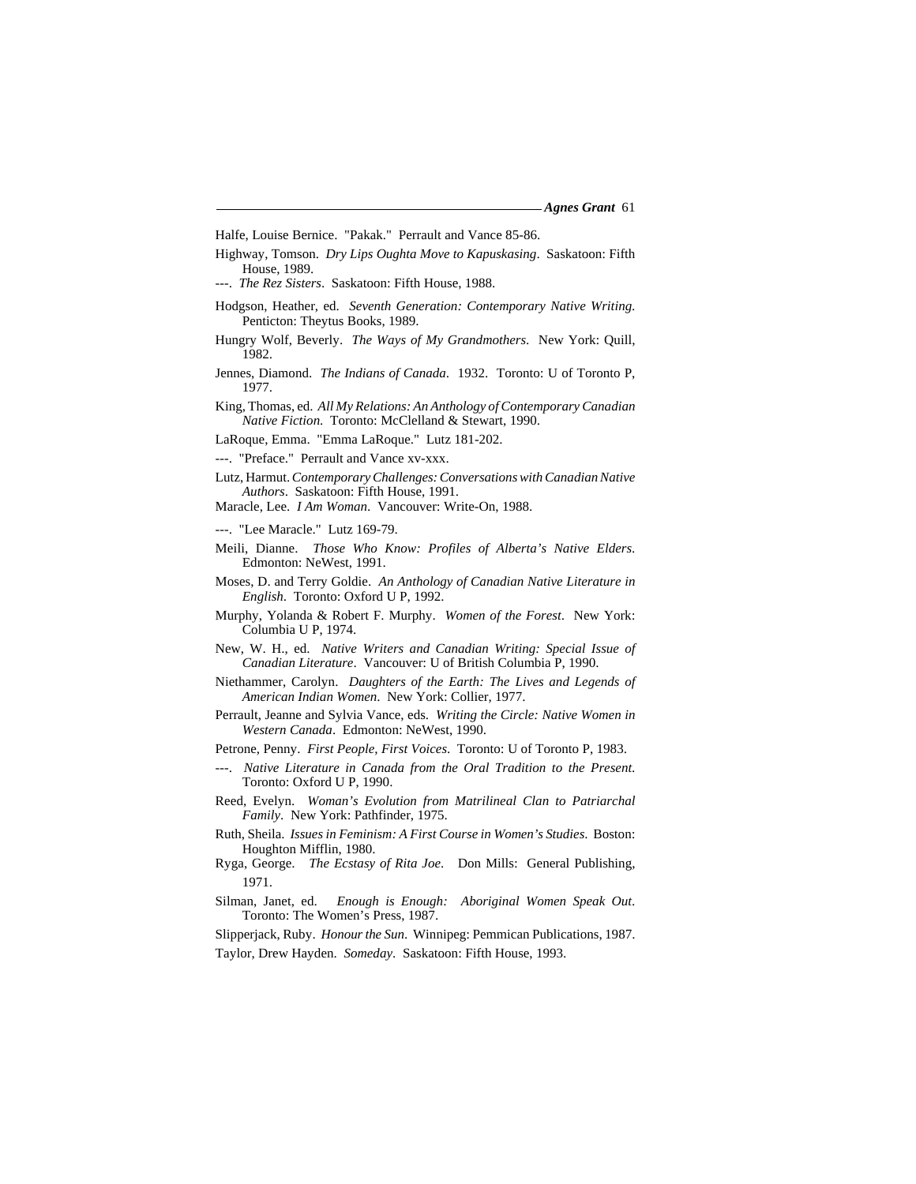Halfe, Louise Bernice. "Pakak." Perrault and Vance 85-86.

- Highway, Tomson. *Dry Lips Oughta Move to Kapuskasing*. Saskatoon: Fifth House, 1989.
- ---. *The Rez Sisters*. Saskatoon: Fifth House, 1988.
- Hodgson, Heather, ed. *Seventh Generation: Contemporary Native Writing*. Penticton: Theytus Books, 1989.
- Hungry Wolf, Beverly. *The Ways of My Grandmothers*. New York: Quill, 1982.
- Jennes, Diamond. *The Indians of Canada*. 1932. Toronto: U of Toronto P, 1977.
- King, Thomas, ed. *All My Relations: An Anthology of Contemporary Canadian Native Fiction*. Toronto: McClelland & Stewart, 1990.
- LaRoque, Emma. "Emma LaRoque." Lutz 181-202.
- ---. "Preface." Perrault and Vance xv-xxx.
- Lutz, Harmut. *Contemporary Challenges: Conversations with Canadian Native Authors*. Saskatoon: Fifth House, 1991.
- Maracle, Lee. *I Am Woman*. Vancouver: Write-On, 1988.
- ---. "Lee Maracle." Lutz 169-79.
- Meili, Dianne. *Those Who Know: Profiles of Alberta's Native Elders*. Edmonton: NeWest, 1991.
- Moses, D. and Terry Goldie. *An Anthology of Canadian Native Literature in English*. Toronto: Oxford U P, 1992.
- Murphy, Yolanda & Robert F. Murphy. *Women of the Forest*. New York: Columbia U P, 1974.
- New, W. H., ed. *Native Writers and Canadian Writing: Special Issue of Canadian Literature*. Vancouver: U of British Columbia P, 1990.
- Niethammer, Carolyn. *Daughters of the Earth: The Lives and Legends of American Indian Women*. New York: Collier, 1977.
- Perrault, Jeanne and Sylvia Vance, eds. *Writing the Circle: Native Women in Western Canada*. Edmonton: NeWest, 1990.
- Petrone, Penny. *First People, First Voices*. Toronto: U of Toronto P, 1983.
- ---. *Native Literature in Canada from the Oral Tradition to the Present*. Toronto: Oxford U P, 1990.
- Reed, Evelyn. *Woman's Evolution from Matrilineal Clan to Patriarchal Family*. New York: Pathfinder, 1975.
- Ruth, Sheila. *Issues in Feminism: A First Course in Women's Studies*. Boston: Houghton Mifflin, 1980.
- Ryga, George. *The Ecstasy of Rita Joe*. Don Mills: General Publishing, 1971.
- Silman, Janet, ed. *Enough is Enough: Aboriginal Women Speak Out*. Toronto: The Women's Press, 1987.
- Slipperjack, Ruby. *Honour the Sun*. Winnipeg: Pemmican Publications, 1987.
- Taylor, Drew Hayden. *Someday*. Saskatoon: Fifth House, 1993.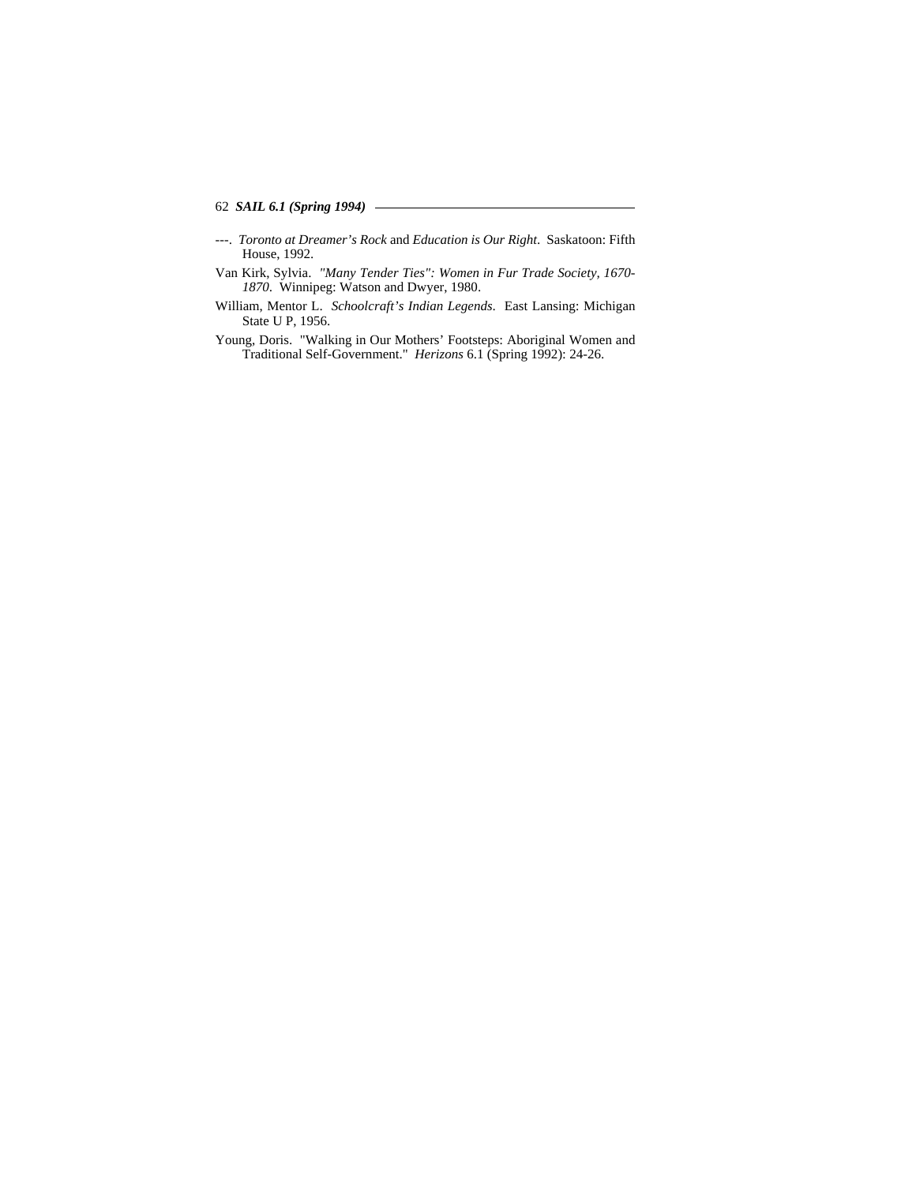- ---. *Toronto at Dreamer's Rock* and *Education is Our Right*. Saskatoon: Fifth House, 1992.
- Van Kirk, Sylvia. *"Many Tender Ties": Women in Fur Trade Society, 1670- 1870*. Winnipeg: Watson and Dwyer, 1980.
- William, Mentor L. *Schoolcraft's Indian Legends*. East Lansing: Michigan State U P, 1956.
- Young, Doris. "Walking in Our Mothers' Footsteps: Aboriginal Women and Traditional Self-Government." *Herizons* 6.1 (Spring 1992): 24-26.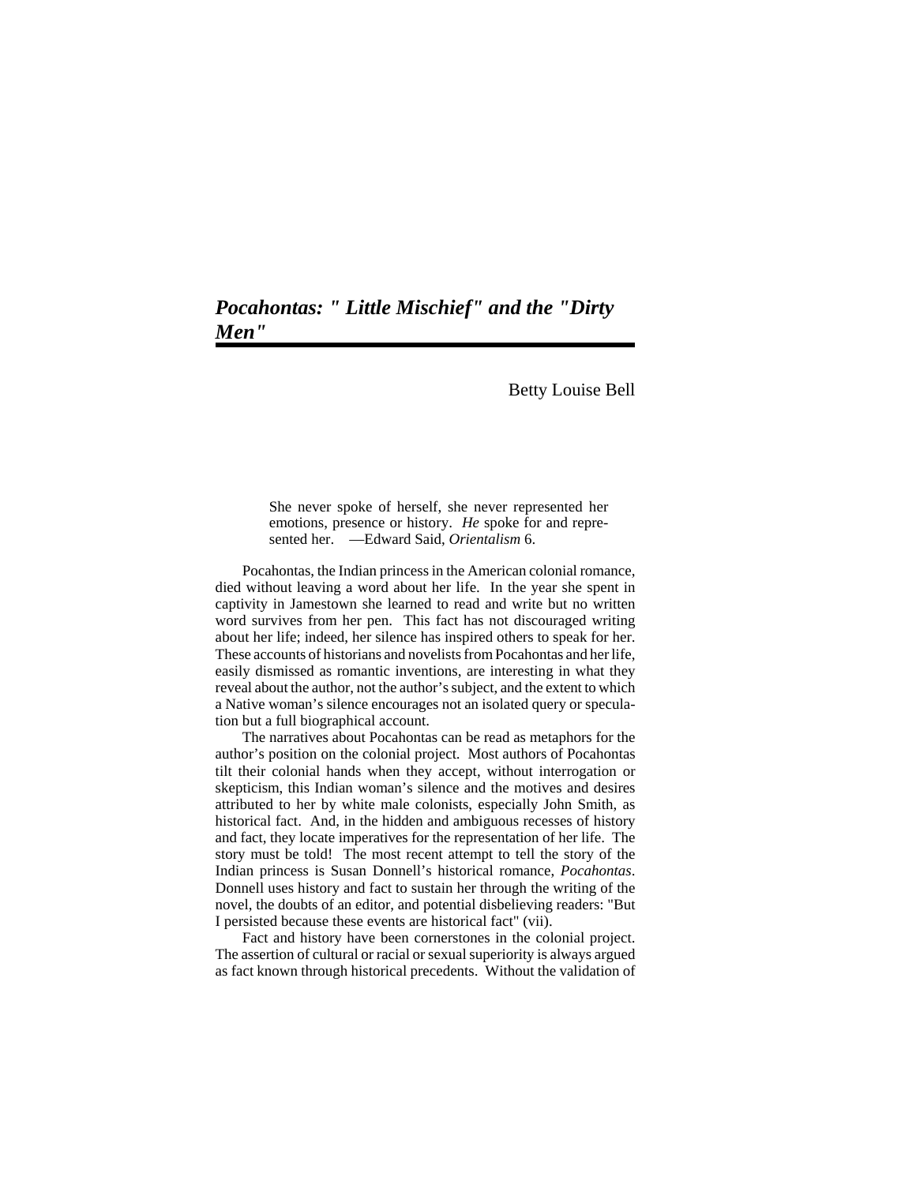# *Pocahontas: " Little Mischief" and the "Dirty Men"*

Betty Louise Bell

She never spoke of herself, she never represented her emotions, presence or history. *He* spoke for and represented her. —Edward Said, *Orientalism* 6.

Pocahontas, the Indian princess in the American colonial romance, died without leaving a word about her life. In the year she spent in captivity in Jamestown she learned to read and write but no written word survives from her pen. This fact has not discouraged writing about her life; indeed, her silence has inspired others to speak for her. These accounts of historians and novelists from Pocahontas and her life, easily dismissed as romantic inventions, are interesting in what they reveal about the author, not the author's subject, and the extent to which a Native woman's silence encourages not an isolated query or speculation but a full biographical account.

The narratives about Pocahontas can be read as metaphors for the author's position on the colonial project. Most authors of Pocahontas tilt their colonial hands when they accept, without interrogation or skepticism, this Indian woman's silence and the motives and desires attributed to her by white male colonists, especially John Smith, as historical fact. And, in the hidden and ambiguous recesses of history and fact, they locate imperatives for the representation of her life. The story must be told! The most recent attempt to tell the story of the Indian princess is Susan Donnell's historical romance, *Pocahontas*. Donnell uses history and fact to sustain her through the writing of the novel, the doubts of an editor, and potential disbelieving readers: "But I persisted because these events are historical fact" (vii).

Fact and history have been cornerstones in the colonial project. The assertion of cultural or racial or sexual superiority is always argued as fact known through historical precedents. Without the validation of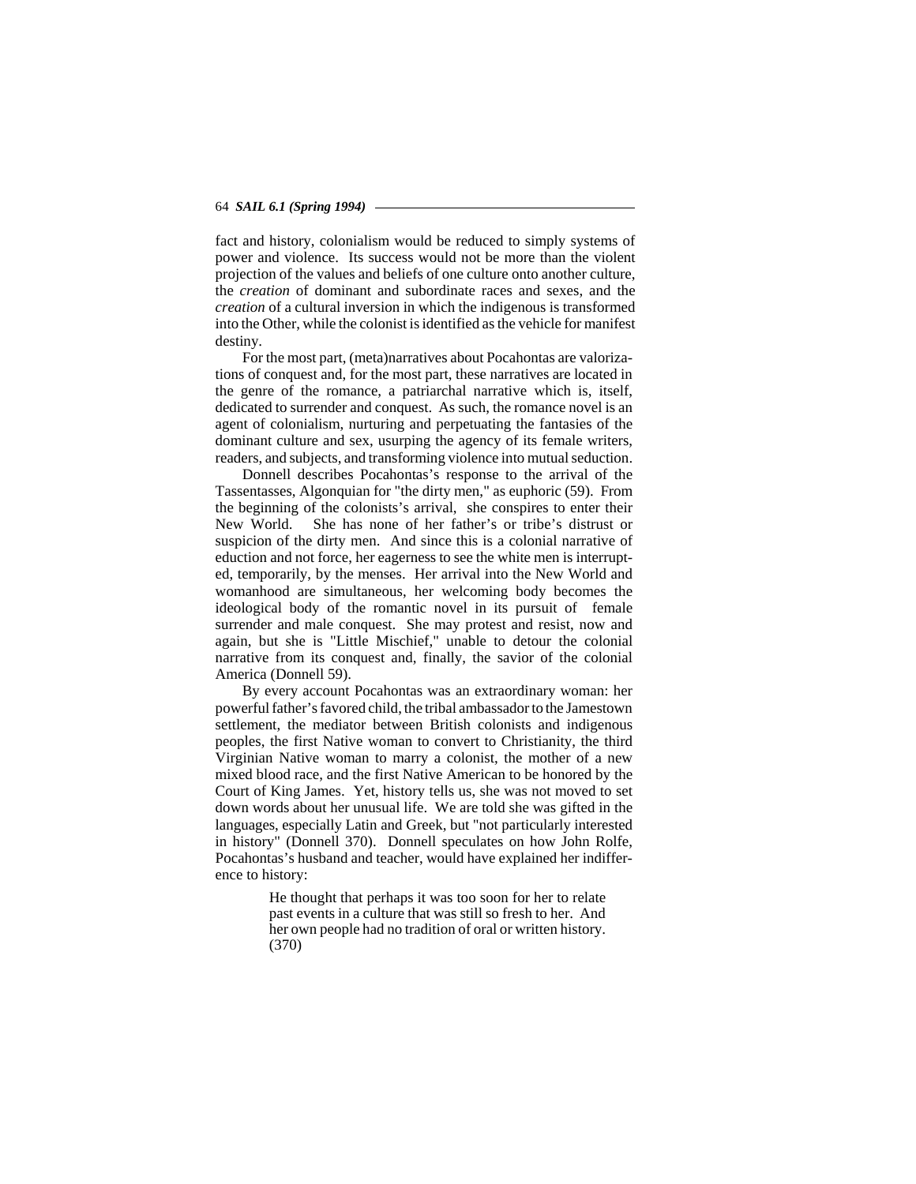fact and history, colonialism would be reduced to simply systems of power and violence. Its success would not be more than the violent projection of the values and beliefs of one culture onto another culture, the *creation* of dominant and subordinate races and sexes, and the *creation* of a cultural inversion in which the indigenous is transformed into the Other, while the colonist is identified as the vehicle for manifest destiny.

For the most part, (meta)narratives about Pocahontas are valorizations of conquest and, for the most part, these narratives are located in the genre of the romance, a patriarchal narrative which is, itself, dedicated to surrender and conquest. As such, the romance novel is an agent of colonialism, nurturing and perpetuating the fantasies of the dominant culture and sex, usurping the agency of its female writers, readers, and subjects, and transforming violence into mutual seduction.

Donnell describes Pocahontas's response to the arrival of the Tassentasses, Algonquian for "the dirty men," as euphoric (59). From the beginning of the colonists's arrival, she conspires to enter their New World. She has none of her father's or tribe's distrust or suspicion of the dirty men. And since this is a colonial narrative of eduction and not force, her eagerness to see the white men is interrupted, temporarily, by the menses. Her arrival into the New World and womanhood are simultaneous, her welcoming body becomes the ideological body of the romantic novel in its pursuit of female surrender and male conquest. She may protest and resist, now and again, but she is "Little Mischief," unable to detour the colonial narrative from its conquest and, finally, the savior of the colonial America (Donnell 59).

By every account Pocahontas was an extraordinary woman: her powerful father's favored child, the tribal ambassador to the Jamestown settlement, the mediator between British colonists and indigenous peoples, the first Native woman to convert to Christianity, the third Virginian Native woman to marry a colonist, the mother of a new mixed blood race, and the first Native American to be honored by the Court of King James. Yet, history tells us, she was not moved to set down words about her unusual life. We are told she was gifted in the languages, especially Latin and Greek, but "not particularly interested in history" (Donnell 370). Donnell speculates on how John Rolfe, Pocahontas's husband and teacher, would have explained her indifference to history:

> He thought that perhaps it was too soon for her to relate past events in a culture that was still so fresh to her. And her own people had no tradition of oral or written history. (370)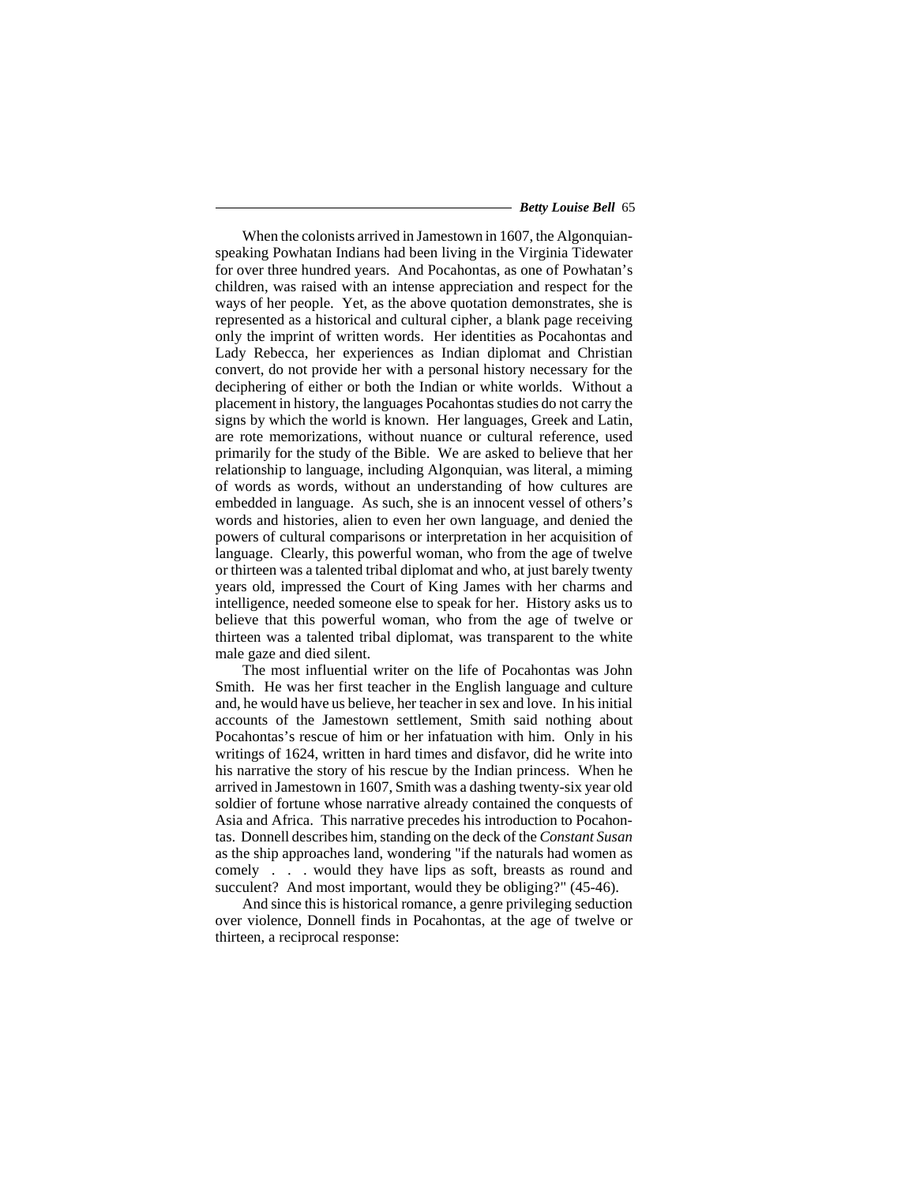When the colonists arrived in Jamestown in 1607, the Algonquianspeaking Powhatan Indians had been living in the Virginia Tidewater for over three hundred years. And Pocahontas, as one of Powhatan's children, was raised with an intense appreciation and respect for the ways of her people. Yet, as the above quotation demonstrates, she is represented as a historical and cultural cipher, a blank page receiving only the imprint of written words. Her identities as Pocahontas and Lady Rebecca, her experiences as Indian diplomat and Christian convert, do not provide her with a personal history necessary for the deciphering of either or both the Indian or white worlds. Without a placement in history, the languages Pocahontas studies do not carry the signs by which the world is known. Her languages, Greek and Latin, are rote memorizations, without nuance or cultural reference, used primarily for the study of the Bible. We are asked to believe that her relationship to language, including Algonquian, was literal, a miming of words as words, without an understanding of how cultures are embedded in language. As such, she is an innocent vessel of others's words and histories, alien to even her own language, and denied the powers of cultural comparisons or interpretation in her acquisition of language. Clearly, this powerful woman, who from the age of twelve or thirteen was a talented tribal diplomat and who, at just barely twenty years old, impressed the Court of King James with her charms and intelligence, needed someone else to speak for her. History asks us to believe that this powerful woman, who from the age of twelve or thirteen was a talented tribal diplomat, was transparent to the white male gaze and died silent.

The most influential writer on the life of Pocahontas was John Smith. He was her first teacher in the English language and culture and, he would have us believe, her teacher in sex and love. In his initial accounts of the Jamestown settlement, Smith said nothing about Pocahontas's rescue of him or her infatuation with him. Only in his writings of 1624, written in hard times and disfavor, did he write into his narrative the story of his rescue by the Indian princess. When he arrived in Jamestown in 1607, Smith was a dashing twenty-six year old soldier of fortune whose narrative already contained the conquests of Asia and Africa. This narrative precedes his introduction to Pocahontas. Donnell describes him, standing on the deck of the *Constant Susan* as the ship approaches land, wondering "if the naturals had women as comely . . . would they have lips as soft, breasts as round and succulent? And most important, would they be obliging?" (45-46).

And since this is historical romance, a genre privileging seduction over violence, Donnell finds in Pocahontas, at the age of twelve or thirteen, a reciprocal response: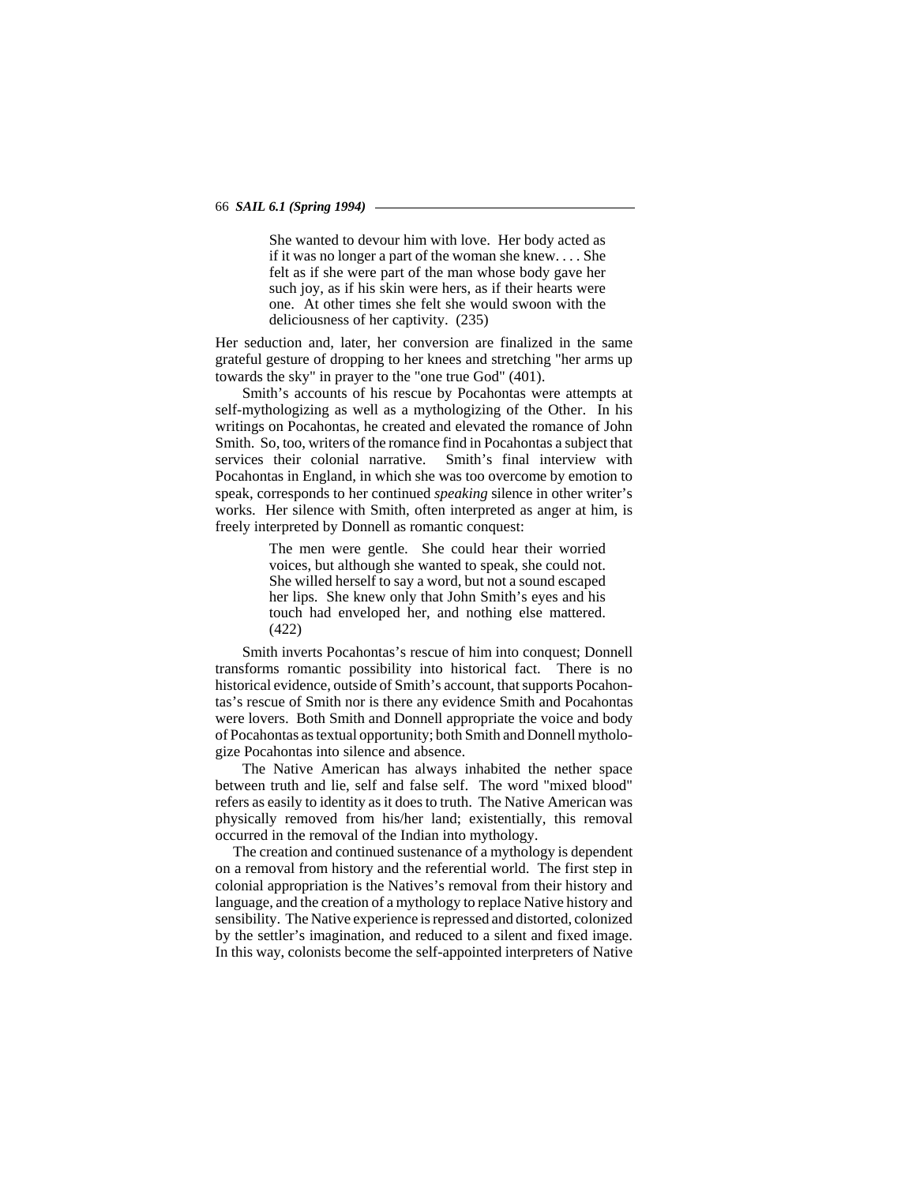She wanted to devour him with love. Her body acted as if it was no longer a part of the woman she knew. . . . She felt as if she were part of the man whose body gave her such joy, as if his skin were hers, as if their hearts were one. At other times she felt she would swoon with the deliciousness of her captivity. (235)

Her seduction and, later, her conversion are finalized in the same grateful gesture of dropping to her knees and stretching "her arms up towards the sky" in prayer to the "one true God" (401).

Smith's accounts of his rescue by Pocahontas were attempts at self-mythologizing as well as a mythologizing of the Other. In his writings on Pocahontas, he created and elevated the romance of John Smith. So, too, writers of the romance find in Pocahontas a subject that services their colonial narrative. Smith's final interview with services their colonial narrative. Pocahontas in England, in which she was too overcome by emotion to speak, corresponds to her continued *speaking* silence in other writer's works. Her silence with Smith, often interpreted as anger at him, is freely interpreted by Donnell as romantic conquest:

> The men were gentle. She could hear their worried voices, but although she wanted to speak, she could not. She willed herself to say a word, but not a sound escaped her lips. She knew only that John Smith's eyes and his touch had enveloped her, and nothing else mattered. (422)

Smith inverts Pocahontas's rescue of him into conquest; Donnell transforms romantic possibility into historical fact. There is no historical evidence, outside of Smith's account, that supports Pocahontas's rescue of Smith nor is there any evidence Smith and Pocahontas were lovers. Both Smith and Donnell appropriate the voice and body of Pocahontas as textual opportunity; both Smith and Donnell mythologize Pocahontas into silence and absence.

The Native American has always inhabited the nether space between truth and lie, self and false self. The word "mixed blood" refers as easily to identity as it does to truth. The Native American was physically removed from his/her land; existentially, this removal occurred in the removal of the Indian into mythology.

 The creation and continued sustenance of a mythology is dependent on a removal from history and the referential world. The first step in colonial appropriation is the Natives's removal from their history and language, and the creation of a mythology to replace Native history and sensibility. The Native experience is repressed and distorted, colonized by the settler's imagination, and reduced to a silent and fixed image. In this way, colonists become the self-appointed interpreters of Native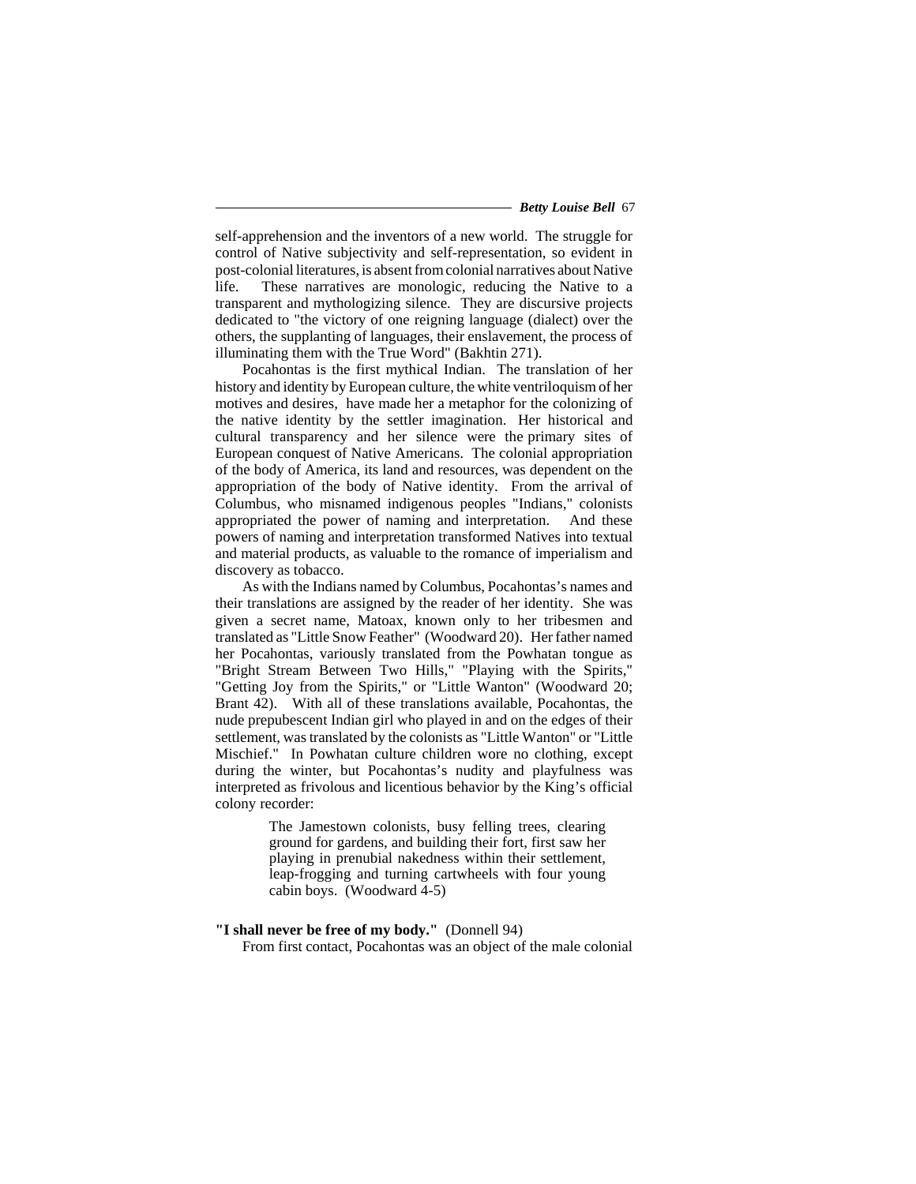self-apprehension and the inventors of a new world. The struggle for control of Native subjectivity and self-representation, so evident in post-colonial literatures, is absent from colonial narratives about Native life. These narratives are monologic, reducing the Native to a transparent and mythologizing silence. They are discursive projects dedicated to "the victory of one reigning language (dialect) over the others, the supplanting of languages, their enslavement, the process of illuminating them with the True Word" (Bakhtin 271).

Pocahontas is the first mythical Indian. The translation of her history and identity by European culture, the white ventriloquism of her motives and desires, have made her a metaphor for the colonizing of the native identity by the settler imagination. Her historical and cultural transparency and her silence were the primary sites of European conquest of Native Americans. The colonial appropriation of the body of America, its land and resources, was dependent on the appropriation of the body of Native identity. From the arrival of Columbus, who misnamed indigenous peoples "Indians," colonists appropriated the power of naming and interpretation. And these powers of naming and interpretation transformed Natives into textual and material products, as valuable to the romance of imperialism and discovery as tobacco.

As with the Indians named by Columbus, Pocahontas's names and their translations are assigned by the reader of her identity. She was given a secret name, Matoax, known only to her tribesmen and translated as "Little Snow Feather" (Woodward 20). Her father named her Pocahontas, variously translated from the Powhatan tongue as "Bright Stream Between Two Hills," "Playing with the Spirits," "Getting Joy from the Spirits," or "Little Wanton" (Woodward 20; Brant 42). With all of these translations available, Pocahontas, the nude prepubescent Indian girl who played in and on the edges of their settlement, was translated by the colonists as "Little Wanton" or "Little Mischief." In Powhatan culture children wore no clothing, except during the winter, but Pocahontas's nudity and playfulness was interpreted as frivolous and licentious behavior by the King's official colony recorder:

> The Jamestown colonists, busy felling trees, clearing ground for gardens, and building their fort, first saw her playing in prenubial nakedness within their settlement, leap-frogging and turning cartwheels with four young cabin boys. (Woodward 4-5)

#### **"I shall never be free of my body."** (Donnell 94)

From first contact, Pocahontas was an object of the male colonial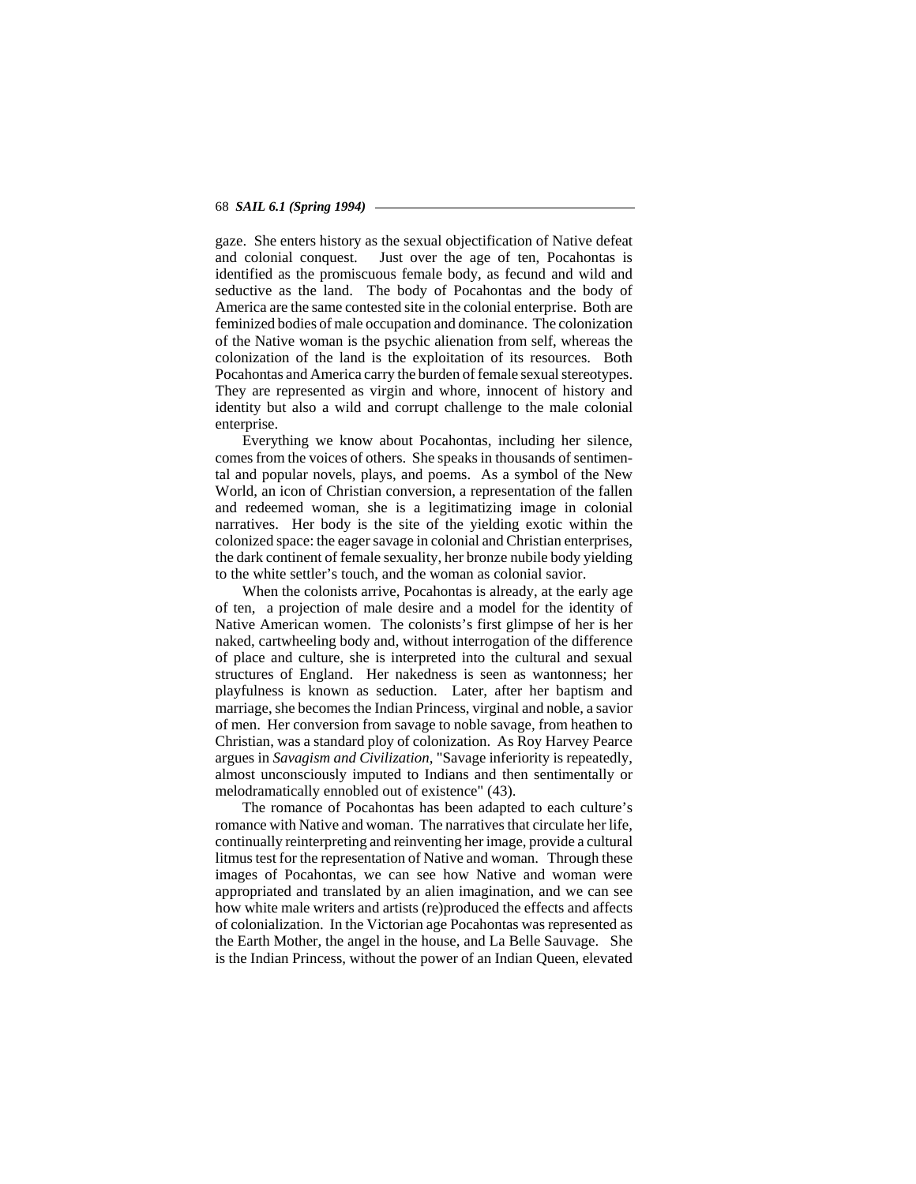gaze. She enters history as the sexual objectification of Native defeat and colonial conquest. Just over the age of ten, Pocahontas is identified as the promiscuous female body, as fecund and wild and seductive as the land. The body of Pocahontas and the body of America are the same contested site in the colonial enterprise. Both are feminized bodies of male occupation and dominance. The colonization of the Native woman is the psychic alienation from self, whereas the colonization of the land is the exploitation of its resources. Both Pocahontas and America carry the burden of female sexual stereotypes. They are represented as virgin and whore, innocent of history and identity but also a wild and corrupt challenge to the male colonial enterprise.

Everything we know about Pocahontas, including her silence, comes from the voices of others. She speaks in thousands of sentimental and popular novels, plays, and poems. As a symbol of the New World, an icon of Christian conversion, a representation of the fallen and redeemed woman, she is a legitimatizing image in colonial narratives. Her body is the site of the yielding exotic within the colonized space: the eager savage in colonial and Christian enterprises, the dark continent of female sexuality, her bronze nubile body yielding to the white settler's touch, and the woman as colonial savior.

When the colonists arrive, Pocahontas is already, at the early age of ten, a projection of male desire and a model for the identity of Native American women. The colonists's first glimpse of her is her naked, cartwheeling body and, without interrogation of the difference of place and culture, she is interpreted into the cultural and sexual structures of England. Her nakedness is seen as wantonness; her playfulness is known as seduction. Later, after her baptism and marriage, she becomes the Indian Princess, virginal and noble, a savior of men. Her conversion from savage to noble savage, from heathen to Christian, was a standard ploy of colonization. As Roy Harvey Pearce argues in *Savagism and Civilization*, "Savage inferiority is repeatedly, almost unconsciously imputed to Indians and then sentimentally or melodramatically ennobled out of existence" (43).

The romance of Pocahontas has been adapted to each culture's romance with Native and woman. The narratives that circulate her life, continually reinterpreting and reinventing her image, provide a cultural litmus test for the representation of Native and woman. Through these images of Pocahontas, we can see how Native and woman were appropriated and translated by an alien imagination, and we can see how white male writers and artists (re)produced the effects and affects of colonialization. In the Victorian age Pocahontas was represented as the Earth Mother, the angel in the house, and La Belle Sauvage. She is the Indian Princess, without the power of an Indian Queen, elevated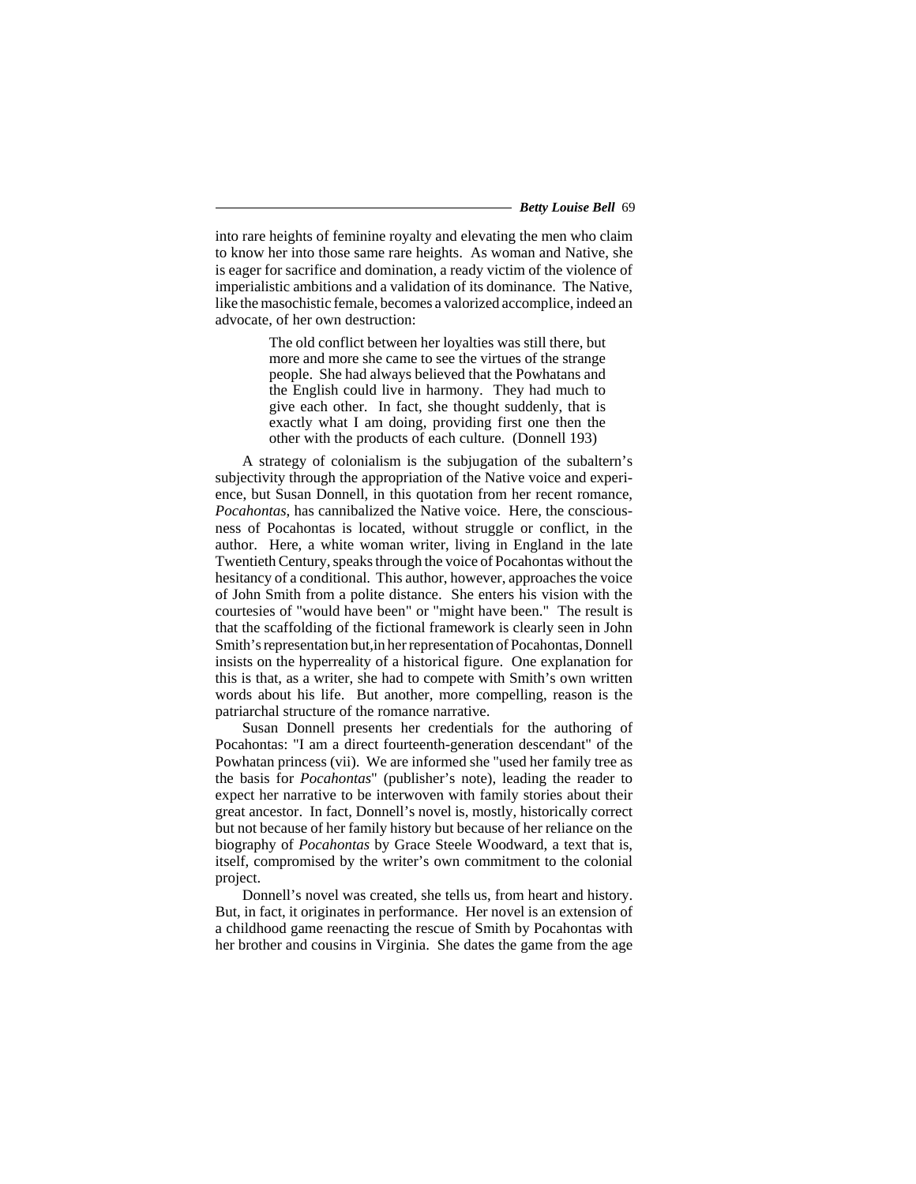into rare heights of feminine royalty and elevating the men who claim to know her into those same rare heights. As woman and Native, she is eager for sacrifice and domination, a ready victim of the violence of imperialistic ambitions and a validation of its dominance. The Native, like the masochistic female, becomes a valorized accomplice, indeed an advocate, of her own destruction:

> The old conflict between her loyalties was still there, but more and more she came to see the virtues of the strange people. She had always believed that the Powhatans and the English could live in harmony. They had much to give each other. In fact, she thought suddenly, that is exactly what I am doing, providing first one then the other with the products of each culture. (Donnell 193)

A strategy of colonialism is the subjugation of the subaltern's subjectivity through the appropriation of the Native voice and experience, but Susan Donnell, in this quotation from her recent romance, *Pocahontas*, has cannibalized the Native voice. Here, the consciousness of Pocahontas is located, without struggle or conflict, in the author. Here, a white woman writer, living in England in the late Twentieth Century, speaks through the voice of Pocahontas without the hesitancy of a conditional. This author, however, approaches the voice of John Smith from a polite distance. She enters his vision with the courtesies of "would have been" or "might have been." The result is that the scaffolding of the fictional framework is clearly seen in John Smith's representation but,in her representation of Pocahontas, Donnell insists on the hyperreality of a historical figure. One explanation for this is that, as a writer, she had to compete with Smith's own written words about his life. But another, more compelling, reason is the patriarchal structure of the romance narrative.

Susan Donnell presents her credentials for the authoring of Pocahontas: "I am a direct fourteenth-generation descendant" of the Powhatan princess (vii). We are informed she "used her family tree as the basis for *Pocahontas*" (publisher's note), leading the reader to expect her narrative to be interwoven with family stories about their great ancestor. In fact, Donnell's novel is, mostly, historically correct but not because of her family history but because of her reliance on the biography of *Pocahontas* by Grace Steele Woodward, a text that is, itself, compromised by the writer's own commitment to the colonial project.

Donnell's novel was created, she tells us, from heart and history. But, in fact, it originates in performance. Her novel is an extension of a childhood game reenacting the rescue of Smith by Pocahontas with her brother and cousins in Virginia. She dates the game from the age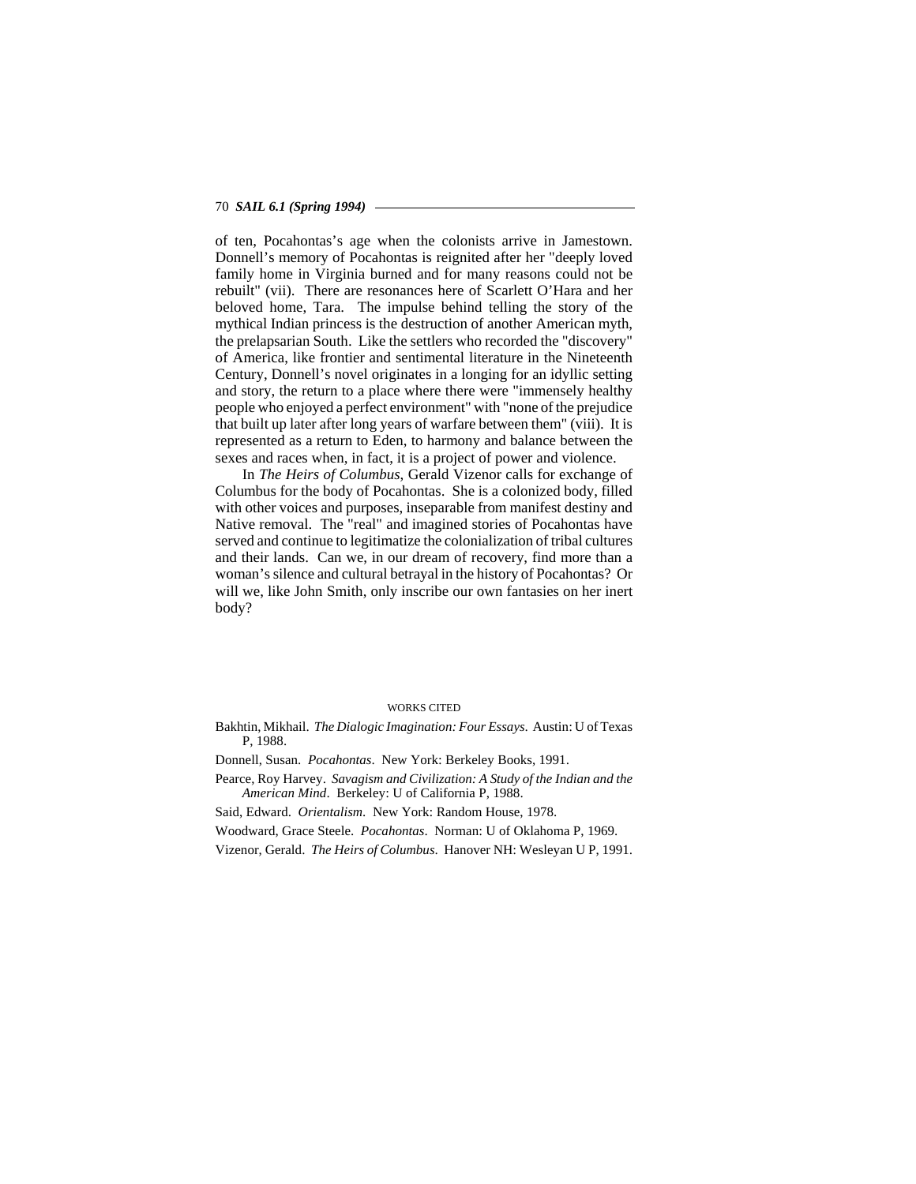of ten, Pocahontas's age when the colonists arrive in Jamestown. Donnell's memory of Pocahontas is reignited after her "deeply loved family home in Virginia burned and for many reasons could not be rebuilt" (vii). There are resonances here of Scarlett O'Hara and her beloved home, Tara. The impulse behind telling the story of the mythical Indian princess is the destruction of another American myth, the prelapsarian South. Like the settlers who recorded the "discovery" of America, like frontier and sentimental literature in the Nineteenth Century, Donnell's novel originates in a longing for an idyllic setting and story, the return to a place where there were "immensely healthy people who enjoyed a perfect environment" with "none of the prejudice that built up later after long years of warfare between them" (viii). It is represented as a return to Eden, to harmony and balance between the sexes and races when, in fact, it is a project of power and violence.

In *The Heirs of Columbus*, Gerald Vizenor calls for exchange of Columbus for the body of Pocahontas. She is a colonized body, filled with other voices and purposes, inseparable from manifest destiny and Native removal. The "real" and imagined stories of Pocahontas have served and continue to legitimatize the colonialization of tribal cultures and their lands. Can we, in our dream of recovery, find more than a woman's silence and cultural betrayal in the history of Pocahontas? Or will we, like John Smith, only inscribe our own fantasies on her inert body?

#### WORKS CITED

- Bakhtin, Mikhail. *The Dialogic Imagination: Four Essays*. Austin: U of Texas P, 1988.
- Donnell, Susan. *Pocahontas*. New York: Berkeley Books, 1991.
- Pearce, Roy Harvey. *Savagism and Civilization: A Study of the Indian and the American Mind*. Berkeley: U of California P, 1988.
- Said, Edward. *Orientalism*. New York: Random House, 1978.
- Woodward, Grace Steele. *Pocahontas*. Norman: U of Oklahoma P, 1969.
- Vizenor, Gerald. *The Heirs of Columbus*. Hanover NH: Wesleyan U P, 1991.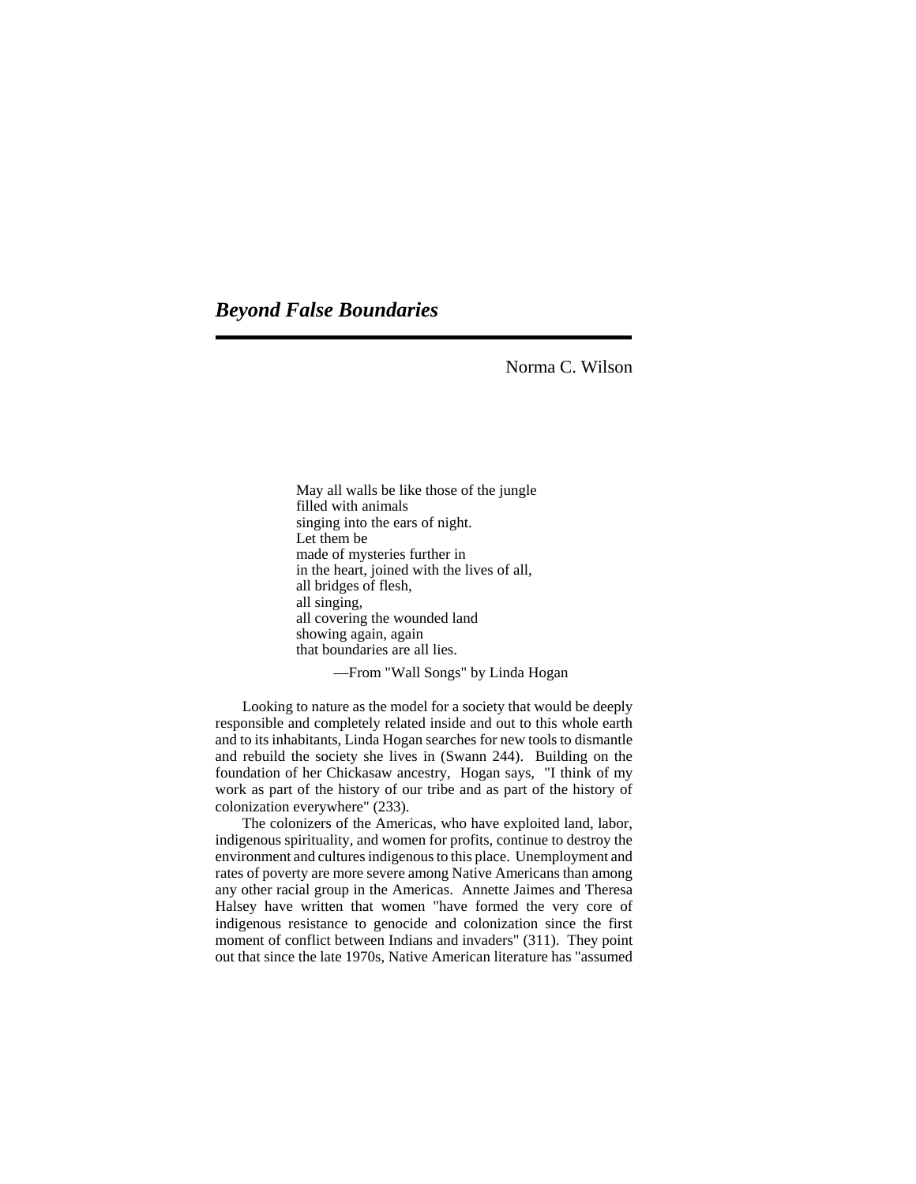Norma C. Wilson

May all walls be like those of the jungle filled with animals singing into the ears of night. Let them be made of mysteries further in in the heart, joined with the lives of all, all bridges of flesh, all singing, all covering the wounded land showing again, again that boundaries are all lies.

—From "Wall Songs" by Linda Hogan

Looking to nature as the model for a society that would be deeply responsible and completely related inside and out to this whole earth and to its inhabitants, Linda Hogan searches for new tools to dismantle and rebuild the society she lives in (Swann 244). Building on the foundation of her Chickasaw ancestry, Hogan says, "I think of my work as part of the history of our tribe and as part of the history of colonization everywhere" (233).

The colonizers of the Americas, who have exploited land, labor, indigenous spirituality, and women for profits, continue to destroy the environment and cultures indigenous to this place. Unemployment and rates of poverty are more severe among Native Americans than among any other racial group in the Americas. Annette Jaimes and Theresa Halsey have written that women "have formed the very core of indigenous resistance to genocide and colonization since the first moment of conflict between Indians and invaders" (311). They point out that since the late 1970s, Native American literature has "assumed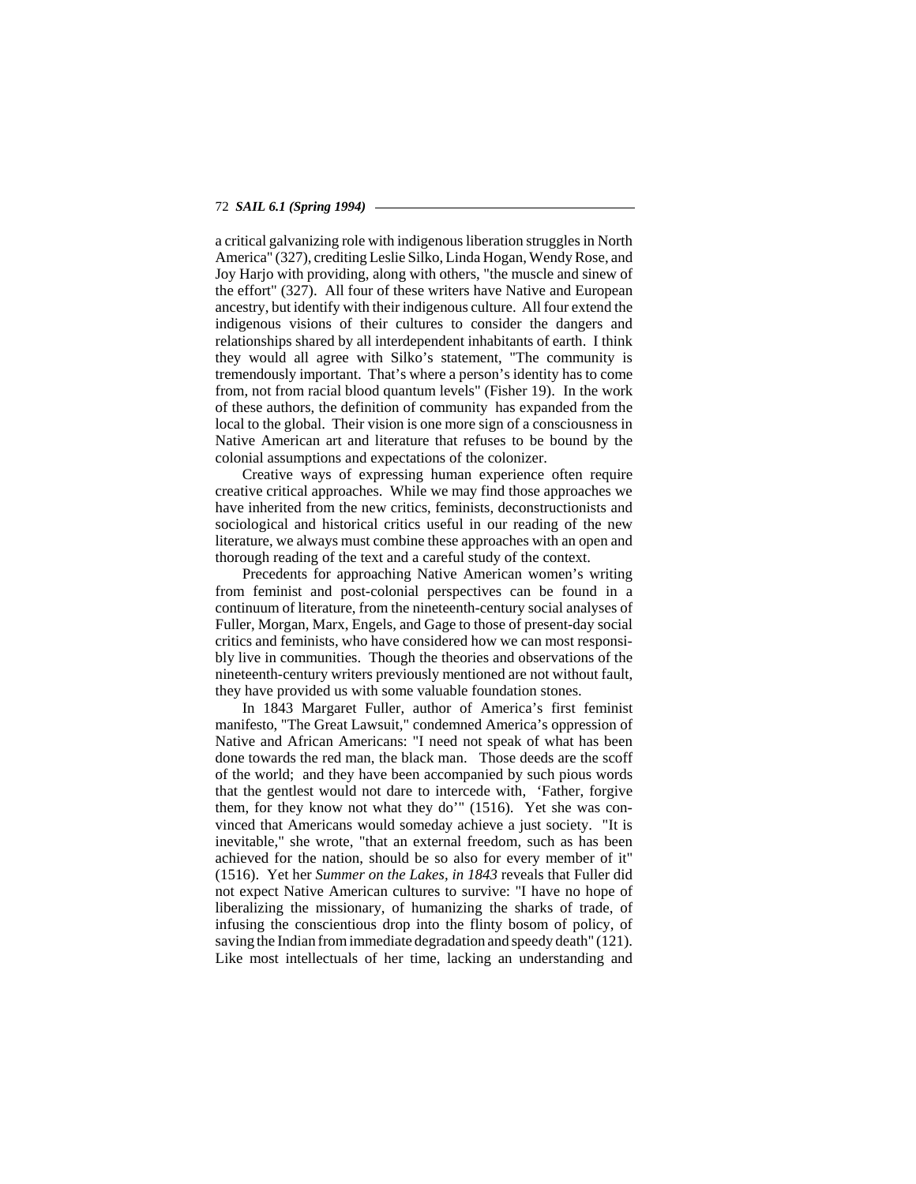a critical galvanizing role with indigenous liberation struggles in North America" (327), crediting Leslie Silko, Linda Hogan, Wendy Rose, and Joy Harjo with providing, along with others, "the muscle and sinew of the effort" (327). All four of these writers have Native and European ancestry, but identify with their indigenous culture. All four extend the indigenous visions of their cultures to consider the dangers and relationships shared by all interdependent inhabitants of earth. I think they would all agree with Silko's statement, "The community is tremendously important. That's where a person's identity has to come from, not from racial blood quantum levels" (Fisher 19). In the work of these authors, the definition of community has expanded from the local to the global. Their vision is one more sign of a consciousness in Native American art and literature that refuses to be bound by the colonial assumptions and expectations of the colonizer.

Creative ways of expressing human experience often require creative critical approaches. While we may find those approaches we have inherited from the new critics, feminists, deconstructionists and sociological and historical critics useful in our reading of the new literature, we always must combine these approaches with an open and thorough reading of the text and a careful study of the context.

Precedents for approaching Native American women's writing from feminist and post-colonial perspectives can be found in a continuum of literature, from the nineteenth-century social analyses of Fuller, Morgan, Marx, Engels, and Gage to those of present-day social critics and feminists, who have considered how we can most responsibly live in communities. Though the theories and observations of the nineteenth-century writers previously mentioned are not without fault, they have provided us with some valuable foundation stones.

In 1843 Margaret Fuller, author of America's first feminist manifesto, "The Great Lawsuit," condemned America's oppression of Native and African Americans: "I need not speak of what has been done towards the red man, the black man. Those deeds are the scoff of the world; and they have been accompanied by such pious words that the gentlest would not dare to intercede with, 'Father, forgive them, for they know not what they do'" (1516). Yet she was convinced that Americans would someday achieve a just society. "It is inevitable," she wrote, "that an external freedom, such as has been achieved for the nation, should be so also for every member of it" (1516). Yet her *Summer on the Lakes, in 1843* reveals that Fuller did not expect Native American cultures to survive: "I have no hope of liberalizing the missionary, of humanizing the sharks of trade, of infusing the conscientious drop into the flinty bosom of policy, of saving the Indian from immediate degradation and speedy death" (121). Like most intellectuals of her time, lacking an understanding and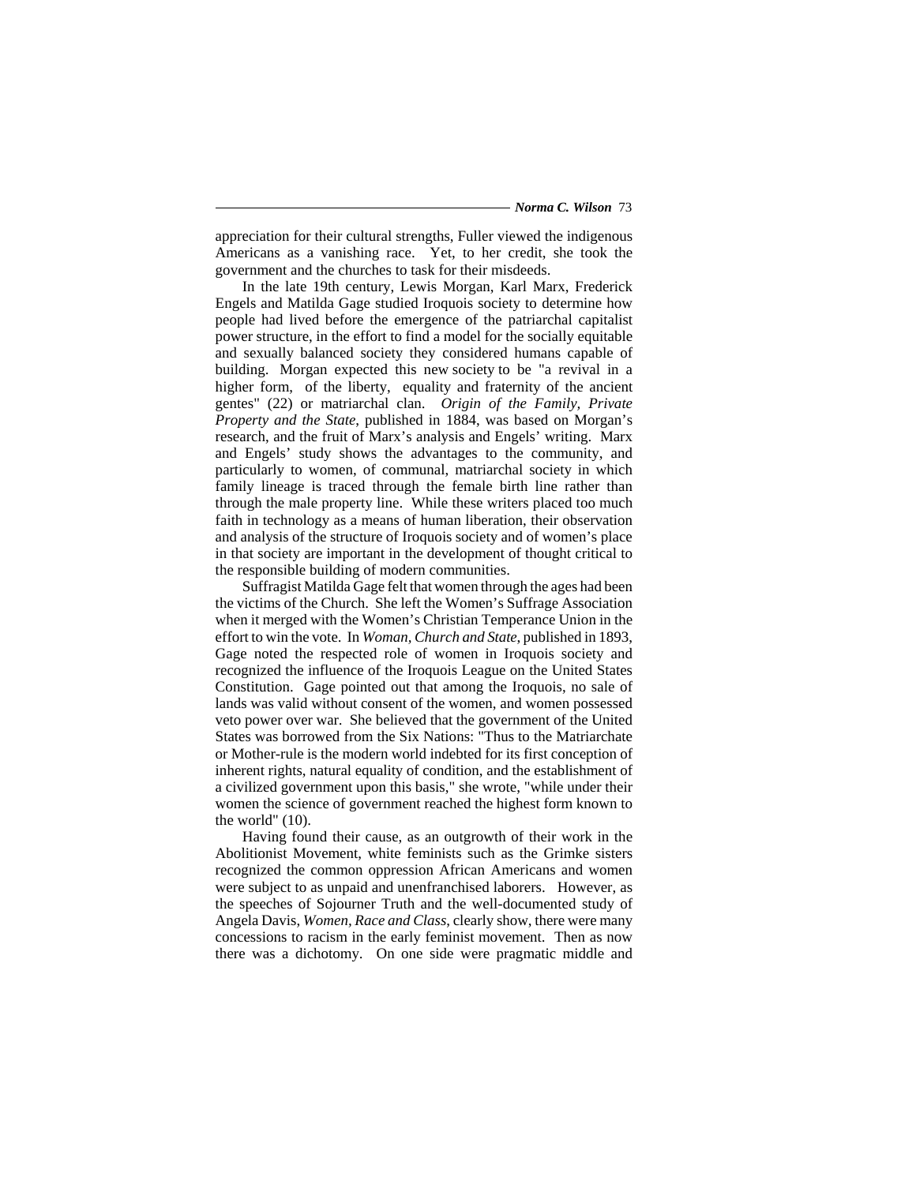appreciation for their cultural strengths, Fuller viewed the indigenous Americans as a vanishing race. Yet, to her credit, she took the government and the churches to task for their misdeeds.

In the late 19th century, Lewis Morgan, Karl Marx, Frederick Engels and Matilda Gage studied Iroquois society to determine how people had lived before the emergence of the patriarchal capitalist power structure, in the effort to find a model for the socially equitable and sexually balanced society they considered humans capable of building. Morgan expected this new society to be "a revival in a higher form, of the liberty, equality and fraternity of the ancient gentes" (22) or matriarchal clan. *Origin of the Family, Private Property and the State*, published in 1884, was based on Morgan's research, and the fruit of Marx's analysis and Engels' writing. Marx and Engels' study shows the advantages to the community, and particularly to women, of communal, matriarchal society in which family lineage is traced through the female birth line rather than through the male property line. While these writers placed too much faith in technology as a means of human liberation, their observation and analysis of the structure of Iroquois society and of women's place in that society are important in the development of thought critical to the responsible building of modern communities.

Suffragist Matilda Gage felt that women through the ages had been the victims of the Church. She left the Women's Suffrage Association when it merged with the Women's Christian Temperance Union in the effort to win the vote. In *Woman, Church and State*, published in 1893, Gage noted the respected role of women in Iroquois society and recognized the influence of the Iroquois League on the United States Constitution. Gage pointed out that among the Iroquois, no sale of lands was valid without consent of the women, and women possessed veto power over war. She believed that the government of the United States was borrowed from the Six Nations: "Thus to the Matriarchate or Mother-rule is the modern world indebted for its first conception of inherent rights, natural equality of condition, and the establishment of a civilized government upon this basis," she wrote, "while under their women the science of government reached the highest form known to the world" (10).

Having found their cause, as an outgrowth of their work in the Abolitionist Movement, white feminists such as the Grimke sisters recognized the common oppression African Americans and women were subject to as unpaid and unenfranchised laborers. However, as the speeches of Sojourner Truth and the well-documented study of Angela Davis, *Women, Race and Class*, clearly show, there were many concessions to racism in the early feminist movement. Then as now there was a dichotomy. On one side were pragmatic middle and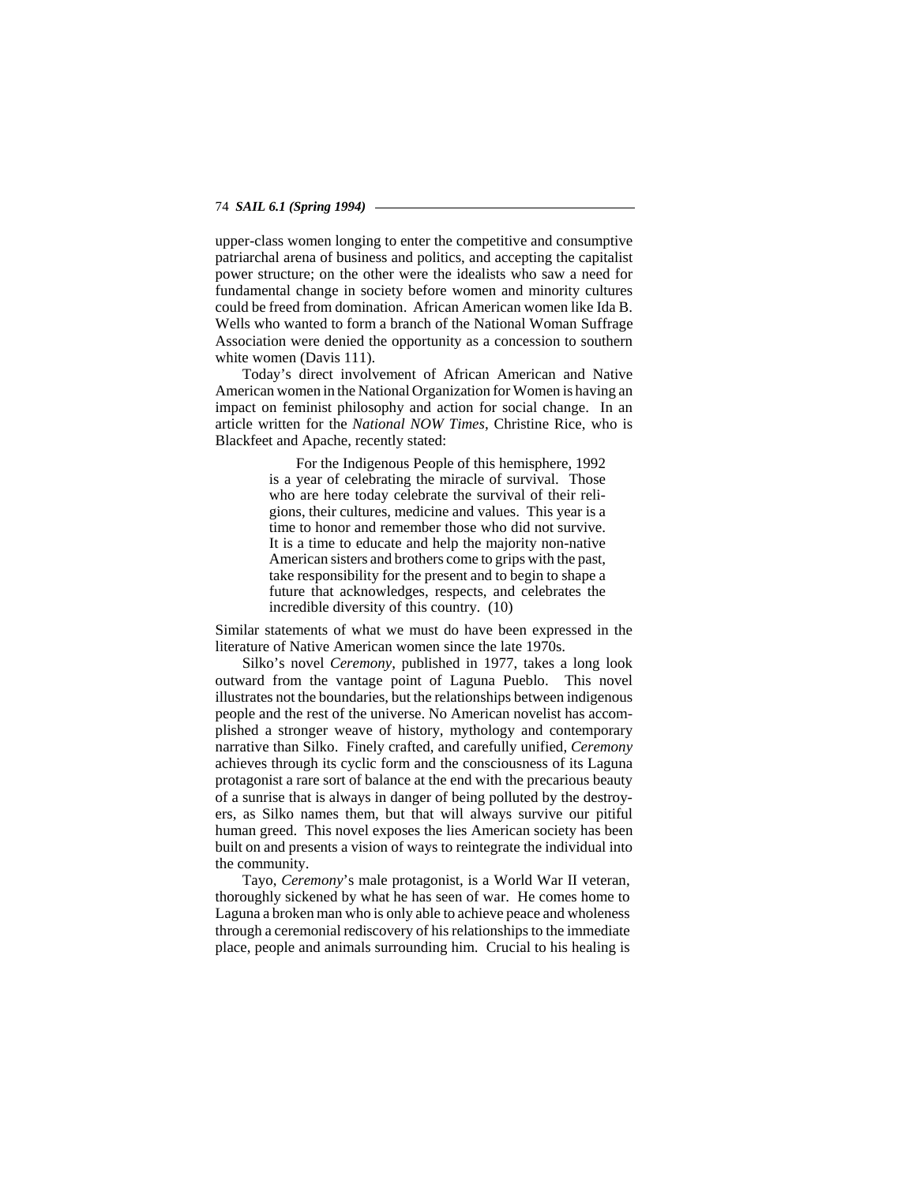upper-class women longing to enter the competitive and consumptive patriarchal arena of business and politics, and accepting the capitalist power structure; on the other were the idealists who saw a need for fundamental change in society before women and minority cultures could be freed from domination. African American women like Ida B. Wells who wanted to form a branch of the National Woman Suffrage Association were denied the opportunity as a concession to southern white women (Davis 111).

Today's direct involvement of African American and Native American women in the National Organization for Women is having an impact on feminist philosophy and action for social change. In an article written for the *National NOW Times*, Christine Rice, who is Blackfeet and Apache, recently stated:

> For the Indigenous People of this hemisphere, 1992 is a year of celebrating the miracle of survival. Those who are here today celebrate the survival of their religions, their cultures, medicine and values. This year is a time to honor and remember those who did not survive. It is a time to educate and help the majority non-native American sisters and brothers come to grips with the past, take responsibility for the present and to begin to shape a future that acknowledges, respects, and celebrates the incredible diversity of this country. (10)

Similar statements of what we must do have been expressed in the literature of Native American women since the late 1970s.

Silko's novel *Ceremony*, published in 1977, takes a long look outward from the vantage point of Laguna Pueblo. This novel illustrates not the boundaries, but the relationships between indigenous people and the rest of the universe. No American novelist has accomplished a stronger weave of history, mythology and contemporary narrative than Silko. Finely crafted, and carefully unified, *Ceremony* achieves through its cyclic form and the consciousness of its Laguna protagonist a rare sort of balance at the end with the precarious beauty of a sunrise that is always in danger of being polluted by the destroyers, as Silko names them, but that will always survive our pitiful human greed. This novel exposes the lies American society has been built on and presents a vision of ways to reintegrate the individual into the community.

Tayo, *Ceremony*'s male protagonist, is a World War II veteran, thoroughly sickened by what he has seen of war. He comes home to Laguna a broken man who is only able to achieve peace and wholeness through a ceremonial rediscovery of his relationships to the immediate place, people and animals surrounding him. Crucial to his healing is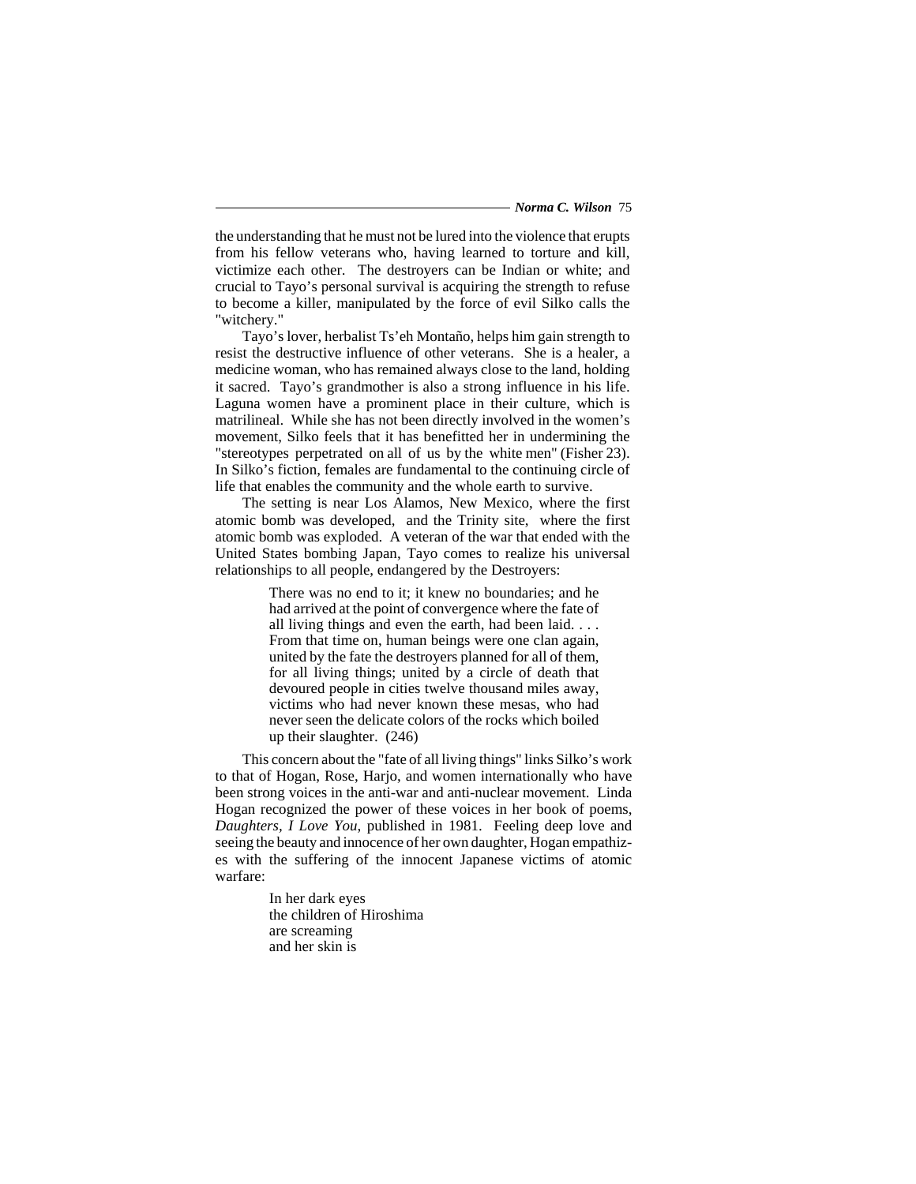the understanding that he must not be lured into the violence that erupts from his fellow veterans who, having learned to torture and kill, victimize each other. The destroyers can be Indian or white; and crucial to Tayo's personal survival is acquiring the strength to refuse to become a killer, manipulated by the force of evil Silko calls the "witchery."

Tayo's lover, herbalist Ts'eh Montaño, helps him gain strength to resist the destructive influence of other veterans. She is a healer, a medicine woman, who has remained always close to the land, holding it sacred. Tayo's grandmother is also a strong influence in his life. Laguna women have a prominent place in their culture, which is matrilineal. While she has not been directly involved in the women's movement, Silko feels that it has benefitted her in undermining the "stereotypes perpetrated on all of us by the white men" (Fisher 23). In Silko's fiction, females are fundamental to the continuing circle of life that enables the community and the whole earth to survive.

The setting is near Los Alamos, New Mexico, where the first atomic bomb was developed, and the Trinity site, where the first atomic bomb was exploded. A veteran of the war that ended with the United States bombing Japan, Tayo comes to realize his universal relationships to all people, endangered by the Destroyers:

> There was no end to it; it knew no boundaries; and he had arrived at the point of convergence where the fate of all living things and even the earth, had been laid. . . . From that time on, human beings were one clan again, united by the fate the destroyers planned for all of them, for all living things; united by a circle of death that devoured people in cities twelve thousand miles away, victims who had never known these mesas, who had never seen the delicate colors of the rocks which boiled up their slaughter. (246)

This concern about the "fate of all living things" links Silko's work to that of Hogan, Rose, Harjo, and women internationally who have been strong voices in the anti-war and anti-nuclear movement. Linda Hogan recognized the power of these voices in her book of poems, *Daughters, I Love You*, published in 1981. Feeling deep love and seeing the beauty and innocence of her own daughter, Hogan empathizes with the suffering of the innocent Japanese victims of atomic warfare:

> In her dark eyes the children of Hiroshima are screaming and her skin is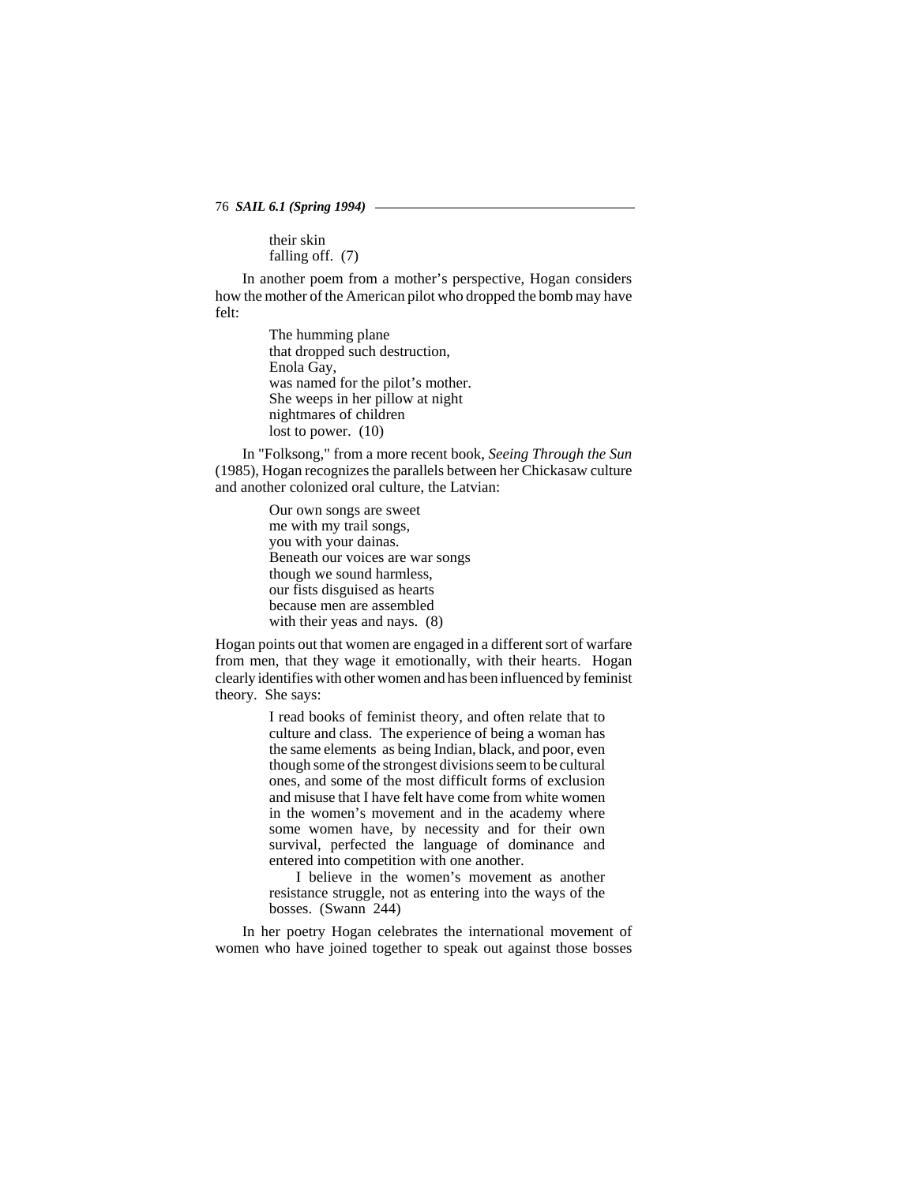their skin falling off. (7)

In another poem from a mother's perspective, Hogan considers how the mother of the American pilot who dropped the bomb may have felt:

> The humming plane that dropped such destruction, Enola Gay, was named for the pilot's mother. She weeps in her pillow at night nightmares of children lost to power. (10)

In "Folksong," from a more recent book, *Seeing Through the Sun* (1985), Hogan recognizes the parallels between her Chickasaw culture and another colonized oral culture, the Latvian:

> Our own songs are sweet me with my trail songs, you with your dainas. Beneath our voices are war songs though we sound harmless, our fists disguised as hearts because men are assembled with their yeas and nays. (8)

Hogan points out that women are engaged in a different sort of warfare from men, that they wage it emotionally, with their hearts. Hogan clearly identifies with other women and has been influenced by feminist theory. She says:

> I read books of feminist theory, and often relate that to culture and class. The experience of being a woman has the same elements as being Indian, black, and poor, even though some of the strongest divisions seem to be cultural ones, and some of the most difficult forms of exclusion and misuse that I have felt have come from white women in the women's movement and in the academy where some women have, by necessity and for their own survival, perfected the language of dominance and entered into competition with one another.

> I believe in the women's movement as another resistance struggle, not as entering into the ways of the bosses. (Swann 244)

In her poetry Hogan celebrates the international movement of women who have joined together to speak out against those bosses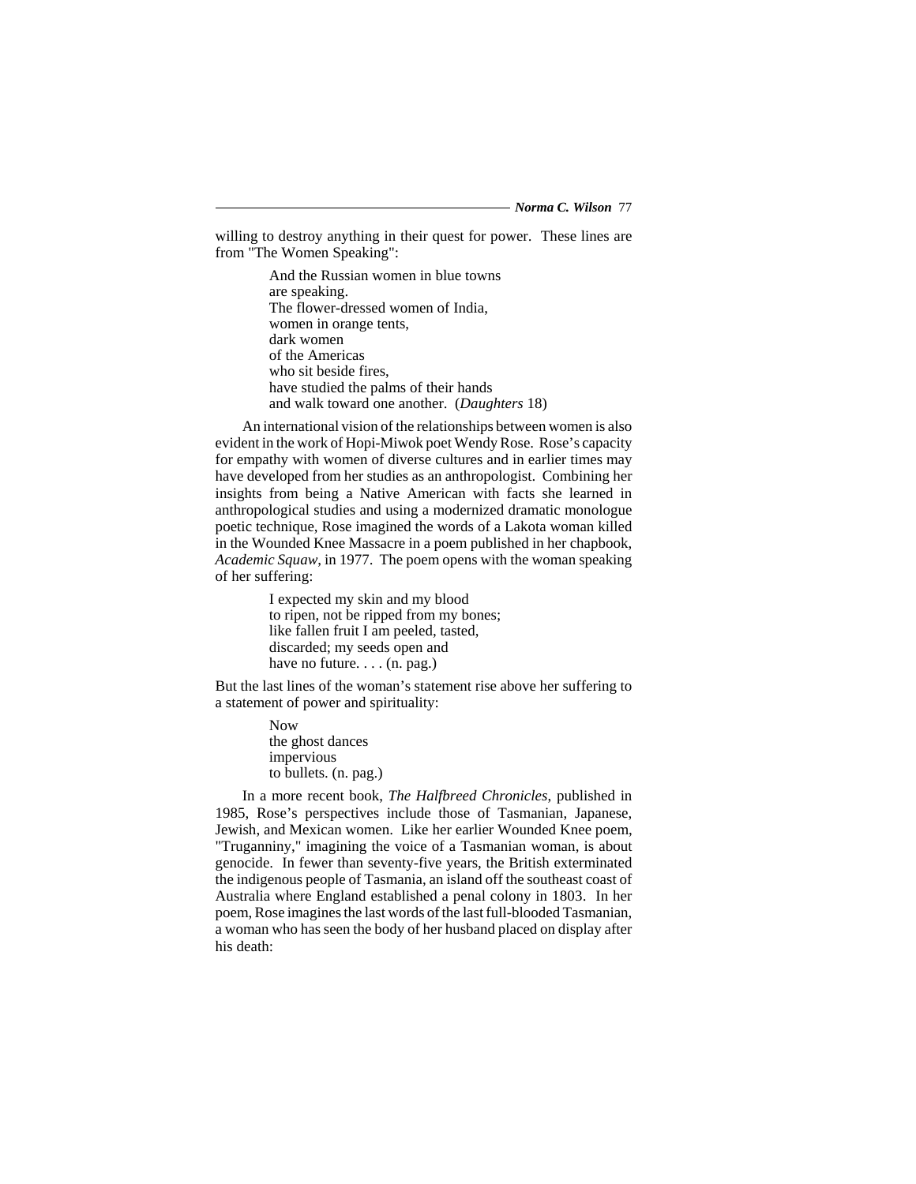willing to destroy anything in their quest for power. These lines are from "The Women Speaking":

> And the Russian women in blue towns are speaking. The flower-dressed women of India, women in orange tents, dark women of the Americas who sit beside fires, have studied the palms of their hands and walk toward one another. (*Daughters* 18)

An international vision of the relationships between women is also evident in the work of Hopi-Miwok poet Wendy Rose. Rose's capacity for empathy with women of diverse cultures and in earlier times may have developed from her studies as an anthropologist. Combining her insights from being a Native American with facts she learned in anthropological studies and using a modernized dramatic monologue poetic technique, Rose imagined the words of a Lakota woman killed in the Wounded Knee Massacre in a poem published in her chapbook, *Academic Squaw*, in 1977. The poem opens with the woman speaking of her suffering:

> I expected my skin and my blood to ripen, not be ripped from my bones; like fallen fruit I am peeled, tasted, discarded; my seeds open and have no future. . . . (n. pag.)

But the last lines of the woman's statement rise above her suffering to a statement of power and spirituality:

> Now the ghost dances impervious to bullets. (n. pag.)

In a more recent book, *The Halfbreed Chronicles*, published in 1985, Rose's perspectives include those of Tasmanian, Japanese, Jewish, and Mexican women. Like her earlier Wounded Knee poem, "Truganniny," imagining the voice of a Tasmanian woman, is about genocide. In fewer than seventy-five years, the British exterminated the indigenous people of Tasmania, an island off the southeast coast of Australia where England established a penal colony in 1803. In her poem, Rose imagines the last words of the last full-blooded Tasmanian, a woman who has seen the body of her husband placed on display after his death: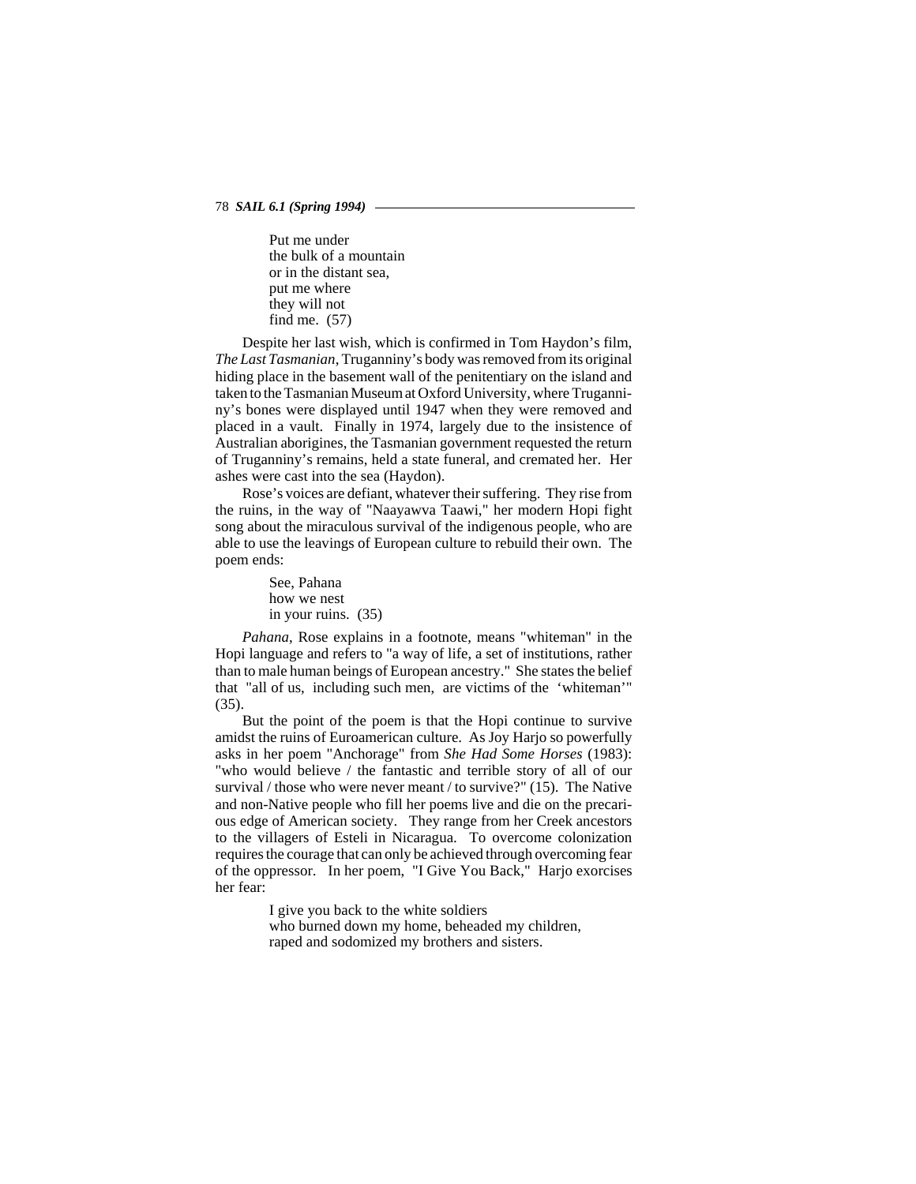Put me under the bulk of a mountain or in the distant sea, put me where they will not find me. (57)

Despite her last wish, which is confirmed in Tom Haydon's film, *The Last Tasmanian*, Truganniny's body was removed from its original hiding place in the basement wall of the penitentiary on the island and taken to the Tasmanian Museum at Oxford University, where Truganniny's bones were displayed until 1947 when they were removed and placed in a vault. Finally in 1974, largely due to the insistence of Australian aborigines, the Tasmanian government requested the return of Truganniny's remains, held a state funeral, and cremated her. Her ashes were cast into the sea (Haydon).

Rose's voices are defiant, whatever their suffering. They rise from the ruins, in the way of "Naayawva Taawi," her modern Hopi fight song about the miraculous survival of the indigenous people, who are able to use the leavings of European culture to rebuild their own. The poem ends:

> See, Pahana how we nest in your ruins. (35)

*Pahana*, Rose explains in a footnote, means "whiteman" in the Hopi language and refers to "a way of life, a set of institutions, rather than to male human beings of European ancestry." She states the belief that "all of us, including such men, are victims of the 'whiteman'" (35).

But the point of the poem is that the Hopi continue to survive amidst the ruins of Euroamerican culture. As Joy Harjo so powerfully asks in her poem "Anchorage" from *She Had Some Horses* (1983): "who would believe / the fantastic and terrible story of all of our survival / those who were never meant / to survive?" (15). The Native and non-Native people who fill her poems live and die on the precarious edge of American society. They range from her Creek ancestors to the villagers of Esteli in Nicaragua. To overcome colonization requires the courage that can only be achieved through overcoming fear of the oppressor. In her poem, "I Give You Back," Harjo exorcises her fear:

> I give you back to the white soldiers who burned down my home, beheaded my children, raped and sodomized my brothers and sisters.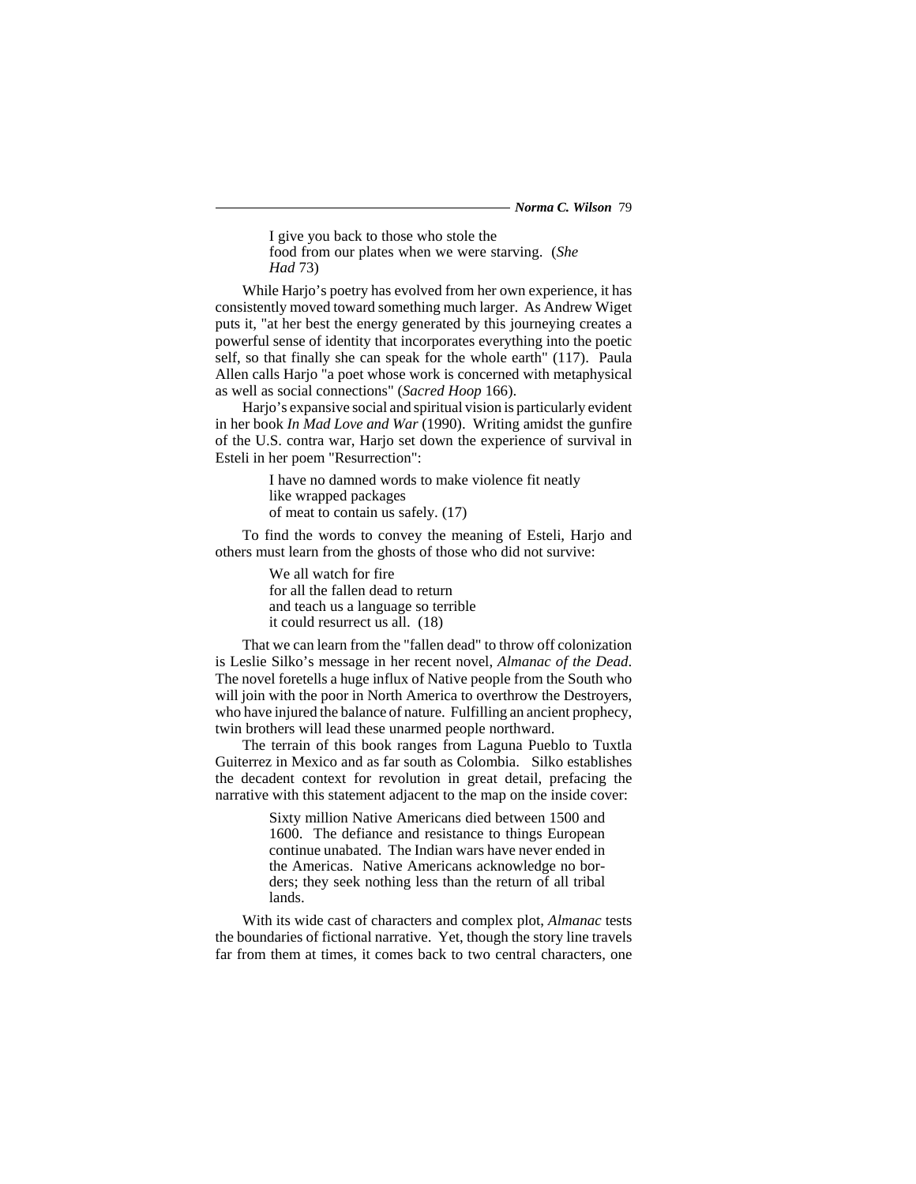I give you back to those who stole the food from our plates when we were starving. (*She Had* 73)

While Harjo's poetry has evolved from her own experience, it has consistently moved toward something much larger. As Andrew Wiget puts it, "at her best the energy generated by this journeying creates a powerful sense of identity that incorporates everything into the poetic self, so that finally she can speak for the whole earth" (117). Paula Allen calls Harjo "a poet whose work is concerned with metaphysical as well as social connections" (*Sacred Hoop* 166).

Harjo's expansive social and spiritual vision is particularly evident in her book *In Mad Love and War* (1990). Writing amidst the gunfire of the U.S. contra war, Harjo set down the experience of survival in Esteli in her poem "Resurrection":

> I have no damned words to make violence fit neatly like wrapped packages of meat to contain us safely. (17)

To find the words to convey the meaning of Esteli, Harjo and others must learn from the ghosts of those who did not survive:

> We all watch for fire for all the fallen dead to return and teach us a language so terrible it could resurrect us all. (18)

That we can learn from the "fallen dead" to throw off colonization is Leslie Silko's message in her recent novel, *Almanac of the Dead*. The novel foretells a huge influx of Native people from the South who will join with the poor in North America to overthrow the Destroyers, who have injured the balance of nature. Fulfilling an ancient prophecy, twin brothers will lead these unarmed people northward.

The terrain of this book ranges from Laguna Pueblo to Tuxtla Guiterrez in Mexico and as far south as Colombia. Silko establishes the decadent context for revolution in great detail, prefacing the narrative with this statement adjacent to the map on the inside cover:

> Sixty million Native Americans died between 1500 and 1600. The defiance and resistance to things European continue unabated. The Indian wars have never ended in the Americas. Native Americans acknowledge no borders; they seek nothing less than the return of all tribal lands.

With its wide cast of characters and complex plot, *Almanac* tests the boundaries of fictional narrative. Yet, though the story line travels far from them at times, it comes back to two central characters, one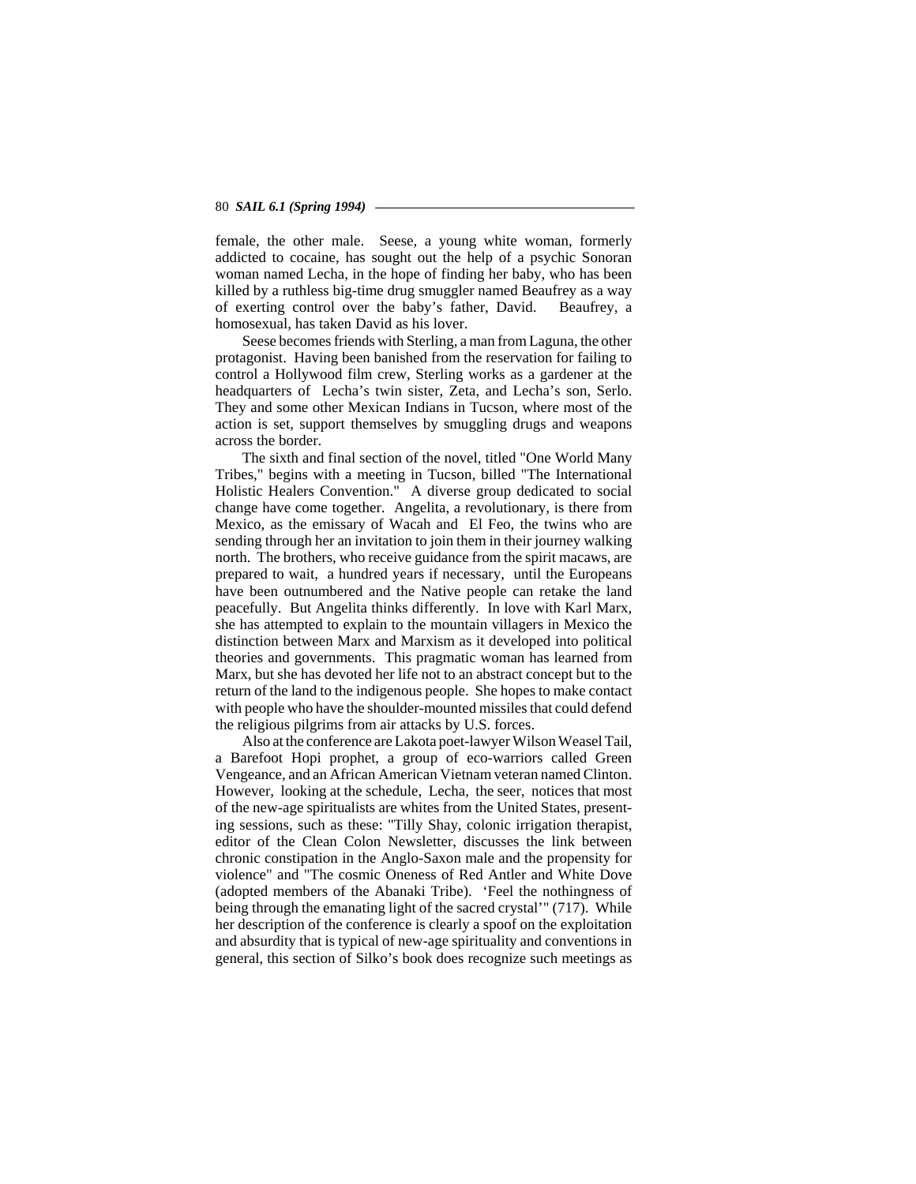female, the other male. Seese, a young white woman, formerly addicted to cocaine, has sought out the help of a psychic Sonoran woman named Lecha, in the hope of finding her baby, who has been killed by a ruthless big-time drug smuggler named Beaufrey as a way of exerting control over the baby's father, David. Beaufrey, a homosexual, has taken David as his lover.

Seese becomes friends with Sterling, a man from Laguna, the other protagonist. Having been banished from the reservation for failing to control a Hollywood film crew, Sterling works as a gardener at the headquarters of Lecha's twin sister, Zeta, and Lecha's son, Serlo. They and some other Mexican Indians in Tucson, where most of the action is set, support themselves by smuggling drugs and weapons across the border.

The sixth and final section of the novel, titled "One World Many Tribes," begins with a meeting in Tucson, billed "The International Holistic Healers Convention." A diverse group dedicated to social change have come together. Angelita, a revolutionary, is there from Mexico, as the emissary of Wacah and El Feo, the twins who are sending through her an invitation to join them in their journey walking north. The brothers, who receive guidance from the spirit macaws, are prepared to wait, a hundred years if necessary, until the Europeans have been outnumbered and the Native people can retake the land peacefully. But Angelita thinks differently. In love with Karl Marx, she has attempted to explain to the mountain villagers in Mexico the distinction between Marx and Marxism as it developed into political theories and governments. This pragmatic woman has learned from Marx, but she has devoted her life not to an abstract concept but to the return of the land to the indigenous people. She hopes to make contact with people who have the shoulder-mounted missiles that could defend the religious pilgrims from air attacks by U.S. forces.

Also at the conference are Lakota poet-lawyer Wilson Weasel Tail, a Barefoot Hopi prophet, a group of eco-warriors called Green Vengeance, and an African American Vietnam veteran named Clinton. However, looking at the schedule, Lecha, the seer, notices that most of the new-age spiritualists are whites from the United States, presenting sessions, such as these: "Tilly Shay, colonic irrigation therapist, editor of the Clean Colon Newsletter, discusses the link between chronic constipation in the Anglo-Saxon male and the propensity for violence" and "The cosmic Oneness of Red Antler and White Dove (adopted members of the Abanaki Tribe). 'Feel the nothingness of being through the emanating light of the sacred crystal'" (717). While her description of the conference is clearly a spoof on the exploitation and absurdity that is typical of new-age spirituality and conventions in general, this section of Silko's book does recognize such meetings as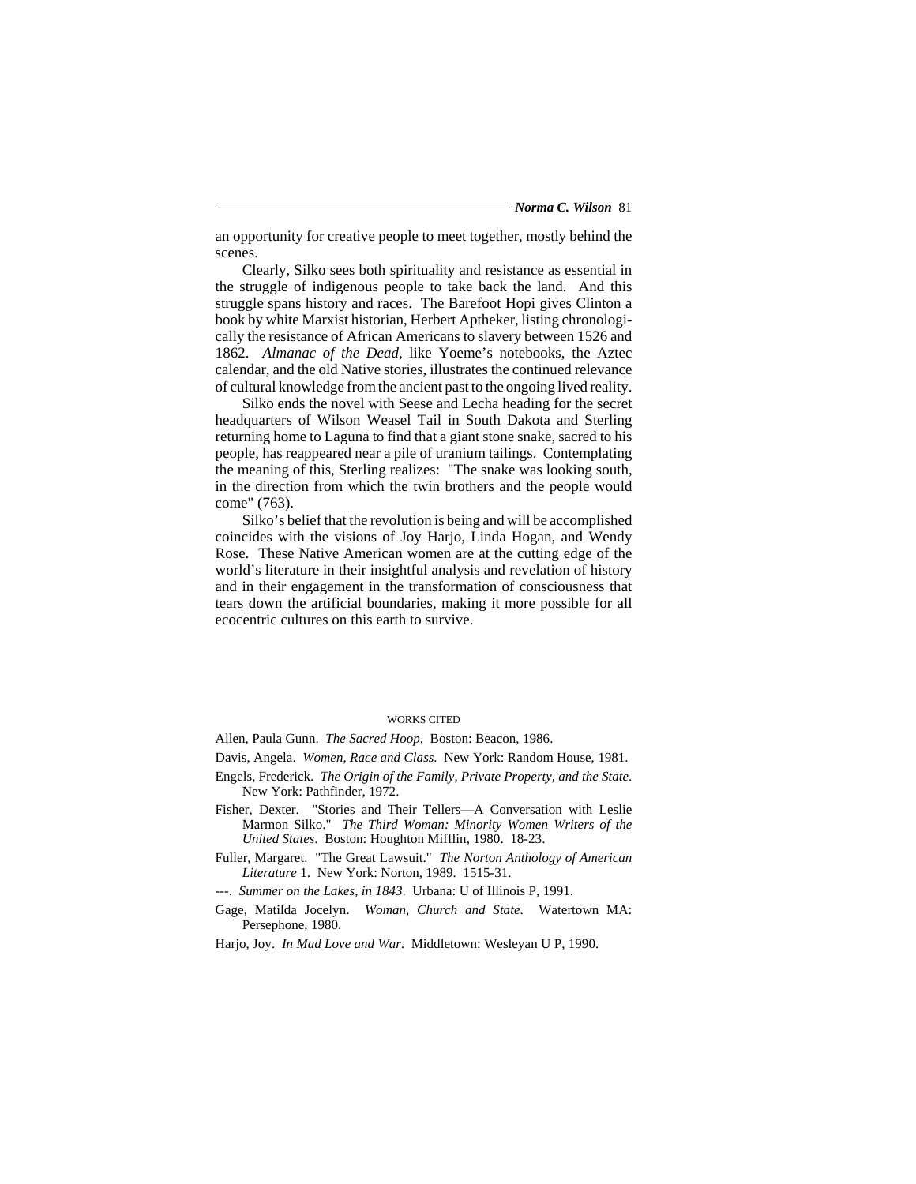an opportunity for creative people to meet together, mostly behind the scenes.

Clearly, Silko sees both spirituality and resistance as essential in the struggle of indigenous people to take back the land. And this struggle spans history and races. The Barefoot Hopi gives Clinton a book by white Marxist historian, Herbert Aptheker, listing chronologically the resistance of African Americans to slavery between 1526 and 1862. *Almanac of the Dead*, like Yoeme's notebooks, the Aztec calendar, and the old Native stories, illustrates the continued relevance of cultural knowledge from the ancient past to the ongoing lived reality.

Silko ends the novel with Seese and Lecha heading for the secret headquarters of Wilson Weasel Tail in South Dakota and Sterling returning home to Laguna to find that a giant stone snake, sacred to his people, has reappeared near a pile of uranium tailings. Contemplating the meaning of this, Sterling realizes: "The snake was looking south, in the direction from which the twin brothers and the people would come" (763).

Silko's belief that the revolution is being and will be accomplished coincides with the visions of Joy Harjo, Linda Hogan, and Wendy Rose. These Native American women are at the cutting edge of the world's literature in their insightful analysis and revelation of history and in their engagement in the transformation of consciousness that tears down the artificial boundaries, making it more possible for all ecocentric cultures on this earth to survive.

#### WORKS CITED

Allen, Paula Gunn. *The Sacred Hoop*. Boston: Beacon, 1986.

- Davis, Angela. *Women, Race and Class*. New York: Random House, 1981.
- Engels, Frederick. *The Origin of the Family, Private Property, and the State*. New York: Pathfinder, 1972.
- Fisher, Dexter. "Stories and Their Tellers—A Conversation with Leslie Marmon Silko." *The Third Woman: Minority Women Writers of the United States*. Boston: Houghton Mifflin, 1980. 18-23.
- Fuller, Margaret. "The Great Lawsuit." *The Norton Anthology of American Literature* 1. New York: Norton, 1989. 1515-31.

---. *Summer on the Lakes, in 1843*. Urbana: U of Illinois P, 1991.

- Gage, Matilda Jocelyn. *Woman, Church and State*. Watertown MA: Persephone, 1980.
- Harjo, Joy. *In Mad Love and War*. Middletown: Wesleyan U P, 1990.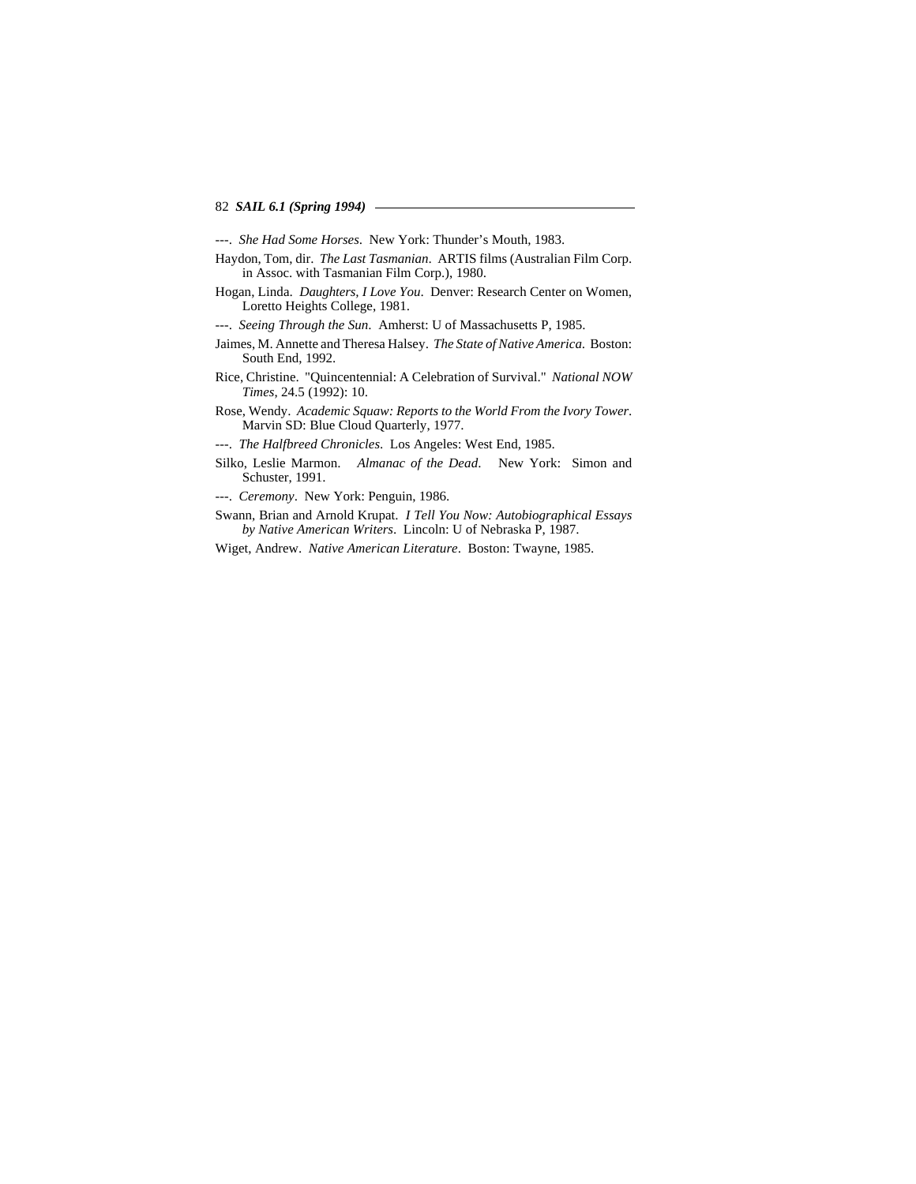---. *She Had Some Horses*. New York: Thunder's Mouth, 1983.

- Haydon, Tom, dir. *The Last Tasmanian*. ARTIS films (Australian Film Corp. in Assoc. with Tasmanian Film Corp.), 1980.
- Hogan, Linda. *Daughters, I Love You*. Denver: Research Center on Women, Loretto Heights College, 1981.
- ---. *Seeing Through the Sun*. Amherst: U of Massachusetts P, 1985.
- Jaimes, M. Annette and Theresa Halsey. *The State of Native America*. Boston: South End, 1992.
- Rice, Christine. "Quincentennial: A Celebration of Survival." *National NOW Times*, 24.5 (1992): 10.
- Rose, Wendy. *Academic Squaw: Reports to the World From the Ivory Tower*. Marvin SD: Blue Cloud Quarterly, 1977.
- ---. *The Halfbreed Chronicles*. Los Angeles: West End, 1985.
- Silko, Leslie Marmon. *Almanac of the Dead*. New York: Simon and Schuster, 1991.
- ---. *Ceremony*. New York: Penguin, 1986.
- Swann, Brian and Arnold Krupat. *I Tell You Now: Autobiographical Essays by Native American Writers*. Lincoln: U of Nebraska P, 1987.
- Wiget, Andrew. *Native American Literature*. Boston: Twayne, 1985.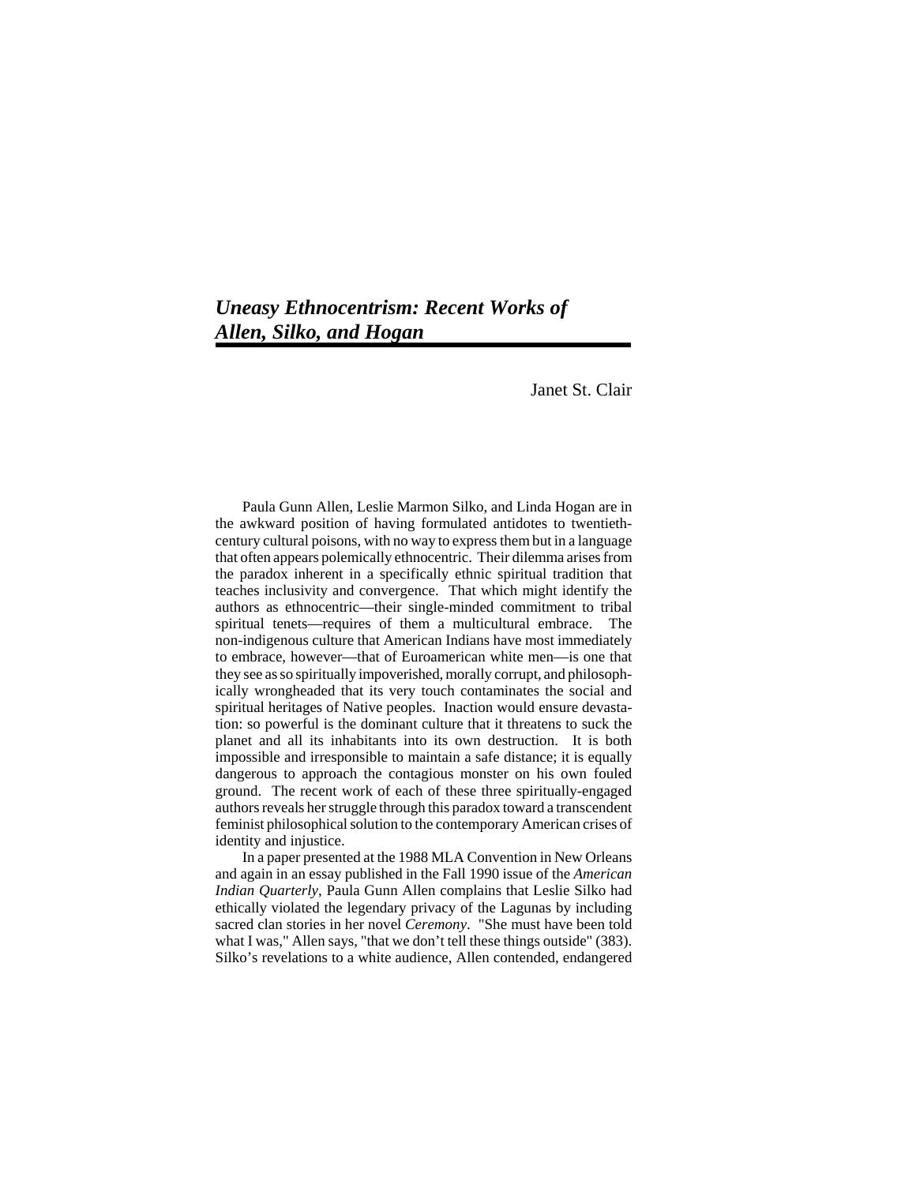## *Uneasy Ethnocentrism: Recent Works of Allen, Silko, and Hogan*

Janet St. Clair

Paula Gunn Allen, Leslie Marmon Silko, and Linda Hogan are in the awkward position of having formulated antidotes to twentiethcentury cultural poisons, with no way to express them but in a language that often appears polemically ethnocentric. Their dilemma arises from the paradox inherent in a specifically ethnic spiritual tradition that teaches inclusivity and convergence. That which might identify the authors as ethnocentric—their single-minded commitment to tribal spiritual tenets—requires of them a multicultural embrace. The non-indigenous culture that American Indians have most immediately to embrace, however—that of Euroamerican white men—is one that they see as so spiritually impoverished, morally corrupt, and philosophically wrongheaded that its very touch contaminates the social and spiritual heritages of Native peoples. Inaction would ensure devastation: so powerful is the dominant culture that it threatens to suck the planet and all its inhabitants into its own destruction. It is both impossible and irresponsible to maintain a safe distance; it is equally dangerous to approach the contagious monster on his own fouled ground. The recent work of each of these three spiritually-engaged authors reveals her struggle through this paradox toward a transcendent feminist philosophical solution to the contemporary American crises of identity and injustice.

In a paper presented at the 1988 MLA Convention in New Orleans and again in an essay published in the Fall 1990 issue of the *American Indian Quarterly*, Paula Gunn Allen complains that Leslie Silko had ethically violated the legendary privacy of the Lagunas by including sacred clan stories in her novel *Ceremony*. "She must have been told what I was," Allen says, "that we don't tell these things outside" (383). Silko's revelations to a white audience, Allen contended, endangered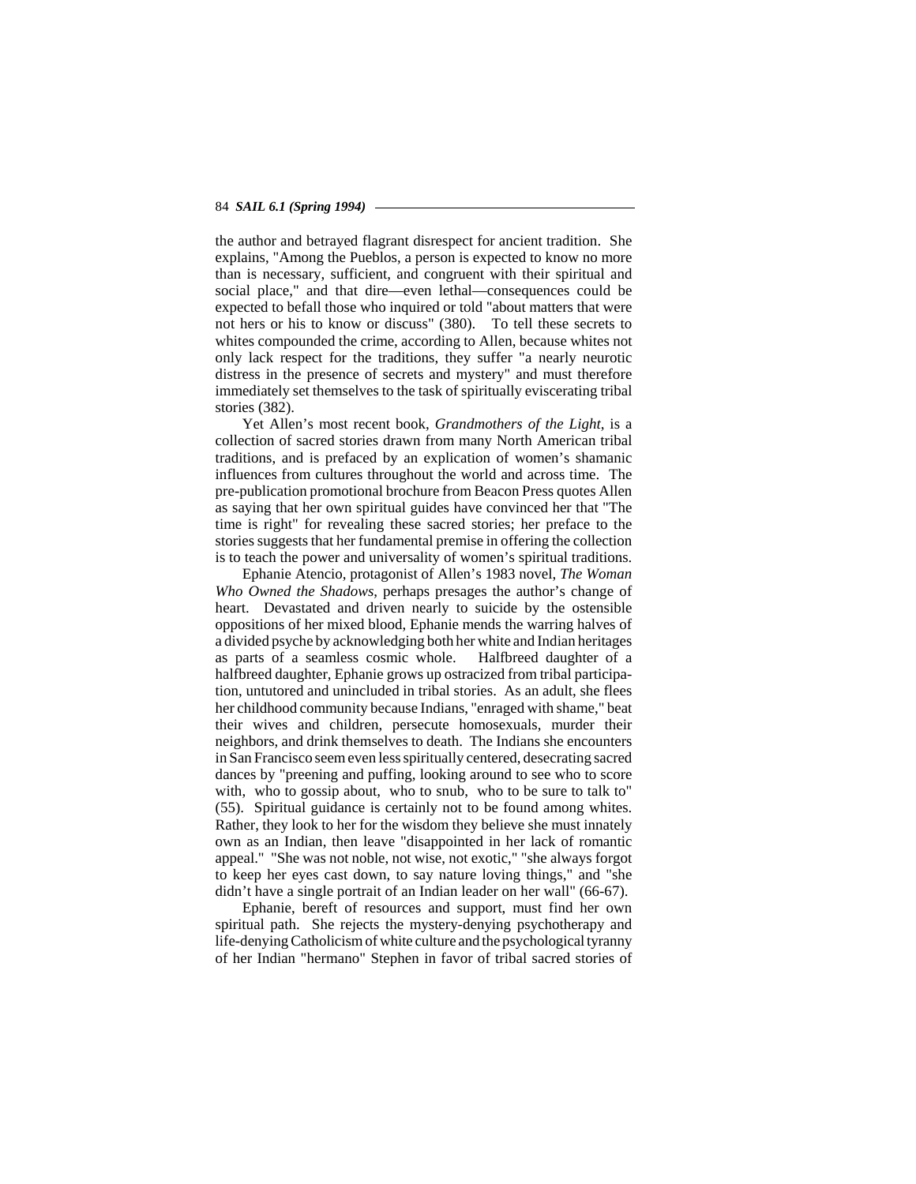the author and betrayed flagrant disrespect for ancient tradition. She explains, "Among the Pueblos, a person is expected to know no more than is necessary, sufficient, and congruent with their spiritual and social place," and that dire—even lethal—consequences could be expected to befall those who inquired or told "about matters that were not hers or his to know or discuss" (380). To tell these secrets to whites compounded the crime, according to Allen, because whites not only lack respect for the traditions, they suffer "a nearly neurotic distress in the presence of secrets and mystery" and must therefore immediately set themselves to the task of spiritually eviscerating tribal stories (382).

Yet Allen's most recent book, *Grandmothers of the Light*, is a collection of sacred stories drawn from many North American tribal traditions, and is prefaced by an explication of women's shamanic influences from cultures throughout the world and across time. The pre-publication promotional brochure from Beacon Press quotes Allen as saying that her own spiritual guides have convinced her that "The time is right" for revealing these sacred stories; her preface to the stories suggests that her fundamental premise in offering the collection is to teach the power and universality of women's spiritual traditions.

Ephanie Atencio, protagonist of Allen's 1983 novel, *The Woman Who Owned the Shadows*, perhaps presages the author's change of heart. Devastated and driven nearly to suicide by the ostensible oppositions of her mixed blood, Ephanie mends the warring halves of a divided psyche by acknowledging both her white and Indian heritages as parts of a seamless cosmic whole. Halfbreed daughter of a halfbreed daughter, Ephanie grows up ostracized from tribal participation, untutored and unincluded in tribal stories. As an adult, she flees her childhood community because Indians, "enraged with shame," beat their wives and children, persecute homosexuals, murder their neighbors, and drink themselves to death. The Indians she encounters in San Francisco seem even less spiritually centered, desecrating sacred dances by "preening and puffing, looking around to see who to score with, who to gossip about, who to snub, who to be sure to talk to" (55). Spiritual guidance is certainly not to be found among whites. Rather, they look to her for the wisdom they believe she must innately own as an Indian, then leave "disappointed in her lack of romantic appeal." "She was not noble, not wise, not exotic," "she always forgot to keep her eyes cast down, to say nature loving things," and "she didn't have a single portrait of an Indian leader on her wall" (66-67).

Ephanie, bereft of resources and support, must find her own spiritual path. She rejects the mystery-denying psychotherapy and life-denying Catholicism of white culture and the psychological tyranny of her Indian "hermano" Stephen in favor of tribal sacred stories of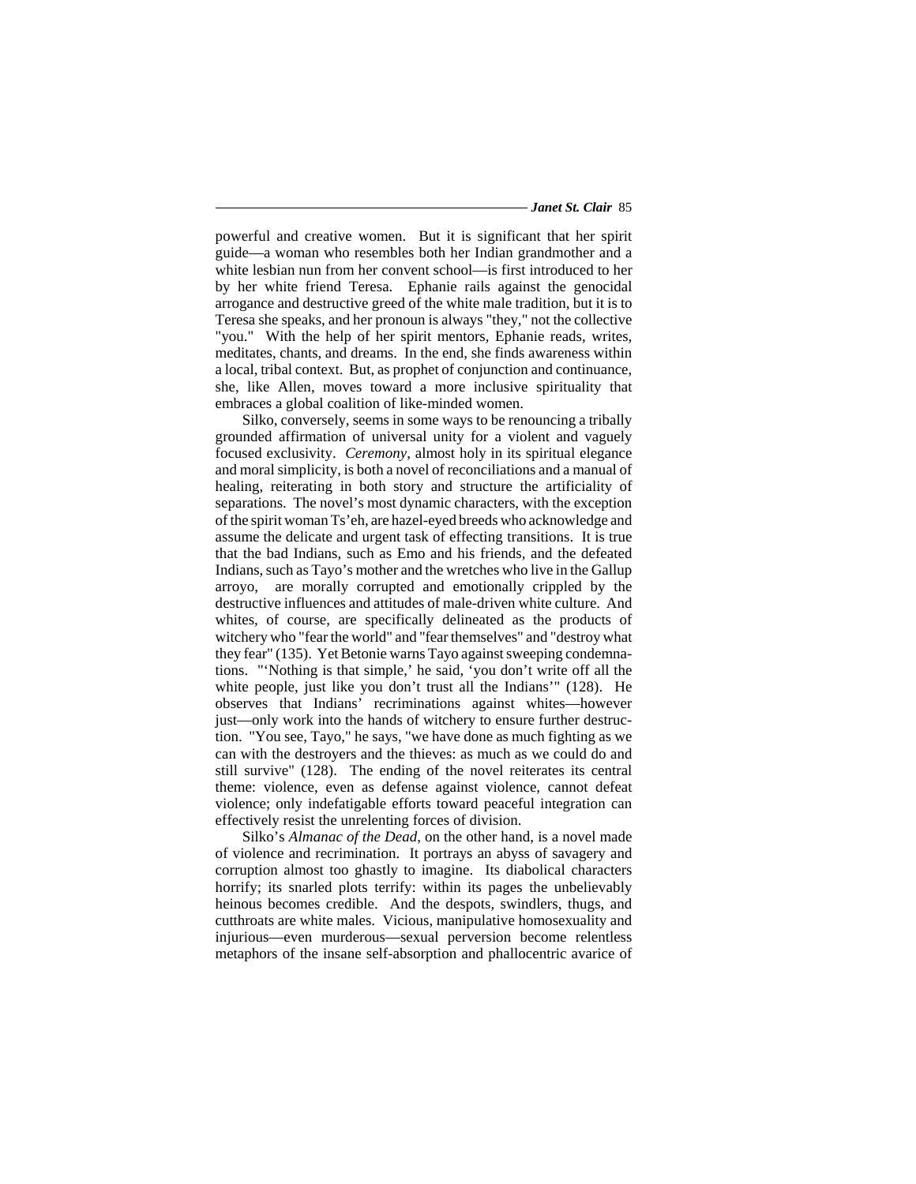powerful and creative women. But it is significant that her spirit guide—a woman who resembles both her Indian grandmother and a white lesbian nun from her convent school—is first introduced to her by her white friend Teresa. Ephanie rails against the genocidal arrogance and destructive greed of the white male tradition, but it is to Teresa she speaks, and her pronoun is always "they," not the collective "you." With the help of her spirit mentors, Ephanie reads, writes, meditates, chants, and dreams. In the end, she finds awareness within a local, tribal context. But, as prophet of conjunction and continuance, she, like Allen, moves toward a more inclusive spirituality that embraces a global coalition of like-minded women.

Silko, conversely, seems in some ways to be renouncing a tribally grounded affirmation of universal unity for a violent and vaguely focused exclusivity. *Ceremony*, almost holy in its spiritual elegance and moral simplicity, is both a novel of reconciliations and a manual of healing, reiterating in both story and structure the artificiality of separations. The novel's most dynamic characters, with the exception of the spirit woman Ts'eh, are hazel-eyed breeds who acknowledge and assume the delicate and urgent task of effecting transitions. It is true that the bad Indians, such as Emo and his friends, and the defeated Indians, such as Tayo's mother and the wretches who live in the Gallup arroyo, are morally corrupted and emotionally crippled by the destructive influences and attitudes of male-driven white culture. And whites, of course, are specifically delineated as the products of witchery who "fear the world" and "fear themselves" and "destroy what they fear" (135). Yet Betonie warns Tayo against sweeping condemnations. "'Nothing is that simple,' he said, 'you don't write off all the white people, just like you don't trust all the Indians'" (128). He observes that Indians' recriminations against whites—however just—only work into the hands of witchery to ensure further destruction. "You see, Tayo," he says, "we have done as much fighting as we can with the destroyers and the thieves: as much as we could do and still survive" (128). The ending of the novel reiterates its central theme: violence, even as defense against violence, cannot defeat violence; only indefatigable efforts toward peaceful integration can effectively resist the unrelenting forces of division.

Silko's *Almanac of the Dead*, on the other hand, is a novel made of violence and recrimination. It portrays an abyss of savagery and corruption almost too ghastly to imagine. Its diabolical characters horrify; its snarled plots terrify: within its pages the unbelievably heinous becomes credible. And the despots, swindlers, thugs, and cutthroats are white males. Vicious, manipulative homosexuality and injurious—even murderous—sexual perversion become relentless metaphors of the insane self-absorption and phallocentric avarice of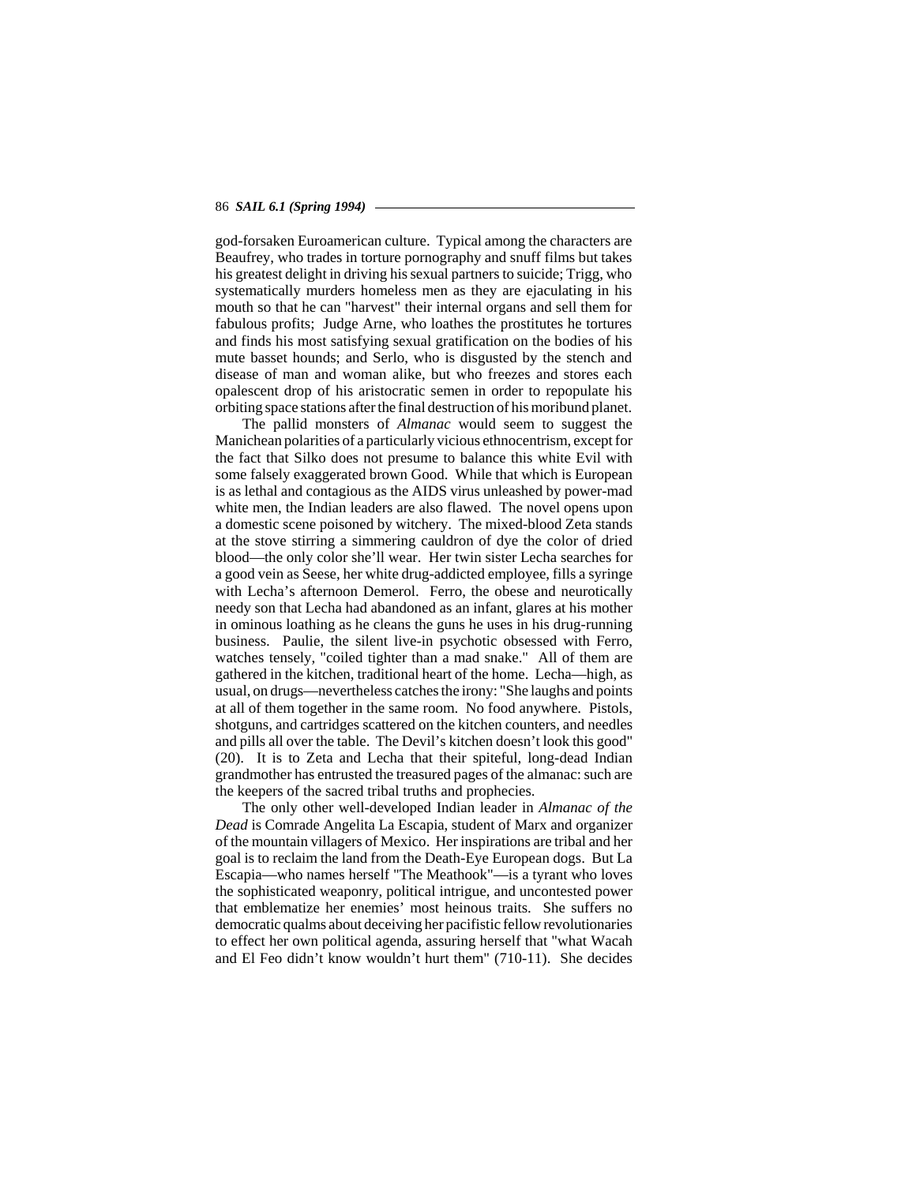god-forsaken Euroamerican culture. Typical among the characters are Beaufrey, who trades in torture pornography and snuff films but takes his greatest delight in driving his sexual partners to suicide; Trigg, who systematically murders homeless men as they are ejaculating in his mouth so that he can "harvest" their internal organs and sell them for fabulous profits; Judge Arne, who loathes the prostitutes he tortures and finds his most satisfying sexual gratification on the bodies of his mute basset hounds; and Serlo, who is disgusted by the stench and disease of man and woman alike, but who freezes and stores each opalescent drop of his aristocratic semen in order to repopulate his orbiting space stations after the final destruction of his moribund planet.

The pallid monsters of *Almanac* would seem to suggest the Manichean polarities of a particularly vicious ethnocentrism, except for the fact that Silko does not presume to balance this white Evil with some falsely exaggerated brown Good. While that which is European is as lethal and contagious as the AIDS virus unleashed by power-mad white men, the Indian leaders are also flawed. The novel opens upon a domestic scene poisoned by witchery. The mixed-blood Zeta stands at the stove stirring a simmering cauldron of dye the color of dried blood—the only color she'll wear. Her twin sister Lecha searches for a good vein as Seese, her white drug-addicted employee, fills a syringe with Lecha's afternoon Demerol. Ferro, the obese and neurotically needy son that Lecha had abandoned as an infant, glares at his mother in ominous loathing as he cleans the guns he uses in his drug-running business. Paulie, the silent live-in psychotic obsessed with Ferro, watches tensely, "coiled tighter than a mad snake." All of them are gathered in the kitchen, traditional heart of the home. Lecha—high, as usual, on drugs—nevertheless catches the irony: "She laughs and points at all of them together in the same room. No food anywhere. Pistols, shotguns, and cartridges scattered on the kitchen counters, and needles and pills all over the table. The Devil's kitchen doesn't look this good" (20). It is to Zeta and Lecha that their spiteful, long-dead Indian grandmother has entrusted the treasured pages of the almanac: such are the keepers of the sacred tribal truths and prophecies.

The only other well-developed Indian leader in *Almanac of the Dead* is Comrade Angelita La Escapia, student of Marx and organizer of the mountain villagers of Mexico. Her inspirations are tribal and her goal is to reclaim the land from the Death-Eye European dogs. But La Escapia—who names herself "The Meathook"—is a tyrant who loves the sophisticated weaponry, political intrigue, and uncontested power that emblematize her enemies' most heinous traits. She suffers no democratic qualms about deceiving her pacifistic fellow revolutionaries to effect her own political agenda, assuring herself that "what Wacah and El Feo didn't know wouldn't hurt them" (710-11). She decides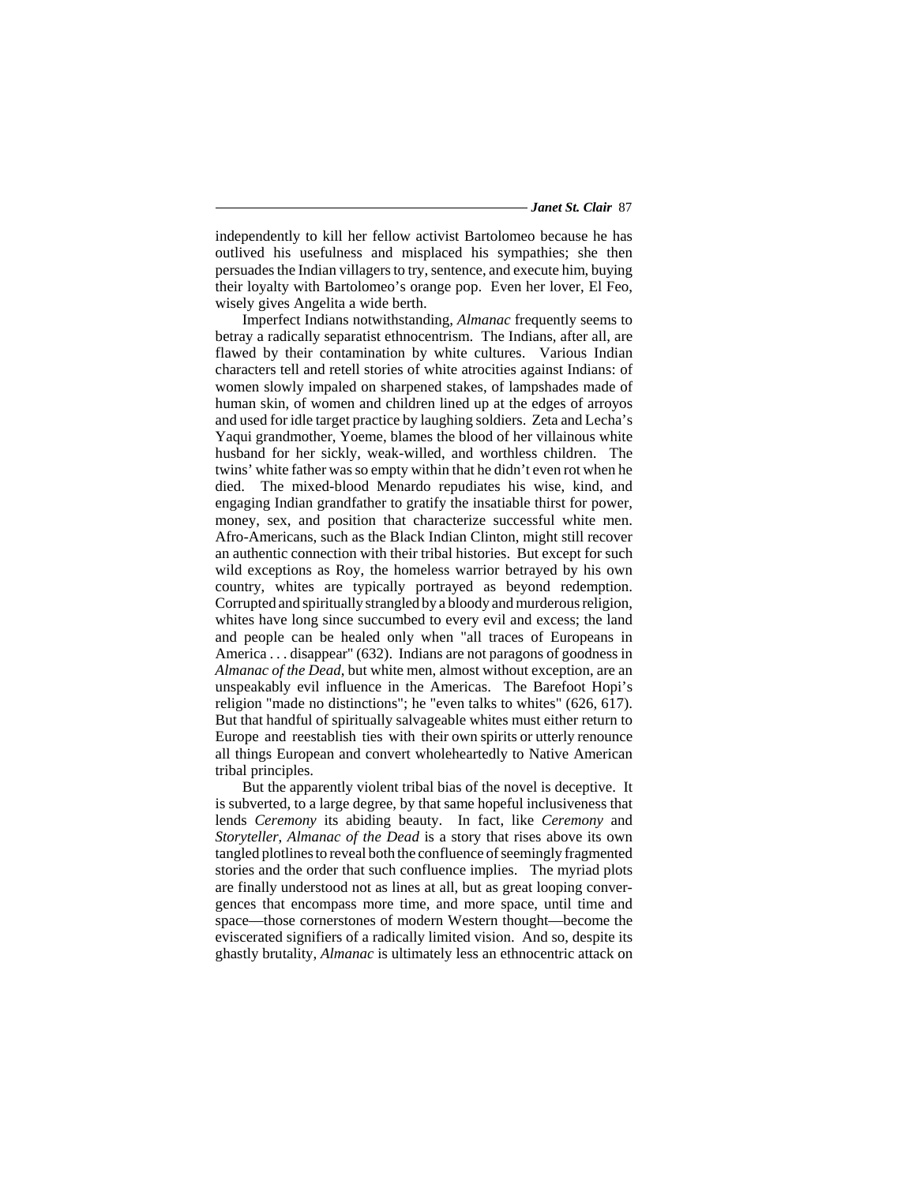independently to kill her fellow activist Bartolomeo because he has outlived his usefulness and misplaced his sympathies; she then persuades the Indian villagers to try, sentence, and execute him, buying their loyalty with Bartolomeo's orange pop. Even her lover, El Feo, wisely gives Angelita a wide berth.

Imperfect Indians notwithstanding, *Almanac* frequently seems to betray a radically separatist ethnocentrism. The Indians, after all, are flawed by their contamination by white cultures. Various Indian characters tell and retell stories of white atrocities against Indians: of women slowly impaled on sharpened stakes, of lampshades made of human skin, of women and children lined up at the edges of arroyos and used for idle target practice by laughing soldiers. Zeta and Lecha's Yaqui grandmother, Yoeme, blames the blood of her villainous white husband for her sickly, weak-willed, and worthless children. The twins' white father was so empty within that he didn't even rot when he died. The mixed-blood Menardo repudiates his wise, kind, and engaging Indian grandfather to gratify the insatiable thirst for power, money, sex, and position that characterize successful white men. Afro-Americans, such as the Black Indian Clinton, might still recover an authentic connection with their tribal histories. But except for such wild exceptions as Roy, the homeless warrior betrayed by his own country, whites are typically portrayed as beyond redemption. Corrupted and spiritually strangled by a bloody and murderous religion, whites have long since succumbed to every evil and excess; the land and people can be healed only when "all traces of Europeans in America . . . disappear" (632). Indians are not paragons of goodness in *Almanac of the Dead*, but white men, almost without exception, are an unspeakably evil influence in the Americas. The Barefoot Hopi's religion "made no distinctions"; he "even talks to whites" (626, 617). But that handful of spiritually salvageable whites must either return to Europe and reestablish ties with their own spirits or utterly renounce all things European and convert wholeheartedly to Native American tribal principles.

But the apparently violent tribal bias of the novel is deceptive. It is subverted, to a large degree, by that same hopeful inclusiveness that lends *Ceremony* its abiding beauty. In fact, like *Ceremony* and *Storyteller*, *Almanac of the Dead* is a story that rises above its own tangled plotlines to reveal both the confluence of seemingly fragmented stories and the order that such confluence implies. The myriad plots are finally understood not as lines at all, but as great looping convergences that encompass more time, and more space, until time and space—those cornerstones of modern Western thought—become the eviscerated signifiers of a radically limited vision. And so, despite its ghastly brutality, *Almanac* is ultimately less an ethnocentric attack on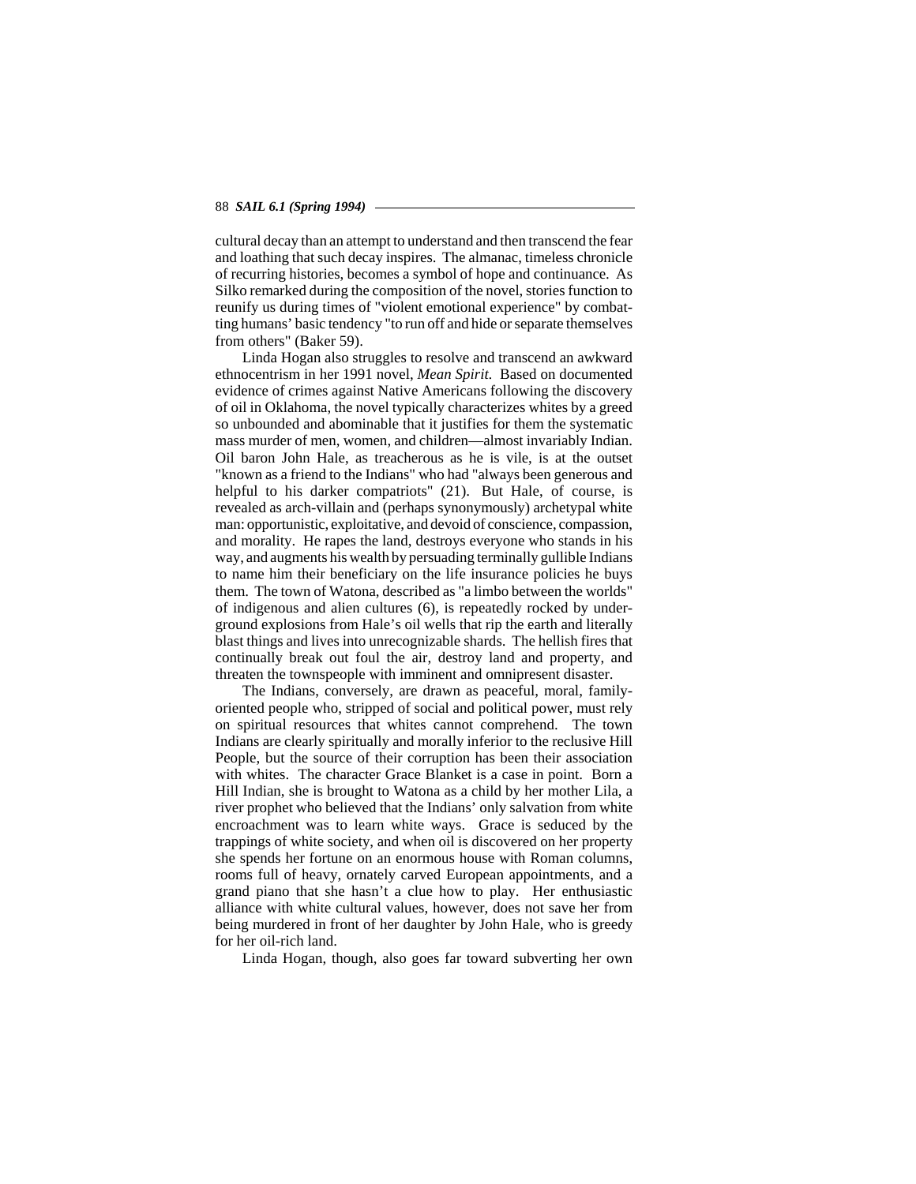cultural decay than an attempt to understand and then transcend the fear and loathing that such decay inspires. The almanac, timeless chronicle of recurring histories, becomes a symbol of hope and continuance. As Silko remarked during the composition of the novel, stories function to reunify us during times of "violent emotional experience" by combatting humans' basic tendency "to run off and hide or separate themselves from others" (Baker 59).

Linda Hogan also struggles to resolve and transcend an awkward ethnocentrism in her 1991 novel, *Mean Spirit*. Based on documented evidence of crimes against Native Americans following the discovery of oil in Oklahoma, the novel typically characterizes whites by a greed so unbounded and abominable that it justifies for them the systematic mass murder of men, women, and children—almost invariably Indian. Oil baron John Hale, as treacherous as he is vile, is at the outset "known as a friend to the Indians" who had "always been generous and helpful to his darker compatriots" (21). But Hale, of course, is revealed as arch-villain and (perhaps synonymously) archetypal white man: opportunistic, exploitative, and devoid of conscience, compassion, and morality. He rapes the land, destroys everyone who stands in his way, and augments his wealth by persuading terminally gullible Indians to name him their beneficiary on the life insurance policies he buys them. The town of Watona, described as "a limbo between the worlds" of indigenous and alien cultures (6), is repeatedly rocked by underground explosions from Hale's oil wells that rip the earth and literally blast things and lives into unrecognizable shards. The hellish fires that continually break out foul the air, destroy land and property, and threaten the townspeople with imminent and omnipresent disaster.

The Indians, conversely, are drawn as peaceful, moral, familyoriented people who, stripped of social and political power, must rely on spiritual resources that whites cannot comprehend. The town Indians are clearly spiritually and morally inferior to the reclusive Hill People, but the source of their corruption has been their association with whites. The character Grace Blanket is a case in point. Born a Hill Indian, she is brought to Watona as a child by her mother Lila, a river prophet who believed that the Indians' only salvation from white encroachment was to learn white ways. Grace is seduced by the trappings of white society, and when oil is discovered on her property she spends her fortune on an enormous house with Roman columns, rooms full of heavy, ornately carved European appointments, and a grand piano that she hasn't a clue how to play. Her enthusiastic alliance with white cultural values, however, does not save her from being murdered in front of her daughter by John Hale, who is greedy for her oil-rich land.

Linda Hogan, though, also goes far toward subverting her own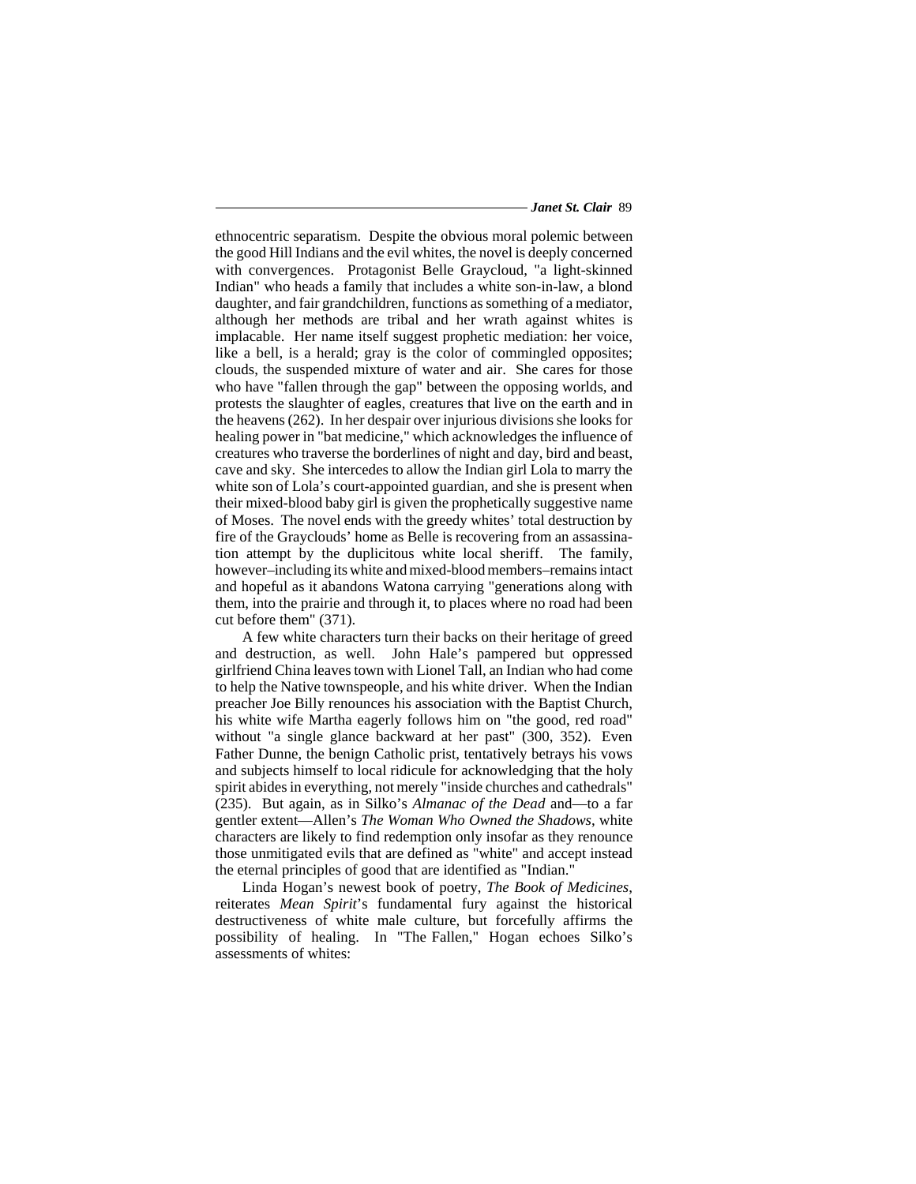ethnocentric separatism. Despite the obvious moral polemic between the good Hill Indians and the evil whites, the novel is deeply concerned with convergences. Protagonist Belle Graycloud, "a light-skinned Indian" who heads a family that includes a white son-in-law, a blond daughter, and fair grandchildren, functions as something of a mediator, although her methods are tribal and her wrath against whites is implacable. Her name itself suggest prophetic mediation: her voice, like a bell, is a herald; gray is the color of commingled opposites; clouds, the suspended mixture of water and air. She cares for those who have "fallen through the gap" between the opposing worlds, and protests the slaughter of eagles, creatures that live on the earth and in the heavens (262). In her despair over injurious divisions she looks for healing power in "bat medicine," which acknowledges the influence of creatures who traverse the borderlines of night and day, bird and beast, cave and sky. She intercedes to allow the Indian girl Lola to marry the white son of Lola's court-appointed guardian, and she is present when their mixed-blood baby girl is given the prophetically suggestive name of Moses. The novel ends with the greedy whites' total destruction by fire of the Grayclouds' home as Belle is recovering from an assassination attempt by the duplicitous white local sheriff. The family, however–including its white and mixed-blood members–remains intact and hopeful as it abandons Watona carrying "generations along with them, into the prairie and through it, to places where no road had been cut before them" (371).

A few white characters turn their backs on their heritage of greed and destruction, as well. John Hale's pampered but oppressed girlfriend China leaves town with Lionel Tall, an Indian who had come to help the Native townspeople, and his white driver. When the Indian preacher Joe Billy renounces his association with the Baptist Church, his white wife Martha eagerly follows him on "the good, red road" without "a single glance backward at her past" (300, 352). Even Father Dunne, the benign Catholic prist, tentatively betrays his vows and subjects himself to local ridicule for acknowledging that the holy spirit abides in everything, not merely "inside churches and cathedrals" (235). But again, as in Silko's *Almanac of the Dead* and—to a far gentler extent—Allen's *The Woman Who Owned the Shadows*, white characters are likely to find redemption only insofar as they renounce those unmitigated evils that are defined as "white" and accept instead the eternal principles of good that are identified as "Indian."

Linda Hogan's newest book of poetry, *The Book of Medicines*, reiterates *Mean Spirit*'s fundamental fury against the historical destructiveness of white male culture, but forcefully affirms the possibility of healing. In "The Fallen," Hogan echoes Silko's assessments of whites: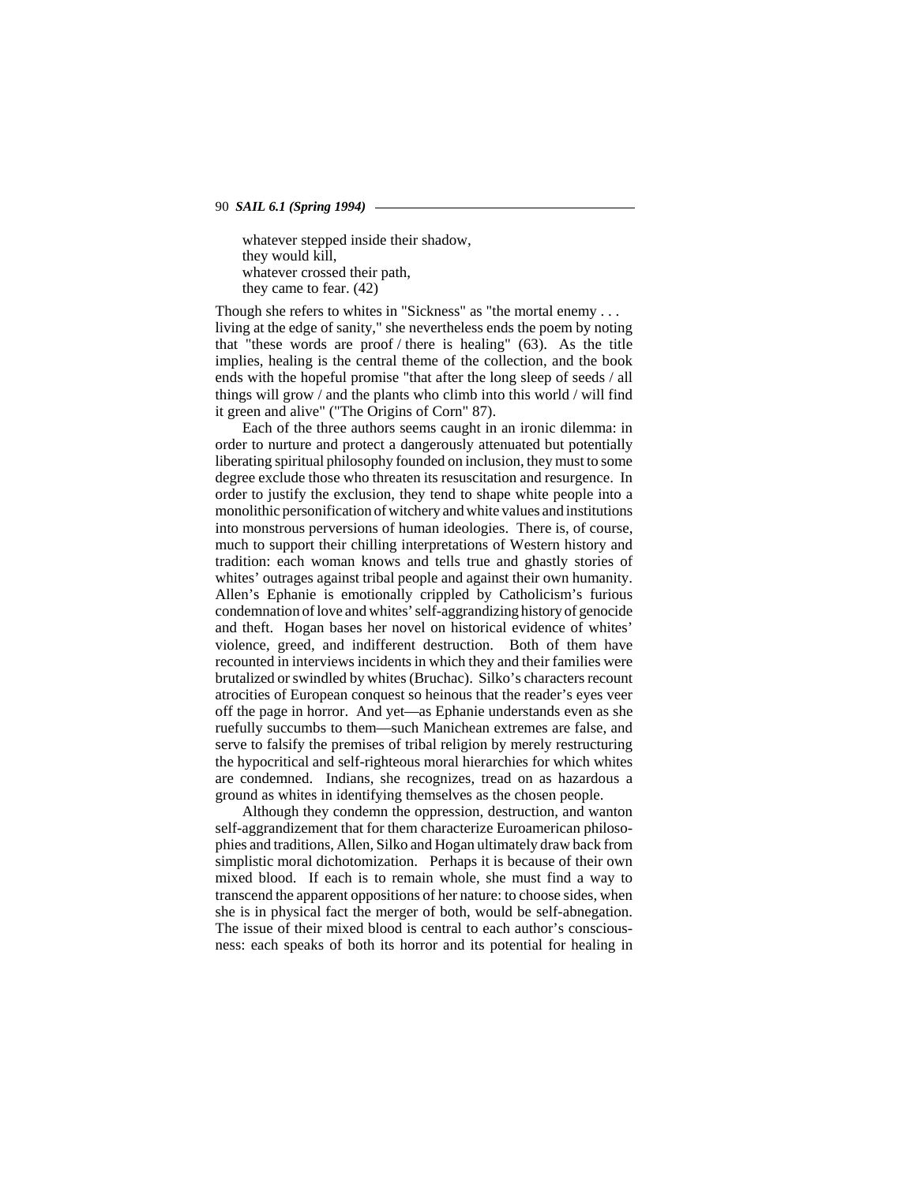whatever stepped inside their shadow, they would kill, whatever crossed their path, they came to fear. (42)

Though she refers to whites in "Sickness" as "the mortal enemy . . . living at the edge of sanity," she nevertheless ends the poem by noting that "these words are proof / there is healing" (63). As the title implies, healing is the central theme of the collection, and the book ends with the hopeful promise "that after the long sleep of seeds / all things will grow / and the plants who climb into this world / will find it green and alive" ("The Origins of Corn" 87).

Each of the three authors seems caught in an ironic dilemma: in order to nurture and protect a dangerously attenuated but potentially liberating spiritual philosophy founded on inclusion, they must to some degree exclude those who threaten its resuscitation and resurgence. In order to justify the exclusion, they tend to shape white people into a monolithic personification of witchery and white values and institutions into monstrous perversions of human ideologies. There is, of course, much to support their chilling interpretations of Western history and tradition: each woman knows and tells true and ghastly stories of whites' outrages against tribal people and against their own humanity. Allen's Ephanie is emotionally crippled by Catholicism's furious condemnation of love and whites' self-aggrandizing history of genocide and theft. Hogan bases her novel on historical evidence of whites' violence, greed, and indifferent destruction. Both of them have recounted in interviews incidents in which they and their families were brutalized or swindled by whites (Bruchac). Silko's characters recount atrocities of European conquest so heinous that the reader's eyes veer off the page in horror. And yet—as Ephanie understands even as she ruefully succumbs to them—such Manichean extremes are false, and serve to falsify the premises of tribal religion by merely restructuring the hypocritical and self-righteous moral hierarchies for which whites are condemned. Indians, she recognizes, tread on as hazardous a ground as whites in identifying themselves as the chosen people.

Although they condemn the oppression, destruction, and wanton self-aggrandizement that for them characterize Euroamerican philosophies and traditions, Allen, Silko and Hogan ultimately draw back from simplistic moral dichotomization. Perhaps it is because of their own mixed blood. If each is to remain whole, she must find a way to transcend the apparent oppositions of her nature: to choose sides, when she is in physical fact the merger of both, would be self-abnegation. The issue of their mixed blood is central to each author's consciousness: each speaks of both its horror and its potential for healing in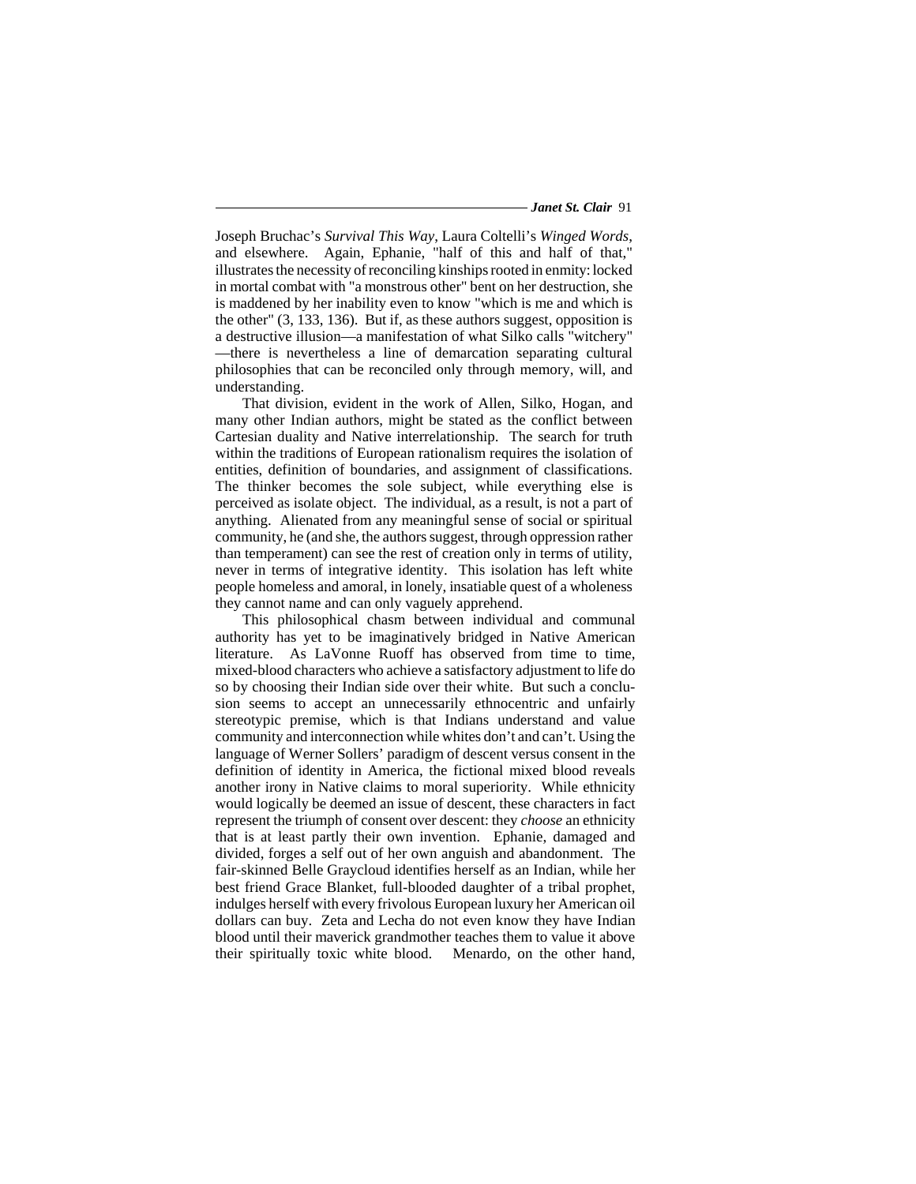Joseph Bruchac's *Survival This Way*, Laura Coltelli's *Winged Words*, and elsewhere. Again, Ephanie, "half of this and half of that," illustrates the necessity of reconciling kinships rooted in enmity: locked in mortal combat with "a monstrous other" bent on her destruction, she is maddened by her inability even to know "which is me and which is the other" (3, 133, 136). But if, as these authors suggest, opposition is a destructive illusion—a manifestation of what Silko calls "witchery" —there is nevertheless a line of demarcation separating cultural philosophies that can be reconciled only through memory, will, and understanding.

That division, evident in the work of Allen, Silko, Hogan, and many other Indian authors, might be stated as the conflict between Cartesian duality and Native interrelationship. The search for truth within the traditions of European rationalism requires the isolation of entities, definition of boundaries, and assignment of classifications. The thinker becomes the sole subject, while everything else is perceived as isolate object. The individual, as a result, is not a part of anything. Alienated from any meaningful sense of social or spiritual community, he (and she, the authors suggest, through oppression rather than temperament) can see the rest of creation only in terms of utility, never in terms of integrative identity. This isolation has left white people homeless and amoral, in lonely, insatiable quest of a wholeness they cannot name and can only vaguely apprehend.

This philosophical chasm between individual and communal authority has yet to be imaginatively bridged in Native American literature. As LaVonne Ruoff has observed from time to time, mixed-blood characters who achieve a satisfactory adjustment to life do so by choosing their Indian side over their white. But such a conclusion seems to accept an unnecessarily ethnocentric and unfairly stereotypic premise, which is that Indians understand and value community and interconnection while whites don't and can't. Using the language of Werner Sollers' paradigm of descent versus consent in the definition of identity in America, the fictional mixed blood reveals another irony in Native claims to moral superiority. While ethnicity would logically be deemed an issue of descent, these characters in fact represent the triumph of consent over descent: they *choose* an ethnicity that is at least partly their own invention. Ephanie, damaged and divided, forges a self out of her own anguish and abandonment. The fair-skinned Belle Graycloud identifies herself as an Indian, while her best friend Grace Blanket, full-blooded daughter of a tribal prophet, indulges herself with every frivolous European luxury her American oil dollars can buy. Zeta and Lecha do not even know they have Indian blood until their maverick grandmother teaches them to value it above their spiritually toxic white blood. Menardo, on the other hand,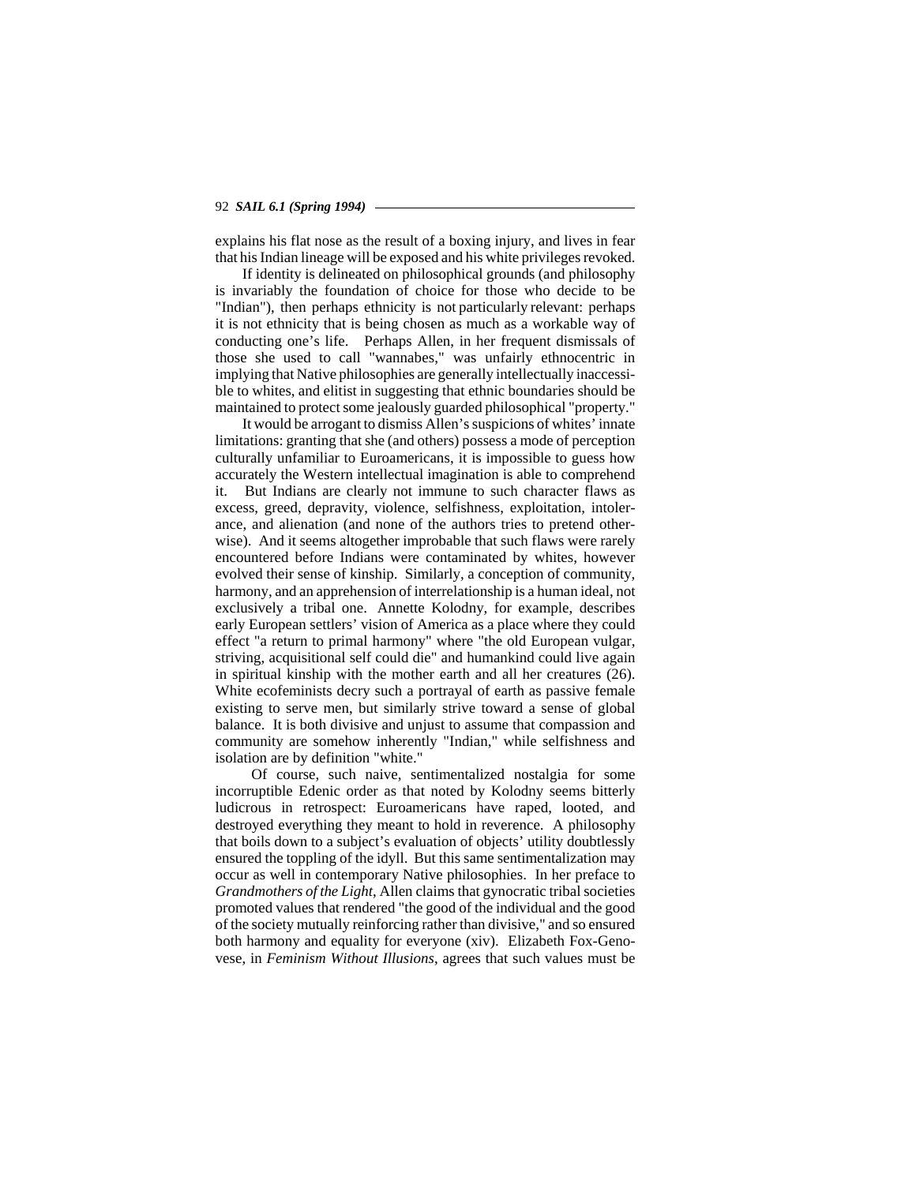explains his flat nose as the result of a boxing injury, and lives in fear that his Indian lineage will be exposed and his white privileges revoked.

If identity is delineated on philosophical grounds (and philosophy is invariably the foundation of choice for those who decide to be "Indian"), then perhaps ethnicity is not particularly relevant: perhaps it is not ethnicity that is being chosen as much as a workable way of conducting one's life. Perhaps Allen, in her frequent dismissals of those she used to call "wannabes," was unfairly ethnocentric in implying that Native philosophies are generally intellectually inaccessible to whites, and elitist in suggesting that ethnic boundaries should be maintained to protect some jealously guarded philosophical "property."

It would be arrogant to dismiss Allen's suspicions of whites' innate limitations: granting that she (and others) possess a mode of perception culturally unfamiliar to Euroamericans, it is impossible to guess how accurately the Western intellectual imagination is able to comprehend it. But Indians are clearly not immune to such character flaws as excess, greed, depravity, violence, selfishness, exploitation, intolerance, and alienation (and none of the authors tries to pretend otherwise). And it seems altogether improbable that such flaws were rarely encountered before Indians were contaminated by whites, however evolved their sense of kinship. Similarly, a conception of community, harmony, and an apprehension of interrelationship is a human ideal, not exclusively a tribal one. Annette Kolodny, for example, describes early European settlers' vision of America as a place where they could effect "a return to primal harmony" where "the old European vulgar, striving, acquisitional self could die" and humankind could live again in spiritual kinship with the mother earth and all her creatures (26). White ecofeminists decry such a portrayal of earth as passive female existing to serve men, but similarly strive toward a sense of global balance. It is both divisive and unjust to assume that compassion and community are somehow inherently "Indian," while selfishness and isolation are by definition "white."

 Of course, such naive, sentimentalized nostalgia for some incorruptible Edenic order as that noted by Kolodny seems bitterly ludicrous in retrospect: Euroamericans have raped, looted, and destroyed everything they meant to hold in reverence. A philosophy that boils down to a subject's evaluation of objects' utility doubtlessly ensured the toppling of the idyll. But this same sentimentalization may occur as well in contemporary Native philosophies. In her preface to *Grandmothers of the Light*, Allen claims that gynocratic tribal societies promoted values that rendered "the good of the individual and the good of the society mutually reinforcing rather than divisive," and so ensured both harmony and equality for everyone (xiv). Elizabeth Fox-Genovese, in *Feminism Without Illusions*, agrees that such values must be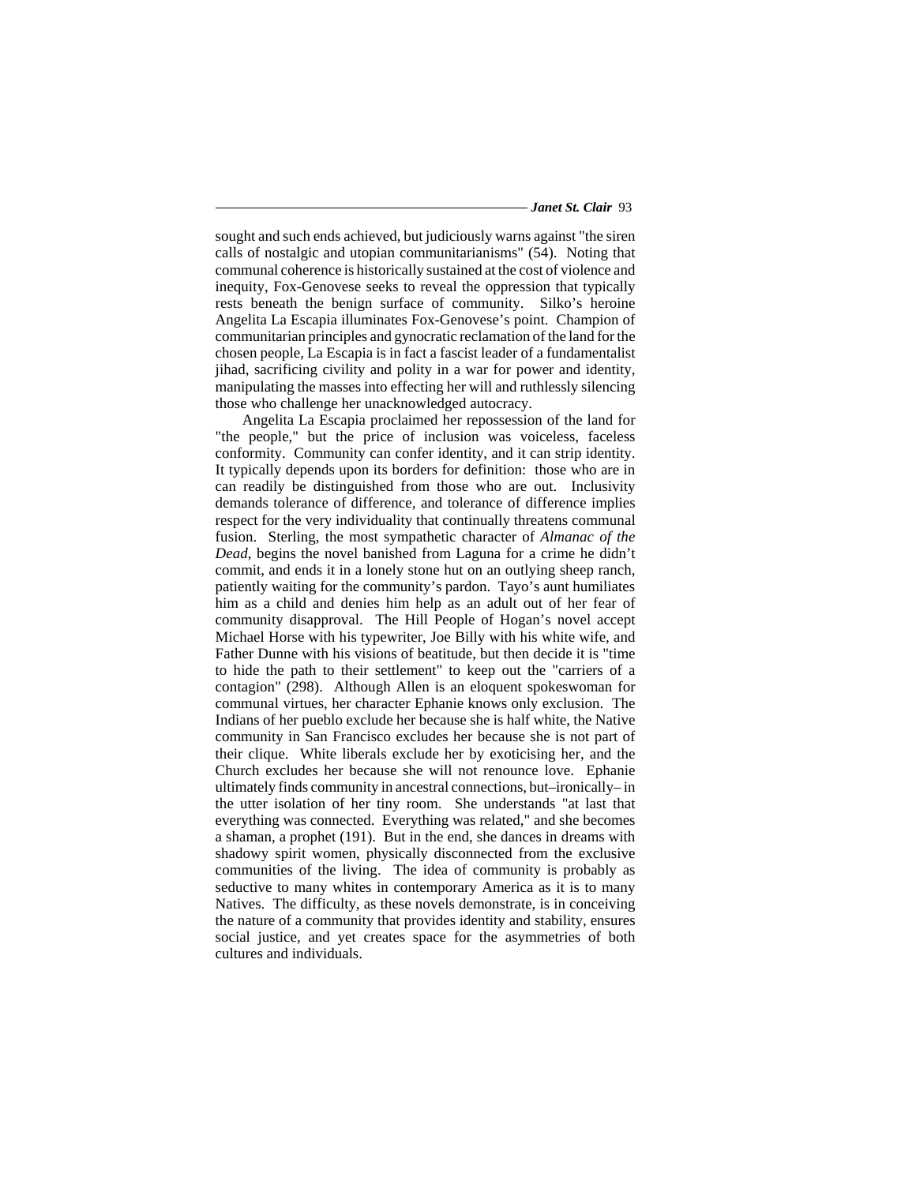sought and such ends achieved, but judiciously warns against "the siren calls of nostalgic and utopian communitarianisms" (54). Noting that communal coherence is historically sustained at the cost of violence and inequity, Fox-Genovese seeks to reveal the oppression that typically rests beneath the benign surface of community. Silko's heroine Angelita La Escapia illuminates Fox-Genovese's point. Champion of communitarian principles and gynocratic reclamation of the land for the chosen people, La Escapia is in fact a fascist leader of a fundamentalist jihad, sacrificing civility and polity in a war for power and identity, manipulating the masses into effecting her will and ruthlessly silencing those who challenge her unacknowledged autocracy.

Angelita La Escapia proclaimed her repossession of the land for "the people," but the price of inclusion was voiceless, faceless conformity. Community can confer identity, and it can strip identity. It typically depends upon its borders for definition: those who are in can readily be distinguished from those who are out. Inclusivity demands tolerance of difference, and tolerance of difference implies respect for the very individuality that continually threatens communal fusion. Sterling, the most sympathetic character of *Almanac of the Dead*, begins the novel banished from Laguna for a crime he didn't commit, and ends it in a lonely stone hut on an outlying sheep ranch, patiently waiting for the community's pardon. Tayo's aunt humiliates him as a child and denies him help as an adult out of her fear of community disapproval. The Hill People of Hogan's novel accept Michael Horse with his typewriter, Joe Billy with his white wife, and Father Dunne with his visions of beatitude, but then decide it is "time to hide the path to their settlement" to keep out the "carriers of a contagion" (298). Although Allen is an eloquent spokeswoman for communal virtues, her character Ephanie knows only exclusion. The Indians of her pueblo exclude her because she is half white, the Native community in San Francisco excludes her because she is not part of their clique. White liberals exclude her by exoticising her, and the Church excludes her because she will not renounce love. Ephanie ultimately finds community in ancestral connections, but–ironically– in the utter isolation of her tiny room. She understands "at last that everything was connected. Everything was related," and she becomes a shaman, a prophet (191). But in the end, she dances in dreams with shadowy spirit women, physically disconnected from the exclusive communities of the living. The idea of community is probably as seductive to many whites in contemporary America as it is to many Natives. The difficulty, as these novels demonstrate, is in conceiving the nature of a community that provides identity and stability, ensures social justice, and yet creates space for the asymmetries of both cultures and individuals.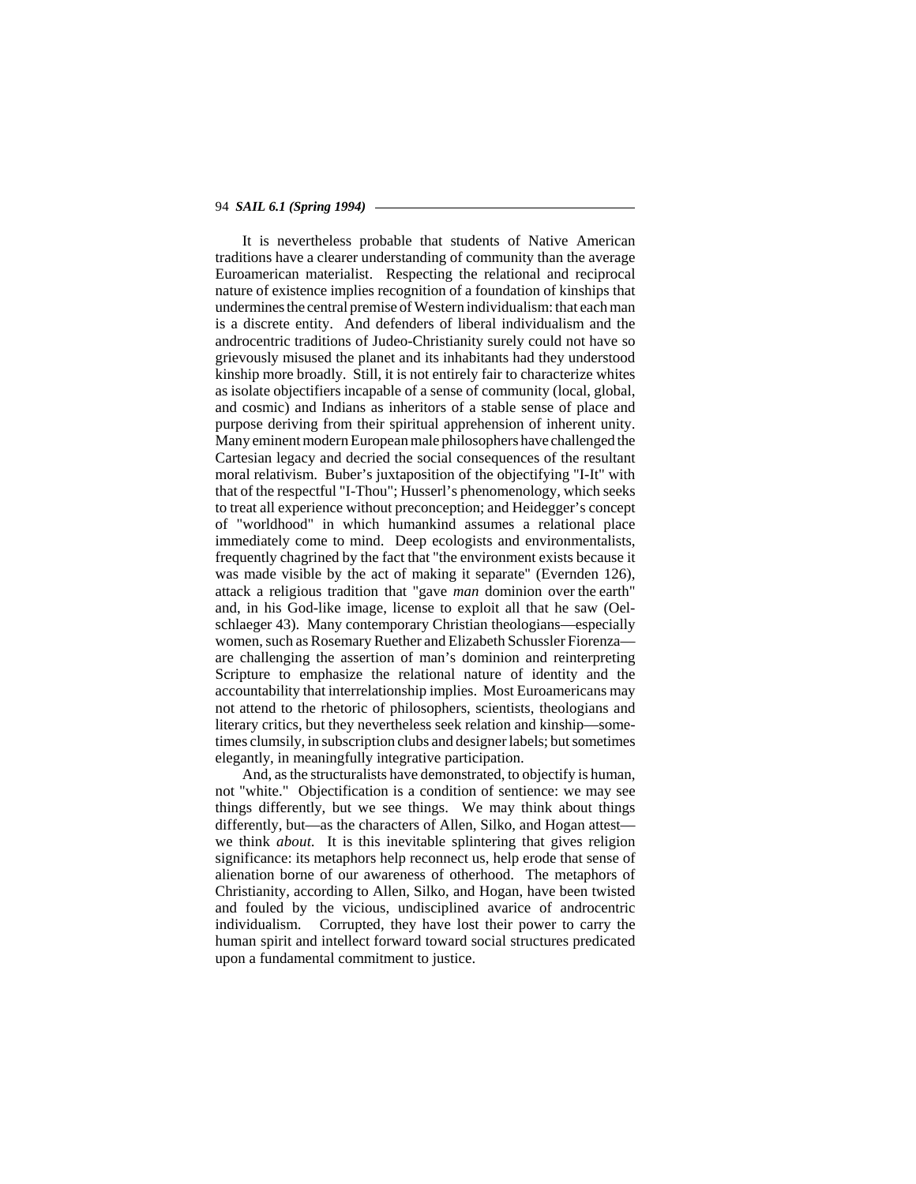It is nevertheless probable that students of Native American traditions have a clearer understanding of community than the average Euroamerican materialist. Respecting the relational and reciprocal nature of existence implies recognition of a foundation of kinships that undermines the central premise of Western individualism: that each man is a discrete entity. And defenders of liberal individualism and the androcentric traditions of Judeo-Christianity surely could not have so grievously misused the planet and its inhabitants had they understood kinship more broadly. Still, it is not entirely fair to characterize whites as isolate objectifiers incapable of a sense of community (local, global, and cosmic) and Indians as inheritors of a stable sense of place and purpose deriving from their spiritual apprehension of inherent unity. Many eminent modern European male philosophers have challenged the Cartesian legacy and decried the social consequences of the resultant moral relativism. Buber's juxtaposition of the objectifying "I-It" with that of the respectful "I-Thou"; Husserl's phenomenology, which seeks to treat all experience without preconception; and Heidegger's concept of "worldhood" in which humankind assumes a relational place immediately come to mind. Deep ecologists and environmentalists, frequently chagrined by the fact that "the environment exists because it was made visible by the act of making it separate" (Evernden 126), attack a religious tradition that "gave *man* dominion over the earth" and, in his God-like image, license to exploit all that he saw (Oelschlaeger 43). Many contemporary Christian theologians—especially women, such as Rosemary Ruether and Elizabeth Schussler Fiorenza are challenging the assertion of man's dominion and reinterpreting Scripture to emphasize the relational nature of identity and the accountability that interrelationship implies. Most Euroamericans may not attend to the rhetoric of philosophers, scientists, theologians and literary critics, but they nevertheless seek relation and kinship—sometimes clumsily, in subscription clubs and designer labels; but sometimes elegantly, in meaningfully integrative participation.

And, as the structuralists have demonstrated, to objectify is human, not "white." Objectification is a condition of sentience: we may see things differently, but we see things. We may think about things differently, but—as the characters of Allen, Silko, and Hogan attest we think *about*. It is this inevitable splintering that gives religion significance: its metaphors help reconnect us, help erode that sense of alienation borne of our awareness of otherhood. The metaphors of Christianity, according to Allen, Silko, and Hogan, have been twisted and fouled by the vicious, undisciplined avarice of androcentric individualism. Corrupted, they have lost their power to carry the human spirit and intellect forward toward social structures predicated upon a fundamental commitment to justice.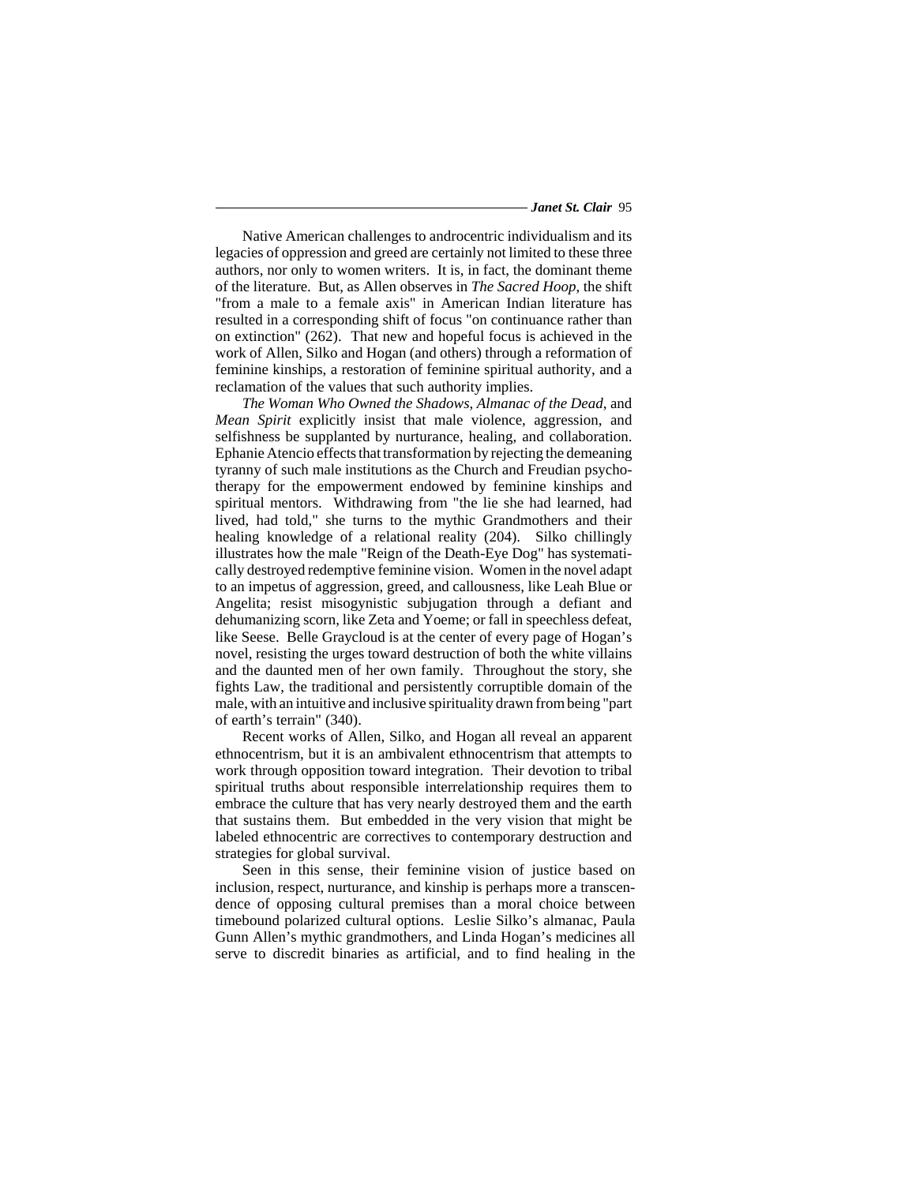Native American challenges to androcentric individualism and its legacies of oppression and greed are certainly not limited to these three authors, nor only to women writers. It is, in fact, the dominant theme of the literature. But, as Allen observes in *The Sacred Hoop*, the shift "from a male to a female axis" in American Indian literature has resulted in a corresponding shift of focus "on continuance rather than on extinction" (262). That new and hopeful focus is achieved in the work of Allen, Silko and Hogan (and others) through a reformation of feminine kinships, a restoration of feminine spiritual authority, and a reclamation of the values that such authority implies.

*The Woman Who Owned the Shadows*, *Almanac of the Dead*, and *Mean Spirit* explicitly insist that male violence, aggression, and selfishness be supplanted by nurturance, healing, and collaboration. Ephanie Atencio effects that transformation by rejecting the demeaning tyranny of such male institutions as the Church and Freudian psychotherapy for the empowerment endowed by feminine kinships and spiritual mentors. Withdrawing from "the lie she had learned, had lived, had told," she turns to the mythic Grandmothers and their healing knowledge of a relational reality (204). Silko chillingly illustrates how the male "Reign of the Death-Eye Dog" has systematically destroyed redemptive feminine vision. Women in the novel adapt to an impetus of aggression, greed, and callousness, like Leah Blue or Angelita; resist misogynistic subjugation through a defiant and dehumanizing scorn, like Zeta and Yoeme; or fall in speechless defeat, like Seese. Belle Graycloud is at the center of every page of Hogan's novel, resisting the urges toward destruction of both the white villains and the daunted men of her own family. Throughout the story, she fights Law, the traditional and persistently corruptible domain of the male, with an intuitive and inclusive spirituality drawn from being "part of earth's terrain" (340).

Recent works of Allen, Silko, and Hogan all reveal an apparent ethnocentrism, but it is an ambivalent ethnocentrism that attempts to work through opposition toward integration. Their devotion to tribal spiritual truths about responsible interrelationship requires them to embrace the culture that has very nearly destroyed them and the earth that sustains them. But embedded in the very vision that might be labeled ethnocentric are correctives to contemporary destruction and strategies for global survival.

Seen in this sense, their feminine vision of justice based on inclusion, respect, nurturance, and kinship is perhaps more a transcendence of opposing cultural premises than a moral choice between timebound polarized cultural options. Leslie Silko's almanac, Paula Gunn Allen's mythic grandmothers, and Linda Hogan's medicines all serve to discredit binaries as artificial, and to find healing in the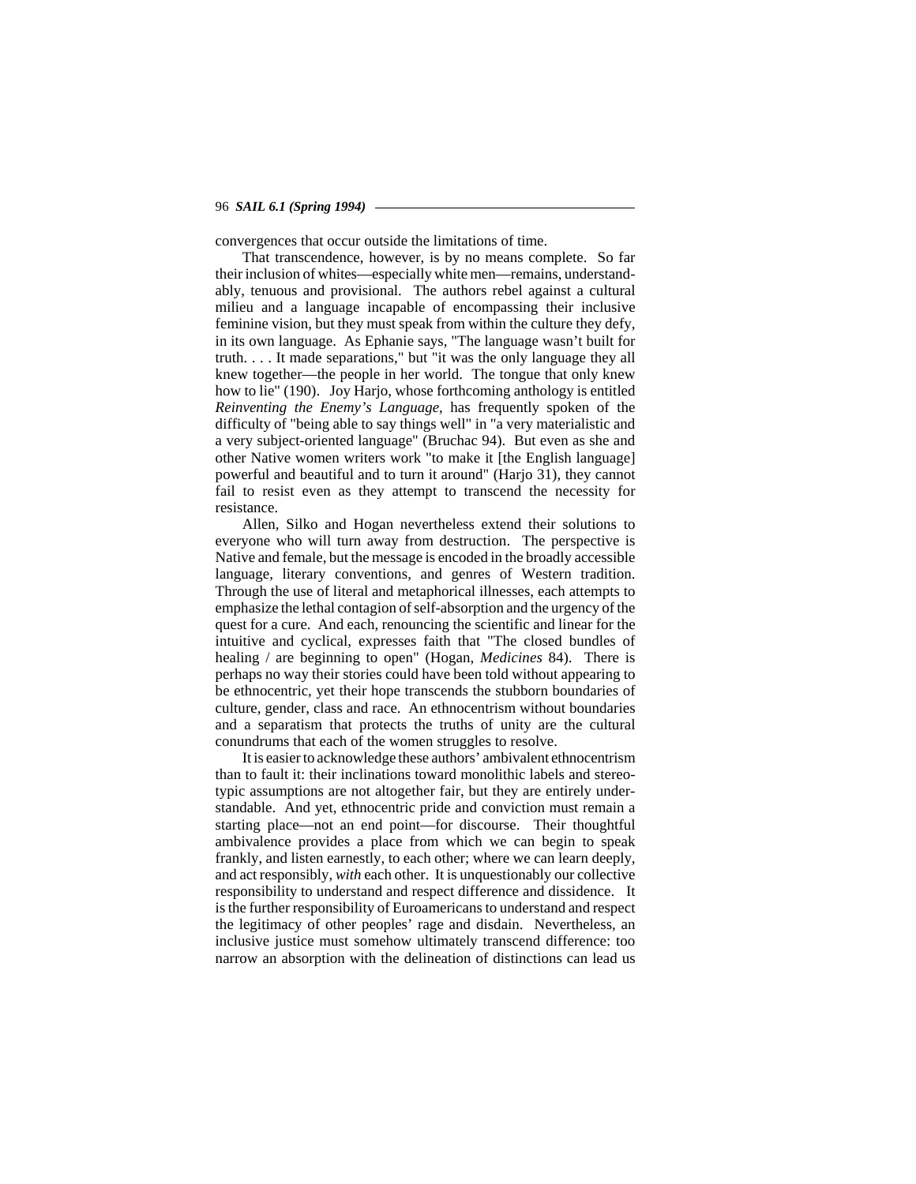convergences that occur outside the limitations of time.

That transcendence, however, is by no means complete. So far their inclusion of whites—especially white men—remains, understandably, tenuous and provisional. The authors rebel against a cultural milieu and a language incapable of encompassing their inclusive feminine vision, but they must speak from within the culture they defy, in its own language. As Ephanie says, "The language wasn't built for truth. . . . It made separations," but "it was the only language they all knew together—the people in her world. The tongue that only knew how to lie" (190). Joy Harjo, whose forthcoming anthology is entitled *Reinventing the Enemy's Language*, has frequently spoken of the difficulty of "being able to say things well" in "a very materialistic and a very subject-oriented language" (Bruchac 94). But even as she and other Native women writers work "to make it [the English language] powerful and beautiful and to turn it around" (Harjo 31), they cannot fail to resist even as they attempt to transcend the necessity for resistance.

Allen, Silko and Hogan nevertheless extend their solutions to everyone who will turn away from destruction. The perspective is Native and female, but the message is encoded in the broadly accessible language, literary conventions, and genres of Western tradition. Through the use of literal and metaphorical illnesses, each attempts to emphasize the lethal contagion of self-absorption and the urgency of the quest for a cure. And each, renouncing the scientific and linear for the intuitive and cyclical, expresses faith that "The closed bundles of healing / are beginning to open" (Hogan, *Medicines* 84). There is perhaps no way their stories could have been told without appearing to be ethnocentric, yet their hope transcends the stubborn boundaries of culture, gender, class and race. An ethnocentrism without boundaries and a separatism that protects the truths of unity are the cultural conundrums that each of the women struggles to resolve.

It is easier to acknowledge these authors' ambivalent ethnocentrism than to fault it: their inclinations toward monolithic labels and stereotypic assumptions are not altogether fair, but they are entirely understandable. And yet, ethnocentric pride and conviction must remain a starting place—not an end point—for discourse. Their thoughtful ambivalence provides a place from which we can begin to speak frankly, and listen earnestly, to each other; where we can learn deeply, and act responsibly, *with* each other. It is unquestionably our collective responsibility to understand and respect difference and dissidence. It is the further responsibility of Euroamericans to understand and respect the legitimacy of other peoples' rage and disdain. Nevertheless, an inclusive justice must somehow ultimately transcend difference: too narrow an absorption with the delineation of distinctions can lead us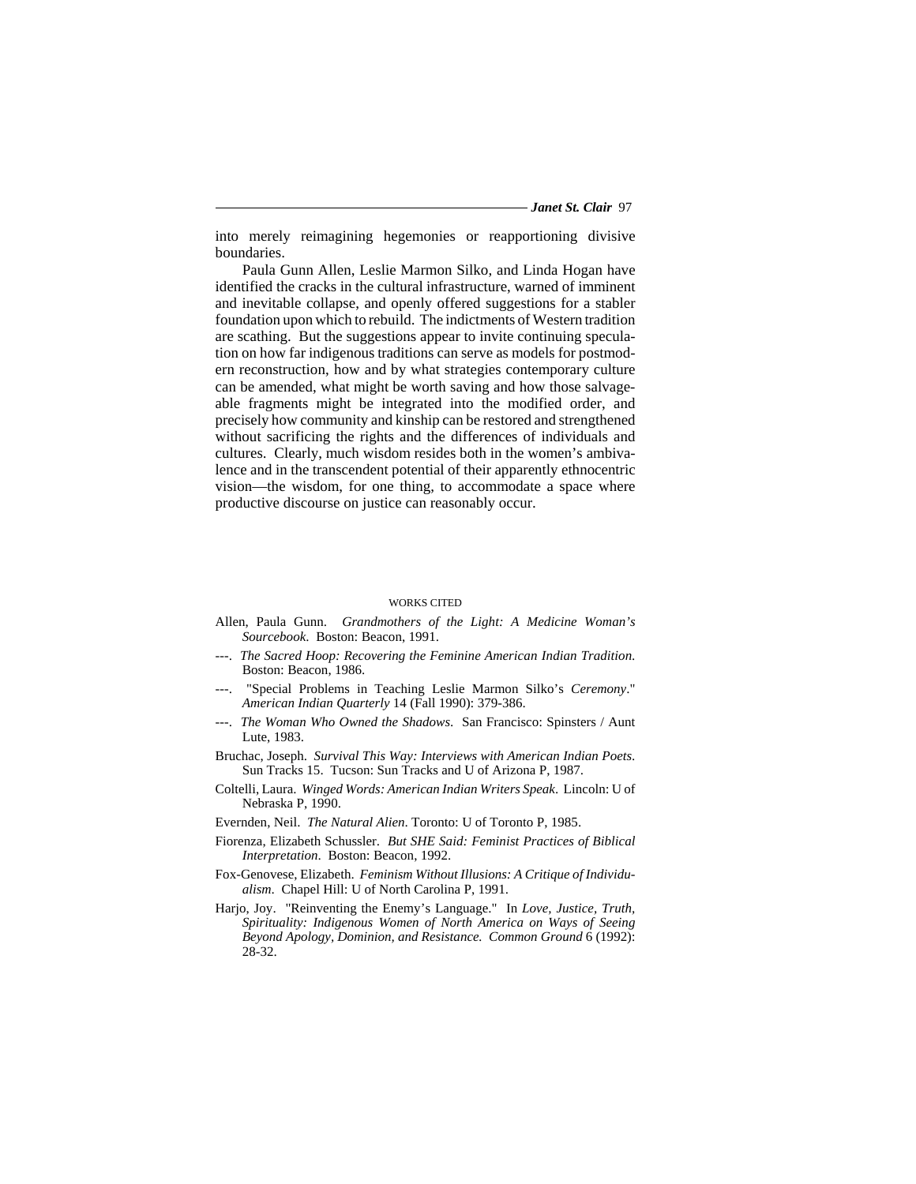into merely reimagining hegemonies or reapportioning divisive boundaries.

Paula Gunn Allen, Leslie Marmon Silko, and Linda Hogan have identified the cracks in the cultural infrastructure, warned of imminent and inevitable collapse, and openly offered suggestions for a stabler foundation upon which to rebuild. The indictments of Western tradition are scathing. But the suggestions appear to invite continuing speculation on how far indigenous traditions can serve as models for postmodern reconstruction, how and by what strategies contemporary culture can be amended, what might be worth saving and how those salvageable fragments might be integrated into the modified order, and precisely how community and kinship can be restored and strengthened without sacrificing the rights and the differences of individuals and cultures. Clearly, much wisdom resides both in the women's ambivalence and in the transcendent potential of their apparently ethnocentric vision—the wisdom, for one thing, to accommodate a space where productive discourse on justice can reasonably occur.

#### WORKS CITED

- Allen, Paula Gunn. *Grandmothers of the Light: A Medicine Woman's Sourcebook*. Boston: Beacon, 1991.
- ---. *The Sacred Hoop: Recovering the Feminine American Indian Tradition*. Boston: Beacon, 1986.
- ---. "Special Problems in Teaching Leslie Marmon Silko's *Ceremony*." *American Indian Quarterly* 14 (Fall 1990): 379-386.
- ---. *The Woman Who Owned the Shadows*. San Francisco: Spinsters / Aunt Lute, 1983.
- Bruchac, Joseph. *Survival This Way: Interviews with American Indian Poets*. Sun Tracks 15. Tucson: Sun Tracks and U of Arizona P, 1987.
- Coltelli, Laura. *Winged Words: American Indian Writers Speak*. Lincoln: U of Nebraska P, 1990.
- Evernden, Neil. *The Natural Alien*. Toronto: U of Toronto P, 1985.
- Fiorenza, Elizabeth Schussler. *But SHE Said: Feminist Practices of Biblical Interpretation*. Boston: Beacon, 1992.
- Fox-Genovese, Elizabeth. *Feminism Without Illusions: A Critique of Individualism*. Chapel Hill: U of North Carolina P, 1991.
- Harjo, Joy. "Reinventing the Enemy's Language." In *Love, Justice, Truth, Spirituality: Indigenous Women of North America on Ways of Seeing Beyond Apology, Dominion, and Resistance. Common Ground* 6 (1992): 28-32.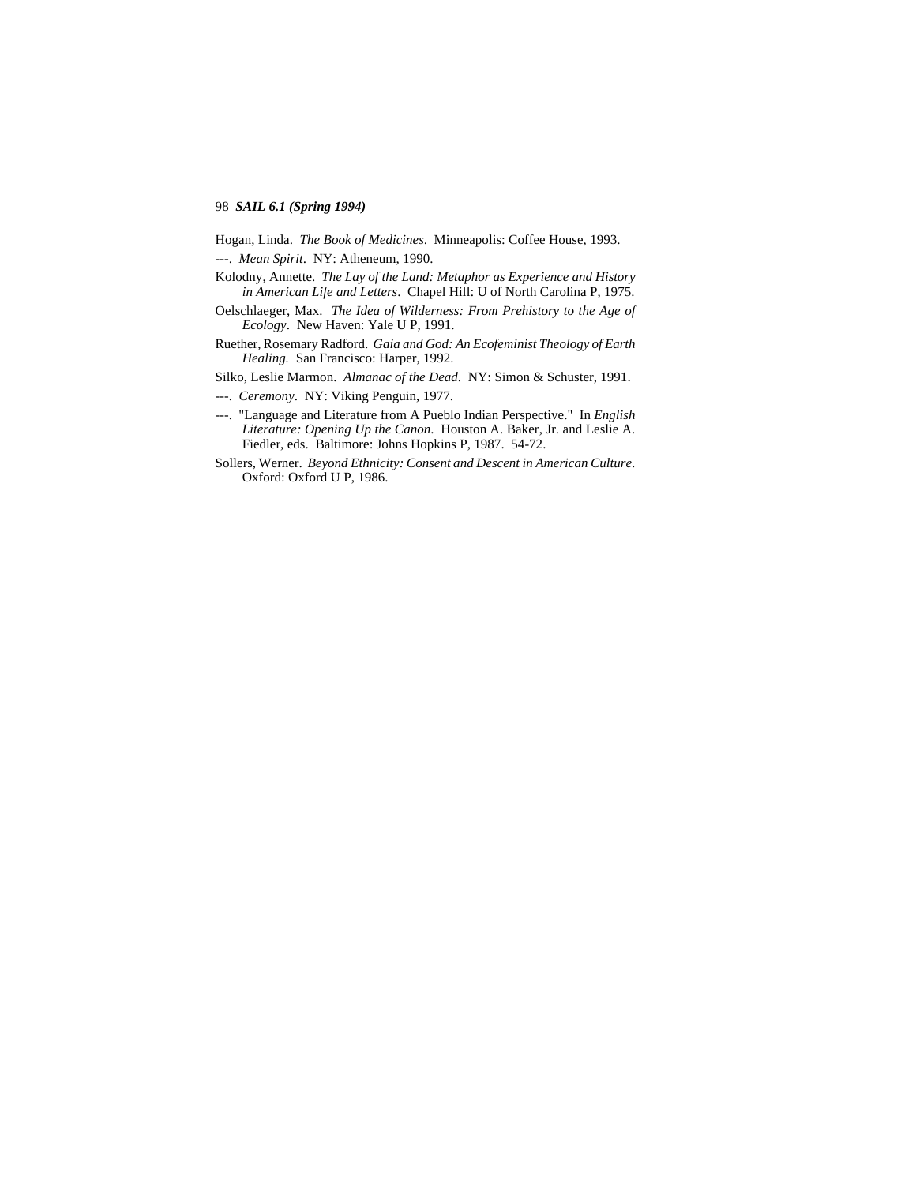Hogan, Linda. *The Book of Medicines*. Minneapolis: Coffee House, 1993. ---. *Mean Spirit*. NY: Atheneum, 1990.

- Kolodny, Annette. *The Lay of the Land: Metaphor as Experience and History in American Life and Letters*. Chapel Hill: U of North Carolina P, 1975.
- Oelschlaeger, Max. *The Idea of Wilderness: From Prehistory to the Age of Ecology*. New Haven: Yale U P, 1991.
- Ruether, Rosemary Radford. *Gaia and God: An Ecofeminist Theology of Earth Healing.* San Francisco: Harper, 1992.

Silko, Leslie Marmon. *Almanac of the Dead*. NY: Simon & Schuster, 1991.

- ---. *Ceremony*. NY: Viking Penguin, 1977.
- ---. "Language and Literature from A Pueblo Indian Perspective." In *English Literature: Opening Up the Canon*. Houston A. Baker, Jr. and Leslie A. Fiedler, eds. Baltimore: Johns Hopkins P, 1987. 54-72.
- Sollers, Werner. *Beyond Ethnicity: Consent and Descent in American Culture*. Oxford: Oxford U P, 1986.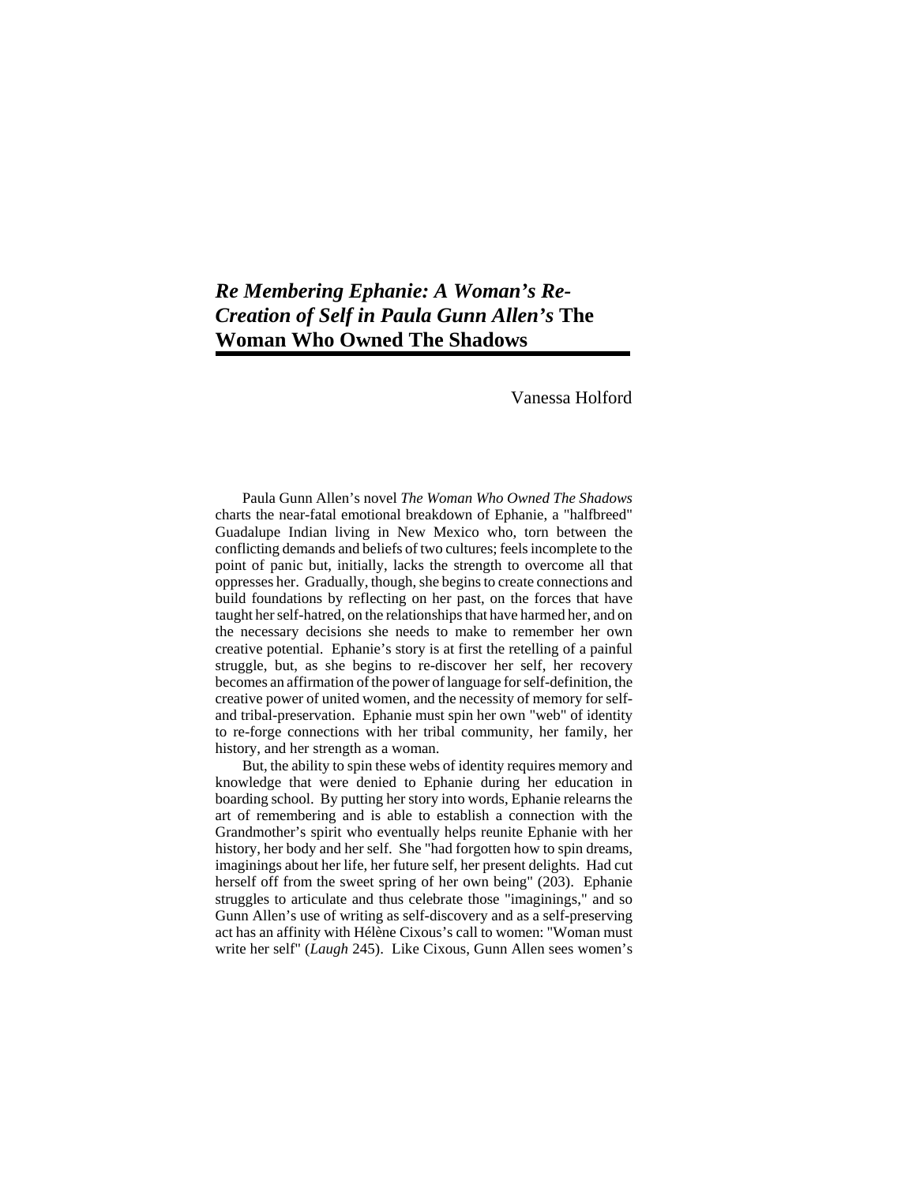# *Re Membering Ephanie: A Woman's Re-Creation of Self in Paula Gunn Allen's* **The Woman Who Owned The Shadows**

Vanessa Holford

Paula Gunn Allen's novel *The Woman Who Owned The Shadows* charts the near-fatal emotional breakdown of Ephanie, a "halfbreed" Guadalupe Indian living in New Mexico who, torn between the conflicting demands and beliefs of two cultures; feels incomplete to the point of panic but, initially, lacks the strength to overcome all that oppresses her. Gradually, though, she begins to create connections and build foundations by reflecting on her past, on the forces that have taught her self-hatred, on the relationships that have harmed her, and on the necessary decisions she needs to make to remember her own creative potential. Ephanie's story is at first the retelling of a painful struggle, but, as she begins to re-discover her self, her recovery becomes an affirmation of the power of language for self-definition, the creative power of united women, and the necessity of memory for selfand tribal-preservation. Ephanie must spin her own "web" of identity to re-forge connections with her tribal community, her family, her history, and her strength as a woman.

But, the ability to spin these webs of identity requires memory and knowledge that were denied to Ephanie during her education in boarding school. By putting her story into words, Ephanie relearns the art of remembering and is able to establish a connection with the Grandmother's spirit who eventually helps reunite Ephanie with her history, her body and her self. She "had forgotten how to spin dreams, imaginings about her life, her future self, her present delights. Had cut herself off from the sweet spring of her own being" (203). Ephanie struggles to articulate and thus celebrate those "imaginings," and so Gunn Allen's use of writing as self-discovery and as a self-preserving act has an affinity with Hélène Cixous's call to women: "Woman must write her self" (*Laugh* 245). Like Cixous, Gunn Allen sees women's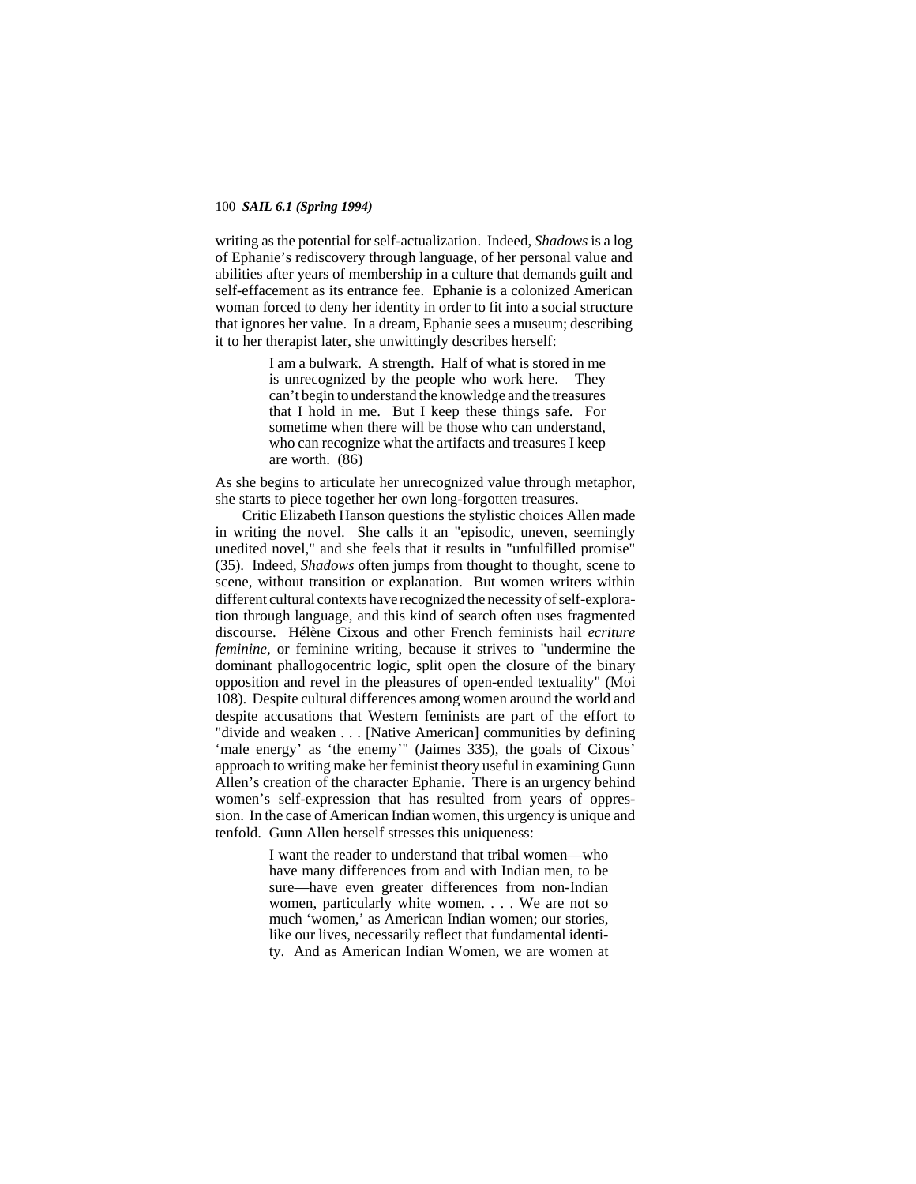writing as the potential for self-actualization. Indeed, *Shadows* is a log of Ephanie's rediscovery through language, of her personal value and abilities after years of membership in a culture that demands guilt and self-effacement as its entrance fee. Ephanie is a colonized American woman forced to deny her identity in order to fit into a social structure that ignores her value. In a dream, Ephanie sees a museum; describing it to her therapist later, she unwittingly describes herself:

> I am a bulwark. A strength. Half of what is stored in me is unrecognized by the people who work here. They can't begin to understand the knowledge and the treasures that I hold in me. But I keep these things safe. For sometime when there will be those who can understand, who can recognize what the artifacts and treasures I keep are worth. (86)

As she begins to articulate her unrecognized value through metaphor, she starts to piece together her own long-forgotten treasures.

Critic Elizabeth Hanson questions the stylistic choices Allen made in writing the novel. She calls it an "episodic, uneven, seemingly unedited novel," and she feels that it results in "unfulfilled promise" (35). Indeed, *Shadows* often jumps from thought to thought, scene to scene, without transition or explanation. But women writers within different cultural contexts have recognized the necessity of self-exploration through language, and this kind of search often uses fragmented discourse. Hélène Cixous and other French feminists hail *ecriture feminine*, or feminine writing, because it strives to "undermine the dominant phallogocentric logic, split open the closure of the binary opposition and revel in the pleasures of open-ended textuality" (Moi 108). Despite cultural differences among women around the world and despite accusations that Western feminists are part of the effort to "divide and weaken . . . [Native American] communities by defining 'male energy' as 'the enemy'" (Jaimes 335), the goals of Cixous' approach to writing make her feminist theory useful in examining Gunn Allen's creation of the character Ephanie. There is an urgency behind women's self-expression that has resulted from years of oppression. In the case of American Indian women, this urgency is unique and tenfold. Gunn Allen herself stresses this uniqueness:

> I want the reader to understand that tribal women—who have many differences from and with Indian men, to be sure—have even greater differences from non-Indian women, particularly white women. . . . We are not so much 'women,' as American Indian women; our stories, like our lives, necessarily reflect that fundamental identity. And as American Indian Women, we are women at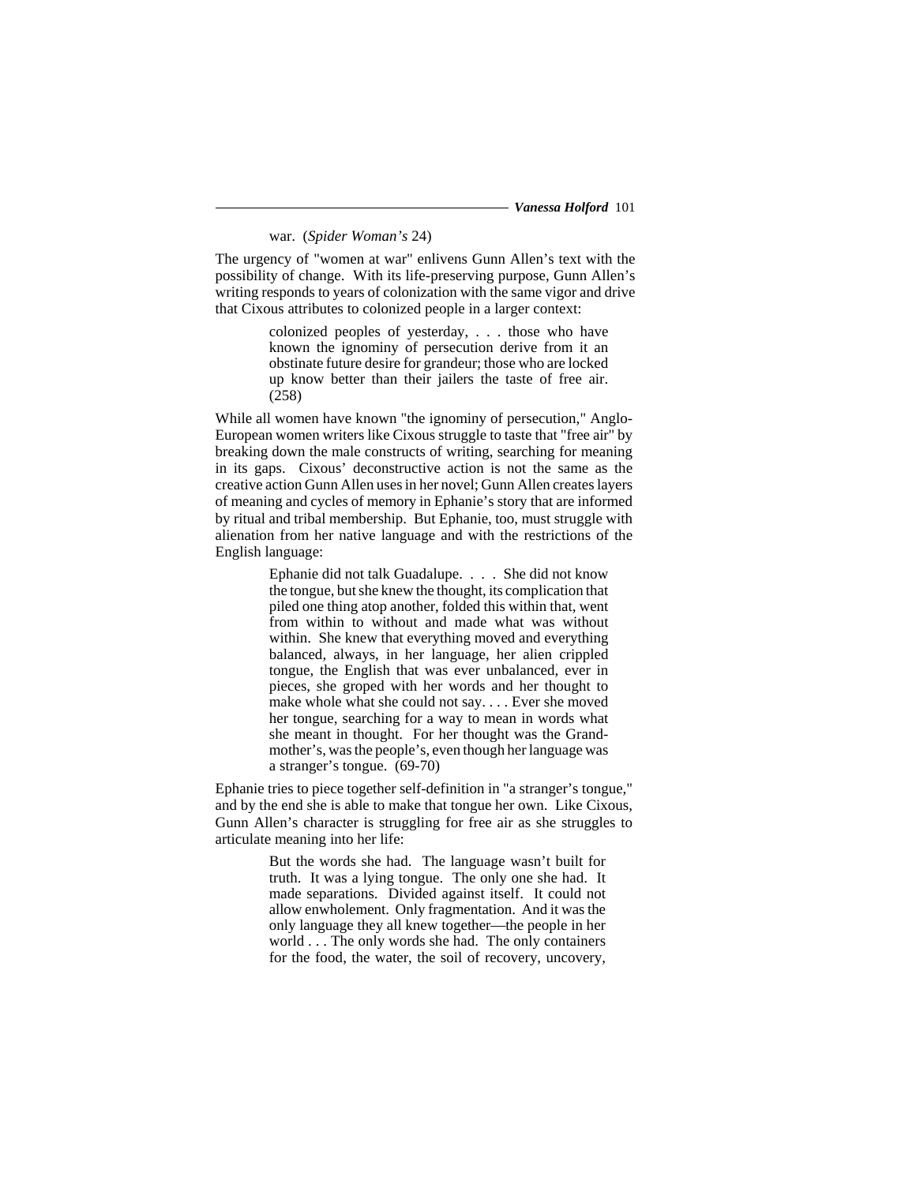### war. (*Spider Woman's* 24)

The urgency of "women at war" enlivens Gunn Allen's text with the possibility of change. With its life-preserving purpose, Gunn Allen's writing responds to years of colonization with the same vigor and drive that Cixous attributes to colonized people in a larger context:

> colonized peoples of yesterday, . . . those who have known the ignominy of persecution derive from it an obstinate future desire for grandeur; those who are locked up know better than their jailers the taste of free air. (258)

While all women have known "the ignominy of persecution," Anglo-European women writers like Cixous struggle to taste that "free air" by breaking down the male constructs of writing, searching for meaning in its gaps. Cixous' deconstructive action is not the same as the creative action Gunn Allen uses in her novel; Gunn Allen creates layers of meaning and cycles of memory in Ephanie's story that are informed by ritual and tribal membership. But Ephanie, too, must struggle with alienation from her native language and with the restrictions of the English language:

> Ephanie did not talk Guadalupe. . . . She did not know the tongue, but she knew the thought, its complication that piled one thing atop another, folded this within that, went from within to without and made what was without within. She knew that everything moved and everything balanced, always, in her language, her alien crippled tongue, the English that was ever unbalanced, ever in pieces, she groped with her words and her thought to make whole what she could not say. . . . Ever she moved her tongue, searching for a way to mean in words what she meant in thought. For her thought was the Grandmother's, was the people's, even though her language was a stranger's tongue. (69-70)

Ephanie tries to piece together self-definition in "a stranger's tongue," and by the end she is able to make that tongue her own. Like Cixous, Gunn Allen's character is struggling for free air as she struggles to articulate meaning into her life:

> But the words she had. The language wasn't built for truth. It was a lying tongue. The only one she had. It made separations. Divided against itself. It could not allow enwholement. Only fragmentation. And it was the only language they all knew together—the people in her world . . . The only words she had. The only containers for the food, the water, the soil of recovery, uncovery,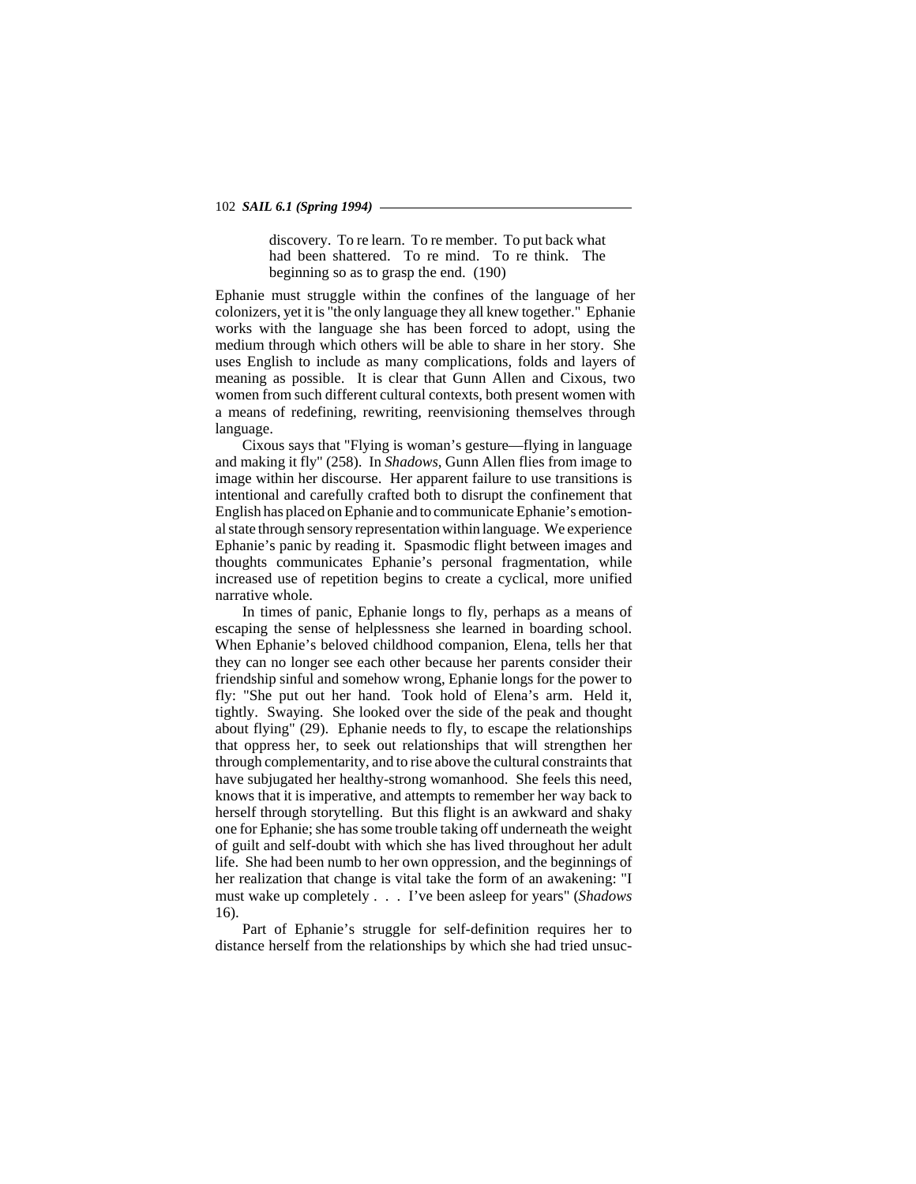discovery. To re learn. To re member. To put back what had been shattered. To re mind. To re think. The beginning so as to grasp the end. (190)

Ephanie must struggle within the confines of the language of her colonizers, yet it is "the only language they all knew together." Ephanie works with the language she has been forced to adopt, using the medium through which others will be able to share in her story. She uses English to include as many complications, folds and layers of meaning as possible. It is clear that Gunn Allen and Cixous, two women from such different cultural contexts, both present women with a means of redefining, rewriting, reenvisioning themselves through language.

Cixous says that "Flying is woman's gesture—flying in language and making it fly" (258). In *Shadows*, Gunn Allen flies from image to image within her discourse. Her apparent failure to use transitions is intentional and carefully crafted both to disrupt the confinement that English has placed on Ephanie and to communicate Ephanie's emotional state through sensory representation within language. We experience Ephanie's panic by reading it. Spasmodic flight between images and thoughts communicates Ephanie's personal fragmentation, while increased use of repetition begins to create a cyclical, more unified narrative whole.

In times of panic, Ephanie longs to fly, perhaps as a means of escaping the sense of helplessness she learned in boarding school. When Ephanie's beloved childhood companion, Elena, tells her that they can no longer see each other because her parents consider their friendship sinful and somehow wrong, Ephanie longs for the power to fly: "She put out her hand. Took hold of Elena's arm. Held it, tightly. Swaying. She looked over the side of the peak and thought about flying" (29). Ephanie needs to fly, to escape the relationships that oppress her, to seek out relationships that will strengthen her through complementarity, and to rise above the cultural constraints that have subjugated her healthy-strong womanhood. She feels this need, knows that it is imperative, and attempts to remember her way back to herself through storytelling. But this flight is an awkward and shaky one for Ephanie; she has some trouble taking off underneath the weight of guilt and self-doubt with which she has lived throughout her adult life. She had been numb to her own oppression, and the beginnings of her realization that change is vital take the form of an awakening: "I must wake up completely . . . I've been asleep for years" (*Shadows* 16).

Part of Ephanie's struggle for self-definition requires her to distance herself from the relationships by which she had tried unsuc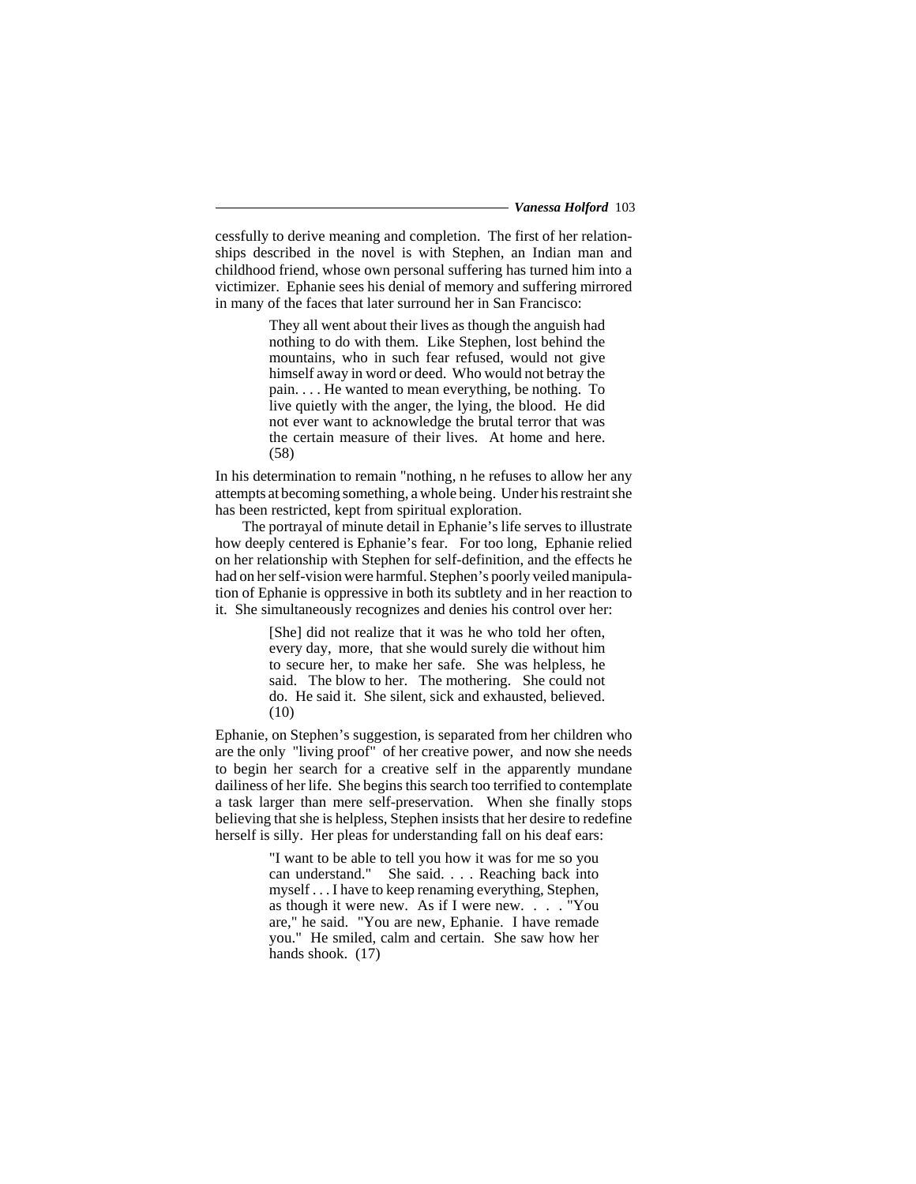cessfully to derive meaning and completion. The first of her relationships described in the novel is with Stephen, an Indian man and childhood friend, whose own personal suffering has turned him into a victimizer. Ephanie sees his denial of memory and suffering mirrored in many of the faces that later surround her in San Francisco:

> They all went about their lives as though the anguish had nothing to do with them. Like Stephen, lost behind the mountains, who in such fear refused, would not give himself away in word or deed. Who would not betray the pain. . . . He wanted to mean everything, be nothing. To live quietly with the anger, the lying, the blood. He did not ever want to acknowledge the brutal terror that was the certain measure of their lives. At home and here. (58)

In his determination to remain "nothing, n he refuses to allow her any attempts at becoming something, a whole being. Under his restraint she has been restricted, kept from spiritual exploration.

The portrayal of minute detail in Ephanie's life serves to illustrate how deeply centered is Ephanie's fear. For too long, Ephanie relied on her relationship with Stephen for self-definition, and the effects he had on her self-vision were harmful. Stephen's poorly veiled manipulation of Ephanie is oppressive in both its subtlety and in her reaction to it. She simultaneously recognizes and denies his control over her:

> [She] did not realize that it was he who told her often, every day, more, that she would surely die without him to secure her, to make her safe. She was helpless, he said. The blow to her. The mothering. She could not do. He said it. She silent, sick and exhausted, believed. (10)

Ephanie, on Stephen's suggestion, is separated from her children who are the only "living proof" of her creative power, and now she needs to begin her search for a creative self in the apparently mundane dailiness of her life. She begins this search too terrified to contemplate a task larger than mere self-preservation. When she finally stops believing that she is helpless, Stephen insists that her desire to redefine herself is silly. Her pleas for understanding fall on his deaf ears:

> "I want to be able to tell you how it was for me so you can understand." She said. . . . Reaching back into myself . . . I have to keep renaming everything, Stephen, as though it were new. As if I were new. . . . "You are," he said. "You are new, Ephanie. I have remade you." He smiled, calm and certain. She saw how her hands shook. (17)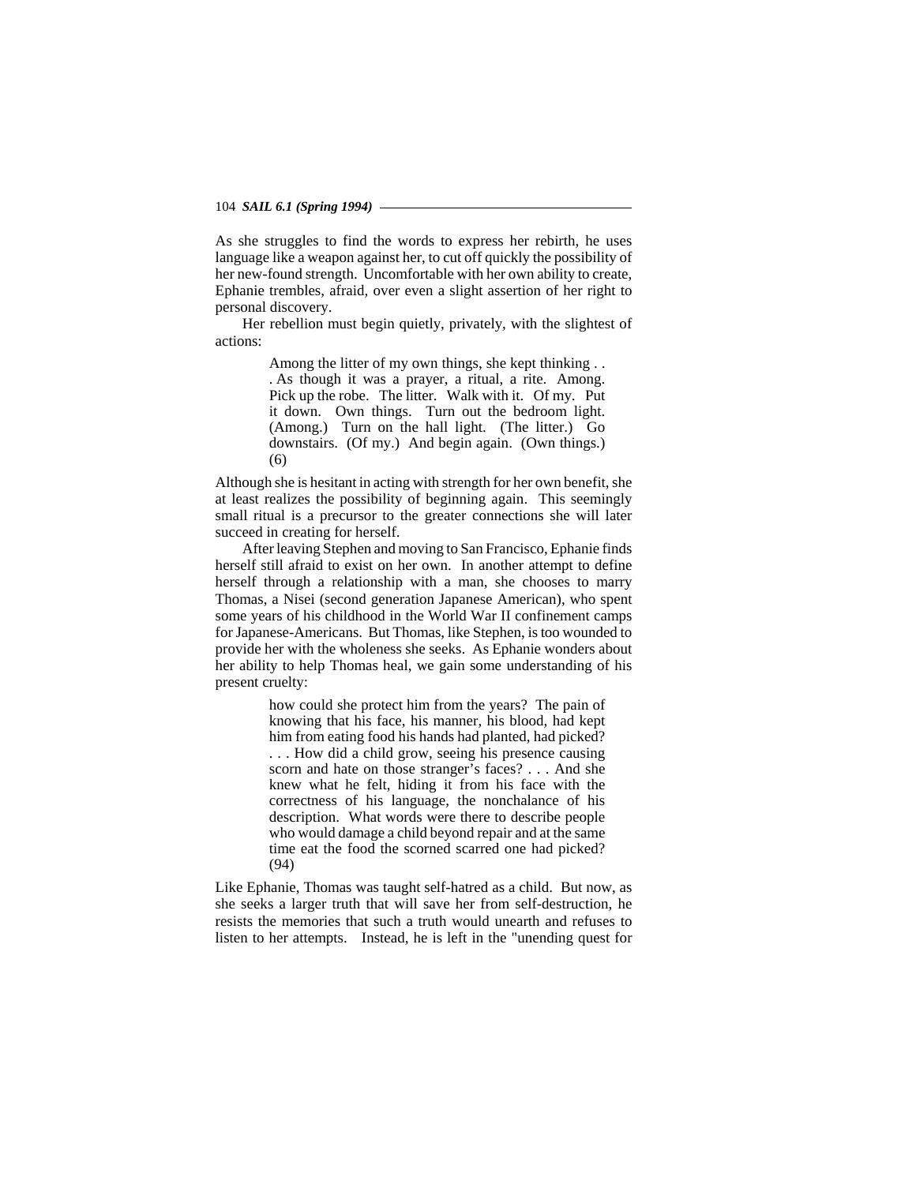As she struggles to find the words to express her rebirth, he uses language like a weapon against her, to cut off quickly the possibility of her new-found strength. Uncomfortable with her own ability to create, Ephanie trembles, afraid, over even a slight assertion of her right to personal discovery.

Her rebellion must begin quietly, privately, with the slightest of actions:

> Among the litter of my own things, she kept thinking . . . As though it was a prayer, a ritual, a rite. Among. Pick up the robe. The litter. Walk with it. Of my. Put it down. Own things. Turn out the bedroom light. (Among.) Turn on the hall light. (The litter.) Go downstairs. (Of my.) And begin again. (Own things.) (6)

Although she is hesitant in acting with strength for her own benefit, she at least realizes the possibility of beginning again. This seemingly small ritual is a precursor to the greater connections she will later succeed in creating for herself.

After leaving Stephen and moving to San Francisco, Ephanie finds herself still afraid to exist on her own. In another attempt to define herself through a relationship with a man, she chooses to marry Thomas, a Nisei (second generation Japanese American), who spent some years of his childhood in the World War II confinement camps for Japanese-Americans. But Thomas, like Stephen, is too wounded to provide her with the wholeness she seeks. As Ephanie wonders about her ability to help Thomas heal, we gain some understanding of his present cruelty:

> how could she protect him from the years? The pain of knowing that his face, his manner, his blood, had kept him from eating food his hands had planted, had picked? . . . How did a child grow, seeing his presence causing scorn and hate on those stranger's faces? . . . And she knew what he felt, hiding it from his face with the correctness of his language, the nonchalance of his description. What words were there to describe people who would damage a child beyond repair and at the same time eat the food the scorned scarred one had picked? (94)

Like Ephanie, Thomas was taught self-hatred as a child. But now, as she seeks a larger truth that will save her from self-destruction, he resists the memories that such a truth would unearth and refuses to listen to her attempts. Instead, he is left in the "unending quest for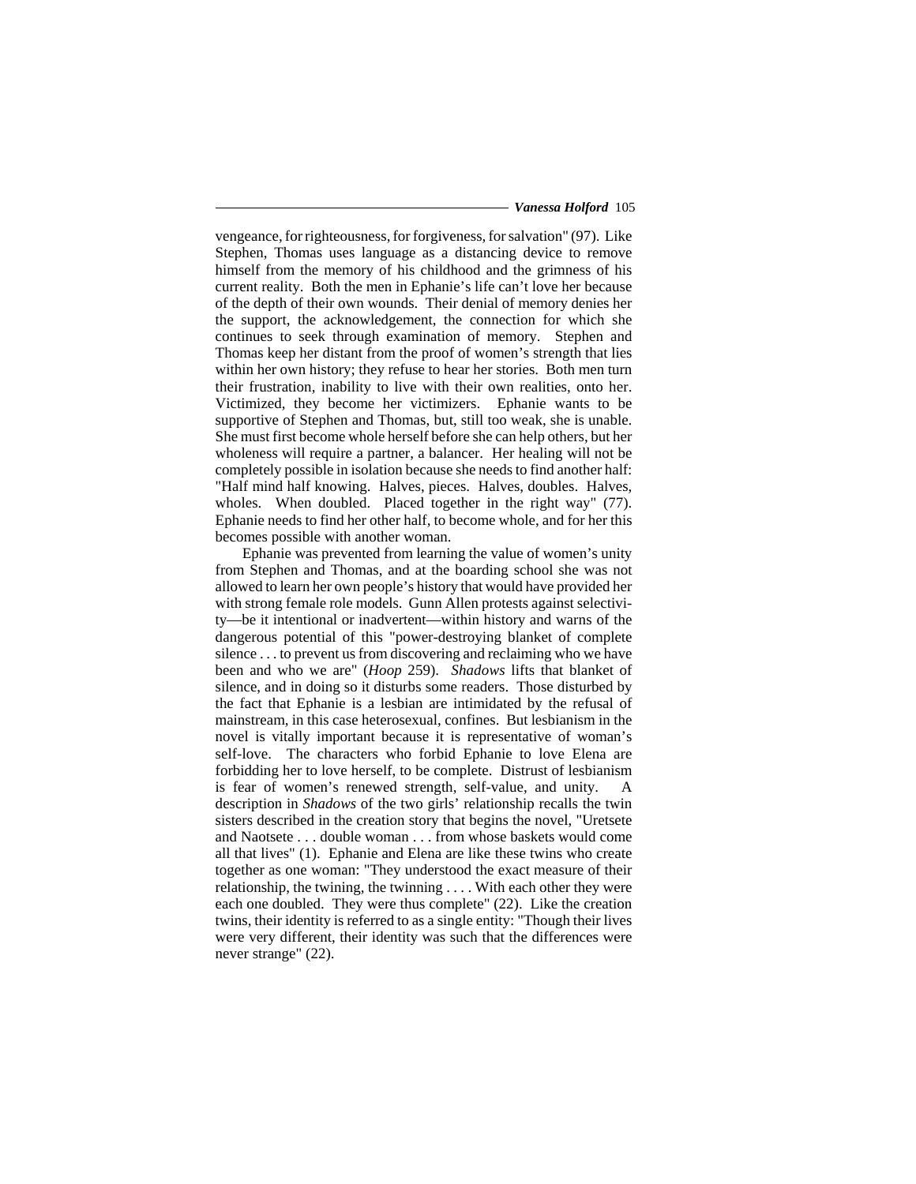vengeance, for righteousness, for forgiveness, for salvation" (97). Like Stephen, Thomas uses language as a distancing device to remove himself from the memory of his childhood and the grimness of his current reality. Both the men in Ephanie's life can't love her because of the depth of their own wounds. Their denial of memory denies her the support, the acknowledgement, the connection for which she continues to seek through examination of memory. Stephen and Thomas keep her distant from the proof of women's strength that lies within her own history; they refuse to hear her stories. Both men turn their frustration, inability to live with their own realities, onto her. Victimized, they become her victimizers. Ephanie wants to be supportive of Stephen and Thomas, but, still too weak, she is unable. She must first become whole herself before she can help others, but her wholeness will require a partner, a balancer. Her healing will not be completely possible in isolation because she needs to find another half: "Half mind half knowing. Halves, pieces. Halves, doubles. Halves, wholes. When doubled. Placed together in the right way" (77). Ephanie needs to find her other half, to become whole, and for her this becomes possible with another woman.

Ephanie was prevented from learning the value of women's unity from Stephen and Thomas, and at the boarding school she was not allowed to learn her own people's history that would have provided her with strong female role models. Gunn Allen protests against selectivity—be it intentional or inadvertent—within history and warns of the dangerous potential of this "power-destroying blanket of complete silence . . . to prevent us from discovering and reclaiming who we have been and who we are" (*Hoop* 259). *Shadows* lifts that blanket of silence, and in doing so it disturbs some readers. Those disturbed by the fact that Ephanie is a lesbian are intimidated by the refusal of mainstream, in this case heterosexual, confines. But lesbianism in the novel is vitally important because it is representative of woman's self-love. The characters who forbid Ephanie to love Elena are forbidding her to love herself, to be complete. Distrust of lesbianism is fear of women's renewed strength, self-value, and unity. A description in *Shadows* of the two girls' relationship recalls the twin sisters described in the creation story that begins the novel, "Uretsete and Naotsete . . . double woman . . . from whose baskets would come all that lives" (1). Ephanie and Elena are like these twins who create together as one woman: "They understood the exact measure of their relationship, the twining, the twinning . . . . With each other they were each one doubled. They were thus complete" (22). Like the creation twins, their identity is referred to as a single entity: "Though their lives were very different, their identity was such that the differences were never strange" (22).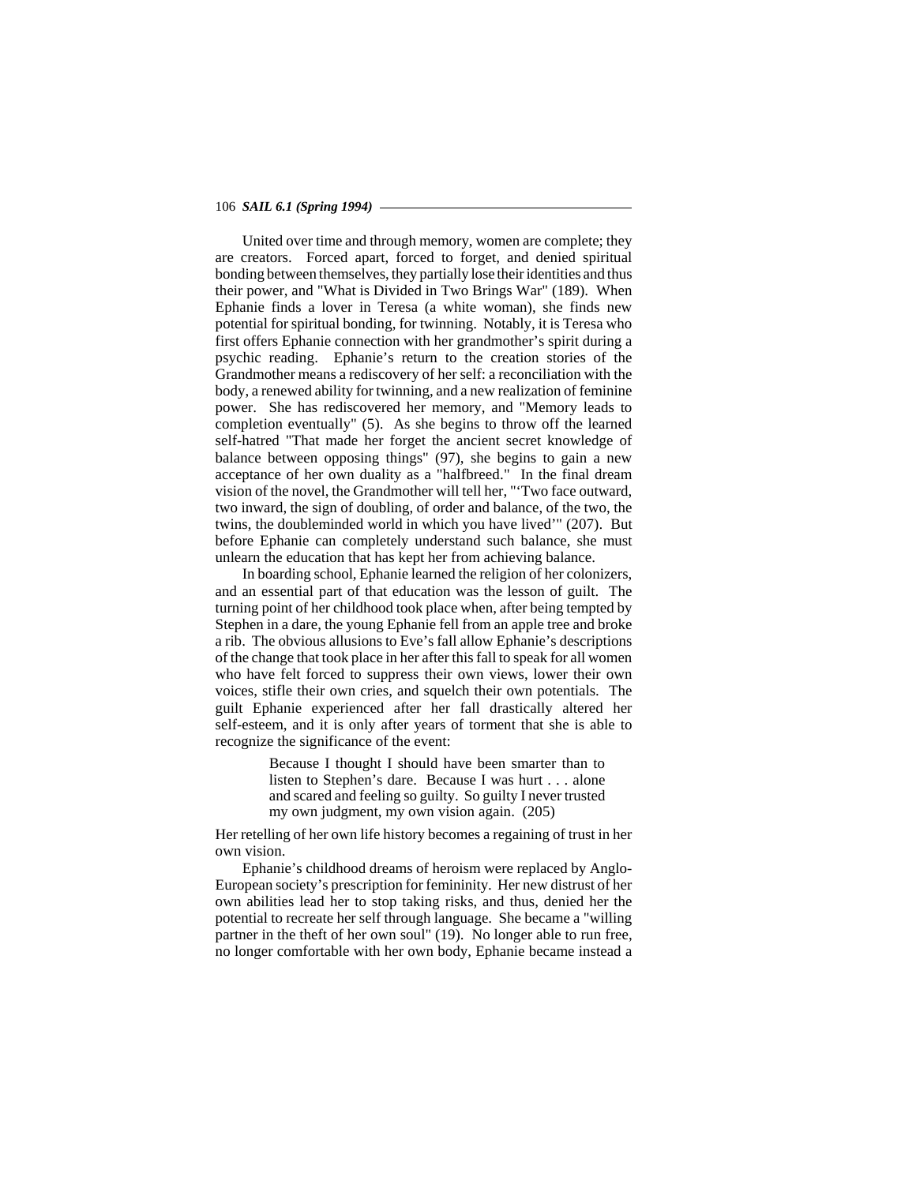United over time and through memory, women are complete; they are creators. Forced apart, forced to forget, and denied spiritual bonding between themselves, they partially lose their identities and thus their power, and "What is Divided in Two Brings War" (189). When Ephanie finds a lover in Teresa (a white woman), she finds new potential for spiritual bonding, for twinning. Notably, it is Teresa who first offers Ephanie connection with her grandmother's spirit during a psychic reading. Ephanie's return to the creation stories of the Grandmother means a rediscovery of her self: a reconciliation with the body, a renewed ability for twinning, and a new realization of feminine power. She has rediscovered her memory, and "Memory leads to completion eventually" (5). As she begins to throw off the learned self-hatred "That made her forget the ancient secret knowledge of balance between opposing things" (97), she begins to gain a new acceptance of her own duality as a "halfbreed." In the final dream vision of the novel, the Grandmother will tell her, "'Two face outward, two inward, the sign of doubling, of order and balance, of the two, the twins, the doubleminded world in which you have lived'" (207). But before Ephanie can completely understand such balance, she must unlearn the education that has kept her from achieving balance.

In boarding school, Ephanie learned the religion of her colonizers, and an essential part of that education was the lesson of guilt. The turning point of her childhood took place when, after being tempted by Stephen in a dare, the young Ephanie fell from an apple tree and broke a rib. The obvious allusions to Eve's fall allow Ephanie's descriptions of the change that took place in her after this fall to speak for all women who have felt forced to suppress their own views, lower their own voices, stifle their own cries, and squelch their own potentials. The guilt Ephanie experienced after her fall drastically altered her self-esteem, and it is only after years of torment that she is able to recognize the significance of the event:

> Because I thought I should have been smarter than to listen to Stephen's dare. Because I was hurt . . . alone and scared and feeling so guilty. So guilty I never trusted my own judgment, my own vision again. (205)

Her retelling of her own life history becomes a regaining of trust in her own vision.

Ephanie's childhood dreams of heroism were replaced by Anglo-European society's prescription for femininity. Her new distrust of her own abilities lead her to stop taking risks, and thus, denied her the potential to recreate her self through language. She became a "willing partner in the theft of her own soul" (19). No longer able to run free, no longer comfortable with her own body, Ephanie became instead a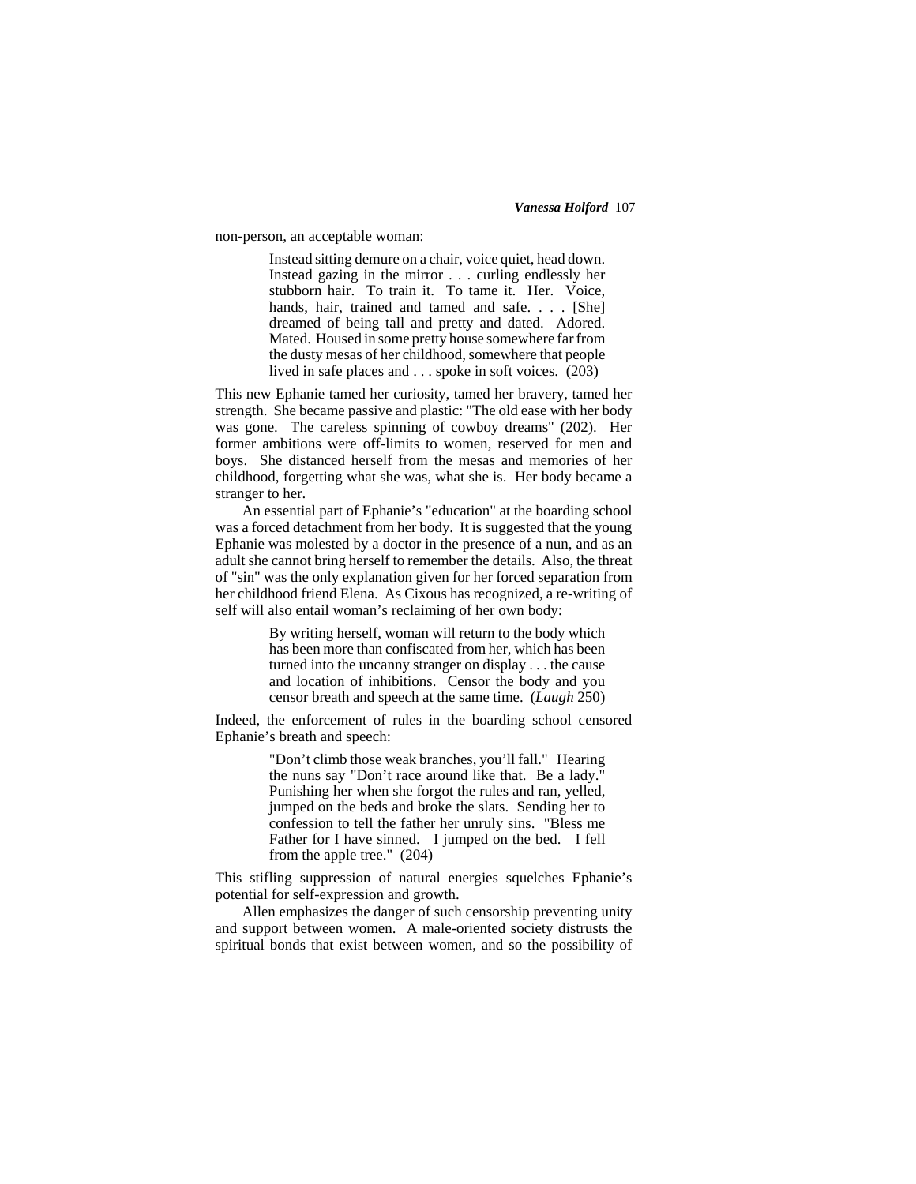non-person, an acceptable woman:

Instead sitting demure on a chair, voice quiet, head down. Instead gazing in the mirror . . . curling endlessly her stubborn hair. To train it. To tame it. Her. Voice, hands, hair, trained and tamed and safe. . . . [She] dreamed of being tall and pretty and dated. Adored. Mated. Housed in some pretty house somewhere far from the dusty mesas of her childhood, somewhere that people lived in safe places and . . . spoke in soft voices. (203)

This new Ephanie tamed her curiosity, tamed her bravery, tamed her strength. She became passive and plastic: "The old ease with her body was gone. The careless spinning of cowboy dreams" (202). Her former ambitions were off-limits to women, reserved for men and boys. She distanced herself from the mesas and memories of her childhood, forgetting what she was, what she is. Her body became a stranger to her.

An essential part of Ephanie's "education" at the boarding school was a forced detachment from her body. It is suggested that the young Ephanie was molested by a doctor in the presence of a nun, and as an adult she cannot bring herself to remember the details. Also, the threat of "sin" was the only explanation given for her forced separation from her childhood friend Elena. As Cixous has recognized, a re-writing of self will also entail woman's reclaiming of her own body:

> By writing herself, woman will return to the body which has been more than confiscated from her, which has been turned into the uncanny stranger on display . . . the cause and location of inhibitions. Censor the body and you censor breath and speech at the same time. (*Laugh* 250)

Indeed, the enforcement of rules in the boarding school censored Ephanie's breath and speech:

> "Don't climb those weak branches, you'll fall." Hearing the nuns say "Don't race around like that. Be a lady." Punishing her when she forgot the rules and ran, yelled, jumped on the beds and broke the slats. Sending her to confession to tell the father her unruly sins. "Bless me Father for I have sinned. I jumped on the bed. I fell from the apple tree." (204)

This stifling suppression of natural energies squelches Ephanie's potential for self-expression and growth.

Allen emphasizes the danger of such censorship preventing unity and support between women. A male-oriented society distrusts the spiritual bonds that exist between women, and so the possibility of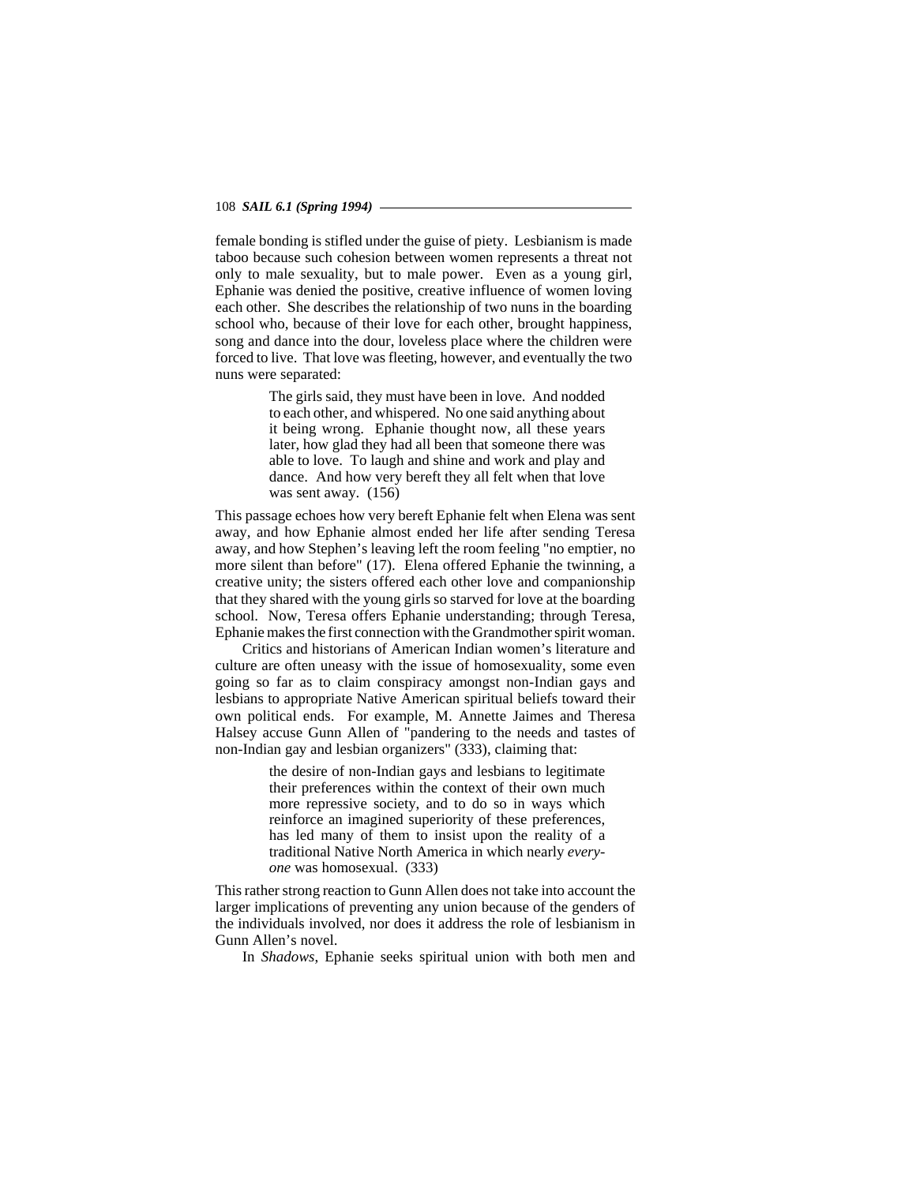female bonding is stifled under the guise of piety. Lesbianism is made taboo because such cohesion between women represents a threat not only to male sexuality, but to male power. Even as a young girl, Ephanie was denied the positive, creative influence of women loving each other. She describes the relationship of two nuns in the boarding school who, because of their love for each other, brought happiness, song and dance into the dour, loveless place where the children were forced to live. That love was fleeting, however, and eventually the two nuns were separated:

> The girls said, they must have been in love. And nodded to each other, and whispered. No one said anything about it being wrong. Ephanie thought now, all these years later, how glad they had all been that someone there was able to love. To laugh and shine and work and play and dance. And how very bereft they all felt when that love was sent away. (156)

This passage echoes how very bereft Ephanie felt when Elena was sent away, and how Ephanie almost ended her life after sending Teresa away, and how Stephen's leaving left the room feeling "no emptier, no more silent than before" (17). Elena offered Ephanie the twinning, a creative unity; the sisters offered each other love and companionship that they shared with the young girls so starved for love at the boarding school. Now, Teresa offers Ephanie understanding; through Teresa, Ephanie makes the first connection with the Grandmother spirit woman.

Critics and historians of American Indian women's literature and culture are often uneasy with the issue of homosexuality, some even going so far as to claim conspiracy amongst non-Indian gays and lesbians to appropriate Native American spiritual beliefs toward their own political ends. For example, M. Annette Jaimes and Theresa Halsey accuse Gunn Allen of "pandering to the needs and tastes of non-Indian gay and lesbian organizers" (333), claiming that:

> the desire of non-Indian gays and lesbians to legitimate their preferences within the context of their own much more repressive society, and to do so in ways which reinforce an imagined superiority of these preferences, has led many of them to insist upon the reality of a traditional Native North America in which nearly *everyone* was homosexual. (333)

This rather strong reaction to Gunn Allen does not take into account the larger implications of preventing any union because of the genders of the individuals involved, nor does it address the role of lesbianism in Gunn Allen's novel.

In *Shadows*, Ephanie seeks spiritual union with both men and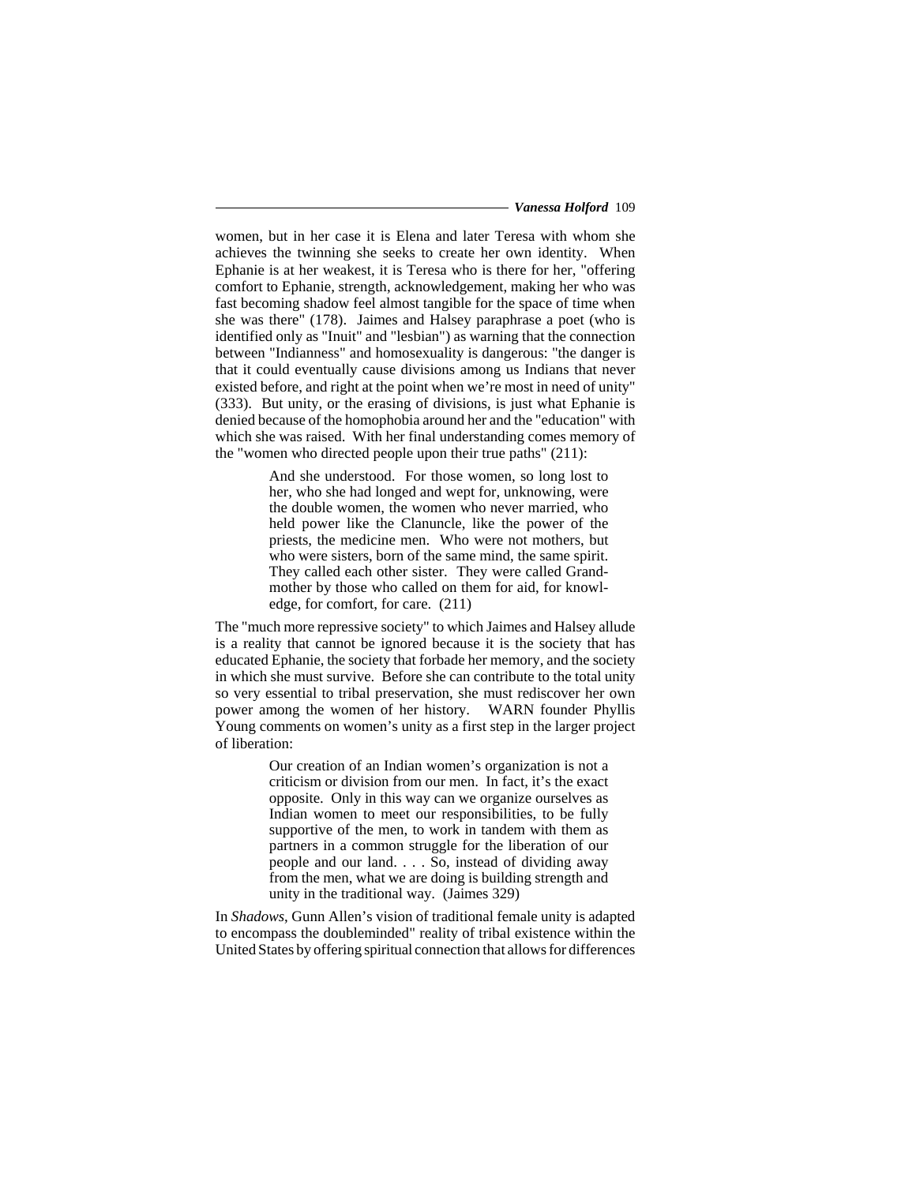women, but in her case it is Elena and later Teresa with whom she achieves the twinning she seeks to create her own identity. When Ephanie is at her weakest, it is Teresa who is there for her, "offering comfort to Ephanie, strength, acknowledgement, making her who was fast becoming shadow feel almost tangible for the space of time when she was there" (178). Jaimes and Halsey paraphrase a poet (who is identified only as "Inuit" and "lesbian") as warning that the connection between "Indianness" and homosexuality is dangerous: "the danger is that it could eventually cause divisions among us Indians that never existed before, and right at the point when we're most in need of unity" (333). But unity, or the erasing of divisions, is just what Ephanie is denied because of the homophobia around her and the "education" with which she was raised. With her final understanding comes memory of the "women who directed people upon their true paths" (211):

> And she understood. For those women, so long lost to her, who she had longed and wept for, unknowing, were the double women, the women who never married, who held power like the Clanuncle, like the power of the priests, the medicine men. Who were not mothers, but who were sisters, born of the same mind, the same spirit. They called each other sister. They were called Grandmother by those who called on them for aid, for knowledge, for comfort, for care. (211)

The "much more repressive society" to which Jaimes and Halsey allude is a reality that cannot be ignored because it is the society that has educated Ephanie, the society that forbade her memory, and the society in which she must survive. Before she can contribute to the total unity so very essential to tribal preservation, she must rediscover her own power among the women of her history. WARN founder Phyllis Young comments on women's unity as a first step in the larger project of liberation:

> Our creation of an Indian women's organization is not a criticism or division from our men. In fact, it's the exact opposite. Only in this way can we organize ourselves as Indian women to meet our responsibilities, to be fully supportive of the men, to work in tandem with them as partners in a common struggle for the liberation of our people and our land. . . . So, instead of dividing away from the men, what we are doing is building strength and unity in the traditional way. (Jaimes 329)

In *Shadows*, Gunn Allen's vision of traditional female unity is adapted to encompass the doubleminded" reality of tribal existence within the United States by offering spiritual connection that allows for differences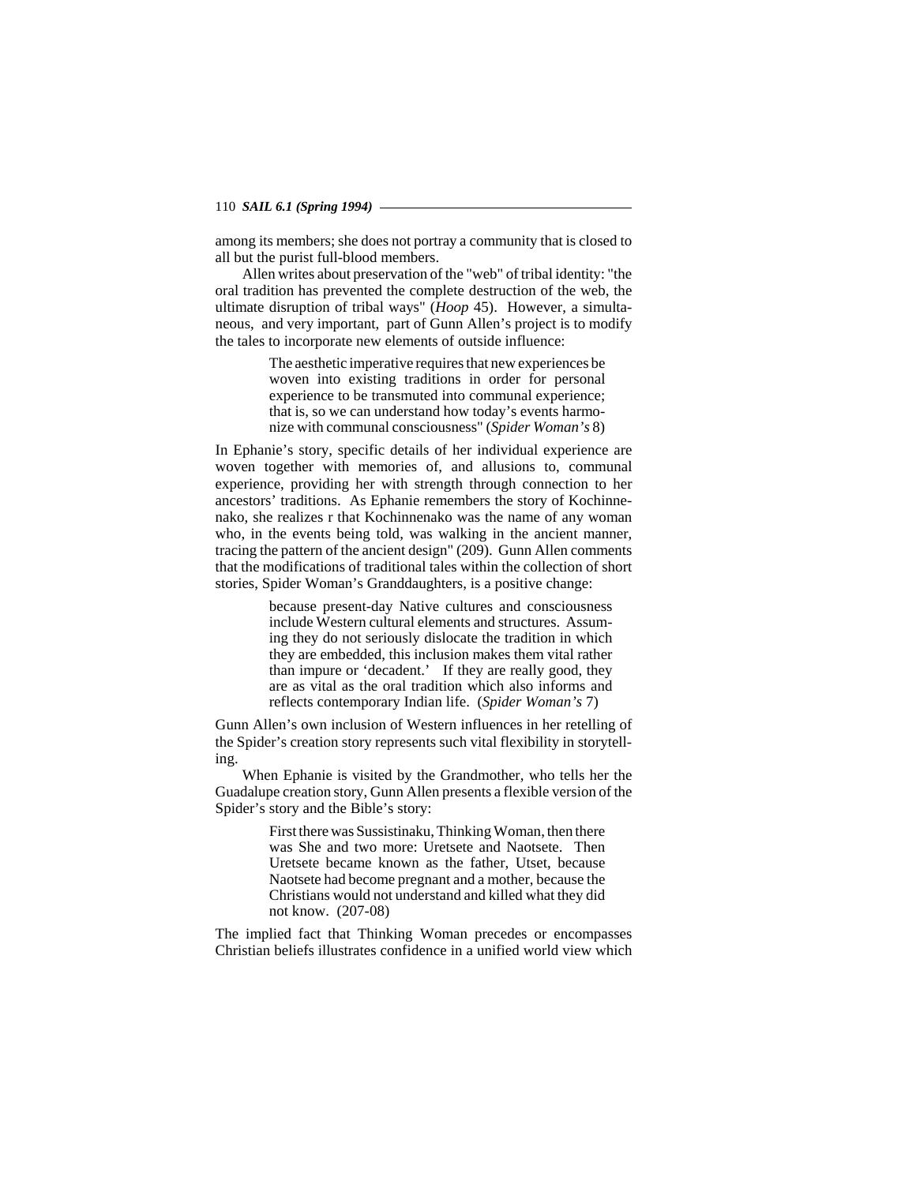among its members; she does not portray a community that is closed to all but the purist full-blood members.

Allen writes about preservation of the "web" of tribal identity: "the oral tradition has prevented the complete destruction of the web, the ultimate disruption of tribal ways" (*Hoop* 45). However, a simultaneous, and very important, part of Gunn Allen's project is to modify the tales to incorporate new elements of outside influence:

> The aesthetic imperative requires that new experiences be woven into existing traditions in order for personal experience to be transmuted into communal experience; that is, so we can understand how today's events harmonize with communal consciousness" (*Spider Woman's* 8)

In Ephanie's story, specific details of her individual experience are woven together with memories of, and allusions to, communal experience, providing her with strength through connection to her ancestors' traditions. As Ephanie remembers the story of Kochinnenako, she realizes r that Kochinnenako was the name of any woman who, in the events being told, was walking in the ancient manner, tracing the pattern of the ancient design" (209). Gunn Allen comments that the modifications of traditional tales within the collection of short stories, Spider Woman's Granddaughters, is a positive change:

> because present-day Native cultures and consciousness include Western cultural elements and structures. Assuming they do not seriously dislocate the tradition in which they are embedded, this inclusion makes them vital rather than impure or 'decadent.' If they are really good, they are as vital as the oral tradition which also informs and reflects contemporary Indian life. (*Spider Woman's* 7)

Gunn Allen's own inclusion of Western influences in her retelling of the Spider's creation story represents such vital flexibility in storytelling.

When Ephanie is visited by the Grandmother, who tells her the Guadalupe creation story, Gunn Allen presents a flexible version of the Spider's story and the Bible's story:

> First there was Sussistinaku, Thinking Woman, then there was She and two more: Uretsete and Naotsete. Then Uretsete became known as the father, Utset, because Naotsete had become pregnant and a mother, because the Christians would not understand and killed what they did not know. (207-08)

The implied fact that Thinking Woman precedes or encompasses Christian beliefs illustrates confidence in a unified world view which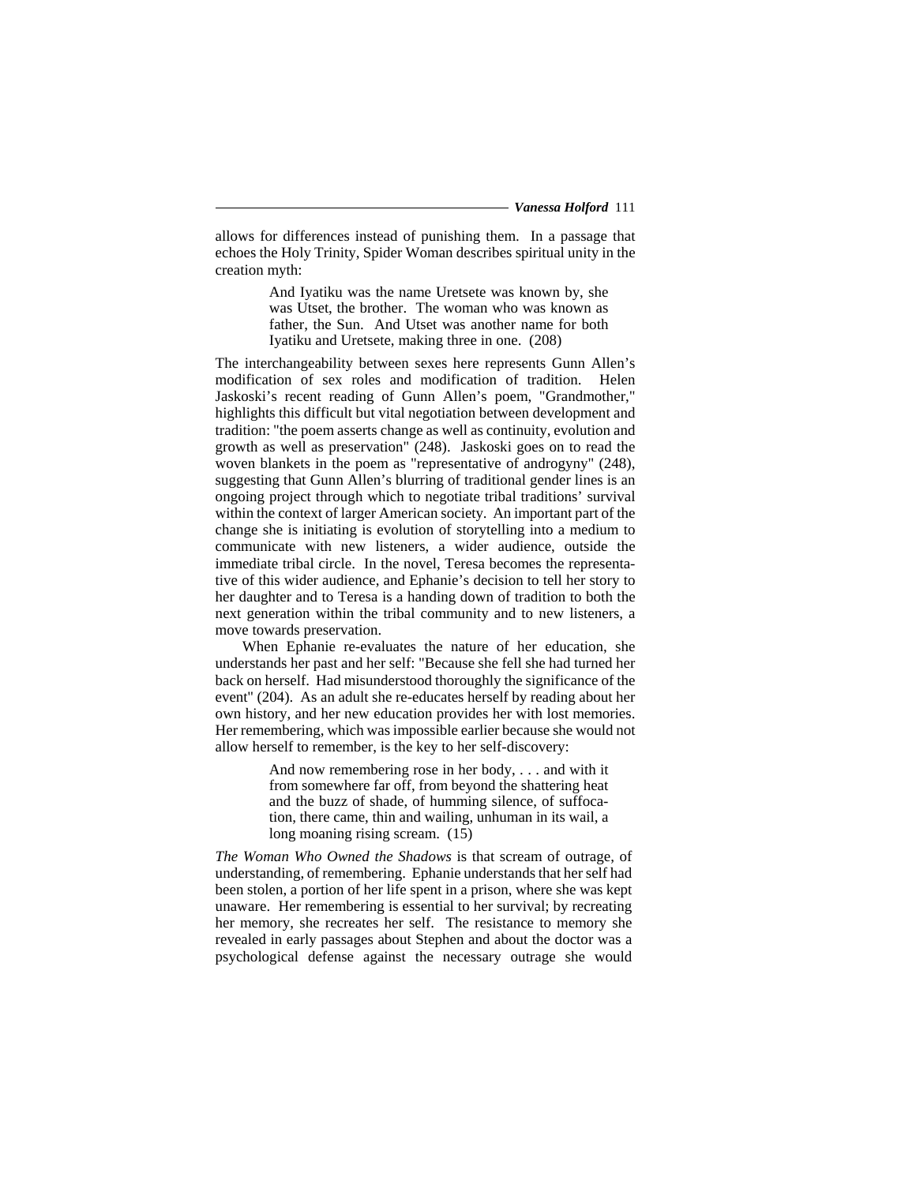allows for differences instead of punishing them. In a passage that echoes the Holy Trinity, Spider Woman describes spiritual unity in the creation myth:

> And Iyatiku was the name Uretsete was known by, she was Utset, the brother. The woman who was known as father, the Sun. And Utset was another name for both Iyatiku and Uretsete, making three in one. (208)

The interchangeability between sexes here represents Gunn Allen's modification of sex roles and modification of tradition. Helen Jaskoski's recent reading of Gunn Allen's poem, "Grandmother," highlights this difficult but vital negotiation between development and tradition: "the poem asserts change as well as continuity, evolution and growth as well as preservation" (248). Jaskoski goes on to read the woven blankets in the poem as "representative of androgyny" (248), suggesting that Gunn Allen's blurring of traditional gender lines is an ongoing project through which to negotiate tribal traditions' survival within the context of larger American society. An important part of the change she is initiating is evolution of storytelling into a medium to communicate with new listeners, a wider audience, outside the immediate tribal circle. In the novel, Teresa becomes the representative of this wider audience, and Ephanie's decision to tell her story to her daughter and to Teresa is a handing down of tradition to both the next generation within the tribal community and to new listeners, a move towards preservation.

When Ephanie re-evaluates the nature of her education, she understands her past and her self: "Because she fell she had turned her back on herself. Had misunderstood thoroughly the significance of the event" (204). As an adult she re-educates herself by reading about her own history, and her new education provides her with lost memories. Her remembering, which was impossible earlier because she would not allow herself to remember, is the key to her self-discovery:

> And now remembering rose in her body, . . . and with it from somewhere far off, from beyond the shattering heat and the buzz of shade, of humming silence, of suffocation, there came, thin and wailing, unhuman in its wail, a long moaning rising scream. (15)

*The Woman Who Owned the Shadows* is that scream of outrage, of understanding, of remembering. Ephanie understands that her self had been stolen, a portion of her life spent in a prison, where she was kept unaware. Her remembering is essential to her survival; by recreating her memory, she recreates her self. The resistance to memory she revealed in early passages about Stephen and about the doctor was a psychological defense against the necessary outrage she would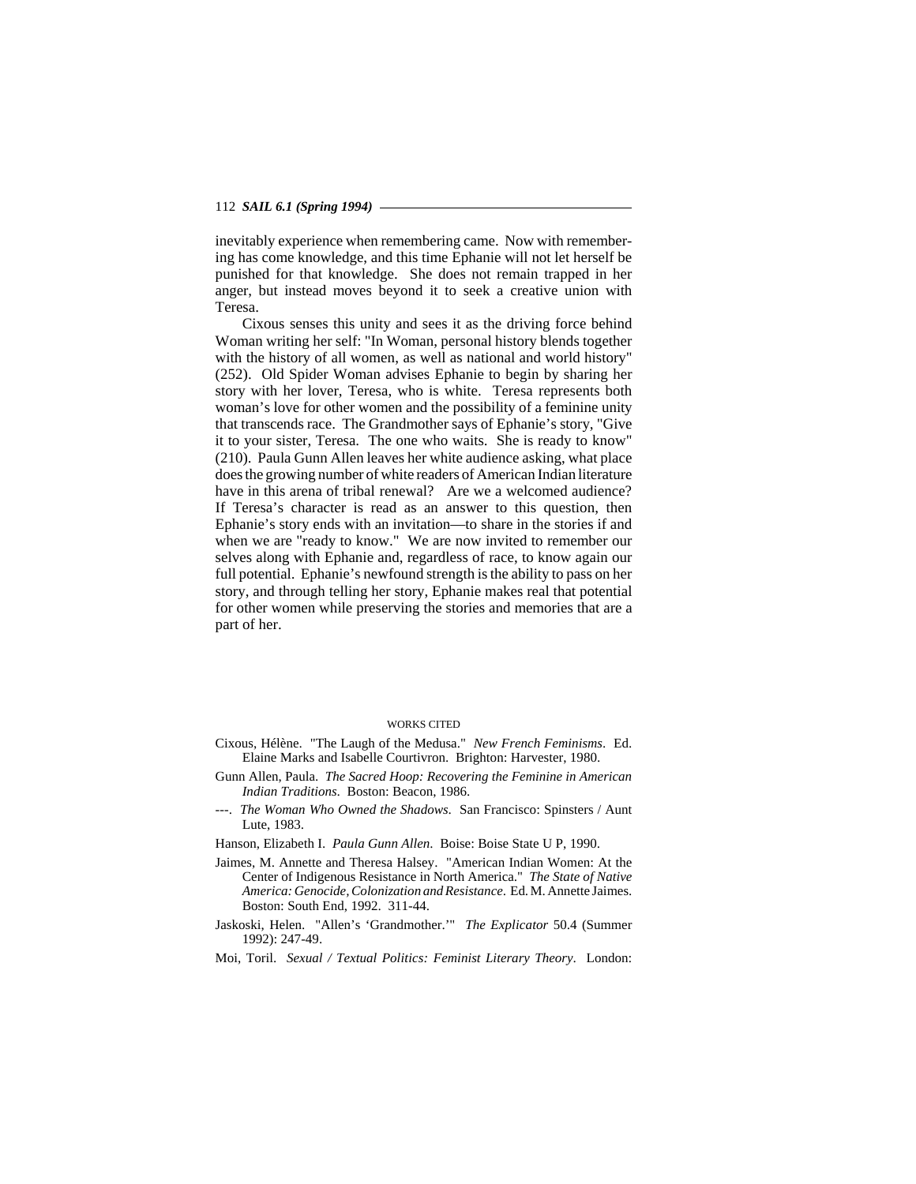inevitably experience when remembering came. Now with remembering has come knowledge, and this time Ephanie will not let herself be punished for that knowledge. She does not remain trapped in her anger, but instead moves beyond it to seek a creative union with Teresa.

Cixous senses this unity and sees it as the driving force behind Woman writing her self: "In Woman, personal history blends together with the history of all women, as well as national and world history" (252). Old Spider Woman advises Ephanie to begin by sharing her story with her lover, Teresa, who is white. Teresa represents both woman's love for other women and the possibility of a feminine unity that transcends race. The Grandmother says of Ephanie's story, "Give it to your sister, Teresa. The one who waits. She is ready to know" (210). Paula Gunn Allen leaves her white audience asking, what place does the growing number of white readers of American Indian literature have in this arena of tribal renewal? Are we a welcomed audience? If Teresa's character is read as an answer to this question, then Ephanie's story ends with an invitation—to share in the stories if and when we are "ready to know." We are now invited to remember our selves along with Ephanie and, regardless of race, to know again our full potential. Ephanie's newfound strength is the ability to pass on her story, and through telling her story, Ephanie makes real that potential for other women while preserving the stories and memories that are a part of her.

#### WORKS CITED

- Cixous, Hélène. "The Laugh of the Medusa." *New French Feminisms*. Ed. Elaine Marks and Isabelle Courtivron. Brighton: Harvester, 1980.
- Gunn Allen, Paula. *The Sacred Hoop: Recovering the Feminine in American Indian Traditions*. Boston: Beacon, 1986.
- ---. *The Woman Who Owned the Shadows*. San Francisco: Spinsters / Aunt Lute, 1983.

Hanson, Elizabeth I. *Paula Gunn Allen*. Boise: Boise State U P, 1990.

Jaimes, M. Annette and Theresa Halsey. "American Indian Women: At the Center of Indigenous Resistance in North America." *The State of Native America: Genocide, Colonization and Resistance*. Ed. M. Annette Jaimes. Boston: South End, 1992. 311-44.

Jaskoski, Helen. "Allen's 'Grandmother.'" *The Explicator* 50.4 (Summer 1992): 247-49.

Moi, Toril. *Sexual / Textual Politics: Feminist Literary Theory*. London: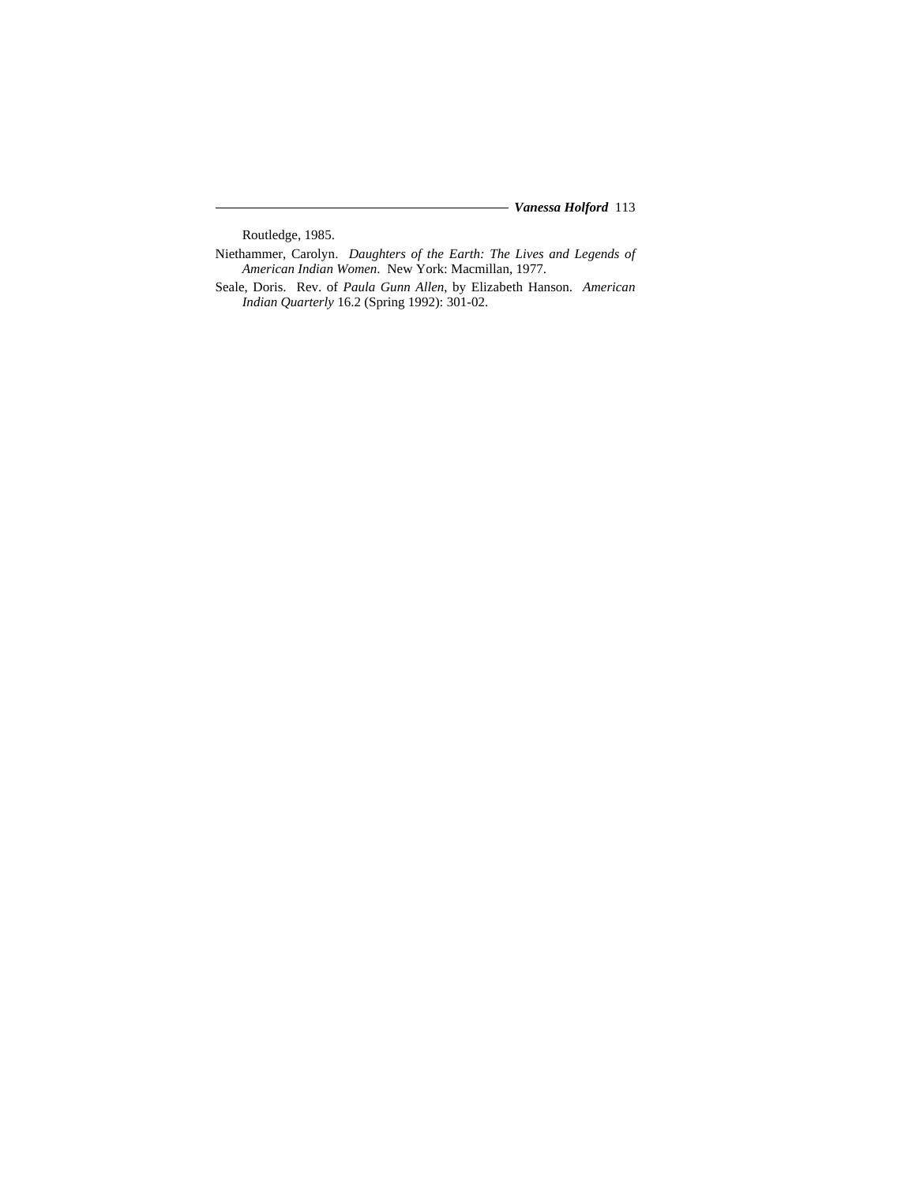Routledge, 1985.

- Niethammer, Carolyn. *Daughters of the Earth: The Lives and Legends of American Indian Women*. New York: Macmillan, 1977.
- Seale, Doris. Rev. of *Paula Gunn Allen*, by Elizabeth Hanson. *American Indian Quarterly* 16.2 (Spring 1992): 301-02.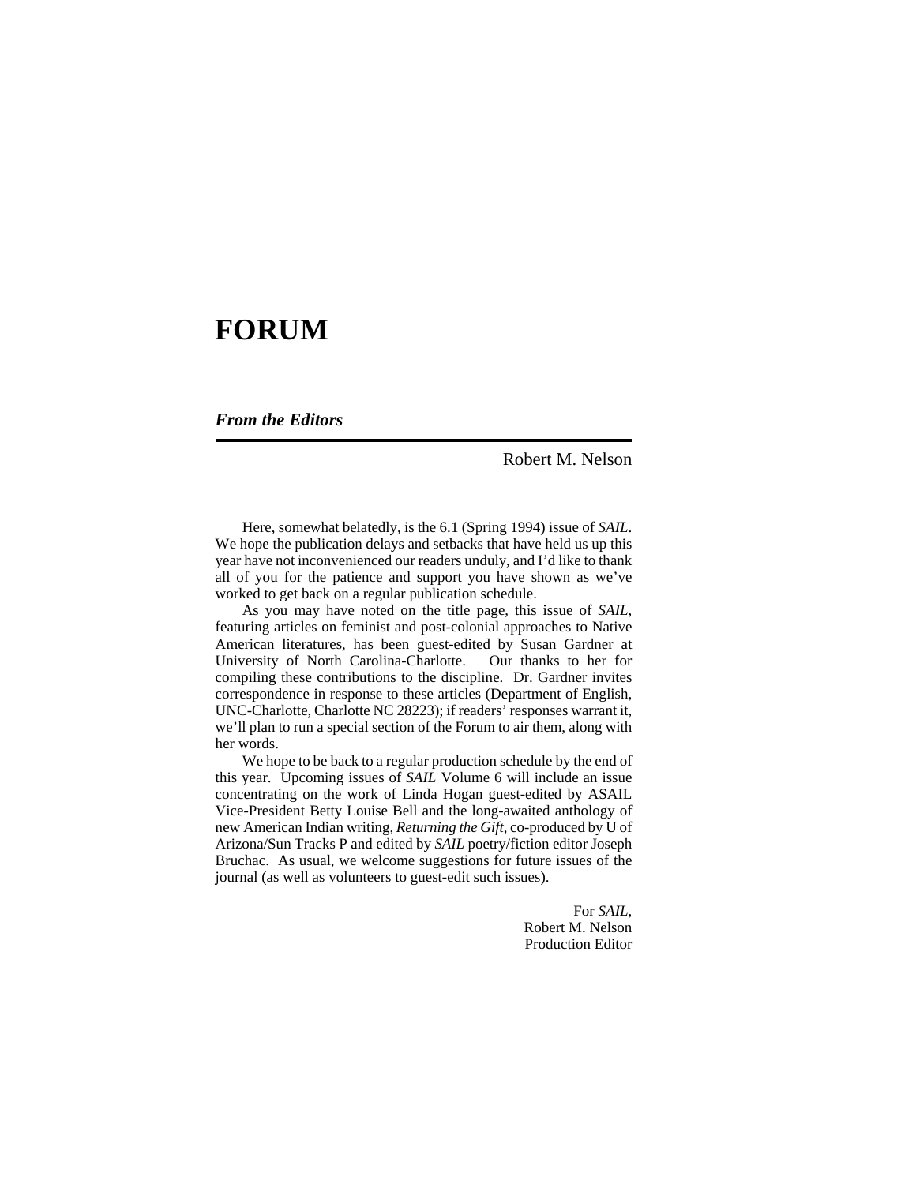## **FORUM**

*From the Editors*

## Robert M. Nelson

Here, somewhat belatedly, is the 6.1 (Spring 1994) issue of *SAIL*. We hope the publication delays and setbacks that have held us up this year have not inconvenienced our readers unduly, and I'd like to thank all of you for the patience and support you have shown as we've worked to get back on a regular publication schedule.

As you may have noted on the title page, this issue of *SAIL*, featuring articles on feminist and post-colonial approaches to Native American literatures, has been guest-edited by Susan Gardner at University of North Carolina-Charlotte. Our thanks to her for compiling these contributions to the discipline. Dr. Gardner invites correspondence in response to these articles (Department of English, UNC-Charlotte, Charlotte NC 28223); if readers' responses warrant it, we'll plan to run a special section of the Forum to air them, along with her words.

We hope to be back to a regular production schedule by the end of this year. Upcoming issues of *SAIL* Volume 6 will include an issue concentrating on the work of Linda Hogan guest-edited by ASAIL Vice-President Betty Louise Bell and the long-awaited anthology of new American Indian writing, *Returning the Gift*, co-produced by U of Arizona/Sun Tracks P and edited by *SAIL* poetry/fiction editor Joseph Bruchac. As usual, we welcome suggestions for future issues of the journal (as well as volunteers to guest-edit such issues).

> For *SAIL*, Robert M. Nelson Production Editor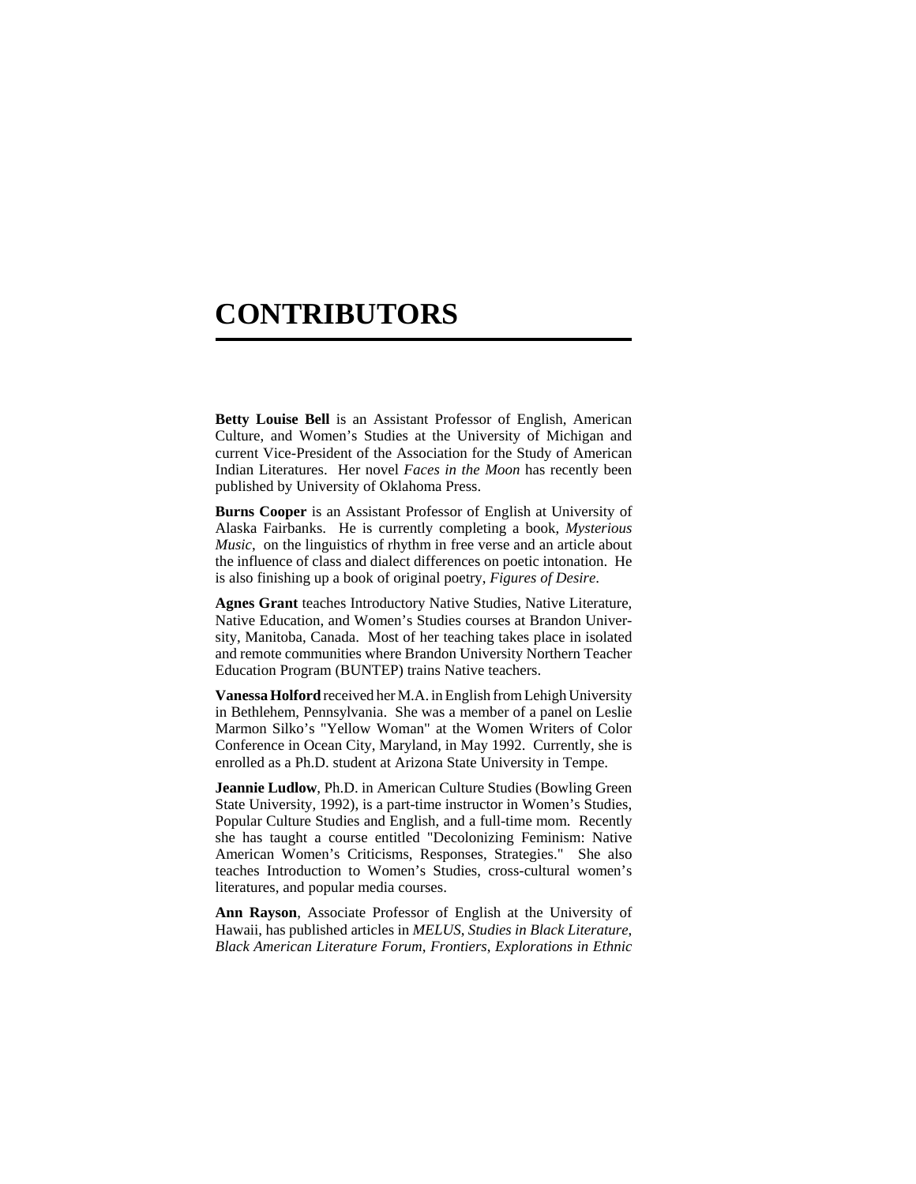# **CONTRIBUTORS**

**Betty Louise Bell** is an Assistant Professor of English, American Culture, and Women's Studies at the University of Michigan and current Vice-President of the Association for the Study of American Indian Literatures. Her novel *Faces in the Moon* has recently been published by University of Oklahoma Press.

**Burns Cooper** is an Assistant Professor of English at University of Alaska Fairbanks. He is currently completing a book, *Mysterious Music*, on the linguistics of rhythm in free verse and an article about the influence of class and dialect differences on poetic intonation. He is also finishing up a book of original poetry, *Figures of Desire*.

**Agnes Grant** teaches Introductory Native Studies, Native Literature, Native Education, and Women's Studies courses at Brandon University, Manitoba, Canada. Most of her teaching takes place in isolated and remote communities where Brandon University Northern Teacher Education Program (BUNTEP) trains Native teachers.

**Vanessa Holford** received her M.A. in English from Lehigh University in Bethlehem, Pennsylvania. She was a member of a panel on Leslie Marmon Silko's "Yellow Woman" at the Women Writers of Color Conference in Ocean City, Maryland, in May 1992. Currently, she is enrolled as a Ph.D. student at Arizona State University in Tempe.

**Jeannie Ludlow**, Ph.D. in American Culture Studies (Bowling Green State University, 1992), is a part-time instructor in Women's Studies, Popular Culture Studies and English, and a full-time mom. Recently she has taught a course entitled "Decolonizing Feminism: Native American Women's Criticisms, Responses, Strategies." She also teaches Introduction to Women's Studies, cross-cultural women's literatures, and popular media courses.

**Ann Rayson**, Associate Professor of English at the University of Hawaii, has published articles in *MELUS*, *Studies in Black Literature*, *Black American Literature Forum*, *Frontiers*, *Explorations in Ethnic*